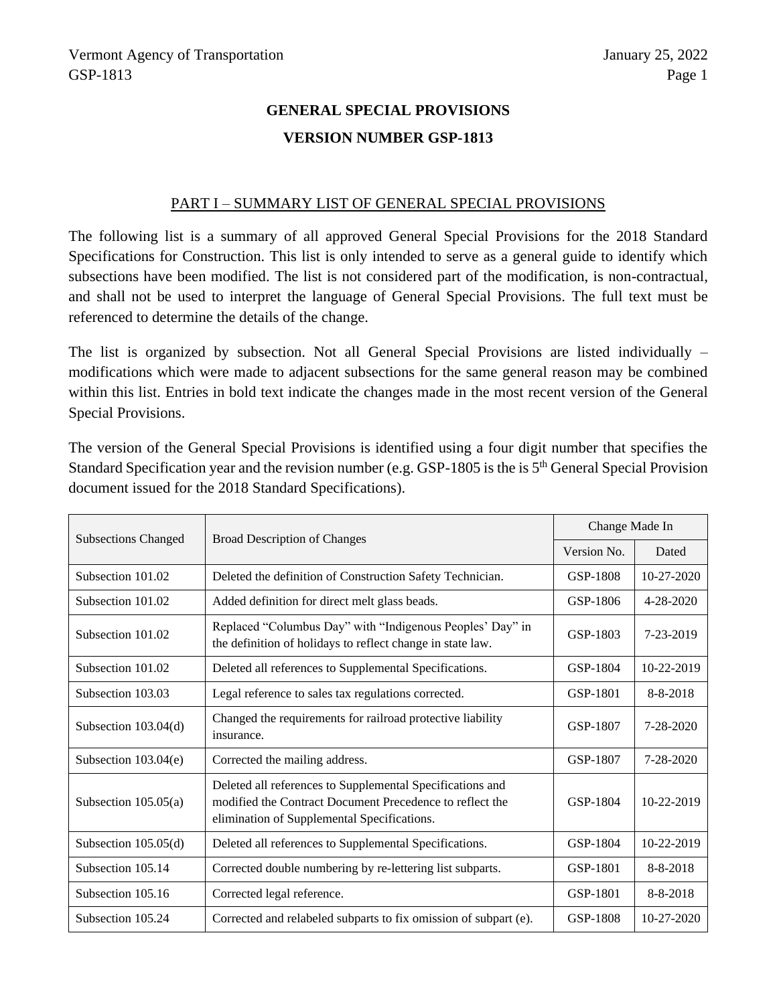# **GENERAL SPECIAL PROVISIONS VERSION NUMBER GSP-1813**

#### PART I – SUMMARY LIST OF GENERAL SPECIAL PROVISIONS

The following list is a summary of all approved General Special Provisions for the 2018 Standard Specifications for Construction. This list is only intended to serve as a general guide to identify which subsections have been modified. The list is not considered part of the modification, is non-contractual, and shall not be used to interpret the language of General Special Provisions. The full text must be referenced to determine the details of the change.

The list is organized by subsection. Not all General Special Provisions are listed individually – modifications which were made to adjacent subsections for the same general reason may be combined within this list. Entries in bold text indicate the changes made in the most recent version of the General Special Provisions.

The version of the General Special Provisions is identified using a four digit number that specifies the Standard Specification year and the revision number (e.g. GSP-1805 is the is 5th General Special Provision document issued for the 2018 Standard Specifications).

| <b>Subsections Changed</b> | <b>Broad Description of Changes</b>                                                                                                                                  | Change Made In |                  |
|----------------------------|----------------------------------------------------------------------------------------------------------------------------------------------------------------------|----------------|------------------|
|                            |                                                                                                                                                                      | Version No.    | Dated            |
| Subsection 101.02          | Deleted the definition of Construction Safety Technician.                                                                                                            | GSP-1808       | $10 - 27 - 2020$ |
| Subsection 101.02          | Added definition for direct melt glass beads.                                                                                                                        | GSP-1806       | $4 - 28 - 2020$  |
| Subsection 101.02          | Replaced "Columbus Day" with "Indigenous Peoples' Day" in<br>the definition of holidays to reflect change in state law.                                              | GSP-1803       | 7-23-2019        |
| Subsection 101.02          | Deleted all references to Supplemental Specifications.                                                                                                               | GSP-1804       | 10-22-2019       |
| Subsection 103.03          | Legal reference to sales tax regulations corrected.                                                                                                                  | GSP-1801       | 8-8-2018         |
| Subsection $103.04(d)$     | Changed the requirements for railroad protective liability<br>insurance.                                                                                             | GSP-1807       | $7 - 28 - 2020$  |
| Subsection $103.04(e)$     | Corrected the mailing address.                                                                                                                                       | GSP-1807       | $7 - 28 - 2020$  |
| Subsection $105.05(a)$     | Deleted all references to Supplemental Specifications and<br>modified the Contract Document Precedence to reflect the<br>elimination of Supplemental Specifications. | GSP-1804       | 10-22-2019       |
| Subsection $105.05(d)$     | Deleted all references to Supplemental Specifications.                                                                                                               | GSP-1804       | 10-22-2019       |
| Subsection 105.14          | Corrected double numbering by re-lettering list subparts.                                                                                                            | GSP-1801       | $8 - 8 - 2018$   |
| Subsection 105.16          | Corrected legal reference.                                                                                                                                           | GSP-1801       | $8 - 8 - 2018$   |
| Subsection 105.24          | Corrected and relabeled subparts to fix omission of subpart (e).                                                                                                     | GSP-1808       | $10 - 27 - 2020$ |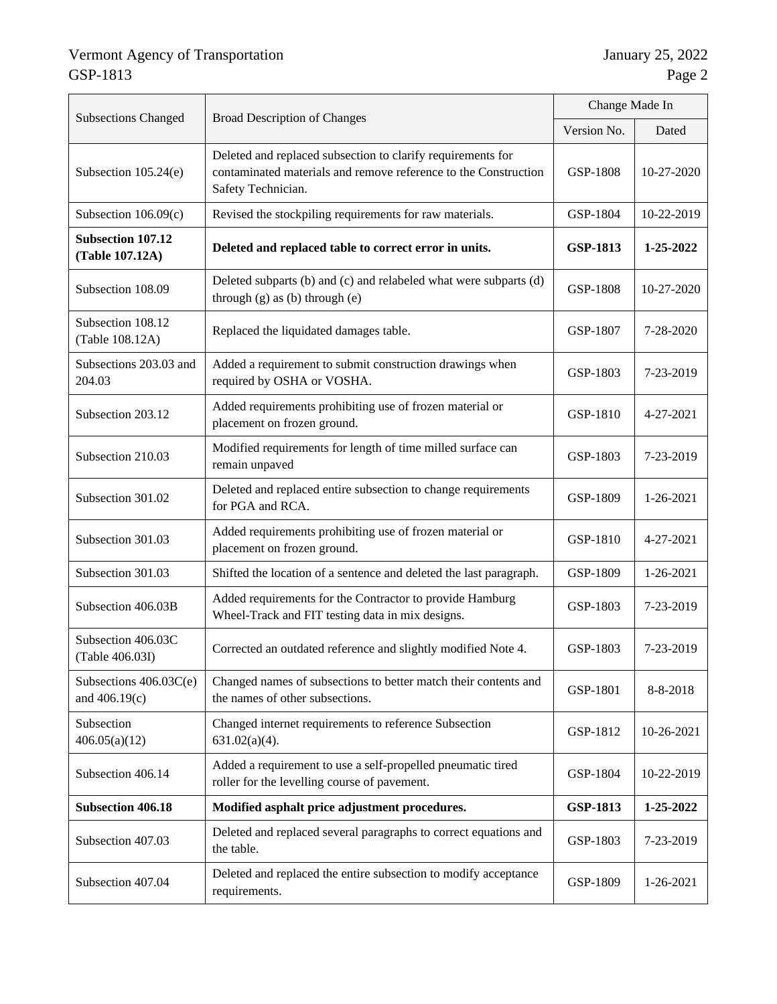| <b>Subsections Changed</b>                  | <b>Broad Description of Changes</b>                                                                                                                  | Change Made In  |                 |
|---------------------------------------------|------------------------------------------------------------------------------------------------------------------------------------------------------|-----------------|-----------------|
|                                             |                                                                                                                                                      |                 | Dated           |
| Subsection $105.24(e)$                      | Deleted and replaced subsection to clarify requirements for<br>contaminated materials and remove reference to the Construction<br>Safety Technician. | GSP-1808        | 10-27-2020      |
| Subsection 106.09(c)                        | Revised the stockpiling requirements for raw materials.                                                                                              | GSP-1804        | 10-22-2019      |
| <b>Subsection 107.12</b><br>(Table 107.12A) | Deleted and replaced table to correct error in units.                                                                                                | <b>GSP-1813</b> | 1-25-2022       |
| Subsection 108.09                           | Deleted subparts (b) and (c) and relabeled what were subparts (d)<br>through $(g)$ as $(b)$ through $(e)$                                            | GSP-1808        | 10-27-2020      |
| Subsection 108.12<br>(Table 108.12A)        | Replaced the liquidated damages table.                                                                                                               | GSP-1807        | 7-28-2020       |
| Subsections 203.03 and<br>204.03            | Added a requirement to submit construction drawings when<br>required by OSHA or VOSHA.                                                               | GSP-1803        | 7-23-2019       |
| Subsection 203.12                           | Added requirements prohibiting use of frozen material or<br>placement on frozen ground.                                                              |                 | 4-27-2021       |
| Subsection 210.03                           | Modified requirements for length of time milled surface can<br>remain unpaved                                                                        |                 | 7-23-2019       |
| Subsection 301.02                           | Deleted and replaced entire subsection to change requirements<br>for PGA and RCA.                                                                    |                 | $1 - 26 - 2021$ |
| Subsection 301.03                           | Added requirements prohibiting use of frozen material or<br>placement on frozen ground.                                                              | GSP-1810        | 4-27-2021       |
| Subsection 301.03                           | Shifted the location of a sentence and deleted the last paragraph.                                                                                   |                 | 1-26-2021       |
| Subsection 406.03B                          | Added requirements for the Contractor to provide Hamburg<br>Wheel-Track and FIT testing data in mix designs.                                         | GSP-1803        | 7-23-2019       |
| Subsection 406.03C<br>(Table 406.03I)       | Corrected an outdated reference and slightly modified Note 4.                                                                                        | GSP-1803        | 7-23-2019       |
| Subsections $406.03C(e)$<br>and 406.19(c)   | Changed names of subsections to better match their contents and<br>the names of other subsections.                                                   | GSP-1801        | 8-8-2018        |
| Subsection<br>406.05(a)(12)                 | Changed internet requirements to reference Subsection<br>$631.02(a)(4)$ .                                                                            | GSP-1812        | 10-26-2021      |
| Subsection 406.14                           | Added a requirement to use a self-propelled pneumatic tired<br>roller for the levelling course of pavement.                                          |                 | 10-22-2019      |
| <b>Subsection 406.18</b>                    | Modified asphalt price adjustment procedures.                                                                                                        |                 | 1-25-2022       |
| Subsection 407.03                           | Deleted and replaced several paragraphs to correct equations and<br>the table.                                                                       | GSP-1803        | 7-23-2019       |
| Subsection 407.04                           | Deleted and replaced the entire subsection to modify acceptance<br>requirements.                                                                     | GSP-1809        | 1-26-2021       |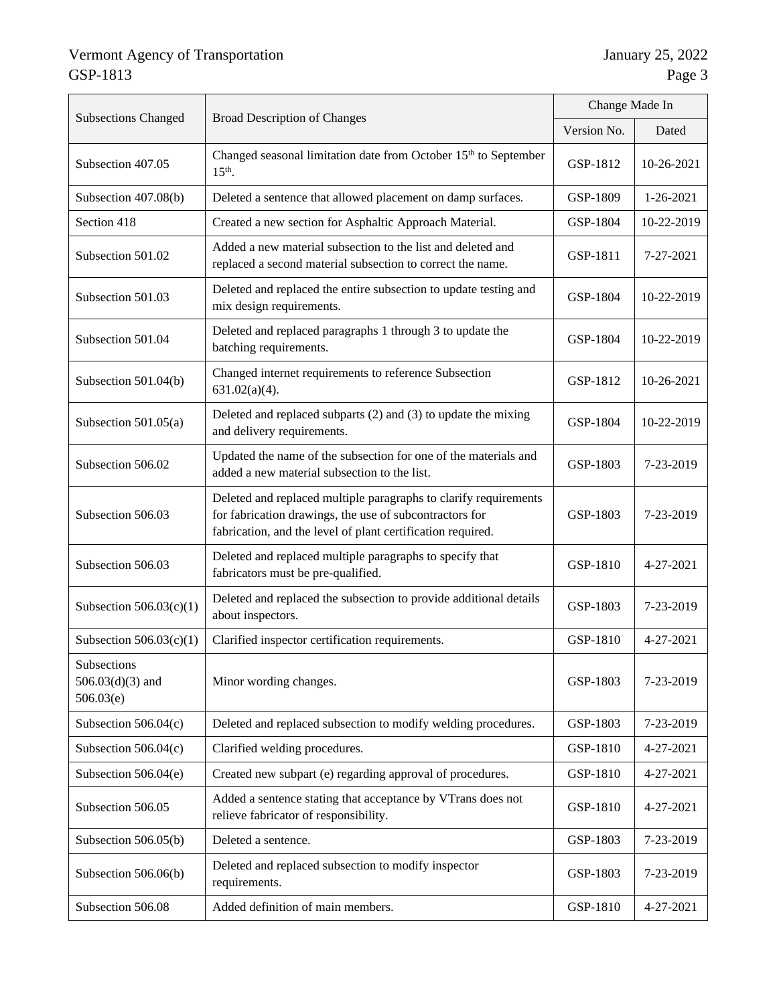|                                                                                                                                      |                                                                                                                                                                                            | Change Made In |            |
|--------------------------------------------------------------------------------------------------------------------------------------|--------------------------------------------------------------------------------------------------------------------------------------------------------------------------------------------|----------------|------------|
| <b>Subsections Changed</b><br><b>Broad Description of Changes</b>                                                                    |                                                                                                                                                                                            | Version No.    | Dated      |
| Subsection 407.05                                                                                                                    | Changed seasonal limitation date from October 15 <sup>th</sup> to September<br>$15th$ .                                                                                                    | GSP-1812       | 10-26-2021 |
| Subsection 407.08(b)                                                                                                                 | Deleted a sentence that allowed placement on damp surfaces.                                                                                                                                | GSP-1809       | 1-26-2021  |
| Section 418                                                                                                                          | Created a new section for Asphaltic Approach Material.                                                                                                                                     | GSP-1804       | 10-22-2019 |
| Subsection 501.02                                                                                                                    | Added a new material subsection to the list and deleted and<br>replaced a second material subsection to correct the name.                                                                  | GSP-1811       | 7-27-2021  |
| Subsection 501.03                                                                                                                    | Deleted and replaced the entire subsection to update testing and<br>mix design requirements.                                                                                               | GSP-1804       | 10-22-2019 |
| Subsection 501.04                                                                                                                    | Deleted and replaced paragraphs 1 through 3 to update the<br>batching requirements.                                                                                                        | GSP-1804       | 10-22-2019 |
| Subsection 501.04(b)                                                                                                                 | Changed internet requirements to reference Subsection<br>$631.02(a)(4)$ .                                                                                                                  |                | 10-26-2021 |
| Subsection $501.05(a)$                                                                                                               | Deleted and replaced subparts (2) and (3) to update the mixing<br>and delivery requirements.                                                                                               |                | 10-22-2019 |
| Updated the name of the subsection for one of the materials and<br>Subsection 506.02<br>added a new material subsection to the list. |                                                                                                                                                                                            | GSP-1803       | 7-23-2019  |
| Subsection 506.03                                                                                                                    | Deleted and replaced multiple paragraphs to clarify requirements<br>for fabrication drawings, the use of subcontractors for<br>fabrication, and the level of plant certification required. |                | 7-23-2019  |
| Subsection 506.03                                                                                                                    | Deleted and replaced multiple paragraphs to specify that<br>fabricators must be pre-qualified.                                                                                             |                | 4-27-2021  |
| Subsection $506.03(c)(1)$                                                                                                            | Deleted and replaced the subsection to provide additional details<br>about inspectors.                                                                                                     |                | 7-23-2019  |
| Subsection $506.03(c)(1)$                                                                                                            | Clarified inspector certification requirements.                                                                                                                                            | GSP-1810       | 4-27-2021  |
| Subsections<br>$506.03(d)(3)$ and<br>506.03(e)                                                                                       | Minor wording changes.                                                                                                                                                                     |                | 7-23-2019  |
| Subsection $506.04(c)$                                                                                                               | Deleted and replaced subsection to modify welding procedures.                                                                                                                              | GSP-1803       | 7-23-2019  |
| Subsection $506.04(c)$                                                                                                               | Clarified welding procedures.                                                                                                                                                              |                | 4-27-2021  |
| Subsection 506.04(e)                                                                                                                 | Created new subpart (e) regarding approval of procedures.                                                                                                                                  | GSP-1810       | 4-27-2021  |
| Subsection 506.05                                                                                                                    | Added a sentence stating that acceptance by VTrans does not<br>relieve fabricator of responsibility.                                                                                       | GSP-1810       | 4-27-2021  |
| Subsection 506.05(b)                                                                                                                 | Deleted a sentence.                                                                                                                                                                        | GSP-1803       | 7-23-2019  |
| Subsection 506.06(b)                                                                                                                 | Deleted and replaced subsection to modify inspector<br>requirements.                                                                                                                       | GSP-1803       | 7-23-2019  |
| Subsection 506.08                                                                                                                    | Added definition of main members.                                                                                                                                                          | GSP-1810       | 4-27-2021  |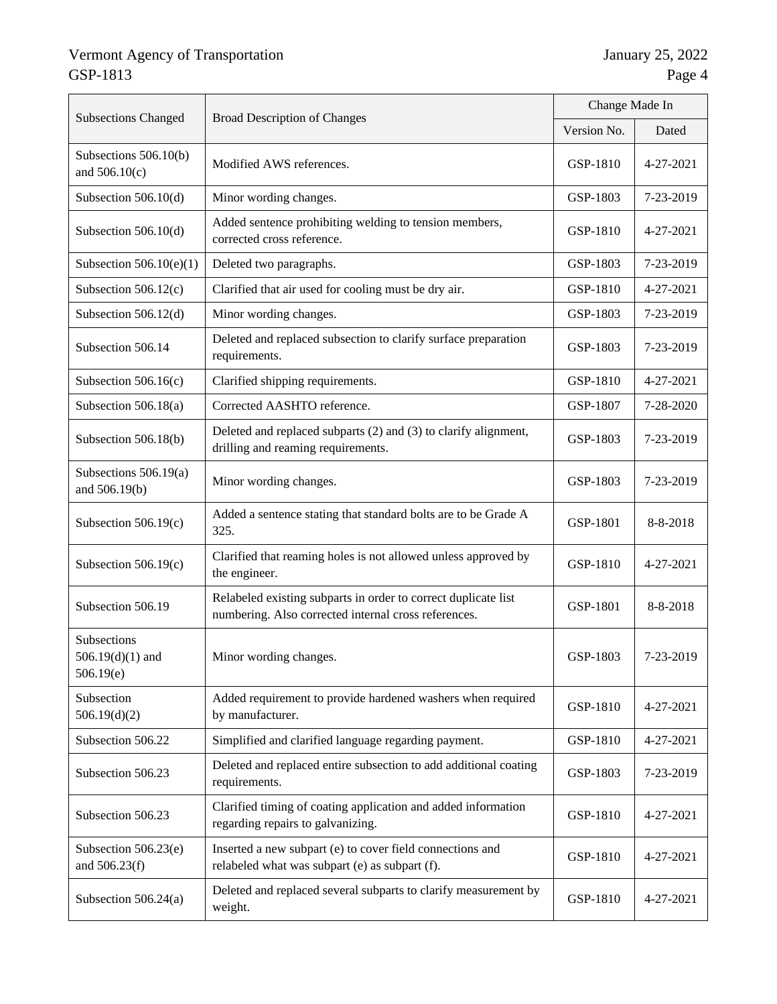|                                                |                                                                                                                        | Change Made In |                 |
|------------------------------------------------|------------------------------------------------------------------------------------------------------------------------|----------------|-----------------|
| <b>Subsections Changed</b>                     | <b>Broad Description of Changes</b>                                                                                    | Version No.    | Dated           |
| Subsections 506.10(b)<br>and $506.10(c)$       | Modified AWS references.                                                                                               | GSP-1810       | 4-27-2021       |
| Subsection 506.10(d)                           | Minor wording changes.                                                                                                 | GSP-1803       | 7-23-2019       |
| Subsection 506.10(d)                           | Added sentence prohibiting welding to tension members,<br>corrected cross reference.                                   | GSP-1810       | $4 - 27 - 2021$ |
| Subsection $506.10(e)(1)$                      | Deleted two paragraphs.                                                                                                | GSP-1803       | 7-23-2019       |
| Subsection $506.12(c)$                         | Clarified that air used for cooling must be dry air.                                                                   | GSP-1810       | 4-27-2021       |
| Subsection 506.12(d)                           | Minor wording changes.                                                                                                 | GSP-1803       | 7-23-2019       |
| Subsection 506.14                              | Deleted and replaced subsection to clarify surface preparation<br>requirements.                                        | GSP-1803       | 7-23-2019       |
| Subsection $506.16(c)$                         | Clarified shipping requirements.                                                                                       | GSP-1810       | 4-27-2021       |
| Subsection 506.18(a)                           | Corrected AASHTO reference.                                                                                            | GSP-1807       | 7-28-2020       |
| Subsection 506.18(b)                           | Deleted and replaced subparts (2) and (3) to clarify alignment,<br>drilling and reaming requirements.                  | GSP-1803       | 7-23-2019       |
| Subsections 506.19(a)<br>and 506.19(b)         | Minor wording changes.                                                                                                 | GSP-1803       | 7-23-2019       |
| Subsection $506.19(c)$                         | Added a sentence stating that standard bolts are to be Grade A<br>325.                                                 | GSP-1801       | 8-8-2018        |
| Subsection $506.19(c)$                         | Clarified that reaming holes is not allowed unless approved by<br>the engineer.                                        |                | 4-27-2021       |
| Subsection 506.19                              | Relabeled existing subparts in order to correct duplicate list<br>numbering. Also corrected internal cross references. |                | 8-8-2018        |
| Subsections<br>$506.19(d)(1)$ and<br>506.19(e) | Minor wording changes.                                                                                                 | GSP-1803       | 7-23-2019       |
| Subsection<br>506.19(d)(2)                     | Added requirement to provide hardened washers when required<br>by manufacturer.                                        | GSP-1810       | 4-27-2021       |
| Subsection 506.22                              | Simplified and clarified language regarding payment.                                                                   | GSP-1810       | 4-27-2021       |
| Subsection 506.23                              | Deleted and replaced entire subsection to add additional coating<br>requirements.                                      | GSP-1803       | 7-23-2019       |
| Subsection 506.23                              | Clarified timing of coating application and added information<br>regarding repairs to galvanizing.                     | GSP-1810       | 4-27-2021       |
| Subsection $506.23(e)$<br>and 506.23(f)        | Inserted a new subpart (e) to cover field connections and<br>relabeled what was subpart (e) as subpart (f).            | GSP-1810       | 4-27-2021       |
| Subsection 506.24(a)                           | Deleted and replaced several subparts to clarify measurement by<br>weight.                                             | GSP-1810       | 4-27-2021       |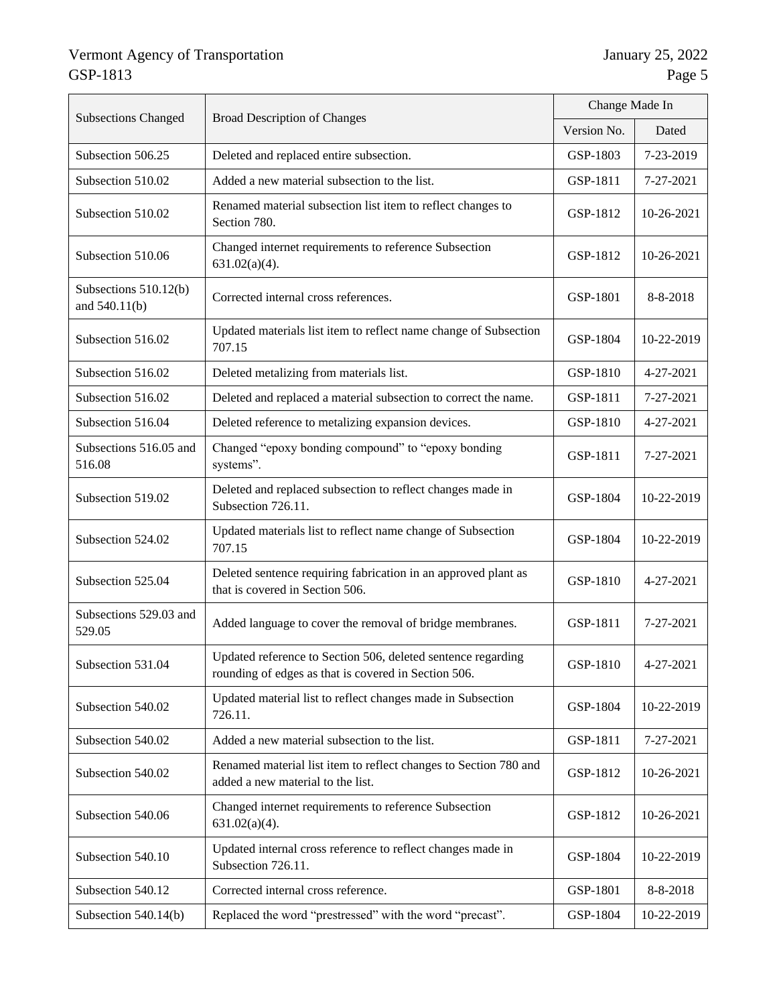|                                        |                                                                                                                      | Change Made In |            |
|----------------------------------------|----------------------------------------------------------------------------------------------------------------------|----------------|------------|
| <b>Subsections Changed</b>             | <b>Broad Description of Changes</b>                                                                                  |                | Dated      |
| Subsection 506.25                      | Deleted and replaced entire subsection.                                                                              | GSP-1803       | 7-23-2019  |
| Subsection 510.02                      | Added a new material subsection to the list.                                                                         | GSP-1811       | 7-27-2021  |
| Subsection 510.02                      | Renamed material subsection list item to reflect changes to<br>Section 780.                                          | GSP-1812       | 10-26-2021 |
| Subsection 510.06                      | Changed internet requirements to reference Subsection<br>$631.02(a)(4)$ .                                            | GSP-1812       | 10-26-2021 |
| Subsections 510.12(b)<br>and 540.11(b) | Corrected internal cross references.                                                                                 | GSP-1801       | 8-8-2018   |
| Subsection 516.02                      | Updated materials list item to reflect name change of Subsection<br>707.15                                           | GSP-1804       | 10-22-2019 |
| Subsection 516.02                      | Deleted metalizing from materials list.                                                                              | GSP-1810       | 4-27-2021  |
| Subsection 516.02                      | Deleted and replaced a material subsection to correct the name.                                                      | GSP-1811       | 7-27-2021  |
| Subsection 516.04                      | Deleted reference to metalizing expansion devices.                                                                   | GSP-1810       | 4-27-2021  |
| Subsections 516.05 and<br>516.08       | Changed "epoxy bonding compound" to "epoxy bonding<br>systems".                                                      | GSP-1811       | 7-27-2021  |
| Subsection 519.02                      | Deleted and replaced subsection to reflect changes made in<br>Subsection 726.11.                                     | GSP-1804       | 10-22-2019 |
| Subsection 524.02                      | Updated materials list to reflect name change of Subsection<br>707.15                                                | GSP-1804       | 10-22-2019 |
| Subsection 525.04                      | Deleted sentence requiring fabrication in an approved plant as<br>that is covered in Section 506.                    | GSP-1810       | 4-27-2021  |
| Subsections 529.03 and<br>529.05       | Added language to cover the removal of bridge membranes.                                                             | GSP-1811       | 7-27-2021  |
| Subsection 531.04                      | Updated reference to Section 506, deleted sentence regarding<br>rounding of edges as that is covered in Section 506. | GSP-1810       | 4-27-2021  |
| Subsection 540.02                      | Updated material list to reflect changes made in Subsection<br>726.11.                                               | GSP-1804       | 10-22-2019 |
| Subsection 540.02                      | Added a new material subsection to the list.                                                                         | GSP-1811       | 7-27-2021  |
| Subsection 540.02                      | Renamed material list item to reflect changes to Section 780 and<br>added a new material to the list.                | GSP-1812       | 10-26-2021 |
| Subsection 540.06                      | Changed internet requirements to reference Subsection<br>$631.02(a)(4)$ .                                            | GSP-1812       | 10-26-2021 |
| Subsection 540.10                      | Updated internal cross reference to reflect changes made in<br>Subsection 726.11.                                    | GSP-1804       | 10-22-2019 |
| Subsection 540.12                      | Corrected internal cross reference.                                                                                  | GSP-1801       | 8-8-2018   |
| Subsection $540.14(b)$                 | Replaced the word "prestressed" with the word "precast".                                                             | GSP-1804       | 10-22-2019 |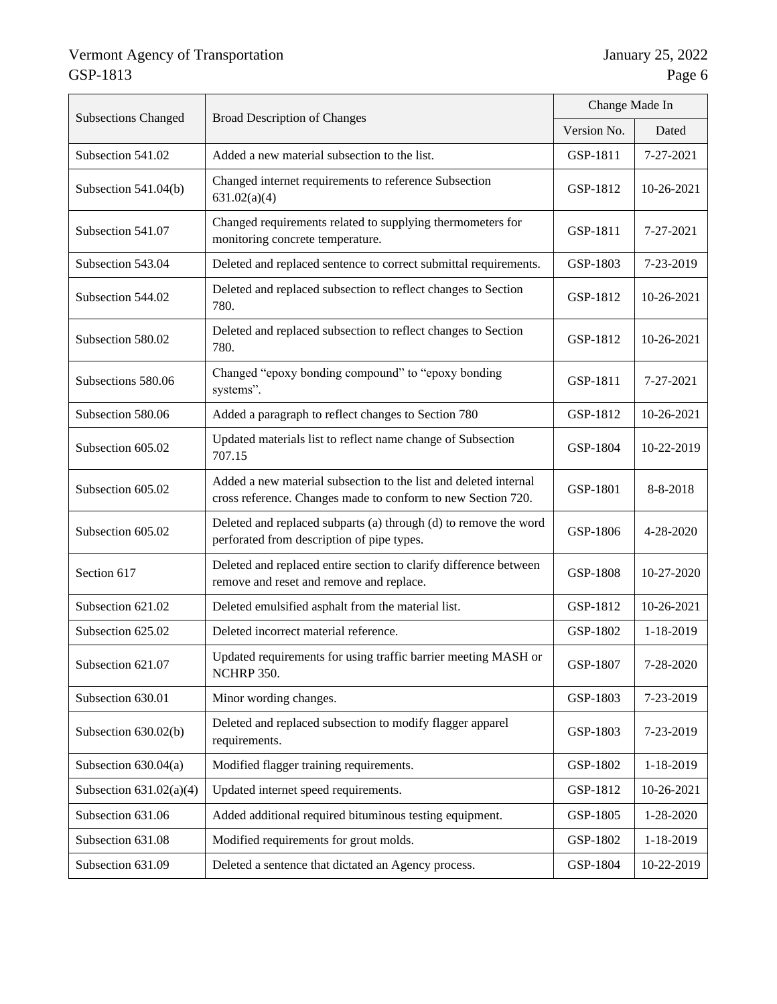| <b>Subsections Changed</b> | <b>Broad Description of Changes</b>                                                                                              | Change Made In |            |
|----------------------------|----------------------------------------------------------------------------------------------------------------------------------|----------------|------------|
|                            |                                                                                                                                  |                | Dated      |
| Subsection 541.02          | Added a new material subsection to the list.                                                                                     | GSP-1811       | 7-27-2021  |
| Subsection 541.04(b)       | Changed internet requirements to reference Subsection<br>631.02(a)(4)                                                            | GSP-1812       | 10-26-2021 |
| Subsection 541.07          | Changed requirements related to supplying thermometers for<br>monitoring concrete temperature.                                   | GSP-1811       | 7-27-2021  |
| Subsection 543.04          | Deleted and replaced sentence to correct submittal requirements.                                                                 | GSP-1803       | 7-23-2019  |
| Subsection 544.02          | Deleted and replaced subsection to reflect changes to Section<br>780.                                                            | GSP-1812       | 10-26-2021 |
| Subsection 580.02          | Deleted and replaced subsection to reflect changes to Section<br>780.                                                            | GSP-1812       | 10-26-2021 |
| Subsections 580.06         | Changed "epoxy bonding compound" to "epoxy bonding<br>systems".                                                                  | GSP-1811       | 7-27-2021  |
| Subsection 580.06          | Added a paragraph to reflect changes to Section 780                                                                              | GSP-1812       | 10-26-2021 |
| Subsection 605.02          | Updated materials list to reflect name change of Subsection<br>707.15                                                            | GSP-1804       | 10-22-2019 |
| Subsection 605.02          | Added a new material subsection to the list and deleted internal<br>cross reference. Changes made to conform to new Section 720. | GSP-1801       | 8-8-2018   |
| Subsection 605.02          | Deleted and replaced subparts (a) through (d) to remove the word<br>perforated from description of pipe types.                   | GSP-1806       | 4-28-2020  |
| Section 617                | Deleted and replaced entire section to clarify difference between<br>remove and reset and remove and replace.                    | GSP-1808       | 10-27-2020 |
| Subsection 621.02          | Deleted emulsified asphalt from the material list.                                                                               | GSP-1812       | 10-26-2021 |
| Subsection 625.02          | Deleted incorrect material reference.                                                                                            | GSP-1802       | 1-18-2019  |
| Subsection 621.07          | Updated requirements for using traffic barrier meeting MASH or<br>NCHRP 350.                                                     | GSP-1807       | 7-28-2020  |
| Subsection 630.01          | Minor wording changes.                                                                                                           | GSP-1803       | 7-23-2019  |
| Subsection 630.02(b)       | Deleted and replaced subsection to modify flagger apparel<br>requirements.                                                       | GSP-1803       | 7-23-2019  |
| Subsection 630.04(a)       | Modified flagger training requirements.                                                                                          | GSP-1802       | 1-18-2019  |
| Subsection $631.02(a)(4)$  | Updated internet speed requirements.                                                                                             | GSP-1812       | 10-26-2021 |
| Subsection 631.06          | Added additional required bituminous testing equipment.                                                                          | GSP-1805       | 1-28-2020  |
| Subsection 631.08          | Modified requirements for grout molds.                                                                                           | GSP-1802       | 1-18-2019  |
| Subsection 631.09          | Deleted a sentence that dictated an Agency process.                                                                              | GSP-1804       | 10-22-2019 |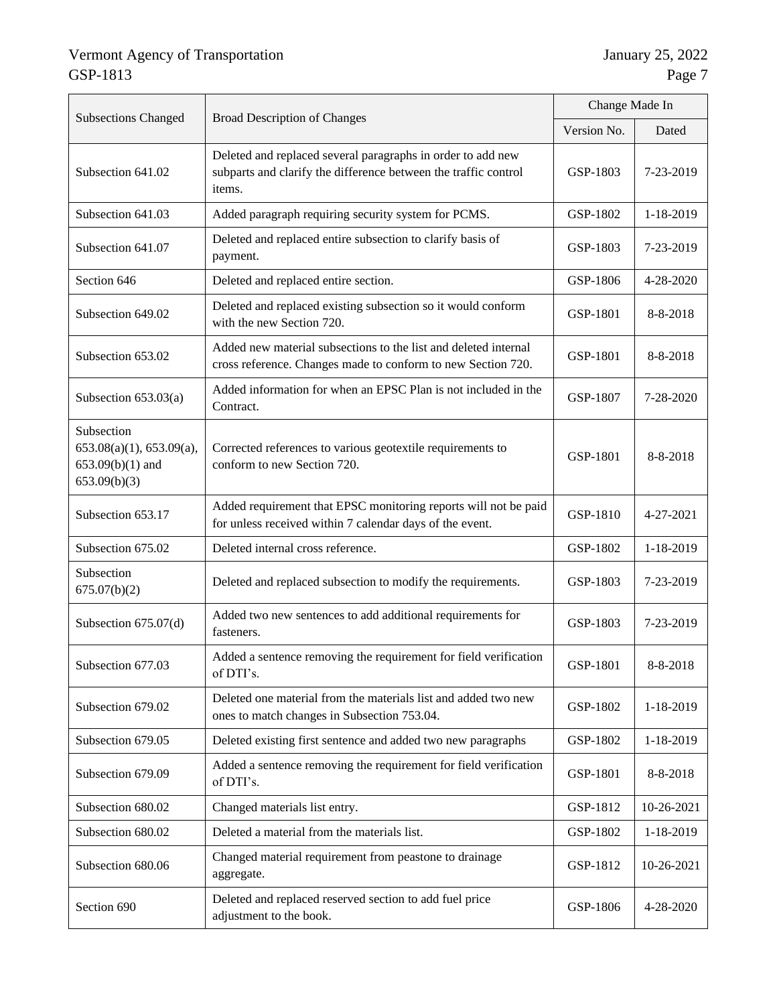| <b>Subsections Changed</b>                                                                        | <b>Broad Description of Changes</b>                                                                                                      | Change Made In |            |
|---------------------------------------------------------------------------------------------------|------------------------------------------------------------------------------------------------------------------------------------------|----------------|------------|
|                                                                                                   |                                                                                                                                          | Version No.    | Dated      |
| Subsection 641.02                                                                                 | Deleted and replaced several paragraphs in order to add new<br>subparts and clarify the difference between the traffic control<br>items. | GSP-1803       | 7-23-2019  |
| Subsection 641.03                                                                                 | Added paragraph requiring security system for PCMS.                                                                                      | GSP-1802       | 1-18-2019  |
| Subsection 641.07                                                                                 | Deleted and replaced entire subsection to clarify basis of<br>payment.                                                                   | GSP-1803       | 7-23-2019  |
| Section 646                                                                                       | Deleted and replaced entire section.                                                                                                     | GSP-1806       | 4-28-2020  |
| Subsection 649.02                                                                                 | Deleted and replaced existing subsection so it would conform<br>with the new Section 720.                                                | GSP-1801       | 8-8-2018   |
| Subsection 653.02                                                                                 | Added new material subsections to the list and deleted internal<br>cross reference. Changes made to conform to new Section 720.          | GSP-1801       | 8-8-2018   |
| Subsection $653.03(a)$                                                                            | Added information for when an EPSC Plan is not included in the<br>Contract.                                                              | GSP-1807       | 7-28-2020  |
| Subsection<br>$653.08(a)(1)$ , $653.09(a)$ ,<br>$653.09(b)(1)$ and<br>653.09(b)(3)                | Corrected references to various geotextile requirements to<br>conform to new Section 720.                                                | GSP-1801       | 8-8-2018   |
| Subsection 653.17                                                                                 | Added requirement that EPSC monitoring reports will not be paid<br>for unless received within 7 calendar days of the event.              |                | 4-27-2021  |
| Subsection 675.02                                                                                 | Deleted internal cross reference.                                                                                                        |                | 1-18-2019  |
| Subsection<br>675.07(b)(2)                                                                        | Deleted and replaced subsection to modify the requirements.                                                                              |                | 7-23-2019  |
| Subsection $675.07(d)$                                                                            | Added two new sentences to add additional requirements for<br>fasteners.                                                                 |                | 7-23-2019  |
| Subsection 677.03                                                                                 | Added a sentence removing the requirement for field verification<br>of DTI's.                                                            |                | 8-8-2018   |
| Subsection 679.02                                                                                 | Deleted one material from the materials list and added two new<br>ones to match changes in Subsection 753.04.                            |                | 1-18-2019  |
| Subsection 679.05                                                                                 | Deleted existing first sentence and added two new paragraphs                                                                             |                | 1-18-2019  |
| Subsection 679.09                                                                                 | Added a sentence removing the requirement for field verification<br>of DTI's.                                                            |                | 8-8-2018   |
| Subsection 680.02                                                                                 | Changed materials list entry.                                                                                                            |                | 10-26-2021 |
| Subsection 680.02                                                                                 | Deleted a material from the materials list.                                                                                              |                | 1-18-2019  |
| Subsection 680.06                                                                                 | Changed material requirement from peastone to drainage<br>aggregate.                                                                     | GSP-1812       | 10-26-2021 |
| Deleted and replaced reserved section to add fuel price<br>Section 690<br>adjustment to the book. |                                                                                                                                          | GSP-1806       | 4-28-2020  |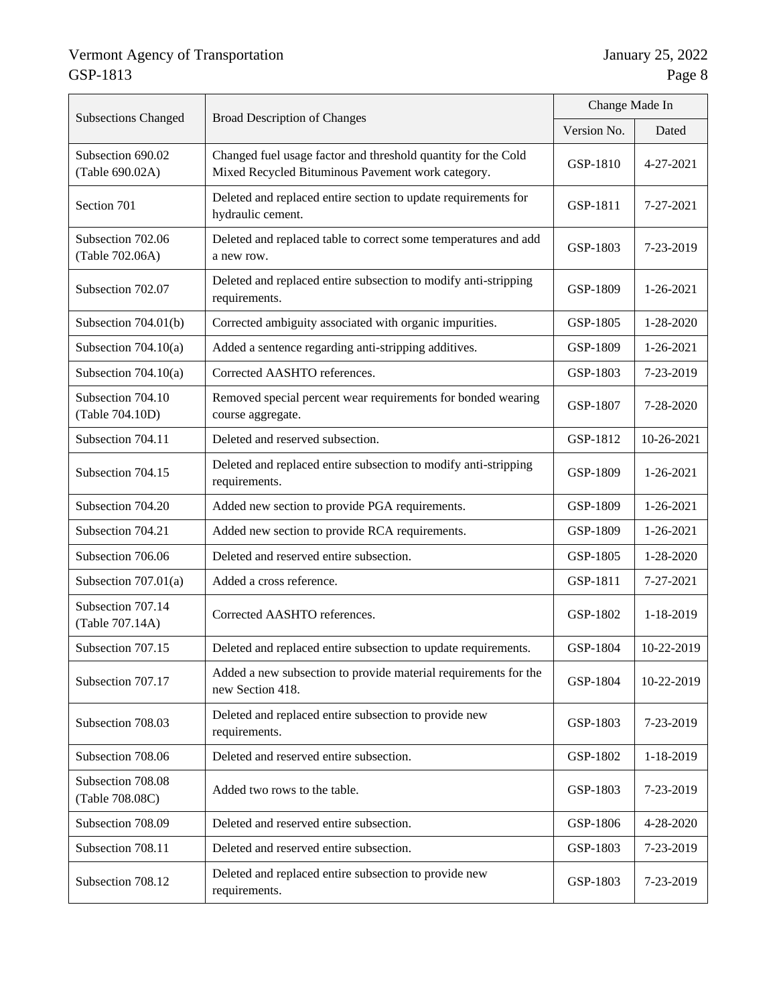| <b>Subsections Changed</b><br><b>Broad Description of Changes</b> |                                                                                                                    | Change Made In |            |
|-------------------------------------------------------------------|--------------------------------------------------------------------------------------------------------------------|----------------|------------|
|                                                                   |                                                                                                                    |                | Dated      |
| Subsection 690.02<br>(Table 690.02A)                              | Changed fuel usage factor and threshold quantity for the Cold<br>Mixed Recycled Bituminous Pavement work category. | GSP-1810       | 4-27-2021  |
| Section 701                                                       | Deleted and replaced entire section to update requirements for<br>hydraulic cement.                                | GSP-1811       | 7-27-2021  |
| Subsection 702.06<br>(Table 702.06A)                              | Deleted and replaced table to correct some temperatures and add<br>a new row.                                      | GSP-1803       | 7-23-2019  |
| Subsection 702.07                                                 | Deleted and replaced entire subsection to modify anti-stripping<br>requirements.                                   | GSP-1809       | 1-26-2021  |
| Subsection $704.01(b)$                                            | Corrected ambiguity associated with organic impurities.                                                            | GSP-1805       | 1-28-2020  |
| Subsection 704.10(a)                                              | Added a sentence regarding anti-stripping additives.                                                               | GSP-1809       | 1-26-2021  |
| Subsection $704.10(a)$                                            | Corrected AASHTO references.                                                                                       | GSP-1803       | 7-23-2019  |
| Subsection 704.10<br>(Table 704.10D)                              | Removed special percent wear requirements for bonded wearing<br>course aggregate.                                  | GSP-1807       | 7-28-2020  |
| Subsection 704.11                                                 | Deleted and reserved subsection.                                                                                   |                | 10-26-2021 |
| Subsection 704.15                                                 | Deleted and replaced entire subsection to modify anti-stripping<br>requirements.                                   | GSP-1809       | 1-26-2021  |
| Subsection 704.20                                                 | Added new section to provide PGA requirements.                                                                     | GSP-1809       | 1-26-2021  |
| Subsection 704.21                                                 | Added new section to provide RCA requirements.                                                                     | GSP-1809       | 1-26-2021  |
| Subsection 706.06                                                 | Deleted and reserved entire subsection.                                                                            | GSP-1805       | 1-28-2020  |
| Subsection $707.01(a)$                                            | Added a cross reference.                                                                                           | GSP-1811       | 7-27-2021  |
| Subsection 707.14<br>(Table 707.14A)                              | Corrected AASHTO references.                                                                                       | GSP-1802       | 1-18-2019  |
| Subsection 707.15                                                 | Deleted and replaced entire subsection to update requirements.                                                     | GSP-1804       | 10-22-2019 |
| Subsection 707.17                                                 | Added a new subsection to provide material requirements for the<br>new Section 418.                                | GSP-1804       | 10-22-2019 |
| Subsection 708.03                                                 | Deleted and replaced entire subsection to provide new<br>requirements.                                             | GSP-1803       | 7-23-2019  |
| Subsection 708.06                                                 | Deleted and reserved entire subsection.                                                                            | GSP-1802       | 1-18-2019  |
| Subsection 708.08<br>(Table 708.08C)                              | Added two rows to the table.                                                                                       | GSP-1803       | 7-23-2019  |
| Subsection 708.09                                                 | Deleted and reserved entire subsection.                                                                            | GSP-1806       | 4-28-2020  |
| Subsection 708.11                                                 | Deleted and reserved entire subsection.                                                                            | GSP-1803       | 7-23-2019  |
| Subsection 708.12                                                 | Deleted and replaced entire subsection to provide new<br>requirements.                                             | GSP-1803       | 7-23-2019  |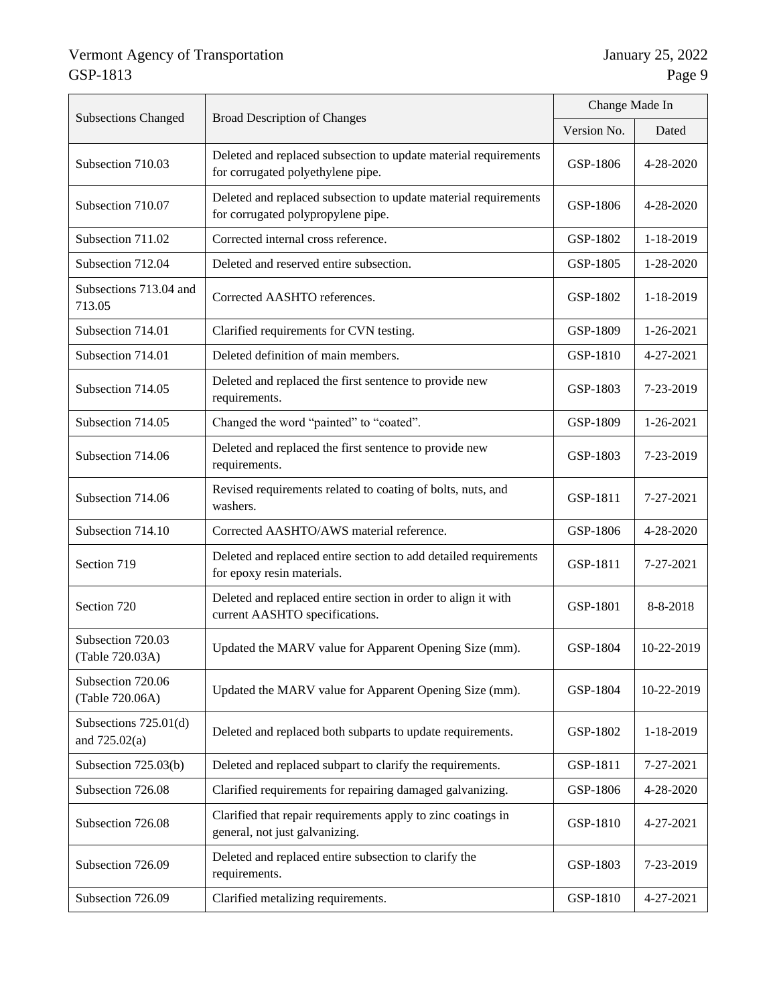|                                            |                                                                                                       | Change Made In |            |
|--------------------------------------------|-------------------------------------------------------------------------------------------------------|----------------|------------|
| <b>Subsections Changed</b>                 | <b>Broad Description of Changes</b>                                                                   |                | Dated      |
| Subsection 710.03                          | Deleted and replaced subsection to update material requirements<br>for corrugated polyethylene pipe.  | GSP-1806       | 4-28-2020  |
| Subsection 710.07                          | Deleted and replaced subsection to update material requirements<br>for corrugated polypropylene pipe. | GSP-1806       | 4-28-2020  |
| Subsection 711.02                          | Corrected internal cross reference.                                                                   | GSP-1802       | 1-18-2019  |
| Subsection 712.04                          | Deleted and reserved entire subsection.                                                               | GSP-1805       | 1-28-2020  |
| Subsections 713.04 and<br>713.05           | Corrected AASHTO references.                                                                          | GSP-1802       | 1-18-2019  |
| Subsection 714.01                          | Clarified requirements for CVN testing.                                                               | GSP-1809       | 1-26-2021  |
| Subsection 714.01                          | Deleted definition of main members.                                                                   | GSP-1810       | 4-27-2021  |
| Subsection 714.05                          | Deleted and replaced the first sentence to provide new<br>requirements.                               |                | 7-23-2019  |
| Subsection 714.05                          | Changed the word "painted" to "coated".                                                               |                | 1-26-2021  |
| Subsection 714.06                          | Deleted and replaced the first sentence to provide new<br>requirements.                               |                | 7-23-2019  |
| Subsection 714.06                          | Revised requirements related to coating of bolts, nuts, and<br>washers.                               | GSP-1811       | 7-27-2021  |
| Subsection 714.10                          | Corrected AASHTO/AWS material reference.                                                              | GSP-1806       | 4-28-2020  |
| Section 719                                | Deleted and replaced entire section to add detailed requirements<br>for epoxy resin materials.        |                | 7-27-2021  |
| Section 720                                | Deleted and replaced entire section in order to align it with<br>current AASHTO specifications.       | GSP-1801       | 8-8-2018   |
| Subsection 720.03<br>(Table 720.03A)       | Updated the MARV value for Apparent Opening Size (mm).                                                | GSP-1804       | 10-22-2019 |
| Subsection 720.06<br>(Table 720.06A)       | Updated the MARV value for Apparent Opening Size (mm).                                                |                | 10-22-2019 |
| Subsections $725.01(d)$<br>and $725.02(a)$ | Deleted and replaced both subparts to update requirements.                                            | GSP-1802       | 1-18-2019  |
| Subsection 725.03(b)                       | Deleted and replaced subpart to clarify the requirements.                                             | GSP-1811       | 7-27-2021  |
| Subsection 726.08                          | Clarified requirements for repairing damaged galvanizing.                                             | GSP-1806       | 4-28-2020  |
| Subsection 726.08                          | Clarified that repair requirements apply to zinc coatings in<br>general, not just galvanizing.        | GSP-1810       | 4-27-2021  |
| Subsection 726.09                          | Deleted and replaced entire subsection to clarify the<br>requirements.                                | GSP-1803       | 7-23-2019  |
| Subsection 726.09                          | Clarified metalizing requirements.                                                                    | GSP-1810       | 4-27-2021  |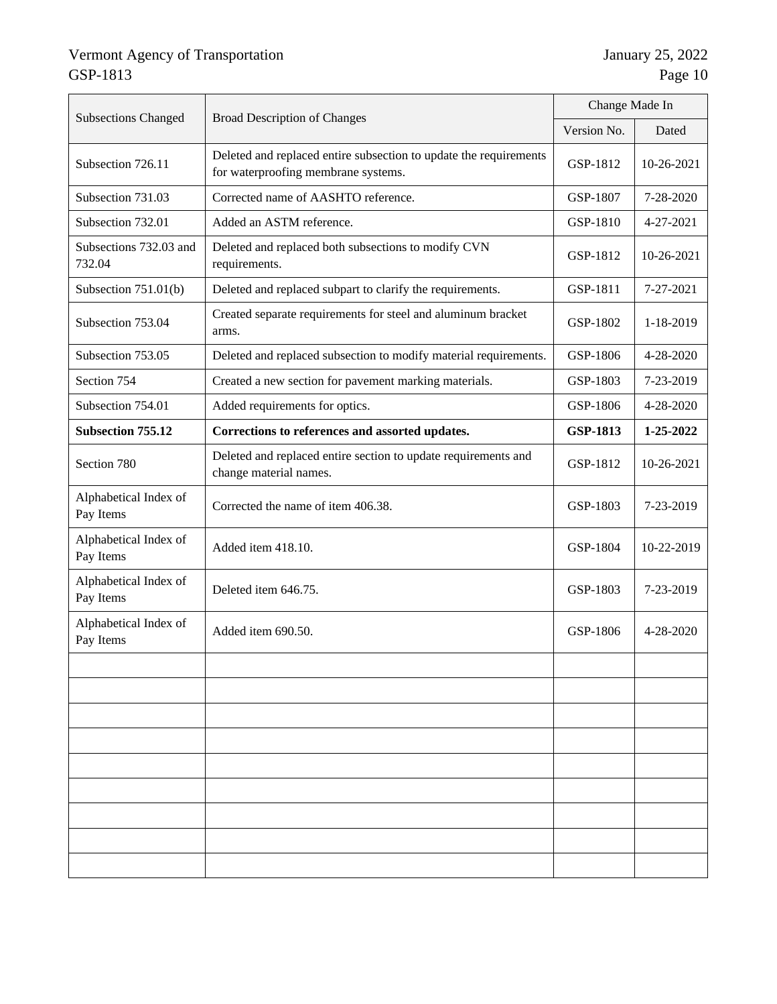| <b>Subsections Changed</b>         | <b>Broad Description of Changes</b>                                                                      | Change Made In |            |
|------------------------------------|----------------------------------------------------------------------------------------------------------|----------------|------------|
|                                    |                                                                                                          | Version No.    | Dated      |
| Subsection 726.11                  | Deleted and replaced entire subsection to update the requirements<br>for waterproofing membrane systems. | GSP-1812       | 10-26-2021 |
| Subsection 731.03                  | Corrected name of AASHTO reference.                                                                      | GSP-1807       | 7-28-2020  |
| Subsection 732.01                  | Added an ASTM reference.                                                                                 | GSP-1810       | 4-27-2021  |
| Subsections 732.03 and<br>732.04   | Deleted and replaced both subsections to modify CVN<br>requirements.                                     | GSP-1812       | 10-26-2021 |
| Subsection $751.01(b)$             | Deleted and replaced subpart to clarify the requirements.                                                | GSP-1811       | 7-27-2021  |
| Subsection 753.04                  | Created separate requirements for steel and aluminum bracket<br>arms.                                    | GSP-1802       | 1-18-2019  |
| Subsection 753.05                  | Deleted and replaced subsection to modify material requirements.                                         | GSP-1806       | 4-28-2020  |
| Section 754                        | Created a new section for pavement marking materials.                                                    | GSP-1803       | 7-23-2019  |
| Subsection 754.01                  | Added requirements for optics.                                                                           | GSP-1806       | 4-28-2020  |
| <b>Subsection 755.12</b>           | Corrections to references and assorted updates.                                                          |                | 1-25-2022  |
| Section 780                        | Deleted and replaced entire section to update requirements and<br>change material names.                 | GSP-1812       | 10-26-2021 |
| Alphabetical Index of<br>Pay Items | Corrected the name of item 406.38.                                                                       | GSP-1803       | 7-23-2019  |
| Alphabetical Index of<br>Pay Items | Added item 418.10.                                                                                       | GSP-1804       | 10-22-2019 |
| Alphabetical Index of<br>Pay Items | Deleted item 646.75.                                                                                     | GSP-1803       | 7-23-2019  |
| Alphabetical Index of<br>Pay Items | Added item 690.50.                                                                                       | GSP-1806       | 4-28-2020  |
|                                    |                                                                                                          |                |            |
|                                    |                                                                                                          |                |            |
|                                    |                                                                                                          |                |            |
|                                    |                                                                                                          |                |            |
|                                    |                                                                                                          |                |            |
|                                    |                                                                                                          |                |            |
|                                    |                                                                                                          |                |            |
|                                    |                                                                                                          |                |            |
|                                    |                                                                                                          |                |            |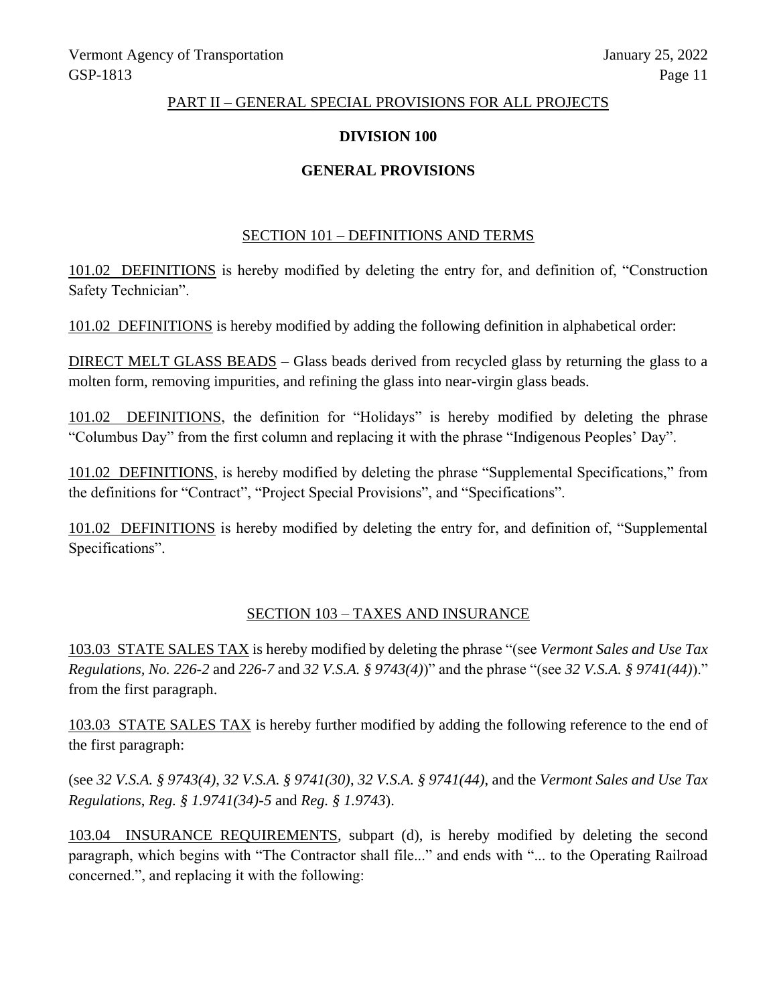#### PART II – GENERAL SPECIAL PROVISIONS FOR ALL PROJECTS

### **DIVISION 100**

# **GENERAL PROVISIONS**

#### SECTION 101 – DEFINITIONS AND TERMS

101.02 DEFINITIONS is hereby modified by deleting the entry for, and definition of, "Construction Safety Technician".

101.02 DEFINITIONS is hereby modified by adding the following definition in alphabetical order:

DIRECT MELT GLASS BEADS – Glass beads derived from recycled glass by returning the glass to a molten form, removing impurities, and refining the glass into near-virgin glass beads.

101.02 DEFINITIONS, the definition for "Holidays" is hereby modified by deleting the phrase "Columbus Day" from the first column and replacing it with the phrase "Indigenous Peoples' Day".

101.02 DEFINITIONS, is hereby modified by deleting the phrase "Supplemental Specifications," from the definitions for "Contract", "Project Special Provisions", and "Specifications".

101.02 DEFINITIONS is hereby modified by deleting the entry for, and definition of, "Supplemental Specifications".

#### SECTION 103 – TAXES AND INSURANCE

103.03 STATE SALES TAX is hereby modified by deleting the phrase "(see *Vermont Sales and Use Tax Regulations, No. 226-2* and *226-7* and *32 V.S.A. § 9743(4)*)" and the phrase "(see *32 V.S.A. § 9741(44)*)." from the first paragraph.

103.03 STATE SALES TAX is hereby further modified by adding the following reference to the end of the first paragraph:

(see *32 V.S.A. § 9743(4)*, *32 V.S.A. § 9741(30)*, *32 V.S.A. § 9741(44)*, and the *Vermont Sales and Use Tax Regulations*, *Reg. § 1.9741(34)-5* and *Reg. § 1.9743*).

103.04 INSURANCE REQUIREMENTS, subpart (d), is hereby modified by deleting the second paragraph, which begins with "The Contractor shall file..." and ends with "... to the Operating Railroad concerned.", and replacing it with the following: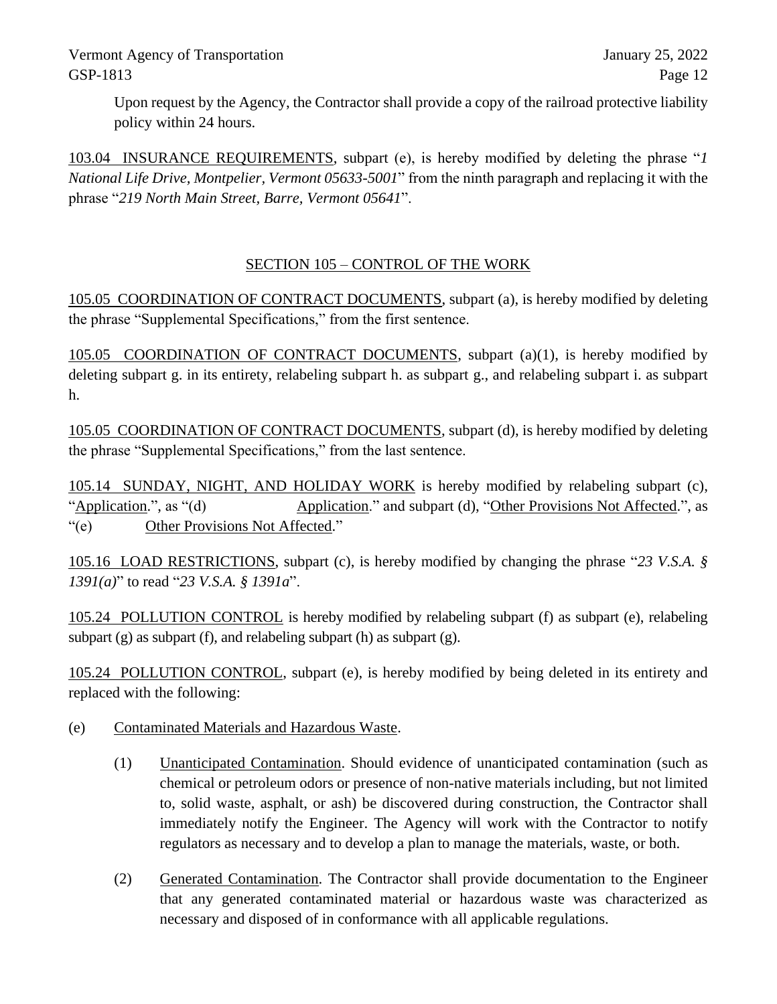Upon request by the Agency, the Contractor shall provide a copy of the railroad protective liability policy within 24 hours.

103.04 INSURANCE REQUIREMENTS, subpart (e), is hereby modified by deleting the phrase "*1 National Life Drive, Montpelier, Vermont 05633-5001*" from the ninth paragraph and replacing it with the phrase "*219 North Main Street, Barre, Vermont 05641*".

# SECTION 105 – CONTROL OF THE WORK

105.05 COORDINATION OF CONTRACT DOCUMENTS, subpart (a), is hereby modified by deleting the phrase "Supplemental Specifications," from the first sentence.

105.05 COORDINATION OF CONTRACT DOCUMENTS, subpart (a)(1), is hereby modified by deleting subpart g. in its entirety, relabeling subpart h. as subpart g., and relabeling subpart i. as subpart h.

105.05 COORDINATION OF CONTRACT DOCUMENTS, subpart (d), is hereby modified by deleting the phrase "Supplemental Specifications," from the last sentence.

105.14 SUNDAY, NIGHT, AND HOLIDAY WORK is hereby modified by relabeling subpart (c), "Application.", as "(d) Application." and subpart (d), "Other Provisions Not Affected.", as "(e) Other Provisions Not Affected."

105.16 LOAD RESTRICTIONS, subpart (c), is hereby modified by changing the phrase "*23 V.S.A. § 1391(a)*" to read "*23 V.S.A. § 1391a*".

105.24 POLLUTION CONTROL is hereby modified by relabeling subpart (f) as subpart (e), relabeling subpart (g) as subpart (f), and relabeling subpart (h) as subpart (g).

105.24 POLLUTION CONTROL, subpart (e), is hereby modified by being deleted in its entirety and replaced with the following:

- (e) Contaminated Materials and Hazardous Waste.
	- (1) Unanticipated Contamination. Should evidence of unanticipated contamination (such as chemical or petroleum odors or presence of non-native materials including, but not limited to, solid waste, asphalt, or ash) be discovered during construction, the Contractor shall immediately notify the Engineer. The Agency will work with the Contractor to notify regulators as necessary and to develop a plan to manage the materials, waste, or both.
	- (2) Generated Contamination. The Contractor shall provide documentation to the Engineer that any generated contaminated material or hazardous waste was characterized as necessary and disposed of in conformance with all applicable regulations.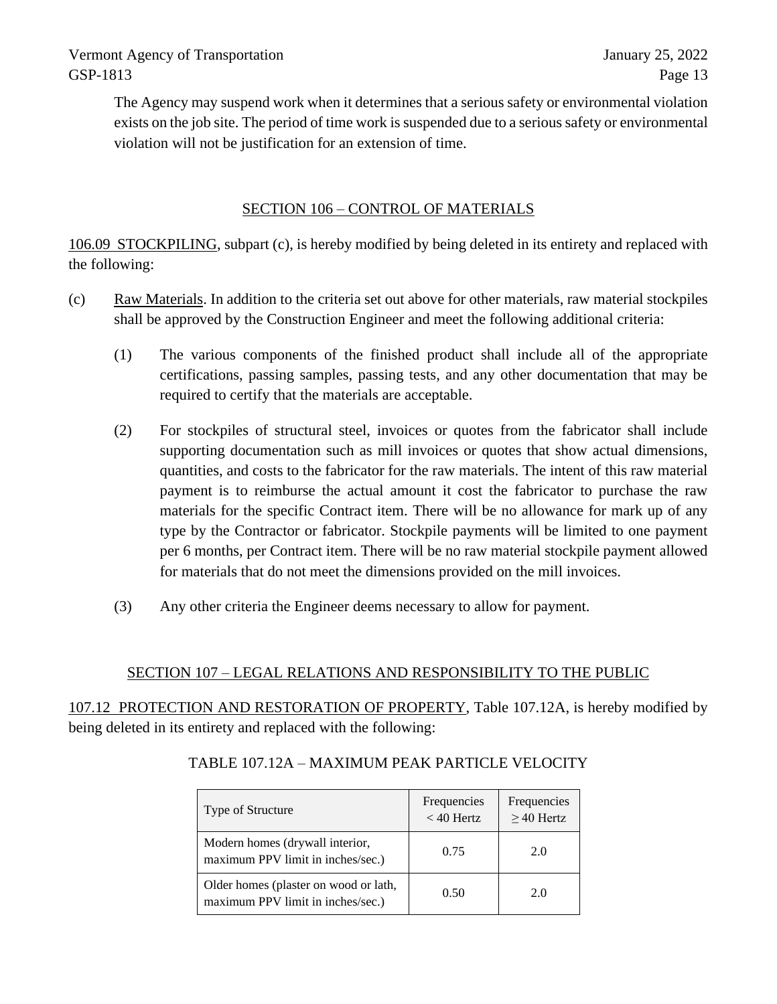The Agency may suspend work when it determines that a serious safety or environmental violation exists on the job site. The period of time work is suspended due to a serious safety or environmental violation will not be justification for an extension of time.

# SECTION 106 – CONTROL OF MATERIALS

106.09 STOCKPILING, subpart (c), is hereby modified by being deleted in its entirety and replaced with the following:

- (c) Raw Materials. In addition to the criteria set out above for other materials, raw material stockpiles shall be approved by the Construction Engineer and meet the following additional criteria:
	- (1) The various components of the finished product shall include all of the appropriate certifications, passing samples, passing tests, and any other documentation that may be required to certify that the materials are acceptable.
	- (2) For stockpiles of structural steel, invoices or quotes from the fabricator shall include supporting documentation such as mill invoices or quotes that show actual dimensions, quantities, and costs to the fabricator for the raw materials. The intent of this raw material payment is to reimburse the actual amount it cost the fabricator to purchase the raw materials for the specific Contract item. There will be no allowance for mark up of any type by the Contractor or fabricator. Stockpile payments will be limited to one payment per 6 months, per Contract item. There will be no raw material stockpile payment allowed for materials that do not meet the dimensions provided on the mill invoices.
	- (3) Any other criteria the Engineer deems necessary to allow for payment.

# SECTION 107 – LEGAL RELATIONS AND RESPONSIBILITY TO THE PUBLIC

107.12 PROTECTION AND RESTORATION OF PROPERTY, Table 107.12A, is hereby modified by being deleted in its entirety and replaced with the following:

| Type of Structure                                                          | Frequencies<br>$<$ 40 Hertz | Frequencies<br>$\geq$ 40 Hertz |
|----------------------------------------------------------------------------|-----------------------------|--------------------------------|
| Modern homes (drywall interior,<br>maximum PPV limit in inches/sec.)       | 0.75                        | 2.0                            |
| Older homes (plaster on wood or lath,<br>maximum PPV limit in inches/sec.) | 0.50                        | 2.0                            |

# TABLE 107.12A – MAXIMUM PEAK PARTICLE VELOCITY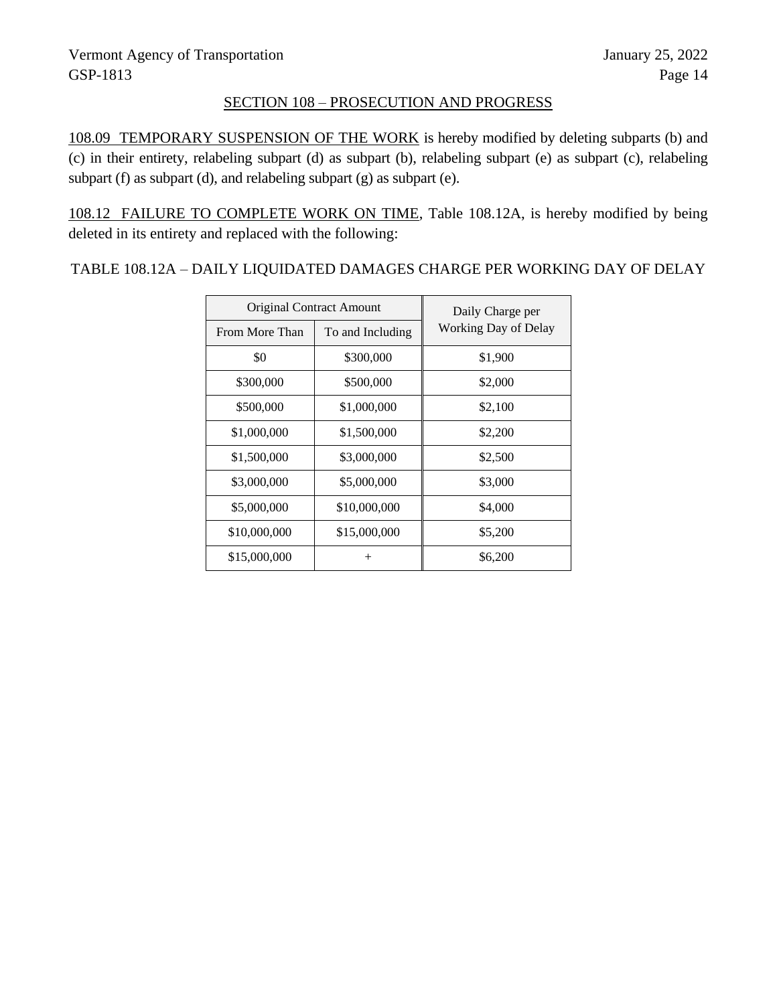# SECTION 108 – PROSECUTION AND PROGRESS

108.09 TEMPORARY SUSPENSION OF THE WORK is hereby modified by deleting subparts (b) and (c) in their entirety, relabeling subpart (d) as subpart (b), relabeling subpart (e) as subpart (c), relabeling subpart (f) as subpart (d), and relabeling subpart (g) as subpart (e).

108.12 FAILURE TO COMPLETE WORK ON TIME, Table 108.12A, is hereby modified by being deleted in its entirety and replaced with the following:

TABLE 108.12A – DAILY LIQUIDATED DAMAGES CHARGE PER WORKING DAY OF DELAY

| <b>Original Contract Amount</b> |                  | Daily Charge per     |
|---------------------------------|------------------|----------------------|
| From More Than                  | To and Including | Working Day of Delay |
| \$0                             | \$300,000        | \$1,900              |
| \$300,000                       | \$500,000        | \$2,000              |
| \$500,000                       | \$1,000,000      | \$2,100              |
| \$1,000,000                     | \$1,500,000      | \$2,200              |
| \$1,500,000                     | \$3,000,000      | \$2,500              |
| \$3,000,000                     | \$5,000,000      | \$3,000              |
| \$5,000,000                     | \$10,000,000     | \$4,000              |
| \$10,000,000                    | \$15,000,000     | \$5,200              |
| \$15,000,000                    | $^{+}$           | \$6,200              |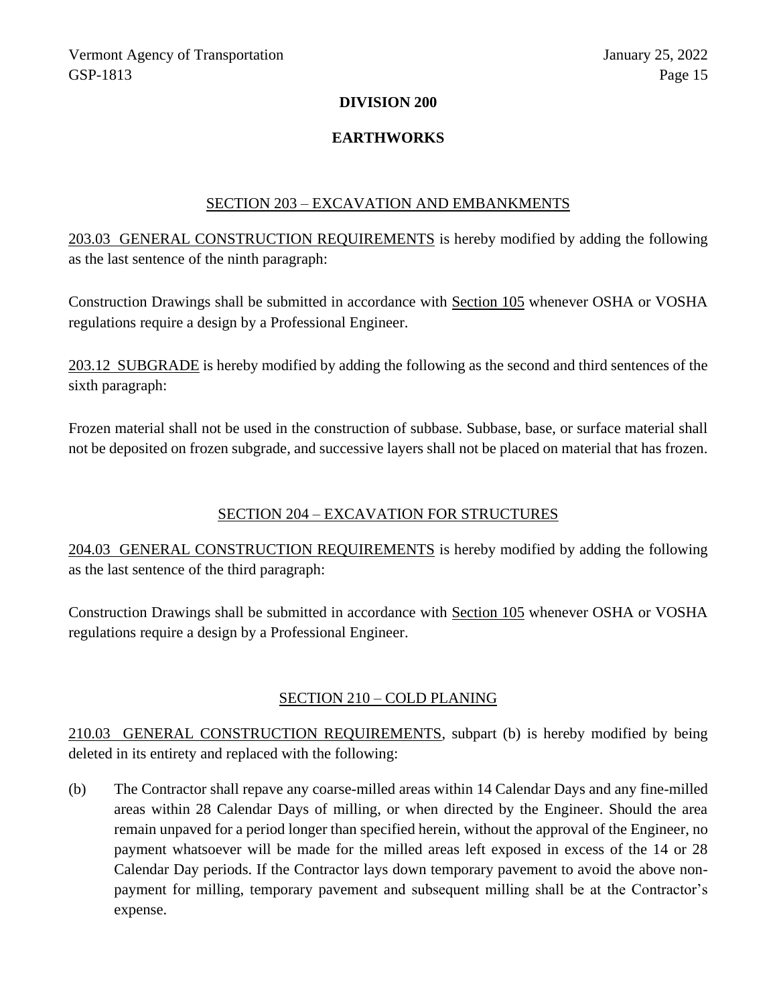#### **DIVISION 200**

### **EARTHWORKS**

#### SECTION 203 – EXCAVATION AND EMBANKMENTS

203.03 GENERAL CONSTRUCTION REQUIREMENTS is hereby modified by adding the following as the last sentence of the ninth paragraph:

Construction Drawings shall be submitted in accordance with Section 105 whenever OSHA or VOSHA regulations require a design by a Professional Engineer.

203.12 SUBGRADE is hereby modified by adding the following as the second and third sentences of the sixth paragraph:

Frozen material shall not be used in the construction of subbase. Subbase, base, or surface material shall not be deposited on frozen subgrade, and successive layers shall not be placed on material that has frozen.

# SECTION 204 – EXCAVATION FOR STRUCTURES

204.03 GENERAL CONSTRUCTION REQUIREMENTS is hereby modified by adding the following as the last sentence of the third paragraph:

Construction Drawings shall be submitted in accordance with Section 105 whenever OSHA or VOSHA regulations require a design by a Professional Engineer.

# SECTION 210 – COLD PLANING

210.03 GENERAL CONSTRUCTION REQUIREMENTS, subpart (b) is hereby modified by being deleted in its entirety and replaced with the following:

(b) The Contractor shall repave any coarse-milled areas within 14 Calendar Days and any fine-milled areas within 28 Calendar Days of milling, or when directed by the Engineer. Should the area remain unpaved for a period longer than specified herein, without the approval of the Engineer, no payment whatsoever will be made for the milled areas left exposed in excess of the 14 or 28 Calendar Day periods. If the Contractor lays down temporary pavement to avoid the above nonpayment for milling, temporary pavement and subsequent milling shall be at the Contractor's expense.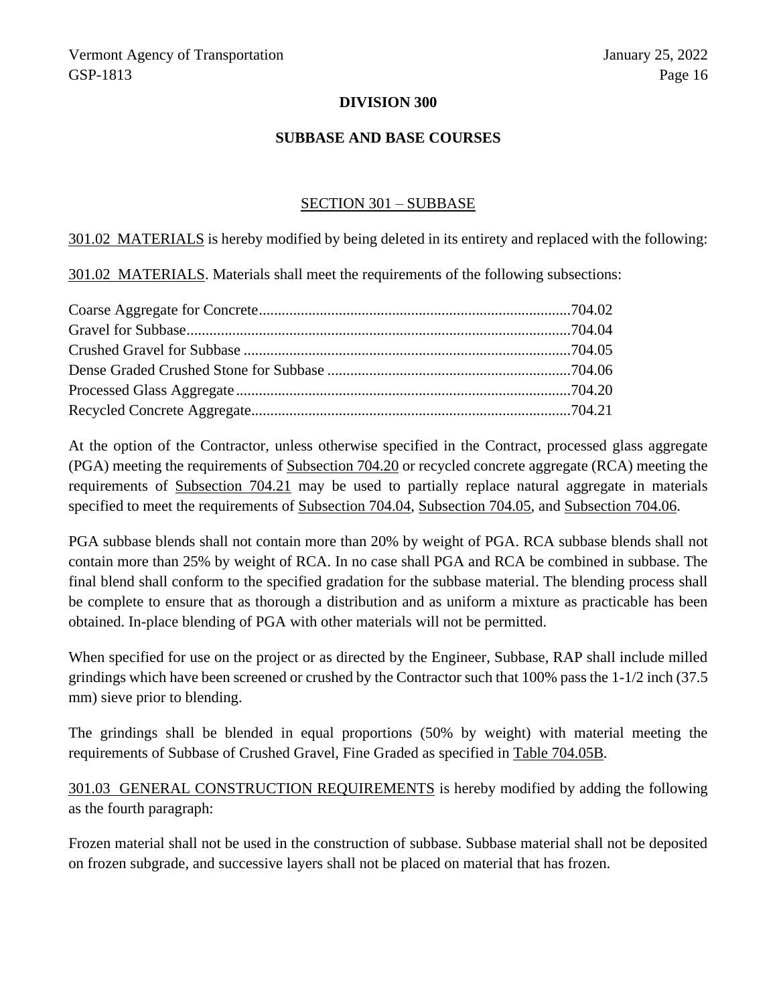#### **DIVISION 300**

#### **SUBBASE AND BASE COURSES**

#### SECTION 301 – SUBBASE

301.02 MATERIALS is hereby modified by being deleted in its entirety and replaced with the following:

301.02 MATERIALS. Materials shall meet the requirements of the following subsections:

At the option of the Contractor, unless otherwise specified in the Contract, processed glass aggregate (PGA) meeting the requirements of Subsection 704.20 or recycled concrete aggregate (RCA) meeting the requirements of Subsection 704.21 may be used to partially replace natural aggregate in materials specified to meet the requirements of Subsection 704.04, Subsection 704.05, and Subsection 704.06.

PGA subbase blends shall not contain more than 20% by weight of PGA. RCA subbase blends shall not contain more than 25% by weight of RCA. In no case shall PGA and RCA be combined in subbase. The final blend shall conform to the specified gradation for the subbase material. The blending process shall be complete to ensure that as thorough a distribution and as uniform a mixture as practicable has been obtained. In-place blending of PGA with other materials will not be permitted.

When specified for use on the project or as directed by the Engineer, Subbase, RAP shall include milled grindings which have been screened or crushed by the Contractor such that 100% pass the 1-1/2 inch (37.5 mm) sieve prior to blending.

The grindings shall be blended in equal proportions (50% by weight) with material meeting the requirements of Subbase of Crushed Gravel, Fine Graded as specified in Table 704.05B*.*

301.03 GENERAL CONSTRUCTION REQUIREMENTS is hereby modified by adding the following as the fourth paragraph:

Frozen material shall not be used in the construction of subbase. Subbase material shall not be deposited on frozen subgrade, and successive layers shall not be placed on material that has frozen.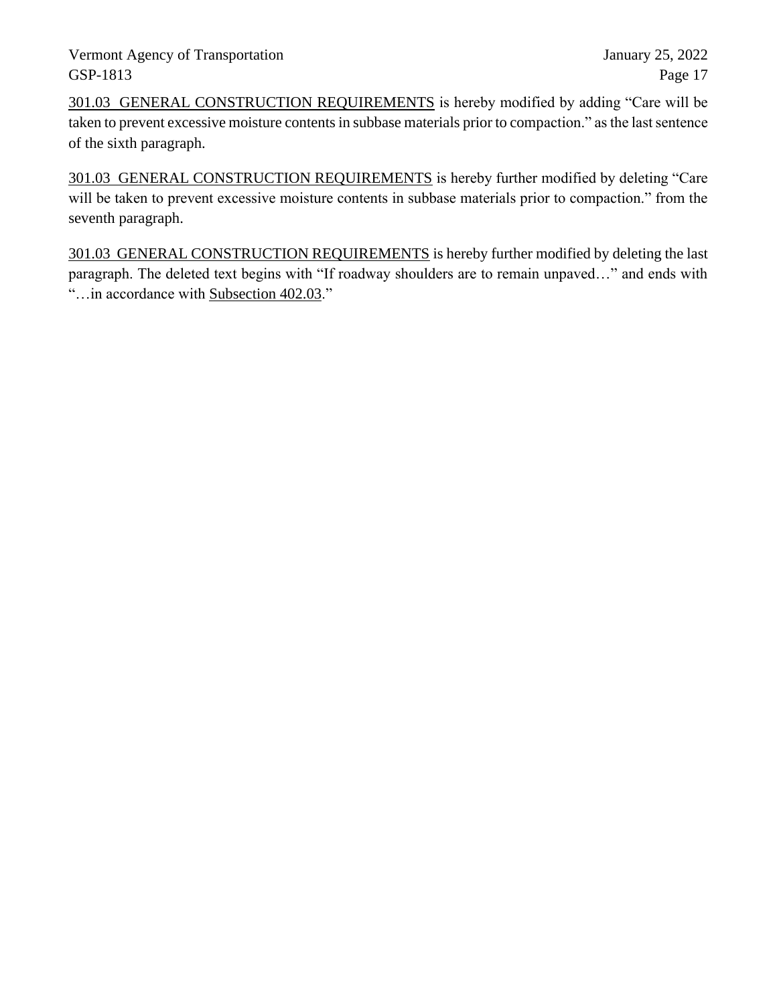301.03 GENERAL CONSTRUCTION REQUIREMENTS is hereby modified by adding "Care will be taken to prevent excessive moisture contents in subbase materials prior to compaction." as the last sentence of the sixth paragraph.

301.03 GENERAL CONSTRUCTION REQUIREMENTS is hereby further modified by deleting "Care will be taken to prevent excessive moisture contents in subbase materials prior to compaction." from the seventh paragraph.

301.03 GENERAL CONSTRUCTION REQUIREMENTS is hereby further modified by deleting the last paragraph. The deleted text begins with "If roadway shoulders are to remain unpaved…" and ends with "…in accordance with Subsection 402.03."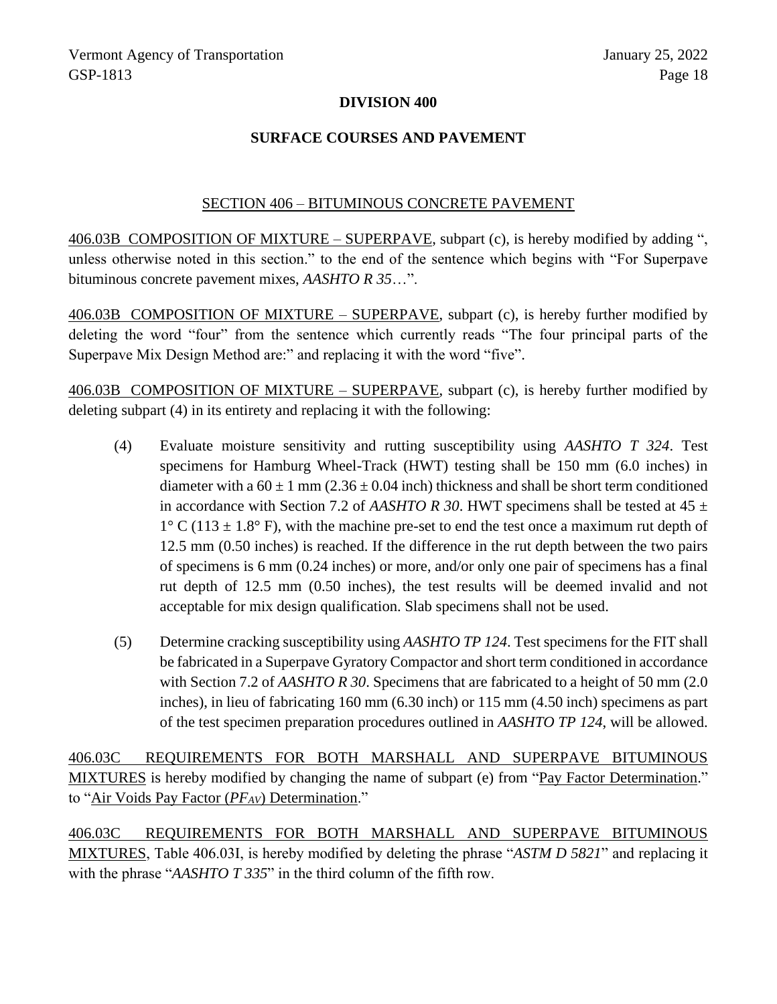#### **DIVISION 400**

#### **SURFACE COURSES AND PAVEMENT**

#### SECTION 406 – BITUMINOUS CONCRETE PAVEMENT

406.03B COMPOSITION OF MIXTURE – SUPERPAVE, subpart (c), is hereby modified by adding ", unless otherwise noted in this section." to the end of the sentence which begins with "For Superpave bituminous concrete pavement mixes, *AASHTO R 35*…".

406.03B COMPOSITION OF MIXTURE – SUPERPAVE, subpart (c), is hereby further modified by deleting the word "four" from the sentence which currently reads "The four principal parts of the Superpave Mix Design Method are:" and replacing it with the word "five".

406.03B COMPOSITION OF MIXTURE – SUPERPAVE, subpart (c), is hereby further modified by deleting subpart (4) in its entirety and replacing it with the following:

- (4) Evaluate moisture sensitivity and rutting susceptibility using *AASHTO T 324*. Test specimens for Hamburg Wheel-Track (HWT) testing shall be 150 mm (6.0 inches) in diameter with a  $60 \pm 1$  mm (2.36  $\pm$  0.04 inch) thickness and shall be short term conditioned in accordance with Section 7.2 of *AASHTO R 30*. HWT specimens shall be tested at  $45 \pm$  $1^{\circ}$  C (113  $\pm$  1.8° F), with the machine pre-set to end the test once a maximum rut depth of 12.5 mm (0.50 inches) is reached. If the difference in the rut depth between the two pairs of specimens is 6 mm (0.24 inches) or more, and/or only one pair of specimens has a final rut depth of 12.5 mm (0.50 inches), the test results will be deemed invalid and not acceptable for mix design qualification. Slab specimens shall not be used.
- (5) Determine cracking susceptibility using *AASHTO TP 124*. Test specimens for the FIT shall be fabricated in a Superpave Gyratory Compactor and short term conditioned in accordance with Section 7.2 of *AASHTO R 30*. Specimens that are fabricated to a height of 50 mm (2.0 inches), in lieu of fabricating 160 mm (6.30 inch) or 115 mm (4.50 inch) specimens as part of the test specimen preparation procedures outlined in *AASHTO TP 124*, will be allowed.

406.03C REQUIREMENTS FOR BOTH MARSHALL AND SUPERPAVE BITUMINOUS MIXTURES is hereby modified by changing the name of subpart (e) from "Pay Factor Determination." to "Air Voids Pay Factor (*PFAV*) Determination."

406.03C REQUIREMENTS FOR BOTH MARSHALL AND SUPERPAVE BITUMINOUS MIXTURES, Table 406.03I, is hereby modified by deleting the phrase "*ASTM D 5821*" and replacing it with the phrase "*AASHTO T 335*" in the third column of the fifth row.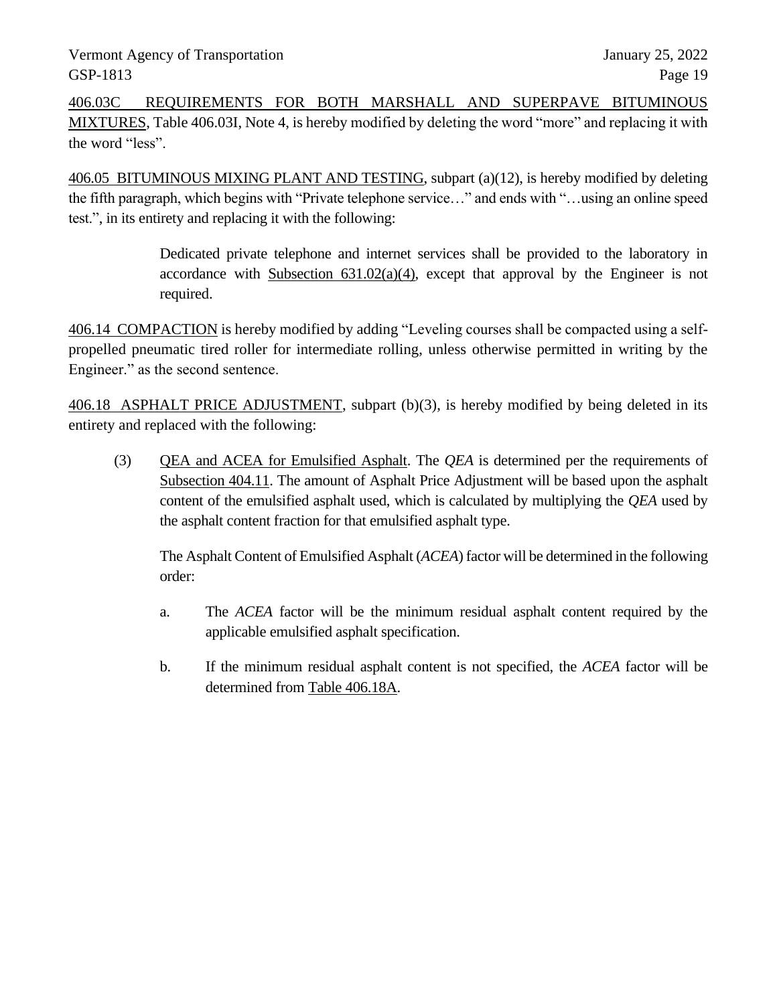406.03C REQUIREMENTS FOR BOTH MARSHALL AND SUPERPAVE BITUMINOUS MIXTURES, Table 406.03I, Note 4, is hereby modified by deleting the word "more" and replacing it with the word "less".

406.05 BITUMINOUS MIXING PLANT AND TESTING, subpart (a)(12), is hereby modified by deleting the fifth paragraph, which begins with "Private telephone service…" and ends with "…using an online speed test.", in its entirety and replacing it with the following:

> Dedicated private telephone and internet services shall be provided to the laboratory in accordance with Subsection  $631.02(a)(4)$ , except that approval by the Engineer is not required.

406.14 COMPACTION is hereby modified by adding "Leveling courses shall be compacted using a selfpropelled pneumatic tired roller for intermediate rolling, unless otherwise permitted in writing by the Engineer." as the second sentence.

406.18 ASPHALT PRICE ADJUSTMENT, subpart (b)(3), is hereby modified by being deleted in its entirety and replaced with the following:

(3) QEA and ACEA for Emulsified Asphalt. The *QEA* is determined per the requirements of Subsection 404.11. The amount of Asphalt Price Adjustment will be based upon the asphalt content of the emulsified asphalt used, which is calculated by multiplying the *QEA* used by the asphalt content fraction for that emulsified asphalt type.

The Asphalt Content of Emulsified Asphalt (*ACEA*) factor will be determined in the following order:

- a. The *ACEA* factor will be the minimum residual asphalt content required by the applicable emulsified asphalt specification.
- b. If the minimum residual asphalt content is not specified, the *ACEA* factor will be determined from Table 406.18A.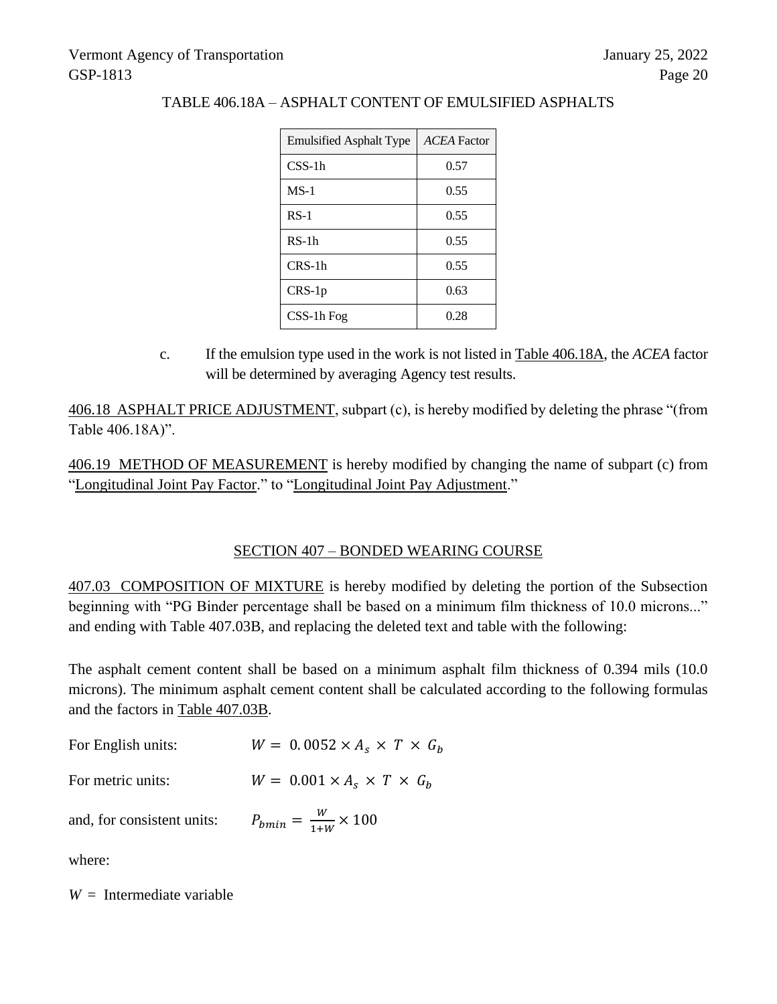| <b>Emulsified Asphalt Type</b> | <b>ACEA</b> Factor |
|--------------------------------|--------------------|
| $CSS-1h$                       | 0.57               |
| $MS-1$                         | 0.55               |
| $RS-1$                         | 0.55               |
| $RS-1h$                        | 0.55               |
| $CRS-1h$                       | 0.55               |
| $CRS-1p$                       | 0.63               |
| $CSS-1h$ Fog                   | 0.28               |

# TABLE 406.18A – ASPHALT CONTENT OF EMULSIFIED ASPHALTS

c. If the emulsion type used in the work is not listed in Table 406.18A, the *ACEA* factor will be determined by averaging Agency test results.

406.18 ASPHALT PRICE ADJUSTMENT, subpart (c), is hereby modified by deleting the phrase "(from Table 406.18A)".

406.19 METHOD OF MEASUREMENT is hereby modified by changing the name of subpart (c) from "Longitudinal Joint Pay Factor." to "Longitudinal Joint Pay Adjustment."

# SECTION 407 – BONDED WEARING COURSE

407.03 COMPOSITION OF MIXTURE is hereby modified by deleting the portion of the Subsection beginning with "PG Binder percentage shall be based on a minimum film thickness of 10.0 microns..." and ending with Table 407.03B, and replacing the deleted text and table with the following:

The asphalt cement content shall be based on a minimum asphalt film thickness of 0.394 mils (10.0 microns). The minimum asphalt cement content shall be calculated according to the following formulas and the factors in Table 407.03B.

| For English units:         | $W = 0.0052 \times A_s \times T \times G_h$ |
|----------------------------|---------------------------------------------|
| For metric units:          | $W = 0.001 \times A_s \times T \times G_h$  |
| and, for consistent units: | $P_{bmin} = \frac{W}{1+W} \times 100$       |

where:

*W* = Intermediate variable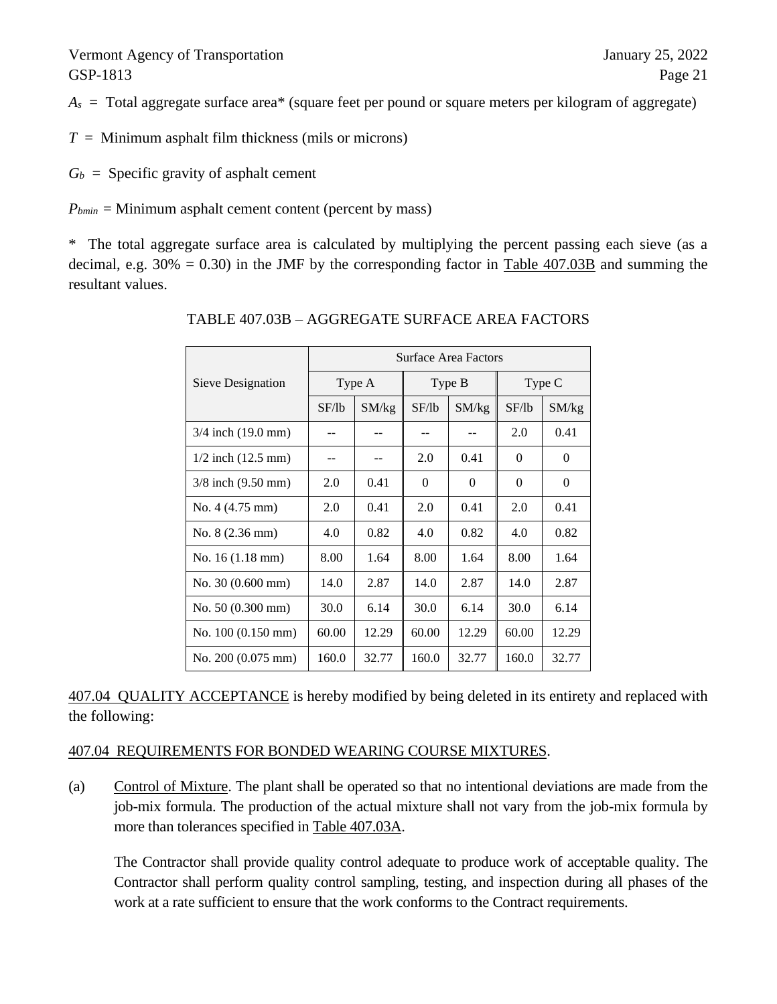$A<sub>s</sub>$  = Total aggregate surface area<sup>\*</sup> (square feet per pound or square meters per kilogram of aggregate)

 $T =$  Minimum asphalt film thickness (mils or microns)

 $G_b$  = Specific gravity of asphalt cement

 $P_{bmin}$  = Minimum asphalt cement content (percent by mass)

\* The total aggregate surface area is calculated by multiplying the percent passing each sieve (as a decimal, e.g.  $30\% = 0.30$ ) in the JMF by the corresponding factor in Table 407.03B and summing the resultant values.

|                                | <b>Surface Area Factors</b> |       |          |          |          |          |
|--------------------------------|-----------------------------|-------|----------|----------|----------|----------|
| Sieve Designation              | Type A                      |       | Type B   |          | Type C   |          |
|                                | SF/lb                       | SM/kg | SF/lb    | SM/kg    | SF/lb    | SM/kg    |
| $3/4$ inch $(19.0 \text{ mm})$ |                             |       |          |          | 2.0      | 0.41     |
| $1/2$ inch $(12.5 \text{ mm})$ |                             |       | 2.0      | 0.41     | $\Omega$ | $\theta$ |
| $3/8$ inch $(9.50$ mm)         | 2.0                         | 0.41  | $\Omega$ | $\Omega$ | $\Omega$ | $\Omega$ |
| No. $4(4.75 \text{ mm})$       | 2.0                         | 0.41  | 2.0      | 0.41     | 2.0      | 0.41     |
| No. 8 (2.36 mm)                | 4.0                         | 0.82  | 4.0      | 0.82     | 4.0      | 0.82     |
| No. $16(1.18 \text{ mm})$      | 8.00                        | 1.64  | 8.00     | 1.64     | 8.00     | 1.64     |
| No. $30(0.600 \text{ mm})$     | 14.0                        | 2.87  | 14.0     | 2.87     | 14.0     | 2.87     |
| No. $50(0.300 \text{ mm})$     | 30.0                        | 6.14  | 30.0     | 6.14     | 30.0     | 6.14     |
| No. $100(0.150 \text{ mm})$    | 60.00                       | 12.29 | 60.00    | 12.29    | 60.00    | 12.29    |
| No. 200 (0.075 mm)             | 160.0                       | 32.77 | 160.0    | 32.77    | 160.0    | 32.77    |

#### TABLE 407.03B – AGGREGATE SURFACE AREA FACTORS

407.04 QUALITY ACCEPTANCE is hereby modified by being deleted in its entirety and replaced with the following:

#### 407.04 REQUIREMENTS FOR BONDED WEARING COURSE MIXTURES.

(a) Control of Mixture. The plant shall be operated so that no intentional deviations are made from the job-mix formula. The production of the actual mixture shall not vary from the job-mix formula by more than tolerances specified in Table 407.03A.

The Contractor shall provide quality control adequate to produce work of acceptable quality. The Contractor shall perform quality control sampling, testing, and inspection during all phases of the work at a rate sufficient to ensure that the work conforms to the Contract requirements.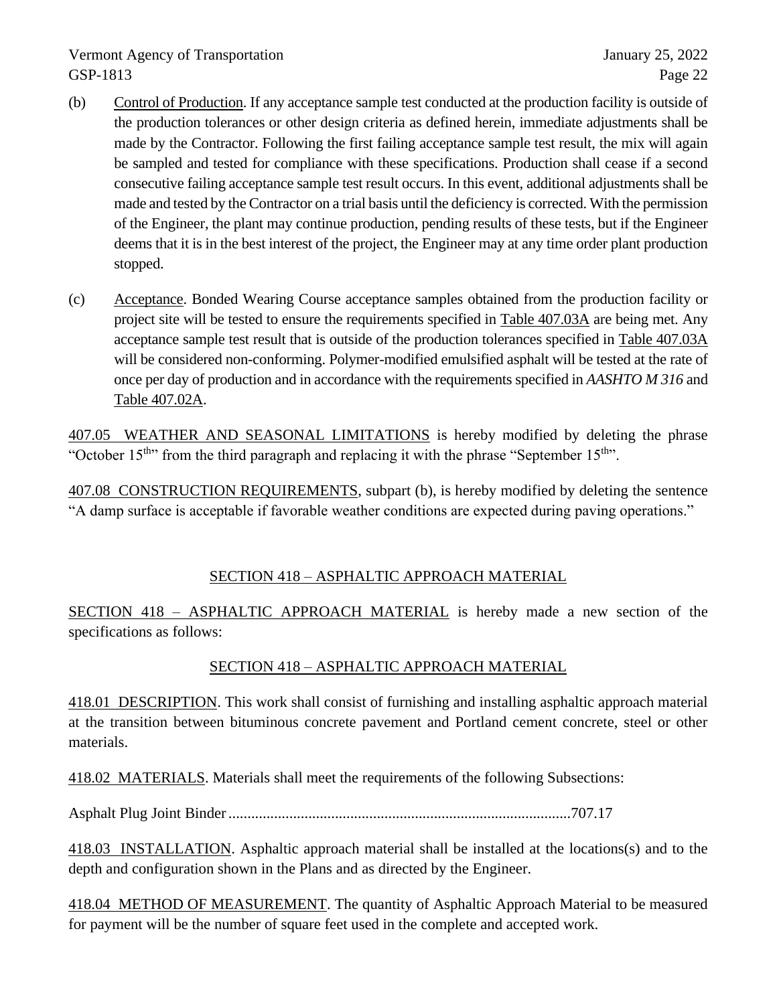- (b) Control of Production. If any acceptance sample test conducted at the production facility is outside of the production tolerances or other design criteria as defined herein, immediate adjustments shall be made by the Contractor. Following the first failing acceptance sample test result, the mix will again be sampled and tested for compliance with these specifications. Production shall cease if a second consecutive failing acceptance sample test result occurs. In this event, additional adjustments shall be made and tested by the Contractor on a trial basis until the deficiency is corrected. With the permission of the Engineer, the plant may continue production, pending results of these tests, but if the Engineer deems that it is in the best interest of the project, the Engineer may at any time order plant production stopped.
- (c) Acceptance. Bonded Wearing Course acceptance samples obtained from the production facility or project site will be tested to ensure the requirements specified in Table 407.03A are being met. Any acceptance sample test result that is outside of the production tolerances specified in Table 407.03A will be considered non-conforming. Polymer-modified emulsified asphalt will be tested at the rate of once per day of production and in accordance with the requirements specified in *AASHTO M 316* and Table 407.02A.

407.05 WEATHER AND SEASONAL LIMITATIONS is hereby modified by deleting the phrase "October  $15<sup>th</sup>$ " from the third paragraph and replacing it with the phrase "September  $15<sup>th</sup>$ ".

407.08 CONSTRUCTION REQUIREMENTS, subpart (b), is hereby modified by deleting the sentence "A damp surface is acceptable if favorable weather conditions are expected during paving operations."

# SECTION 418 – ASPHALTIC APPROACH MATERIAL

SECTION 418 – ASPHALTIC APPROACH MATERIAL is hereby made a new section of the specifications as follows:

# SECTION 418 – ASPHALTIC APPROACH MATERIAL

418.01 DESCRIPTION. This work shall consist of furnishing and installing asphaltic approach material at the transition between bituminous concrete pavement and Portland cement concrete, steel or other materials.

418.02 MATERIALS. Materials shall meet the requirements of the following Subsections:

Asphalt Plug Joint Binder..........................................................................................707.17

418.03 INSTALLATION. Asphaltic approach material shall be installed at the locations(s) and to the depth and configuration shown in the Plans and as directed by the Engineer.

418.04 METHOD OF MEASUREMENT. The quantity of Asphaltic Approach Material to be measured for payment will be the number of square feet used in the complete and accepted work.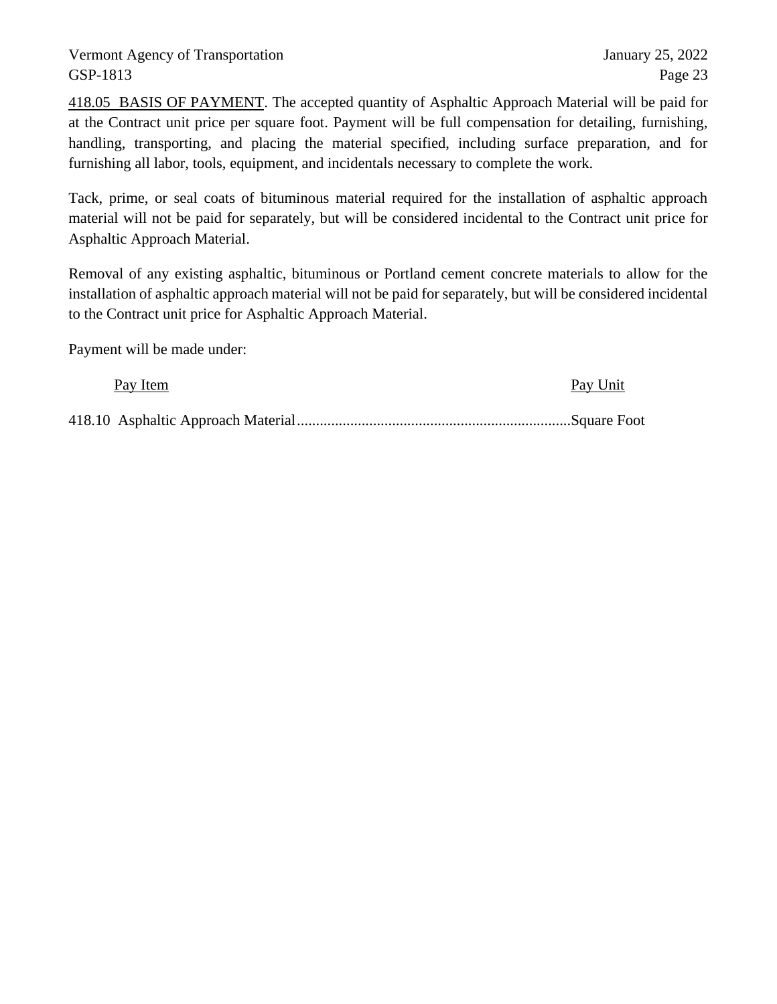418.05 BASIS OF PAYMENT. The accepted quantity of Asphaltic Approach Material will be paid for at the Contract unit price per square foot. Payment will be full compensation for detailing, furnishing, handling, transporting, and placing the material specified, including surface preparation, and for furnishing all labor, tools, equipment, and incidentals necessary to complete the work.

Tack, prime, or seal coats of bituminous material required for the installation of asphaltic approach material will not be paid for separately, but will be considered incidental to the Contract unit price for Asphaltic Approach Material.

Removal of any existing asphaltic, bituminous or Portland cement concrete materials to allow for the installation of asphaltic approach material will not be paid for separately, but will be considered incidental to the Contract unit price for Asphaltic Approach Material.

Payment will be made under:

Pay Item Pay Unit

418.10 Asphaltic Approach Material........................................................................Square Foot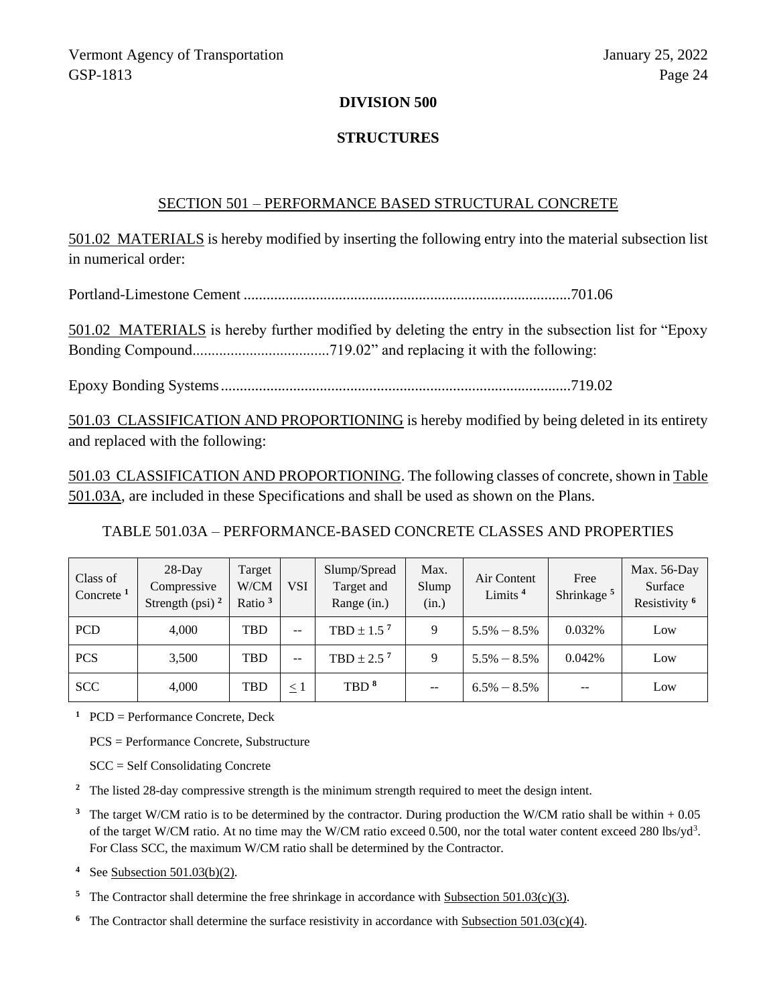#### **DIVISION 500**

#### **STRUCTURES**

#### SECTION 501 – PERFORMANCE BASED STRUCTURAL CONCRETE

501.02 MATERIALS is hereby modified by inserting the following entry into the material subsection list in numerical order:

Portland-Limestone Cement ......................................................................................701.06

501.02 MATERIALS is hereby further modified by deleting the entry in the subsection list for "Epoxy Bonding Compound....................................719.02" and replacing it with the following:

Epoxy Bonding Systems............................................................................................719.02

501.03 CLASSIFICATION AND PROPORTIONING is hereby modified by being deleted in its entirety and replaced with the following:

501.03 CLASSIFICATION AND PROPORTIONING. The following classes of concrete, shown in Table 501.03A, are included in these Specifications and shall be used as shown on the Plans.

TABLE 501.03A – PERFORMANCE-BASED CONCRETE CLASSES AND PROPERTIES

| Class of<br>Concrete $1$ | $28$ -Day<br>Compressive<br>Strength (psi) $^2$ | Target<br>W/CM<br>Ratio $3$ | <b>VSI</b>               | Slump/Spread<br>Target and<br>Range (in.) | Max.<br>Slump<br>(in.) | Air Content<br>Limits <sup>4</sup> | Free<br>Shrinkage <sup>5</sup> | Max. 56-Day<br>Surface<br>Resistivity <sup>6</sup> |
|--------------------------|-------------------------------------------------|-----------------------------|--------------------------|-------------------------------------------|------------------------|------------------------------------|--------------------------------|----------------------------------------------------|
| <b>PCD</b>               | 4.000                                           | <b>TBD</b>                  | $\overline{\phantom{m}}$ | TBD $\pm$ 1.5 <sup>7</sup>                | 9                      | $5.5\% - 8.5\%$                    | 0.032%                         | Low                                                |
| <b>PCS</b>               | 3,500                                           | <b>TBD</b>                  | $\overline{\phantom{m}}$ | TBD $\pm$ 2.5 <sup>7</sup>                | 9                      | $5.5\% - 8.5\%$                    | 0.042%                         | Low                                                |
| <b>SCC</b>               | 4,000                                           | TBD                         | $\leq$ 1                 | TBD <sup>8</sup>                          | $- -$                  | $6.5\% - 8.5\%$                    | --                             | Low                                                |

**<sup>1</sup>** PCD = Performance Concrete, Deck

PCS = Performance Concrete, Substructure

SCC = Self Consolidating Concrete

**<sup>2</sup>** The listed 28-day compressive strength is the minimum strength required to meet the design intent.

**<sup>3</sup>** The target W/CM ratio is to be determined by the contractor. During production the W/CM ratio shall be within + 0.05 of the target W/CM ratio. At no time may the W/CM ratio exceed 0.500, nor the total water content exceed 280 lbs/yd<sup>3</sup>. For Class SCC, the maximum W/CM ratio shall be determined by the Contractor.

**<sup>4</sup>** See Subsection 501.03(b)(2).

- <sup>5</sup> The Contractor shall determine the free shrinkage in accordance with Subsection 501.03(c)(3).
- <sup>6</sup> The Contractor shall determine the surface resistivity in accordance with Subsection 501.03(c)(4).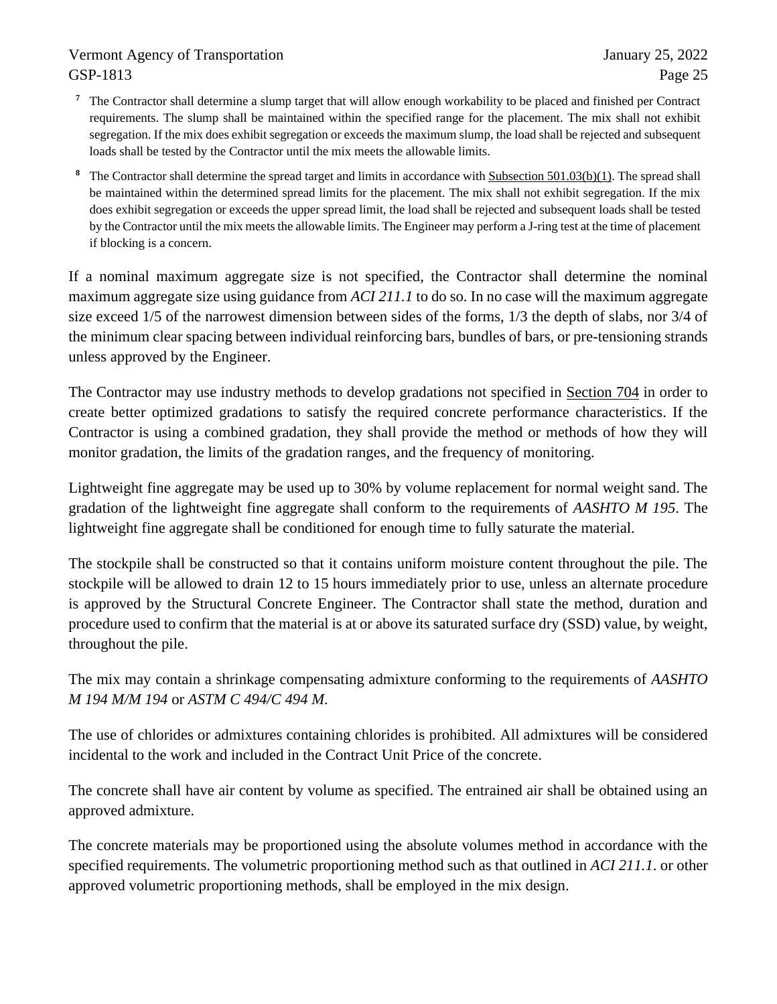- **<sup>7</sup>** The Contractor shall determine a slump target that will allow enough workability to be placed and finished per Contract requirements. The slump shall be maintained within the specified range for the placement. The mix shall not exhibit segregation. If the mix does exhibit segregation or exceeds the maximum slump, the load shall be rejected and subsequent loads shall be tested by the Contractor until the mix meets the allowable limits.
- **<sup>8</sup>** The Contractor shall determine the spread target and limits in accordance with Subsection 501.03(b)(1). The spread shall be maintained within the determined spread limits for the placement. The mix shall not exhibit segregation. If the mix does exhibit segregation or exceeds the upper spread limit, the load shall be rejected and subsequent loads shall be tested by the Contractor until the mix meets the allowable limits. The Engineer may perform a J-ring test at the time of placement if blocking is a concern.

If a nominal maximum aggregate size is not specified, the Contractor shall determine the nominal maximum aggregate size using guidance from *ACI 211.1* to do so. In no case will the maximum aggregate size exceed 1/5 of the narrowest dimension between sides of the forms, 1/3 the depth of slabs, nor 3/4 of the minimum clear spacing between individual reinforcing bars, bundles of bars, or pre-tensioning strands unless approved by the Engineer.

The Contractor may use industry methods to develop gradations not specified in Section 704 in order to create better optimized gradations to satisfy the required concrete performance characteristics. If the Contractor is using a combined gradation, they shall provide the method or methods of how they will monitor gradation, the limits of the gradation ranges, and the frequency of monitoring.

Lightweight fine aggregate may be used up to 30% by volume replacement for normal weight sand. The gradation of the lightweight fine aggregate shall conform to the requirements of *AASHTO M 195*. The lightweight fine aggregate shall be conditioned for enough time to fully saturate the material.

The stockpile shall be constructed so that it contains uniform moisture content throughout the pile. The stockpile will be allowed to drain 12 to 15 hours immediately prior to use, unless an alternate procedure is approved by the Structural Concrete Engineer. The Contractor shall state the method, duration and procedure used to confirm that the material is at or above its saturated surface dry (SSD) value, by weight, throughout the pile.

The mix may contain a shrinkage compensating admixture conforming to the requirements of *AASHTO M 194 M/M 194* or *ASTM C 494/C 494 M*.

The use of chlorides or admixtures containing chlorides is prohibited. All admixtures will be considered incidental to the work and included in the Contract Unit Price of the concrete.

The concrete shall have air content by volume as specified. The entrained air shall be obtained using an approved admixture.

The concrete materials may be proportioned using the absolute volumes method in accordance with the specified requirements. The volumetric proportioning method such as that outlined in *ACI 211.1*. or other approved volumetric proportioning methods, shall be employed in the mix design.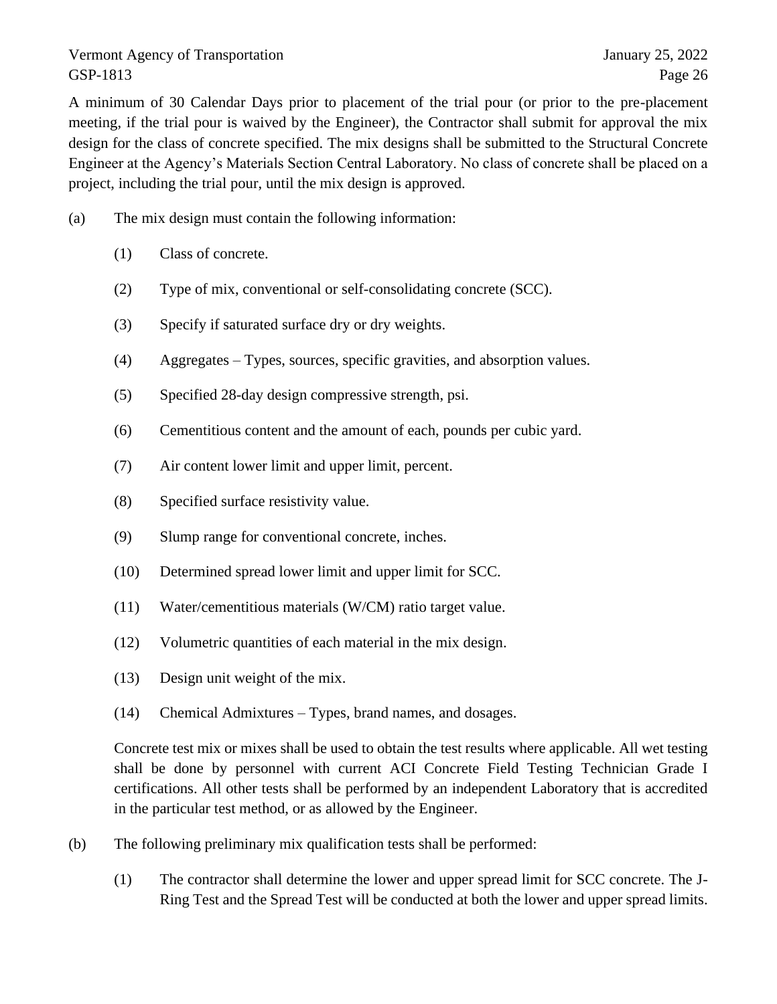A minimum of 30 Calendar Days prior to placement of the trial pour (or prior to the pre-placement meeting, if the trial pour is waived by the Engineer), the Contractor shall submit for approval the mix design for the class of concrete specified. The mix designs shall be submitted to the Structural Concrete Engineer at the Agency's Materials Section Central Laboratory. No class of concrete shall be placed on a project, including the trial pour, until the mix design is approved.

- (a) The mix design must contain the following information:
	- (1) Class of concrete.
	- (2) Type of mix, conventional or self-consolidating concrete (SCC).
	- (3) Specify if saturated surface dry or dry weights.
	- (4) Aggregates Types, sources, specific gravities, and absorption values.
	- (5) Specified 28-day design compressive strength, psi.
	- (6) Cementitious content and the amount of each, pounds per cubic yard.
	- (7) Air content lower limit and upper limit, percent.
	- (8) Specified surface resistivity value.
	- (9) Slump range for conventional concrete, inches.
	- (10) Determined spread lower limit and upper limit for SCC.
	- (11) Water/cementitious materials (W/CM) ratio target value.
	- (12) Volumetric quantities of each material in the mix design.
	- (13) Design unit weight of the mix.
	- (14) Chemical Admixtures Types, brand names, and dosages.

Concrete test mix or mixes shall be used to obtain the test results where applicable. All wet testing shall be done by personnel with current ACI Concrete Field Testing Technician Grade I certifications. All other tests shall be performed by an independent Laboratory that is accredited in the particular test method, or as allowed by the Engineer.

- (b) The following preliminary mix qualification tests shall be performed:
	- (1) The contractor shall determine the lower and upper spread limit for SCC concrete. The J-Ring Test and the Spread Test will be conducted at both the lower and upper spread limits.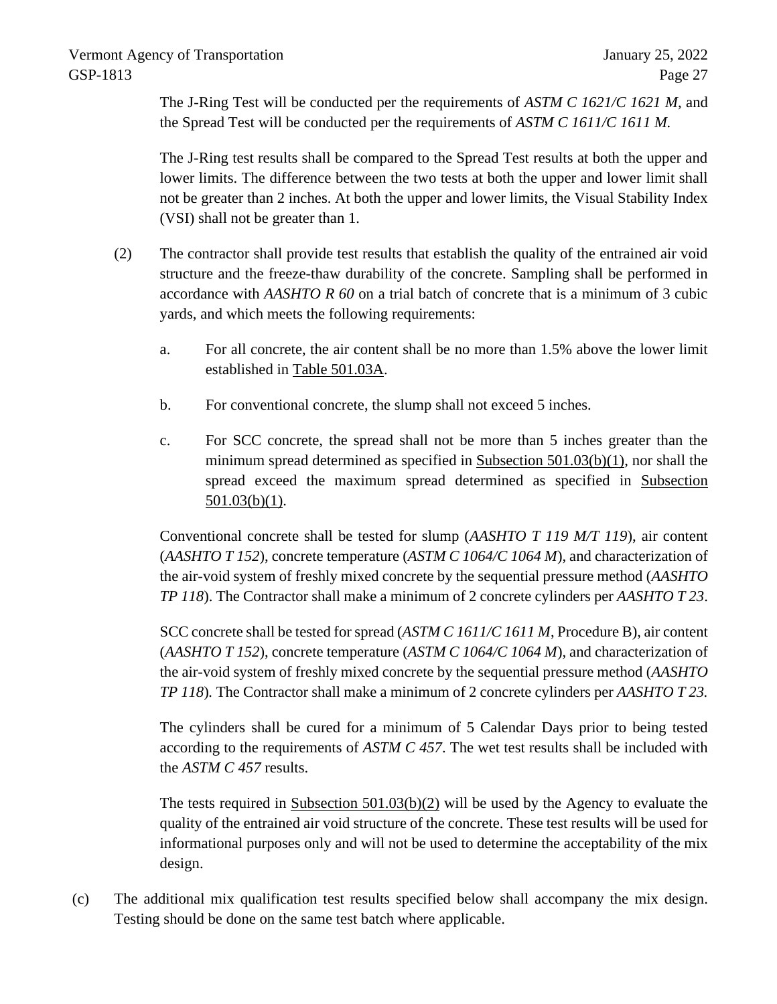The J-Ring Test will be conducted per the requirements of *ASTM C 1621/C 1621 M*, and the Spread Test will be conducted per the requirements of *ASTM C 1611/C 1611 M.*

The J-Ring test results shall be compared to the Spread Test results at both the upper and lower limits. The difference between the two tests at both the upper and lower limit shall not be greater than 2 inches. At both the upper and lower limits, the Visual Stability Index (VSI) shall not be greater than 1.

- (2) The contractor shall provide test results that establish the quality of the entrained air void structure and the freeze-thaw durability of the concrete. Sampling shall be performed in accordance with *AASHTO R 60* on a trial batch of concrete that is a minimum of 3 cubic yards, and which meets the following requirements:
	- a. For all concrete, the air content shall be no more than 1.5% above the lower limit established in Table 501.03A.
	- b. For conventional concrete, the slump shall not exceed 5 inches.
	- c. For SCC concrete, the spread shall not be more than 5 inches greater than the minimum spread determined as specified in Subsection 501.03(b)(1), nor shall the spread exceed the maximum spread determined as specified in Subsection  $501.03(b)(1)$ .

Conventional concrete shall be tested for slump (*AASHTO T 119 M/T 119*), air content (*AASHTO T 152*), concrete temperature (*ASTM C 1064/C 1064 M*), and characterization of the air-void system of freshly mixed concrete by the sequential pressure method (*AASHTO TP 118*). The Contractor shall make a minimum of 2 concrete cylinders per *AASHTO T 23*.

SCC concrete shall be tested for spread (*ASTM C 1611/C 1611 M*, Procedure B), air content (*AASHTO T 152*), concrete temperature (*ASTM C 1064/C 1064 M*)*,* and characterization of the air-void system of freshly mixed concrete by the sequential pressure method (*AASHTO TP 118*)*.* The Contractor shall make a minimum of 2 concrete cylinders per *AASHTO T 23.*

The cylinders shall be cured for a minimum of 5 Calendar Days prior to being tested according to the requirements of *ASTM C 457*. The wet test results shall be included with the *ASTM C 457* results.

The tests required in Subsection 501.03(b)(2) will be used by the Agency to evaluate the quality of the entrained air void structure of the concrete. These test results will be used for informational purposes only and will not be used to determine the acceptability of the mix design.

(c) The additional mix qualification test results specified below shall accompany the mix design. Testing should be done on the same test batch where applicable.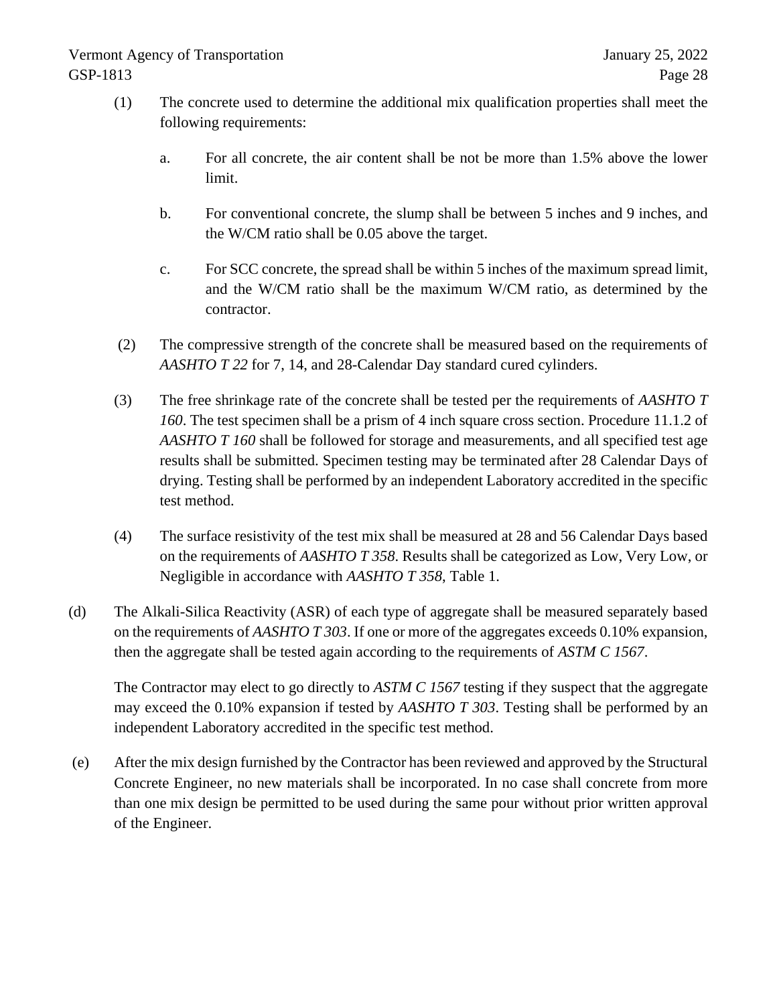- (1) The concrete used to determine the additional mix qualification properties shall meet the following requirements:
	- a. For all concrete, the air content shall be not be more than 1.5% above the lower limit.
	- b. For conventional concrete, the slump shall be between 5 inches and 9 inches, and the W/CM ratio shall be 0.05 above the target.
	- c. For SCC concrete, the spread shall be within 5 inches of the maximum spread limit, and the W/CM ratio shall be the maximum W/CM ratio, as determined by the contractor.
- (2) The compressive strength of the concrete shall be measured based on the requirements of *AASHTO T 22* for 7, 14, and 28-Calendar Day standard cured cylinders.
- (3) The free shrinkage rate of the concrete shall be tested per the requirements of *AASHTO T 160*. The test specimen shall be a prism of 4 inch square cross section. Procedure 11.1.2 of *AASHTO T 160* shall be followed for storage and measurements, and all specified test age results shall be submitted. Specimen testing may be terminated after 28 Calendar Days of drying. Testing shall be performed by an independent Laboratory accredited in the specific test method.
- (4) The surface resistivity of the test mix shall be measured at 28 and 56 Calendar Days based on the requirements of *AASHTO T 358*. Results shall be categorized as Low, Very Low, or Negligible in accordance with *AASHTO T 358*, Table 1.
- (d) The Alkali-Silica Reactivity (ASR) of each type of aggregate shall be measured separately based on the requirements of *AASHTO T 303*. If one or more of the aggregates exceeds 0.10% expansion, then the aggregate shall be tested again according to the requirements of *ASTM C 1567*.

The Contractor may elect to go directly to *ASTM C 1567* testing if they suspect that the aggregate may exceed the 0.10% expansion if tested by *AASHTO T 303*. Testing shall be performed by an independent Laboratory accredited in the specific test method.

(e) After the mix design furnished by the Contractor has been reviewed and approved by the Structural Concrete Engineer, no new materials shall be incorporated. In no case shall concrete from more than one mix design be permitted to be used during the same pour without prior written approval of the Engineer.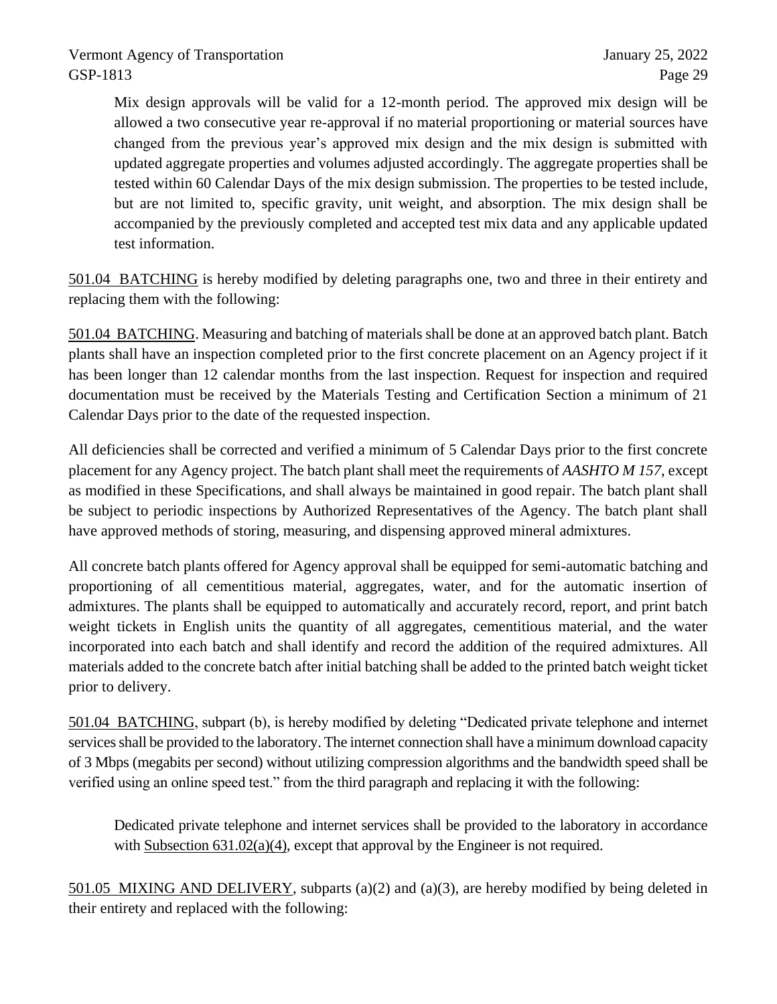Mix design approvals will be valid for a 12-month period. The approved mix design will be allowed a two consecutive year re-approval if no material proportioning or material sources have changed from the previous year's approved mix design and the mix design is submitted with updated aggregate properties and volumes adjusted accordingly. The aggregate properties shall be tested within 60 Calendar Days of the mix design submission. The properties to be tested include, but are not limited to, specific gravity, unit weight, and absorption. The mix design shall be accompanied by the previously completed and accepted test mix data and any applicable updated test information.

501.04 BATCHING is hereby modified by deleting paragraphs one, two and three in their entirety and replacing them with the following:

501.04 BATCHING. Measuring and batching of materials shall be done at an approved batch plant. Batch plants shall have an inspection completed prior to the first concrete placement on an Agency project if it has been longer than 12 calendar months from the last inspection. Request for inspection and required documentation must be received by the Materials Testing and Certification Section a minimum of 21 Calendar Days prior to the date of the requested inspection.

All deficiencies shall be corrected and verified a minimum of 5 Calendar Days prior to the first concrete placement for any Agency project. The batch plant shall meet the requirements of *AASHTO M 157*, except as modified in these Specifications, and shall always be maintained in good repair. The batch plant shall be subject to periodic inspections by Authorized Representatives of the Agency. The batch plant shall have approved methods of storing, measuring, and dispensing approved mineral admixtures.

All concrete batch plants offered for Agency approval shall be equipped for semi-automatic batching and proportioning of all cementitious material, aggregates, water, and for the automatic insertion of admixtures. The plants shall be equipped to automatically and accurately record, report, and print batch weight tickets in English units the quantity of all aggregates, cementitious material, and the water incorporated into each batch and shall identify and record the addition of the required admixtures. All materials added to the concrete batch after initial batching shall be added to the printed batch weight ticket prior to delivery.

501.04 BATCHING, subpart (b), is hereby modified by deleting "Dedicated private telephone and internet services shall be provided to the laboratory. The internet connection shall have a minimum download capacity of 3 Mbps (megabits per second) without utilizing compression algorithms and the bandwidth speed shall be verified using an online speed test." from the third paragraph and replacing it with the following:

Dedicated private telephone and internet services shall be provided to the laboratory in accordance with Subsection 631.02(a)(4), except that approval by the Engineer is not required.

501.05 MIXING AND DELIVERY, subparts (a)(2) and (a)(3), are hereby modified by being deleted in their entirety and replaced with the following: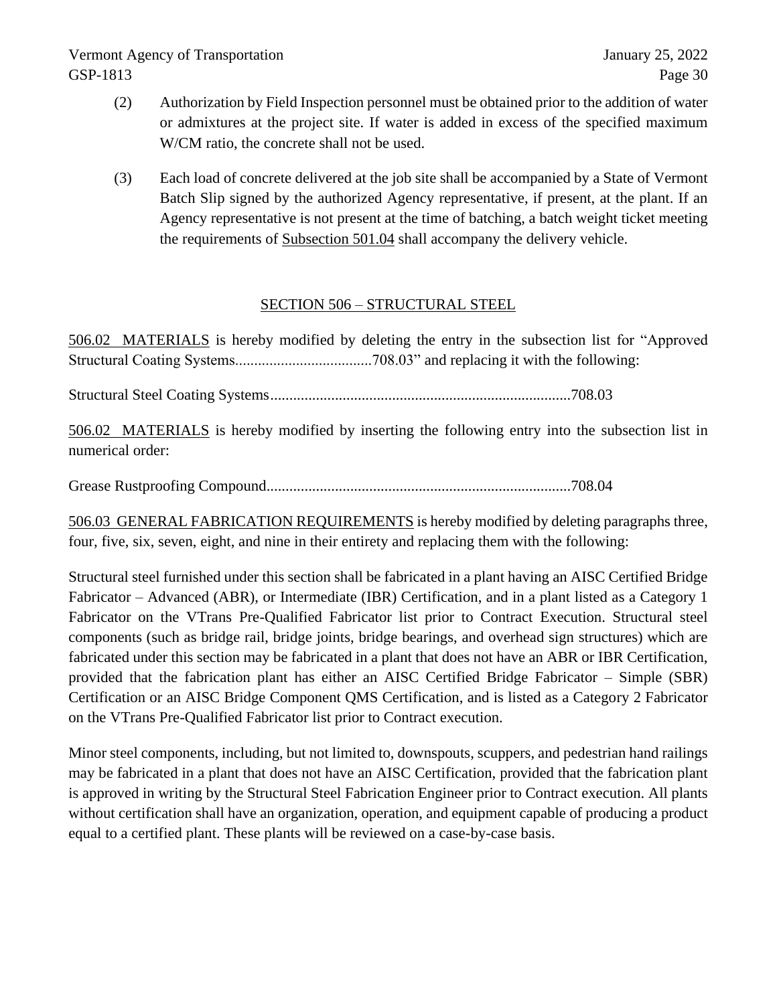- (2) Authorization by Field Inspection personnel must be obtained prior to the addition of water or admixtures at the project site. If water is added in excess of the specified maximum W/CM ratio, the concrete shall not be used.
- (3) Each load of concrete delivered at the job site shall be accompanied by a State of Vermont Batch Slip signed by the authorized Agency representative, if present, at the plant. If an Agency representative is not present at the time of batching, a batch weight ticket meeting the requirements of Subsection 501.04 shall accompany the delivery vehicle.

# SECTION 506 – STRUCTURAL STEEL

506.02 MATERIALS is hereby modified by deleting the entry in the subsection list for "Approved Structural Coating Systems....................................708.03" and replacing it with the following:

Structural Steel Coating Systems...............................................................................708.03

506.02 MATERIALS is hereby modified by inserting the following entry into the subsection list in numerical order:

Grease Rustproofing Compound................................................................................708.04

506.03 GENERAL FABRICATION REQUIREMENTS is hereby modified by deleting paragraphs three, four, five, six, seven, eight, and nine in their entirety and replacing them with the following:

Structural steel furnished under this section shall be fabricated in a plant having an AISC Certified Bridge Fabricator – Advanced (ABR), or Intermediate (IBR) Certification, and in a plant listed as a Category 1 Fabricator on the VTrans Pre-Qualified Fabricator list prior to Contract Execution. Structural steel components (such as bridge rail, bridge joints, bridge bearings, and overhead sign structures) which are fabricated under this section may be fabricated in a plant that does not have an ABR or IBR Certification, provided that the fabrication plant has either an AISC Certified Bridge Fabricator – Simple (SBR) Certification or an AISC Bridge Component QMS Certification, and is listed as a Category 2 Fabricator on the VTrans Pre-Qualified Fabricator list prior to Contract execution.

Minor steel components, including, but not limited to, downspouts, scuppers, and pedestrian hand railings may be fabricated in a plant that does not have an AISC Certification, provided that the fabrication plant is approved in writing by the Structural Steel Fabrication Engineer prior to Contract execution. All plants without certification shall have an organization, operation, and equipment capable of producing a product equal to a certified plant. These plants will be reviewed on a case-by-case basis.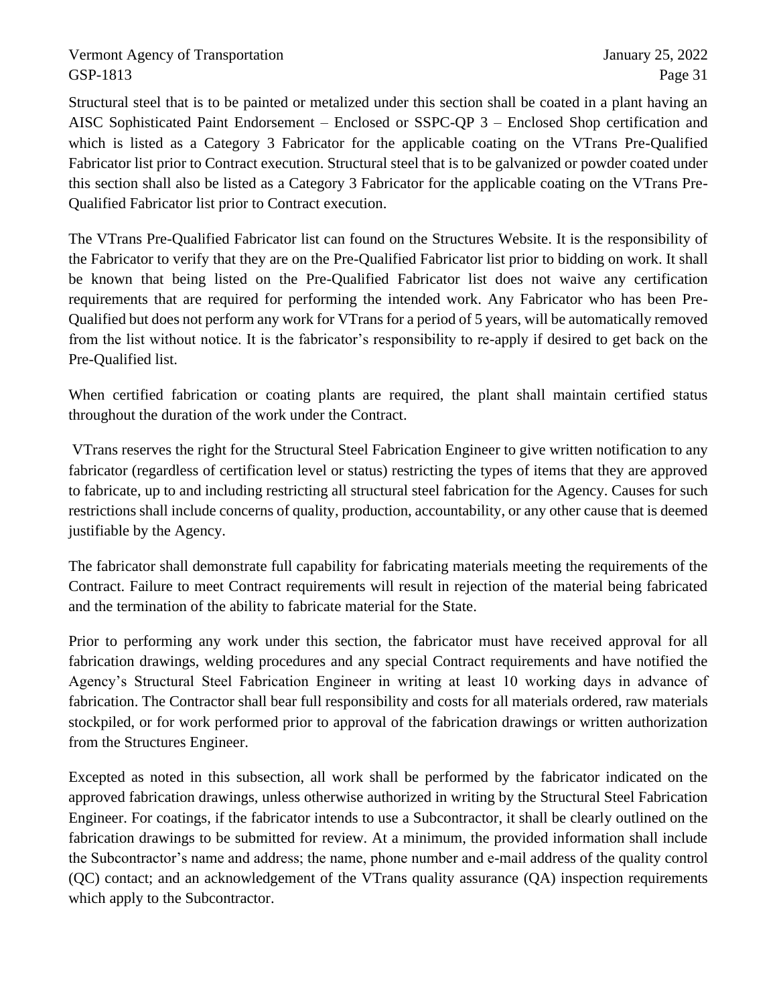Structural steel that is to be painted or metalized under this section shall be coated in a plant having an AISC Sophisticated Paint Endorsement – Enclosed or SSPC-QP 3 – Enclosed Shop certification and which is listed as a Category 3 Fabricator for the applicable coating on the VTrans Pre-Qualified Fabricator list prior to Contract execution. Structural steel that is to be galvanized or powder coated under this section shall also be listed as a Category 3 Fabricator for the applicable coating on the VTrans Pre-Qualified Fabricator list prior to Contract execution.

The VTrans Pre-Qualified Fabricator list can found on the Structures Website. It is the responsibility of the Fabricator to verify that they are on the Pre-Qualified Fabricator list prior to bidding on work. It shall be known that being listed on the Pre-Qualified Fabricator list does not waive any certification requirements that are required for performing the intended work. Any Fabricator who has been Pre-Qualified but does not perform any work for VTrans for a period of 5 years, will be automatically removed from the list without notice. It is the fabricator's responsibility to re-apply if desired to get back on the Pre-Qualified list.

When certified fabrication or coating plants are required, the plant shall maintain certified status throughout the duration of the work under the Contract.

VTrans reserves the right for the Structural Steel Fabrication Engineer to give written notification to any fabricator (regardless of certification level or status) restricting the types of items that they are approved to fabricate, up to and including restricting all structural steel fabrication for the Agency. Causes for such restrictions shall include concerns of quality, production, accountability, or any other cause that is deemed justifiable by the Agency.

The fabricator shall demonstrate full capability for fabricating materials meeting the requirements of the Contract. Failure to meet Contract requirements will result in rejection of the material being fabricated and the termination of the ability to fabricate material for the State.

Prior to performing any work under this section, the fabricator must have received approval for all fabrication drawings, welding procedures and any special Contract requirements and have notified the Agency's Structural Steel Fabrication Engineer in writing at least 10 working days in advance of fabrication. The Contractor shall bear full responsibility and costs for all materials ordered, raw materials stockpiled, or for work performed prior to approval of the fabrication drawings or written authorization from the Structures Engineer.

Excepted as noted in this subsection, all work shall be performed by the fabricator indicated on the approved fabrication drawings, unless otherwise authorized in writing by the Structural Steel Fabrication Engineer. For coatings, if the fabricator intends to use a Subcontractor, it shall be clearly outlined on the fabrication drawings to be submitted for review. At a minimum, the provided information shall include the Subcontractor's name and address; the name, phone number and e-mail address of the quality control (QC) contact; and an acknowledgement of the VTrans quality assurance (QA) inspection requirements which apply to the Subcontractor.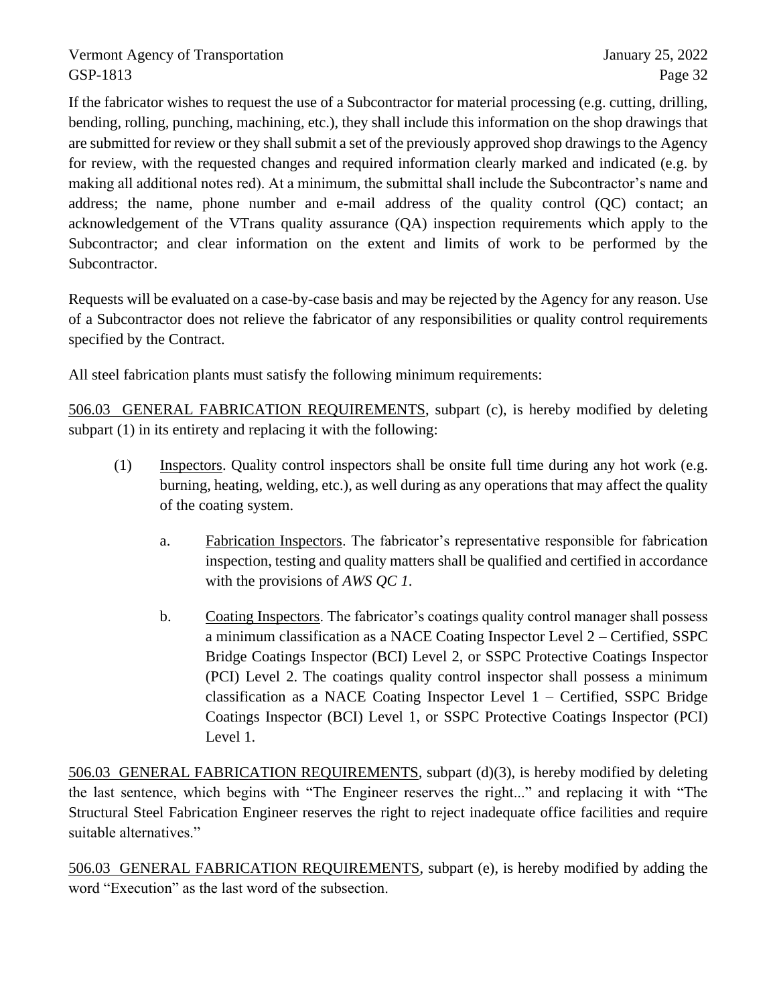If the fabricator wishes to request the use of a Subcontractor for material processing (e.g. cutting, drilling, bending, rolling, punching, machining, etc.), they shall include this information on the shop drawings that are submitted for review or they shall submit a set of the previously approved shop drawings to the Agency for review, with the requested changes and required information clearly marked and indicated (e.g. by making all additional notes red). At a minimum, the submittal shall include the Subcontractor's name and address; the name, phone number and e-mail address of the quality control (QC) contact; an acknowledgement of the VTrans quality assurance (QA) inspection requirements which apply to the Subcontractor; and clear information on the extent and limits of work to be performed by the Subcontractor.

Requests will be evaluated on a case-by-case basis and may be rejected by the Agency for any reason. Use of a Subcontractor does not relieve the fabricator of any responsibilities or quality control requirements specified by the Contract.

All steel fabrication plants must satisfy the following minimum requirements:

506.03 GENERAL FABRICATION REQUIREMENTS, subpart (c), is hereby modified by deleting subpart (1) in its entirety and replacing it with the following:

- (1) Inspectors. Quality control inspectors shall be onsite full time during any hot work (e.g. burning, heating, welding, etc.), as well during as any operations that may affect the quality of the coating system.
	- a. Fabrication Inspectors. The fabricator's representative responsible for fabrication inspection, testing and quality matters shall be qualified and certified in accordance with the provisions of *AWS QC 1*.
	- b. Coating Inspectors. The fabricator's coatings quality control manager shall possess a minimum classification as a NACE Coating Inspector Level 2 – Certified, SSPC Bridge Coatings Inspector (BCI) Level 2, or SSPC Protective Coatings Inspector (PCI) Level 2. The coatings quality control inspector shall possess a minimum classification as a NACE Coating Inspector Level 1 – Certified, SSPC Bridge Coatings Inspector (BCI) Level 1, or SSPC Protective Coatings Inspector (PCI) Level 1.

506.03 GENERAL FABRICATION REQUIREMENTS, subpart (d)(3), is hereby modified by deleting the last sentence, which begins with "The Engineer reserves the right..." and replacing it with "The Structural Steel Fabrication Engineer reserves the right to reject inadequate office facilities and require suitable alternatives."

506.03 GENERAL FABRICATION REQUIREMENTS, subpart (e), is hereby modified by adding the word "Execution" as the last word of the subsection.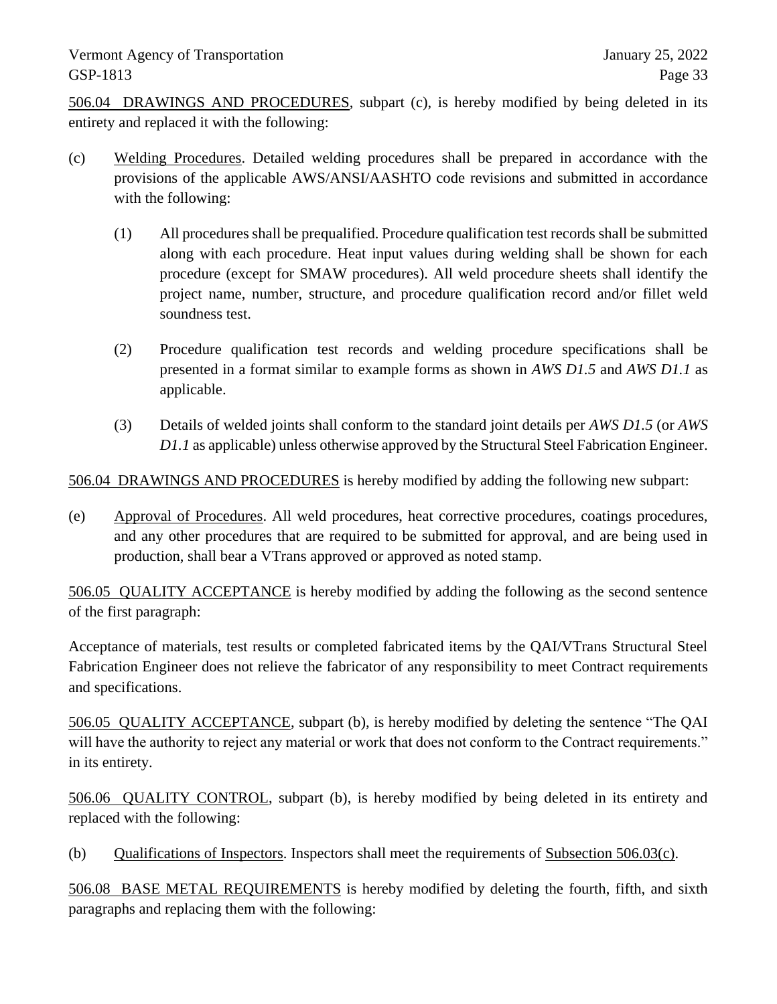506.04 DRAWINGS AND PROCEDURES, subpart (c), is hereby modified by being deleted in its entirety and replaced it with the following:

- (c) Welding Procedures. Detailed welding procedures shall be prepared in accordance with the provisions of the applicable AWS/ANSI/AASHTO code revisions and submitted in accordance with the following:
	- (1) All procedures shall be prequalified. Procedure qualification test records shall be submitted along with each procedure. Heat input values during welding shall be shown for each procedure (except for SMAW procedures). All weld procedure sheets shall identify the project name, number, structure, and procedure qualification record and/or fillet weld soundness test.
	- (2) Procedure qualification test records and welding procedure specifications shall be presented in a format similar to example forms as shown in *AWS D1.5* and *AWS D1.1* as applicable.
	- (3) Details of welded joints shall conform to the standard joint details per *AWS D1.5* (or *AWS D1.1* as applicable) unless otherwise approved by the Structural Steel Fabrication Engineer.

506.04 DRAWINGS AND PROCEDURES is hereby modified by adding the following new subpart:

(e) Approval of Procedures. All weld procedures, heat corrective procedures, coatings procedures, and any other procedures that are required to be submitted for approval, and are being used in production, shall bear a VTrans approved or approved as noted stamp.

506.05 QUALITY ACCEPTANCE is hereby modified by adding the following as the second sentence of the first paragraph:

Acceptance of materials, test results or completed fabricated items by the QAI/VTrans Structural Steel Fabrication Engineer does not relieve the fabricator of any responsibility to meet Contract requirements and specifications.

506.05 QUALITY ACCEPTANCE, subpart (b), is hereby modified by deleting the sentence "The QAI will have the authority to reject any material or work that does not conform to the Contract requirements." in its entirety.

506.06 QUALITY CONTROL, subpart (b), is hereby modified by being deleted in its entirety and replaced with the following:

(b) Qualifications of Inspectors. Inspectors shall meet the requirements of Subsection 506.03(c).

506.08 BASE METAL REQUIREMENTS is hereby modified by deleting the fourth, fifth, and sixth paragraphs and replacing them with the following: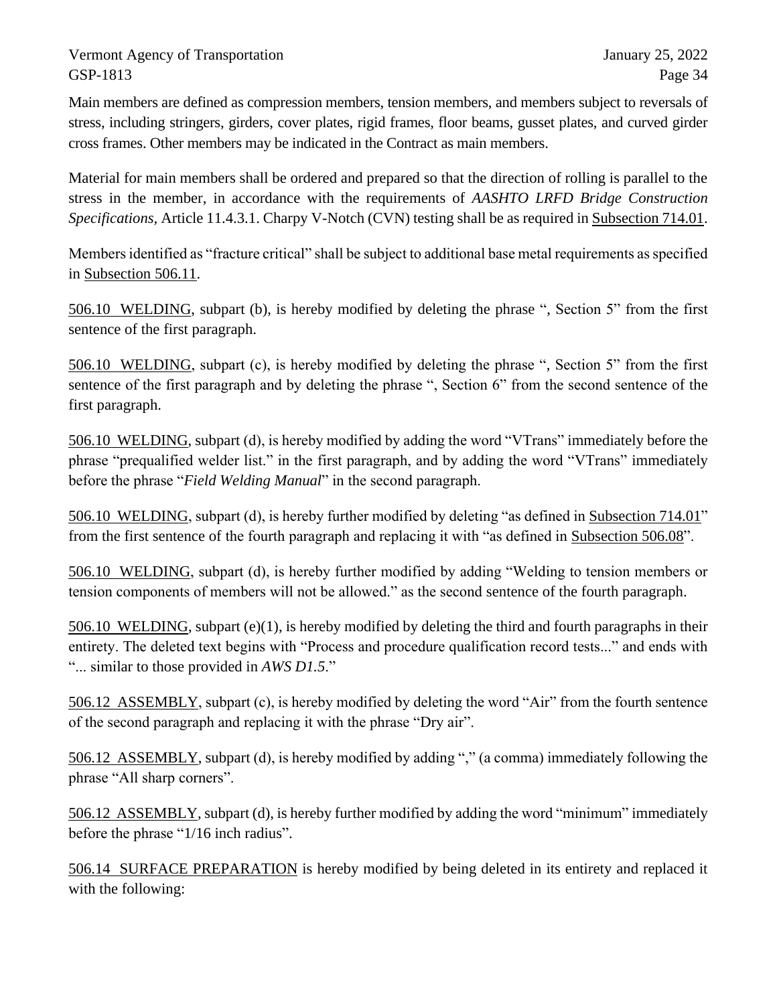Main members are defined as compression members, tension members, and members subject to reversals of stress, including stringers, girders, cover plates, rigid frames, floor beams, gusset plates, and curved girder cross frames. Other members may be indicated in the Contract as main members.

Material for main members shall be ordered and prepared so that the direction of rolling is parallel to the stress in the member, in accordance with the requirements of *AASHTO LRFD Bridge Construction Specifications,* Article 11.4.3.1. Charpy V-Notch (CVN) testing shall be as required in Subsection 714.01.

Members identified as "fracture critical" shall be subject to additional base metal requirements as specified in Subsection 506.11.

506.10 WELDING, subpart (b), is hereby modified by deleting the phrase ", Section 5" from the first sentence of the first paragraph.

506.10 WELDING, subpart (c), is hereby modified by deleting the phrase ", Section 5" from the first sentence of the first paragraph and by deleting the phrase ", Section 6" from the second sentence of the first paragraph.

506.10 WELDING, subpart (d), is hereby modified by adding the word "VTrans" immediately before the phrase "prequalified welder list." in the first paragraph, and by adding the word "VTrans" immediately before the phrase "*Field Welding Manual*" in the second paragraph.

506.10 WELDING, subpart (d), is hereby further modified by deleting "as defined in Subsection 714.01" from the first sentence of the fourth paragraph and replacing it with "as defined in Subsection 506.08".

506.10 WELDING, subpart (d), is hereby further modified by adding "Welding to tension members or tension components of members will not be allowed." as the second sentence of the fourth paragraph.

506.10 WELDING, subpart (e)(1), is hereby modified by deleting the third and fourth paragraphs in their entirety. The deleted text begins with "Process and procedure qualification record tests..." and ends with "... similar to those provided in *AWS D1.5*."

506.12 ASSEMBLY, subpart (c), is hereby modified by deleting the word "Air" from the fourth sentence of the second paragraph and replacing it with the phrase "Dry air".

506.12 ASSEMBLY, subpart (d), is hereby modified by adding "," (a comma) immediately following the phrase "All sharp corners".

506.12 ASSEMBLY, subpart (d), is hereby further modified by adding the word "minimum" immediately before the phrase "1/16 inch radius".

506.14 SURFACE PREPARATION is hereby modified by being deleted in its entirety and replaced it with the following: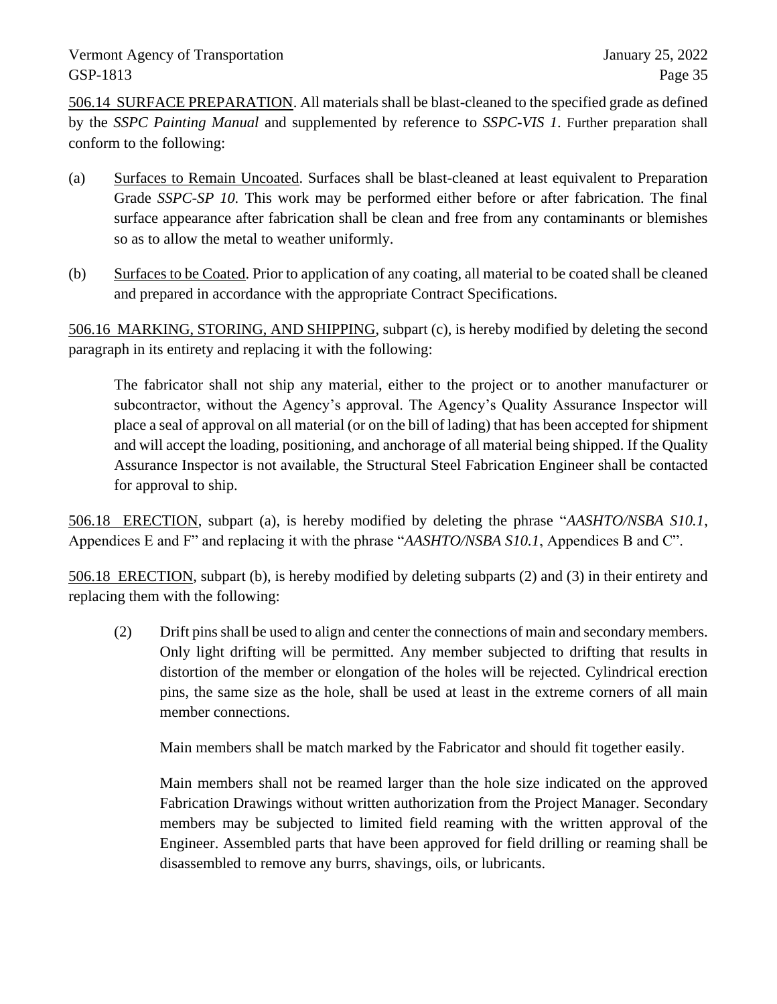506.14 SURFACE PREPARATION. All materials shall be blast-cleaned to the specified grade as defined by the *SSPC Painting Manual* and supplemented by reference to *SSPC-VIS 1*. Further preparation shall conform to the following:

- (a) Surfaces to Remain Uncoated. Surfaces shall be blast-cleaned at least equivalent to Preparation Grade *SSPC-SP 10.* This work may be performed either before or after fabrication. The final surface appearance after fabrication shall be clean and free from any contaminants or blemishes so as to allow the metal to weather uniformly.
- (b) Surfaces to be Coated. Prior to application of any coating, all material to be coated shall be cleaned and prepared in accordance with the appropriate Contract Specifications.

506.16 MARKING, STORING, AND SHIPPING, subpart (c), is hereby modified by deleting the second paragraph in its entirety and replacing it with the following:

The fabricator shall not ship any material, either to the project or to another manufacturer or subcontractor, without the Agency's approval. The Agency's Quality Assurance Inspector will place a seal of approval on all material (or on the bill of lading) that has been accepted for shipment and will accept the loading, positioning, and anchorage of all material being shipped. If the Quality Assurance Inspector is not available, the Structural Steel Fabrication Engineer shall be contacted for approval to ship.

506.18 ERECTION, subpart (a), is hereby modified by deleting the phrase "*AASHTO/NSBA S10.1*, Appendices E and F" and replacing it with the phrase "*AASHTO/NSBA S10.1*, Appendices B and C".

506.18 ERECTION, subpart (b), is hereby modified by deleting subparts (2) and (3) in their entirety and replacing them with the following:

(2) Drift pins shall be used to align and center the connections of main and secondary members. Only light drifting will be permitted. Any member subjected to drifting that results in distortion of the member or elongation of the holes will be rejected. Cylindrical erection pins, the same size as the hole, shall be used at least in the extreme corners of all main member connections.

Main members shall be match marked by the Fabricator and should fit together easily.

Main members shall not be reamed larger than the hole size indicated on the approved Fabrication Drawings without written authorization from the Project Manager. Secondary members may be subjected to limited field reaming with the written approval of the Engineer. Assembled parts that have been approved for field drilling or reaming shall be disassembled to remove any burrs, shavings, oils, or lubricants.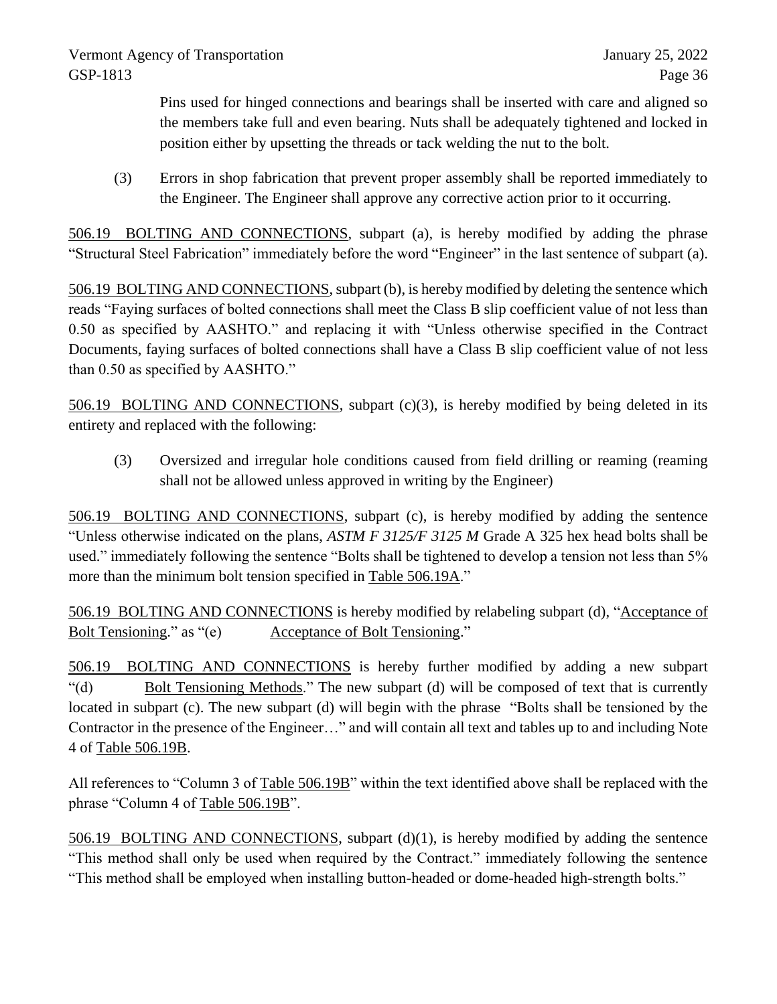Pins used for hinged connections and bearings shall be inserted with care and aligned so the members take full and even bearing. Nuts shall be adequately tightened and locked in position either by upsetting the threads or tack welding the nut to the bolt.

(3) Errors in shop fabrication that prevent proper assembly shall be reported immediately to the Engineer. The Engineer shall approve any corrective action prior to it occurring.

506.19 BOLTING AND CONNECTIONS, subpart (a), is hereby modified by adding the phrase "Structural Steel Fabrication" immediately before the word "Engineer" in the last sentence of subpart (a).

506.19 BOLTING AND CONNECTIONS, subpart (b), is hereby modified by deleting the sentence which reads "Faying surfaces of bolted connections shall meet the Class B slip coefficient value of not less than 0.50 as specified by AASHTO." and replacing it with "Unless otherwise specified in the Contract Documents, faying surfaces of bolted connections shall have a Class B slip coefficient value of not less than 0.50 as specified by AASHTO."

506.19 BOLTING AND CONNECTIONS, subpart (c)(3), is hereby modified by being deleted in its entirety and replaced with the following:

(3) Oversized and irregular hole conditions caused from field drilling or reaming (reaming shall not be allowed unless approved in writing by the Engineer)

506.19 BOLTING AND CONNECTIONS, subpart (c), is hereby modified by adding the sentence "Unless otherwise indicated on the plans, *ASTM F 3125/F 3125 M* Grade A 325 hex head bolts shall be used." immediately following the sentence "Bolts shall be tightened to develop a tension not less than 5% more than the minimum bolt tension specified in Table 506.19A."

506.19 BOLTING AND CONNECTIONS is hereby modified by relabeling subpart (d), "Acceptance of Bolt Tensioning." as "(e) Acceptance of Bolt Tensioning."

506.19 BOLTING AND CONNECTIONS is hereby further modified by adding a new subpart "(d) Bolt Tensioning Methods." The new subpart (d) will be composed of text that is currently located in subpart (c). The new subpart (d) will begin with the phrase "Bolts shall be tensioned by the Contractor in the presence of the Engineer…" and will contain all text and tables up to and including Note 4 of Table 506.19B.

All references to "Column 3 of Table 506.19B" within the text identified above shall be replaced with the phrase "Column 4 of Table 506.19B".

506.19 BOLTING AND CONNECTIONS, subpart (d)(1), is hereby modified by adding the sentence "This method shall only be used when required by the Contract." immediately following the sentence "This method shall be employed when installing button-headed or dome-headed high-strength bolts."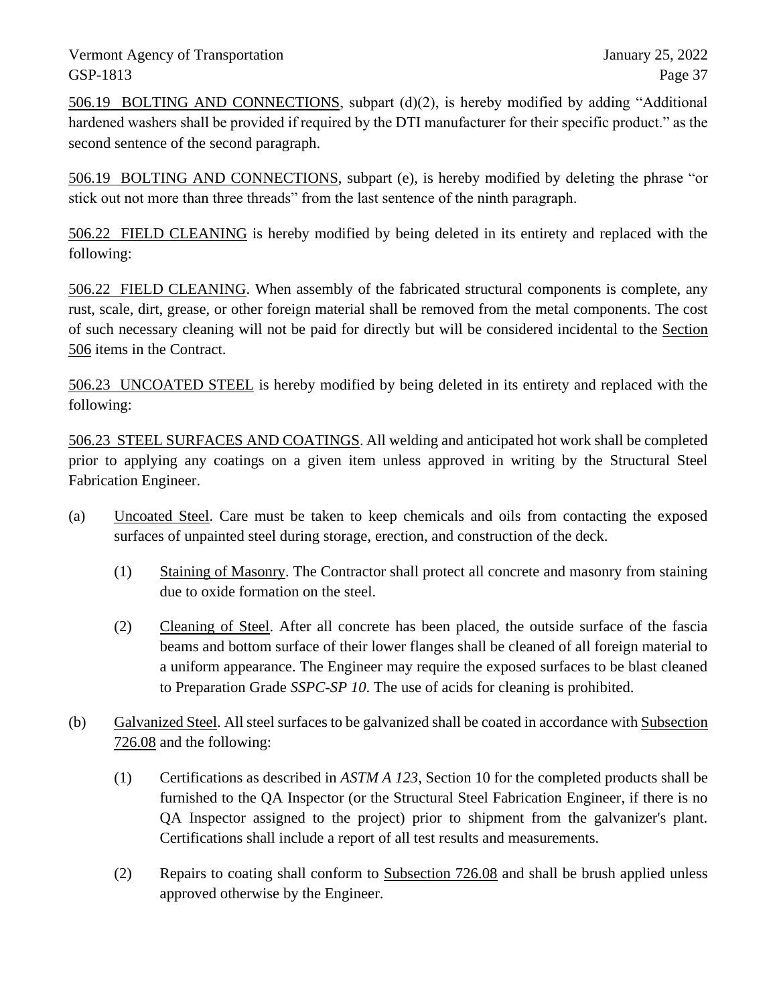506.19 BOLTING AND CONNECTIONS, subpart (d)(2), is hereby modified by adding "Additional hardened washers shall be provided if required by the DTI manufacturer for their specific product." as the second sentence of the second paragraph.

506.19 BOLTING AND CONNECTIONS, subpart (e), is hereby modified by deleting the phrase "or stick out not more than three threads" from the last sentence of the ninth paragraph.

506.22 FIELD CLEANING is hereby modified by being deleted in its entirety and replaced with the following:

506.22 FIELD CLEANING. When assembly of the fabricated structural components is complete, any rust, scale, dirt, grease, or other foreign material shall be removed from the metal components. The cost of such necessary cleaning will not be paid for directly but will be considered incidental to the Section 506 items in the Contract.

506.23 UNCOATED STEEL is hereby modified by being deleted in its entirety and replaced with the following:

506.23 STEEL SURFACES AND COATINGS. All welding and anticipated hot work shall be completed prior to applying any coatings on a given item unless approved in writing by the Structural Steel Fabrication Engineer.

- (a) Uncoated Steel. Care must be taken to keep chemicals and oils from contacting the exposed surfaces of unpainted steel during storage, erection, and construction of the deck.
	- (1) Staining of Masonry. The Contractor shall protect all concrete and masonry from staining due to oxide formation on the steel.
	- (2) Cleaning of Steel. After all concrete has been placed, the outside surface of the fascia beams and bottom surface of their lower flanges shall be cleaned of all foreign material to a uniform appearance. The Engineer may require the exposed surfaces to be blast cleaned to Preparation Grade *SSPC-SP 10*. The use of acids for cleaning is prohibited.
- (b) Galvanized Steel. All steel surfaces to be galvanized shall be coated in accordance with Subsection 726.08 and the following:
	- (1) Certifications as described in *ASTM A 123*, Section 10 for the completed products shall be furnished to the QA Inspector (or the Structural Steel Fabrication Engineer, if there is no QA Inspector assigned to the project) prior to shipment from the galvanizer's plant. Certifications shall include a report of all test results and measurements.
	- (2) Repairs to coating shall conform to Subsection 726.08 and shall be brush applied unless approved otherwise by the Engineer.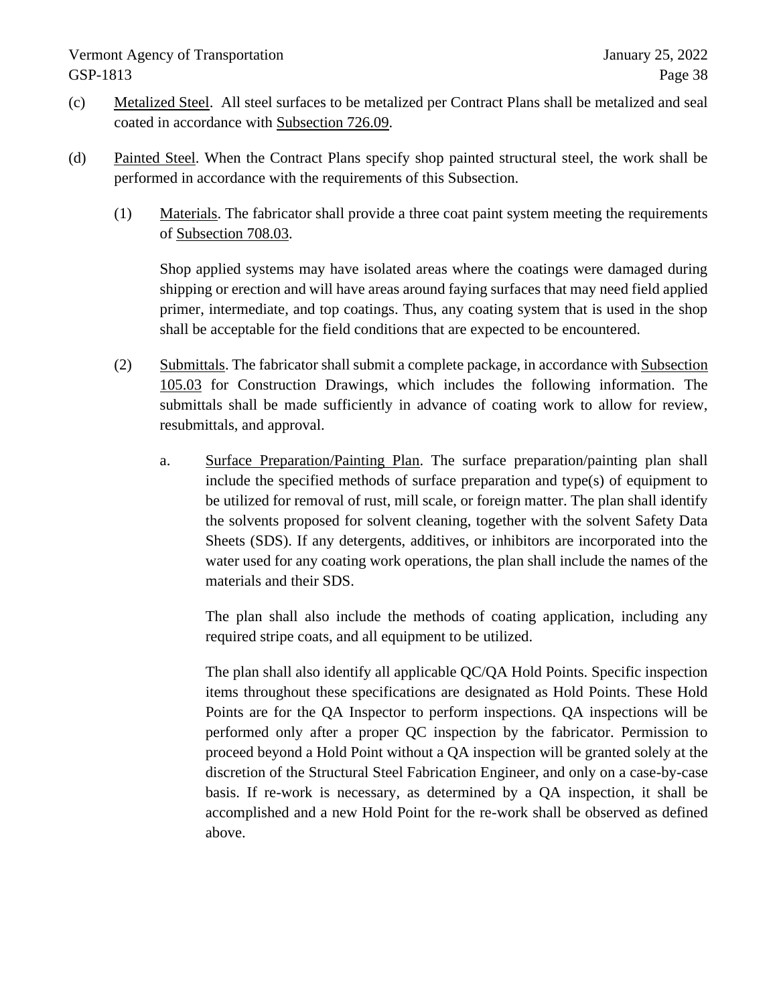- (c) Metalized Steel. All steel surfaces to be metalized per Contract Plans shall be metalized and seal coated in accordance with Subsection 726.09.
- (d) Painted Steel. When the Contract Plans specify shop painted structural steel, the work shall be performed in accordance with the requirements of this Subsection.
	- (1) Materials. The fabricator shall provide a three coat paint system meeting the requirements of Subsection 708.03.

Shop applied systems may have isolated areas where the coatings were damaged during shipping or erection and will have areas around faying surfaces that may need field applied primer, intermediate, and top coatings. Thus, any coating system that is used in the shop shall be acceptable for the field conditions that are expected to be encountered.

- (2) Submittals. The fabricator shall submit a complete package, in accordance with Subsection 105.03 for Construction Drawings, which includes the following information. The submittals shall be made sufficiently in advance of coating work to allow for review, resubmittals, and approval.
	- a. Surface Preparation/Painting Plan. The surface preparation/painting plan shall include the specified methods of surface preparation and type(s) of equipment to be utilized for removal of rust, mill scale, or foreign matter. The plan shall identify the solvents proposed for solvent cleaning, together with the solvent Safety Data Sheets (SDS). If any detergents, additives, or inhibitors are incorporated into the water used for any coating work operations, the plan shall include the names of the materials and their SDS.

The plan shall also include the methods of coating application, including any required stripe coats, and all equipment to be utilized.

The plan shall also identify all applicable QC/QA Hold Points. Specific inspection items throughout these specifications are designated as Hold Points. These Hold Points are for the QA Inspector to perform inspections. QA inspections will be performed only after a proper QC inspection by the fabricator. Permission to proceed beyond a Hold Point without a QA inspection will be granted solely at the discretion of the Structural Steel Fabrication Engineer, and only on a case-by-case basis. If re-work is necessary, as determined by a QA inspection, it shall be accomplished and a new Hold Point for the re-work shall be observed as defined above.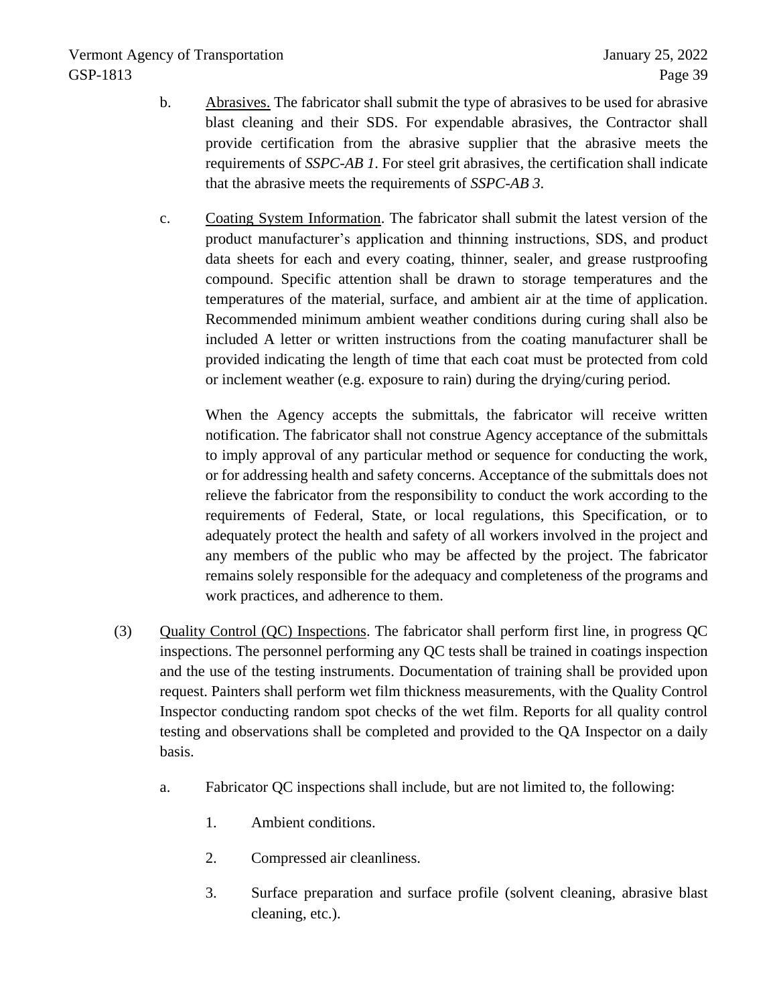- b. Abrasives. The fabricator shall submit the type of abrasives to be used for abrasive blast cleaning and their SDS. For expendable abrasives, the Contractor shall provide certification from the abrasive supplier that the abrasive meets the requirements of *SSPC-AB 1*. For steel grit abrasives, the certification shall indicate that the abrasive meets the requirements of *SSPC-AB 3*.
- c. Coating System Information. The fabricator shall submit the latest version of the product manufacturer's application and thinning instructions, SDS, and product data sheets for each and every coating, thinner, sealer, and grease rustproofing compound. Specific attention shall be drawn to storage temperatures and the temperatures of the material, surface, and ambient air at the time of application. Recommended minimum ambient weather conditions during curing shall also be included A letter or written instructions from the coating manufacturer shall be provided indicating the length of time that each coat must be protected from cold or inclement weather (e.g. exposure to rain) during the drying/curing period.

When the Agency accepts the submittals, the fabricator will receive written notification. The fabricator shall not construe Agency acceptance of the submittals to imply approval of any particular method or sequence for conducting the work, or for addressing health and safety concerns. Acceptance of the submittals does not relieve the fabricator from the responsibility to conduct the work according to the requirements of Federal, State, or local regulations, this Specification, or to adequately protect the health and safety of all workers involved in the project and any members of the public who may be affected by the project. The fabricator remains solely responsible for the adequacy and completeness of the programs and work practices, and adherence to them.

- (3) Quality Control (QC) Inspections. The fabricator shall perform first line, in progress QC inspections. The personnel performing any QC tests shall be trained in coatings inspection and the use of the testing instruments. Documentation of training shall be provided upon request. Painters shall perform wet film thickness measurements, with the Quality Control Inspector conducting random spot checks of the wet film. Reports for all quality control testing and observations shall be completed and provided to the QA Inspector on a daily basis.
	- a. Fabricator QC inspections shall include, but are not limited to, the following:
		- 1. Ambient conditions.
		- 2. Compressed air cleanliness.
		- 3. Surface preparation and surface profile (solvent cleaning, abrasive blast cleaning, etc.).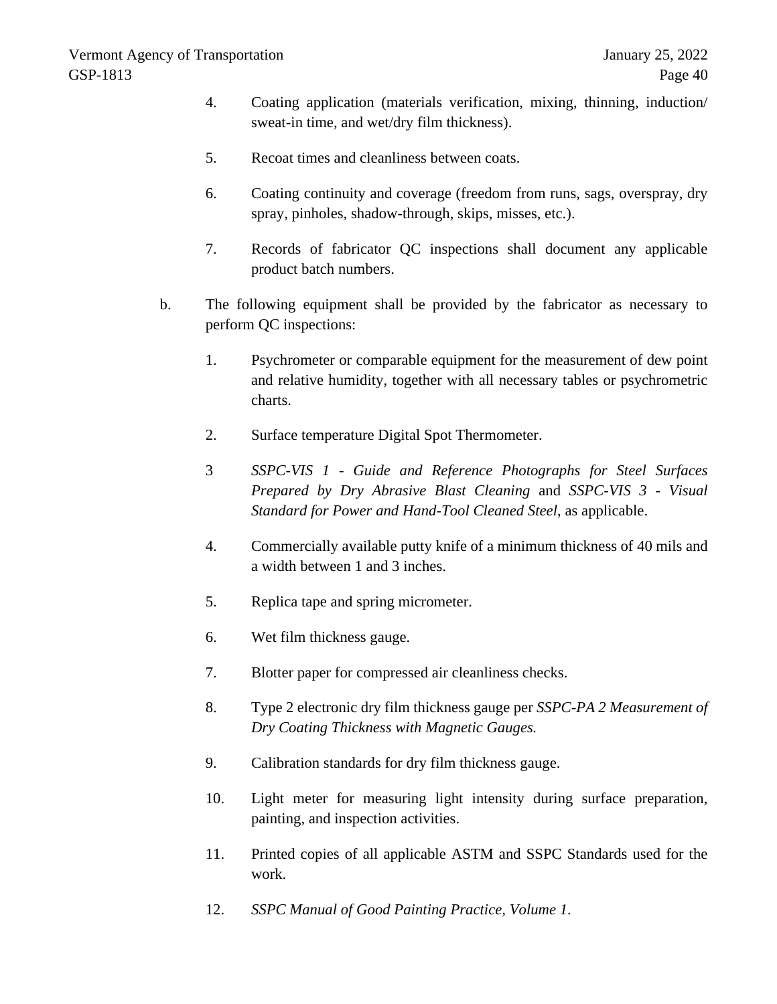- 4. Coating application (materials verification, mixing, thinning, induction/ sweat-in time, and wet/dry film thickness).
- 5. Recoat times and cleanliness between coats.
- 6. Coating continuity and coverage (freedom from runs, sags, overspray, dry spray, pinholes, shadow-through, skips, misses, etc.).
- 7. Records of fabricator QC inspections shall document any applicable product batch numbers.
- b. The following equipment shall be provided by the fabricator as necessary to perform QC inspections:
	- 1. Psychrometer or comparable equipment for the measurement of dew point and relative humidity, together with all necessary tables or psychrometric charts.
	- 2. Surface temperature Digital Spot Thermometer.
	- 3 *SSPC-VIS 1 - Guide and Reference Photographs for Steel Surfaces Prepared by Dry Abrasive Blast Cleaning* and *SSPC-VIS 3 - Visual Standard for Power and Hand-Tool Cleaned Steel*, as applicable.
	- 4. Commercially available putty knife of a minimum thickness of 40 mils and a width between 1 and 3 inches.
	- 5. Replica tape and spring micrometer.
	- 6. Wet film thickness gauge.
	- 7. Blotter paper for compressed air cleanliness checks.
	- 8. Type 2 electronic dry film thickness gauge per *SSPC-PA 2 Measurement of Dry Coating Thickness with Magnetic Gauges.*
	- 9. Calibration standards for dry film thickness gauge.
	- 10. Light meter for measuring light intensity during surface preparation, painting, and inspection activities.
	- 11. Printed copies of all applicable ASTM and SSPC Standards used for the work.
	- 12. *SSPC Manual of Good Painting Practice, Volume 1*.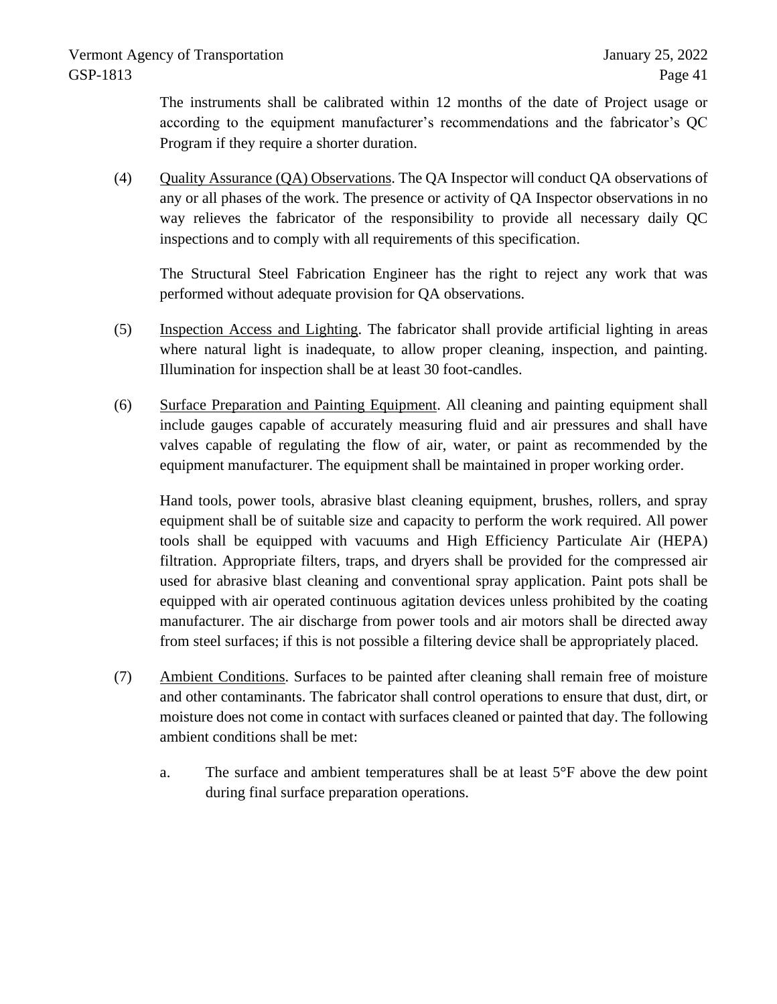The instruments shall be calibrated within 12 months of the date of Project usage or according to the equipment manufacturer's recommendations and the fabricator's QC Program if they require a shorter duration.

(4) Quality Assurance (QA) Observations. The QA Inspector will conduct QA observations of any or all phases of the work. The presence or activity of QA Inspector observations in no way relieves the fabricator of the responsibility to provide all necessary daily QC inspections and to comply with all requirements of this specification.

The Structural Steel Fabrication Engineer has the right to reject any work that was performed without adequate provision for QA observations.

- (5) Inspection Access and Lighting. The fabricator shall provide artificial lighting in areas where natural light is inadequate, to allow proper cleaning, inspection, and painting. Illumination for inspection shall be at least 30 foot-candles.
- (6) Surface Preparation and Painting Equipment. All cleaning and painting equipment shall include gauges capable of accurately measuring fluid and air pressures and shall have valves capable of regulating the flow of air, water, or paint as recommended by the equipment manufacturer. The equipment shall be maintained in proper working order.

Hand tools, power tools, abrasive blast cleaning equipment, brushes, rollers, and spray equipment shall be of suitable size and capacity to perform the work required. All power tools shall be equipped with vacuums and High Efficiency Particulate Air (HEPA) filtration. Appropriate filters, traps, and dryers shall be provided for the compressed air used for abrasive blast cleaning and conventional spray application. Paint pots shall be equipped with air operated continuous agitation devices unless prohibited by the coating manufacturer. The air discharge from power tools and air motors shall be directed away from steel surfaces; if this is not possible a filtering device shall be appropriately placed.

- (7) Ambient Conditions. Surfaces to be painted after cleaning shall remain free of moisture and other contaminants. The fabricator shall control operations to ensure that dust, dirt, or moisture does not come in contact with surfaces cleaned or painted that day. The following ambient conditions shall be met:
	- a. The surface and ambient temperatures shall be at least  $5^{\circ}$ F above the dew point during final surface preparation operations.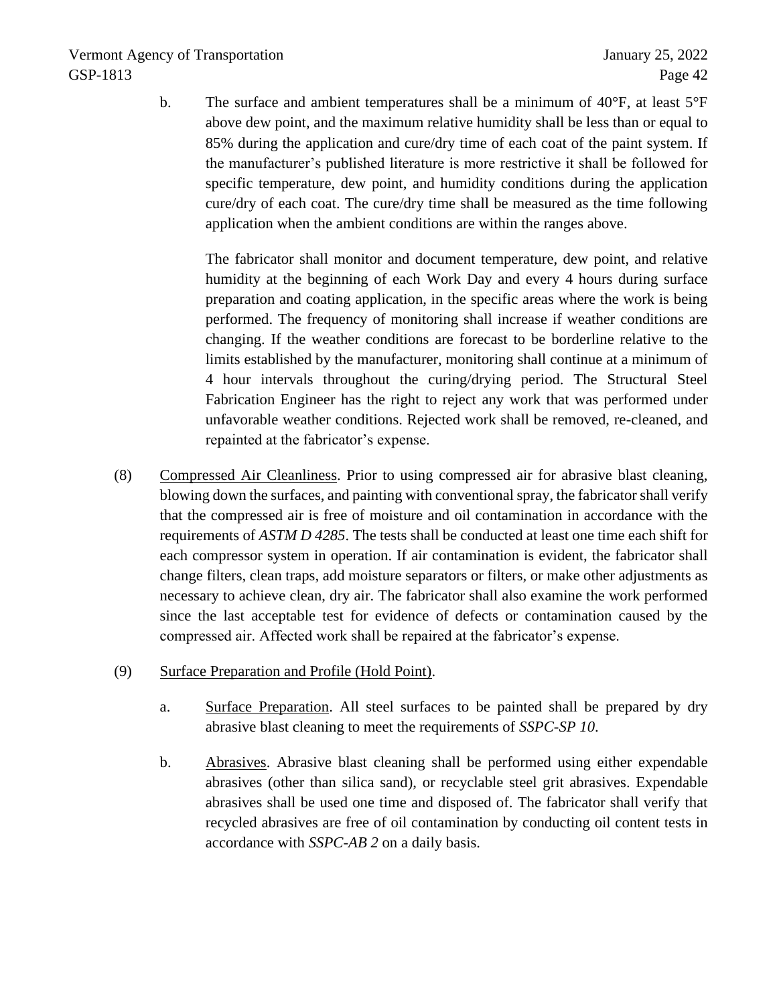b. The surface and ambient temperatures shall be a minimum of 40°F, at least 5°F above dew point, and the maximum relative humidity shall be less than or equal to 85% during the application and cure/dry time of each coat of the paint system. If the manufacturer's published literature is more restrictive it shall be followed for specific temperature, dew point, and humidity conditions during the application cure/dry of each coat. The cure/dry time shall be measured as the time following application when the ambient conditions are within the ranges above.

The fabricator shall monitor and document temperature, dew point, and relative humidity at the beginning of each Work Day and every 4 hours during surface preparation and coating application, in the specific areas where the work is being performed. The frequency of monitoring shall increase if weather conditions are changing. If the weather conditions are forecast to be borderline relative to the limits established by the manufacturer, monitoring shall continue at a minimum of 4 hour intervals throughout the curing/drying period. The Structural Steel Fabrication Engineer has the right to reject any work that was performed under unfavorable weather conditions. Rejected work shall be removed, re-cleaned, and repainted at the fabricator's expense.

- (8) Compressed Air Cleanliness. Prior to using compressed air for abrasive blast cleaning, blowing down the surfaces, and painting with conventional spray, the fabricator shall verify that the compressed air is free of moisture and oil contamination in accordance with the requirements of *ASTM D 4285*. The tests shall be conducted at least one time each shift for each compressor system in operation. If air contamination is evident, the fabricator shall change filters, clean traps, add moisture separators or filters, or make other adjustments as necessary to achieve clean, dry air. The fabricator shall also examine the work performed since the last acceptable test for evidence of defects or contamination caused by the compressed air. Affected work shall be repaired at the fabricator's expense.
- (9) Surface Preparation and Profile (Hold Point).
	- a. Surface Preparation. All steel surfaces to be painted shall be prepared by dry abrasive blast cleaning to meet the requirements of *SSPC-SP 10*.
	- b. Abrasives. Abrasive blast cleaning shall be performed using either expendable abrasives (other than silica sand), or recyclable steel grit abrasives. Expendable abrasives shall be used one time and disposed of. The fabricator shall verify that recycled abrasives are free of oil contamination by conducting oil content tests in accordance with *SSPC-AB 2* on a daily basis.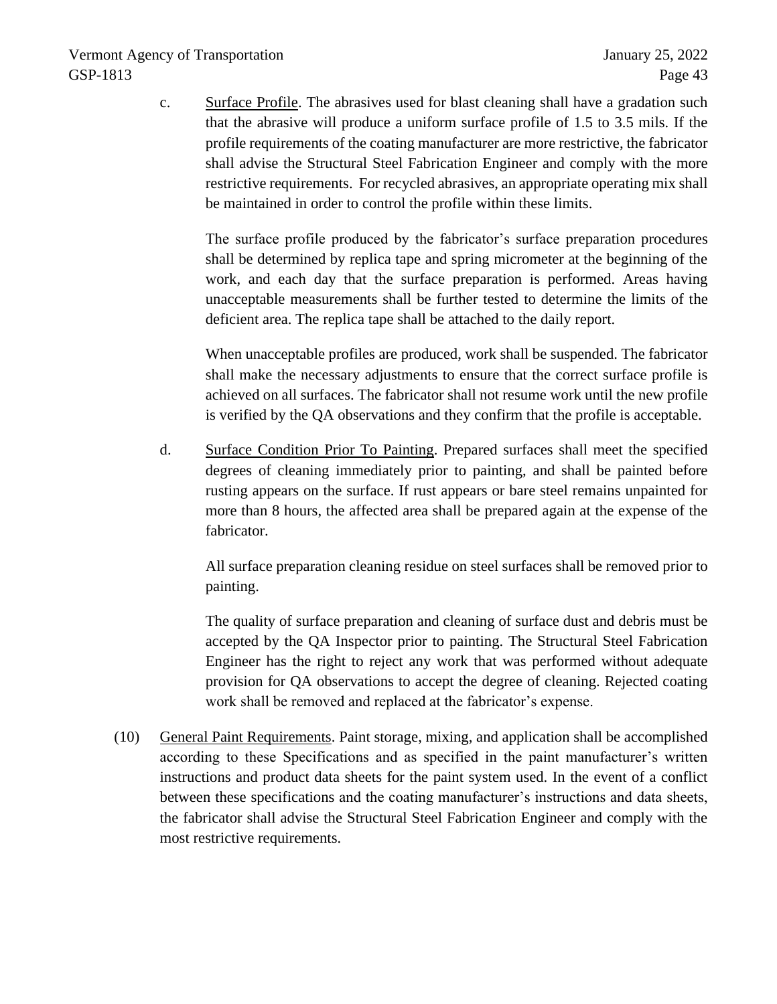c. Surface Profile. The abrasives used for blast cleaning shall have a gradation such that the abrasive will produce a uniform surface profile of 1.5 to 3.5 mils. If the profile requirements of the coating manufacturer are more restrictive, the fabricator shall advise the Structural Steel Fabrication Engineer and comply with the more restrictive requirements. For recycled abrasives, an appropriate operating mix shall be maintained in order to control the profile within these limits.

The surface profile produced by the fabricator's surface preparation procedures shall be determined by replica tape and spring micrometer at the beginning of the work, and each day that the surface preparation is performed. Areas having unacceptable measurements shall be further tested to determine the limits of the deficient area. The replica tape shall be attached to the daily report.

When unacceptable profiles are produced, work shall be suspended. The fabricator shall make the necessary adjustments to ensure that the correct surface profile is achieved on all surfaces. The fabricator shall not resume work until the new profile is verified by the QA observations and they confirm that the profile is acceptable.

d. Surface Condition Prior To Painting. Prepared surfaces shall meet the specified degrees of cleaning immediately prior to painting, and shall be painted before rusting appears on the surface. If rust appears or bare steel remains unpainted for more than 8 hours, the affected area shall be prepared again at the expense of the fabricator.

All surface preparation cleaning residue on steel surfaces shall be removed prior to painting.

The quality of surface preparation and cleaning of surface dust and debris must be accepted by the QA Inspector prior to painting. The Structural Steel Fabrication Engineer has the right to reject any work that was performed without adequate provision for QA observations to accept the degree of cleaning. Rejected coating work shall be removed and replaced at the fabricator's expense.

(10) General Paint Requirements. Paint storage, mixing, and application shall be accomplished according to these Specifications and as specified in the paint manufacturer's written instructions and product data sheets for the paint system used. In the event of a conflict between these specifications and the coating manufacturer's instructions and data sheets, the fabricator shall advise the Structural Steel Fabrication Engineer and comply with the most restrictive requirements.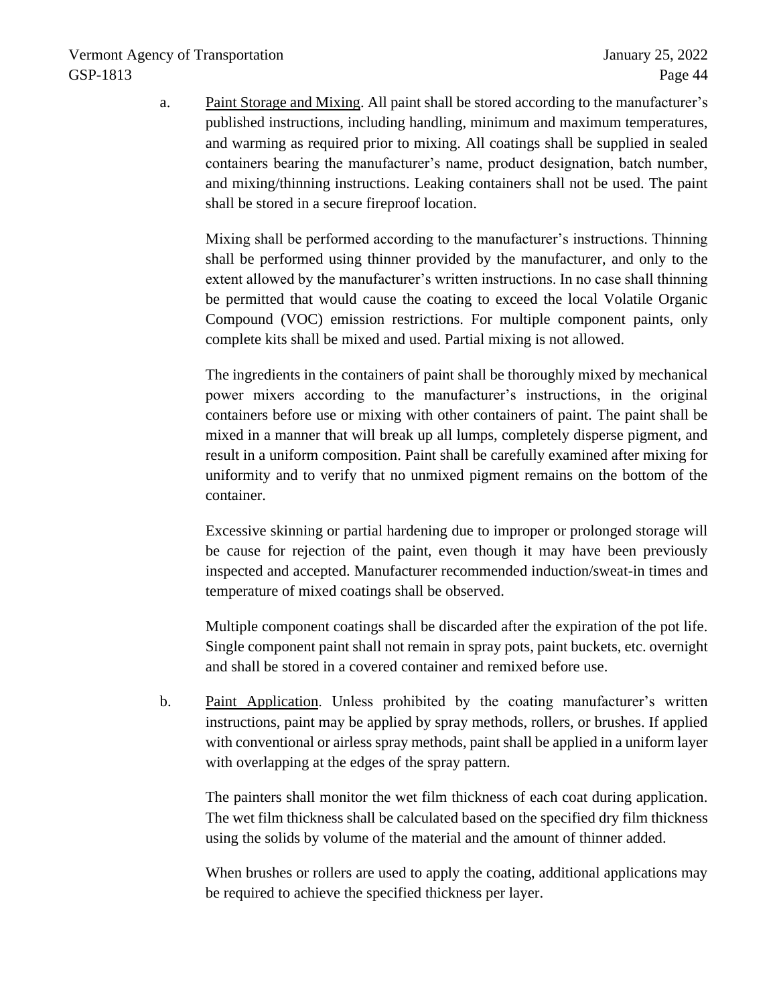a. Paint Storage and Mixing. All paint shall be stored according to the manufacturer's published instructions, including handling, minimum and maximum temperatures, and warming as required prior to mixing. All coatings shall be supplied in sealed containers bearing the manufacturer's name, product designation, batch number, and mixing/thinning instructions. Leaking containers shall not be used. The paint shall be stored in a secure fireproof location.

Mixing shall be performed according to the manufacturer's instructions. Thinning shall be performed using thinner provided by the manufacturer, and only to the extent allowed by the manufacturer's written instructions. In no case shall thinning be permitted that would cause the coating to exceed the local Volatile Organic Compound (VOC) emission restrictions. For multiple component paints, only complete kits shall be mixed and used. Partial mixing is not allowed.

The ingredients in the containers of paint shall be thoroughly mixed by mechanical power mixers according to the manufacturer's instructions, in the original containers before use or mixing with other containers of paint. The paint shall be mixed in a manner that will break up all lumps, completely disperse pigment, and result in a uniform composition. Paint shall be carefully examined after mixing for uniformity and to verify that no unmixed pigment remains on the bottom of the container.

Excessive skinning or partial hardening due to improper or prolonged storage will be cause for rejection of the paint, even though it may have been previously inspected and accepted. Manufacturer recommended induction/sweat-in times and temperature of mixed coatings shall be observed.

Multiple component coatings shall be discarded after the expiration of the pot life. Single component paint shall not remain in spray pots, paint buckets, etc. overnight and shall be stored in a covered container and remixed before use.

b. Paint Application. Unless prohibited by the coating manufacturer's written instructions, paint may be applied by spray methods, rollers, or brushes. If applied with conventional or airless spray methods, paint shall be applied in a uniform layer with overlapping at the edges of the spray pattern.

The painters shall monitor the wet film thickness of each coat during application. The wet film thickness shall be calculated based on the specified dry film thickness using the solids by volume of the material and the amount of thinner added.

When brushes or rollers are used to apply the coating, additional applications may be required to achieve the specified thickness per layer.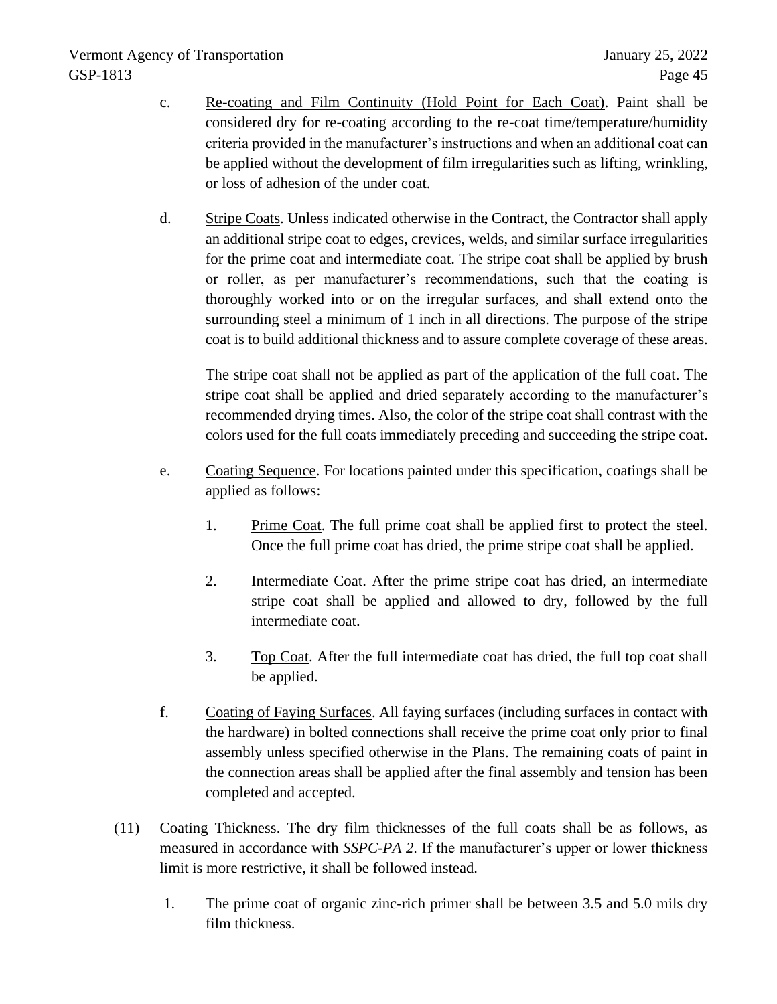- c. Re-coating and Film Continuity (Hold Point for Each Coat). Paint shall be considered dry for re-coating according to the re-coat time/temperature/humidity criteria provided in the manufacturer's instructions and when an additional coat can be applied without the development of film irregularities such as lifting, wrinkling, or loss of adhesion of the under coat.
- d. Stripe Coats. Unless indicated otherwise in the Contract, the Contractor shall apply an additional stripe coat to edges, crevices, welds, and similar surface irregularities for the prime coat and intermediate coat. The stripe coat shall be applied by brush or roller, as per manufacturer's recommendations, such that the coating is thoroughly worked into or on the irregular surfaces, and shall extend onto the surrounding steel a minimum of 1 inch in all directions. The purpose of the stripe coat is to build additional thickness and to assure complete coverage of these areas.

The stripe coat shall not be applied as part of the application of the full coat. The stripe coat shall be applied and dried separately according to the manufacturer's recommended drying times. Also, the color of the stripe coat shall contrast with the colors used for the full coats immediately preceding and succeeding the stripe coat.

- e. Coating Sequence. For locations painted under this specification, coatings shall be applied as follows:
	- 1. Prime Coat. The full prime coat shall be applied first to protect the steel. Once the full prime coat has dried, the prime stripe coat shall be applied.
	- 2. Intermediate Coat. After the prime stripe coat has dried, an intermediate stripe coat shall be applied and allowed to dry, followed by the full intermediate coat.
	- 3. Top Coat. After the full intermediate coat has dried, the full top coat shall be applied.
- f. Coating of Faying Surfaces. All faying surfaces (including surfaces in contact with the hardware) in bolted connections shall receive the prime coat only prior to final assembly unless specified otherwise in the Plans. The remaining coats of paint in the connection areas shall be applied after the final assembly and tension has been completed and accepted.
- (11) Coating Thickness. The dry film thicknesses of the full coats shall be as follows, as measured in accordance with *SSPC-PA 2*. If the manufacturer's upper or lower thickness limit is more restrictive, it shall be followed instead.
	- 1. The prime coat of organic zinc-rich primer shall be between 3.5 and 5.0 mils dry film thickness.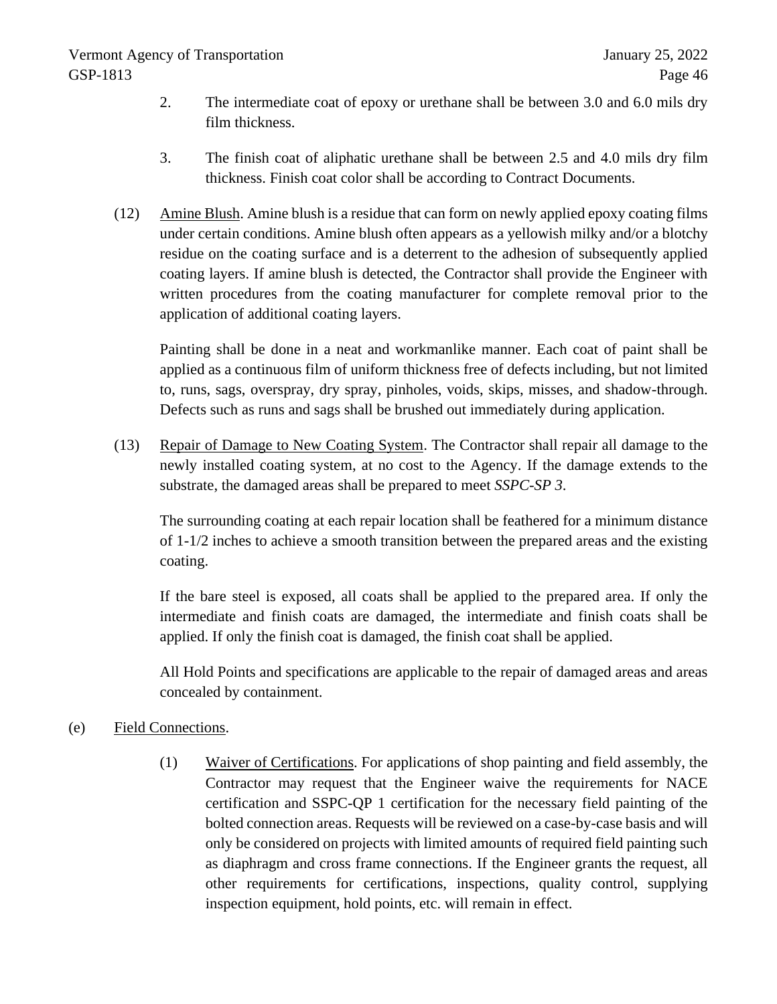- 2. The intermediate coat of epoxy or urethane shall be between 3.0 and 6.0 mils dry film thickness.
- 3. The finish coat of aliphatic urethane shall be between 2.5 and 4.0 mils dry film thickness. Finish coat color shall be according to Contract Documents.
- (12) Amine Blush. Amine blush is a residue that can form on newly applied epoxy coating films under certain conditions. Amine blush often appears as a yellowish milky and/or a blotchy residue on the coating surface and is a deterrent to the adhesion of subsequently applied coating layers. If amine blush is detected, the Contractor shall provide the Engineer with written procedures from the coating manufacturer for complete removal prior to the application of additional coating layers.

Painting shall be done in a neat and workmanlike manner. Each coat of paint shall be applied as a continuous film of uniform thickness free of defects including, but not limited to, runs, sags, overspray, dry spray, pinholes, voids, skips, misses, and shadow-through. Defects such as runs and sags shall be brushed out immediately during application.

(13) Repair of Damage to New Coating System. The Contractor shall repair all damage to the newly installed coating system, at no cost to the Agency. If the damage extends to the substrate, the damaged areas shall be prepared to meet *SSPC-SP 3*.

The surrounding coating at each repair location shall be feathered for a minimum distance of 1-1/2 inches to achieve a smooth transition between the prepared areas and the existing coating.

If the bare steel is exposed, all coats shall be applied to the prepared area. If only the intermediate and finish coats are damaged, the intermediate and finish coats shall be applied. If only the finish coat is damaged, the finish coat shall be applied.

All Hold Points and specifications are applicable to the repair of damaged areas and areas concealed by containment.

# (e) Field Connections.

(1) Waiver of Certifications. For applications of shop painting and field assembly, the Contractor may request that the Engineer waive the requirements for NACE certification and SSPC-QP 1 certification for the necessary field painting of the bolted connection areas. Requests will be reviewed on a case-by-case basis and will only be considered on projects with limited amounts of required field painting such as diaphragm and cross frame connections. If the Engineer grants the request, all other requirements for certifications, inspections, quality control, supplying inspection equipment, hold points, etc. will remain in effect.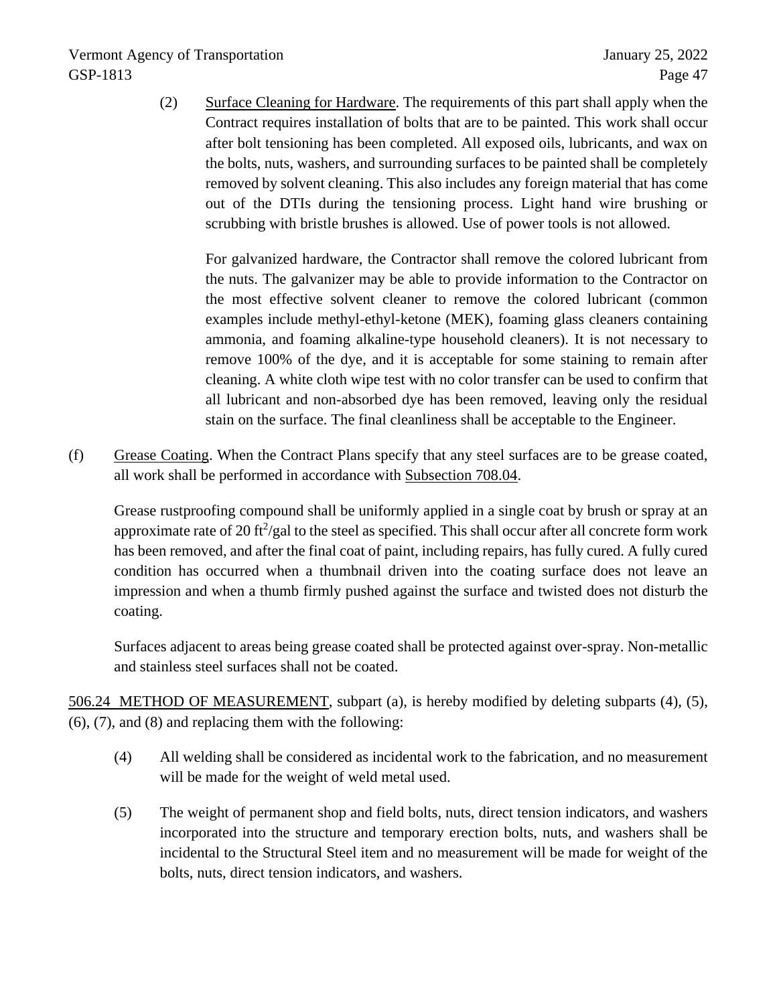(2) Surface Cleaning for Hardware. The requirements of this part shall apply when the Contract requires installation of bolts that are to be painted. This work shall occur after bolt tensioning has been completed. All exposed oils, lubricants, and wax on the bolts, nuts, washers, and surrounding surfaces to be painted shall be completely removed by solvent cleaning. This also includes any foreign material that has come out of the DTIs during the tensioning process. Light hand wire brushing or scrubbing with bristle brushes is allowed. Use of power tools is not allowed.

For galvanized hardware, the Contractor shall remove the colored lubricant from the nuts. The galvanizer may be able to provide information to the Contractor on the most effective solvent cleaner to remove the colored lubricant (common examples include methyl-ethyl-ketone (MEK), foaming glass cleaners containing ammonia, and foaming alkaline-type household cleaners). It is not necessary to remove 100% of the dye, and it is acceptable for some staining to remain after cleaning. A white cloth wipe test with no color transfer can be used to confirm that all lubricant and non-absorbed dye has been removed, leaving only the residual stain on the surface. The final cleanliness shall be acceptable to the Engineer.

(f) Grease Coating. When the Contract Plans specify that any steel surfaces are to be grease coated, all work shall be performed in accordance with Subsection 708.04.

Grease rustproofing compound shall be uniformly applied in a single coat by brush or spray at an approximate rate of 20 ft<sup>2</sup>/gal to the steel as specified. This shall occur after all concrete form work has been removed, and after the final coat of paint, including repairs, has fully cured. A fully cured condition has occurred when a thumbnail driven into the coating surface does not leave an impression and when a thumb firmly pushed against the surface and twisted does not disturb the coating.

Surfaces adjacent to areas being grease coated shall be protected against over-spray. Non-metallic and stainless steel surfaces shall not be coated.

506.24 METHOD OF MEASUREMENT, subpart (a), is hereby modified by deleting subparts (4), (5), (6), (7), and (8) and replacing them with the following:

- (4) All welding shall be considered as incidental work to the fabrication, and no measurement will be made for the weight of weld metal used.
- (5) The weight of permanent shop and field bolts, nuts, direct tension indicators, and washers incorporated into the structure and temporary erection bolts, nuts, and washers shall be incidental to the Structural Steel item and no measurement will be made for weight of the bolts, nuts, direct tension indicators, and washers.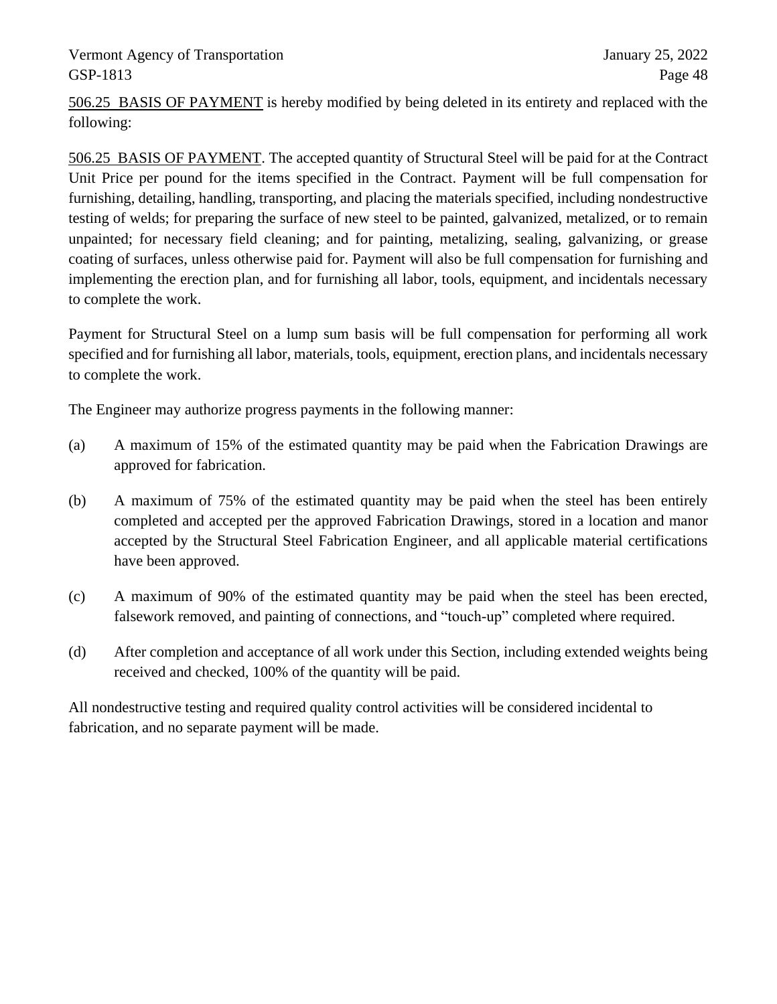506.25 BASIS OF PAYMENT is hereby modified by being deleted in its entirety and replaced with the following:

506.25 BASIS OF PAYMENT. The accepted quantity of Structural Steel will be paid for at the Contract Unit Price per pound for the items specified in the Contract. Payment will be full compensation for furnishing, detailing, handling, transporting, and placing the materials specified, including nondestructive testing of welds; for preparing the surface of new steel to be painted, galvanized, metalized, or to remain unpainted; for necessary field cleaning; and for painting, metalizing, sealing, galvanizing, or grease coating of surfaces, unless otherwise paid for. Payment will also be full compensation for furnishing and implementing the erection plan, and for furnishing all labor, tools, equipment, and incidentals necessary to complete the work.

Payment for Structural Steel on a lump sum basis will be full compensation for performing all work specified and for furnishing all labor, materials, tools, equipment, erection plans, and incidentals necessary to complete the work.

The Engineer may authorize progress payments in the following manner:

- (a) A maximum of 15% of the estimated quantity may be paid when the Fabrication Drawings are approved for fabrication.
- (b) A maximum of 75% of the estimated quantity may be paid when the steel has been entirely completed and accepted per the approved Fabrication Drawings, stored in a location and manor accepted by the Structural Steel Fabrication Engineer, and all applicable material certifications have been approved.
- (c) A maximum of 90% of the estimated quantity may be paid when the steel has been erected, falsework removed, and painting of connections, and "touch-up" completed where required.
- (d) After completion and acceptance of all work under this Section, including extended weights being received and checked, 100% of the quantity will be paid.

All nondestructive testing and required quality control activities will be considered incidental to fabrication, and no separate payment will be made.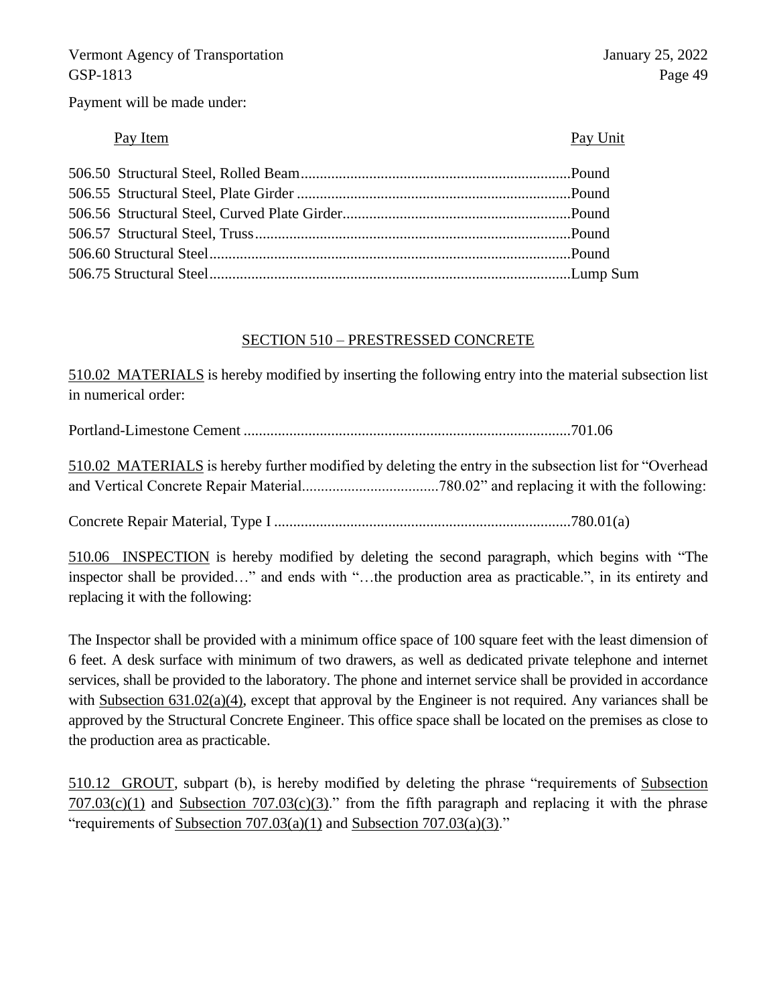Payment will be made under:

## Pay Item Pay Unit

# SECTION 510 – PRESTRESSED CONCRETE

510.02 MATERIALS is hereby modified by inserting the following entry into the material subsection list in numerical order:

Portland-Limestone Cement ......................................................................................701.06

510.02 MATERIALS is hereby further modified by deleting the entry in the subsection list for "Overhead and Vertical Concrete Repair Material....................................780.02" and replacing it with the following:

Concrete Repair Material, Type I ..............................................................................780.01(a)

510.06 INSPECTION is hereby modified by deleting the second paragraph, which begins with "The inspector shall be provided…" and ends with "…the production area as practicable.", in its entirety and replacing it with the following:

The Inspector shall be provided with a minimum office space of 100 square feet with the least dimension of 6 feet. A desk surface with minimum of two drawers, as well as dedicated private telephone and internet services, shall be provided to the laboratory. The phone and internet service shall be provided in accordance with Subsection 631.02(a)(4), except that approval by the Engineer is not required. Any variances shall be approved by the Structural Concrete Engineer. This office space shall be located on the premises as close to the production area as practicable.

510.12 GROUT, subpart (b), is hereby modified by deleting the phrase "requirements of Subsection  $707.03(c)(1)$  and Subsection  $707.03(c)(3)$ ." from the fifth paragraph and replacing it with the phrase "requirements of Subsection  $707.03(a)(1)$  and Subsection  $707.03(a)(3)$ ."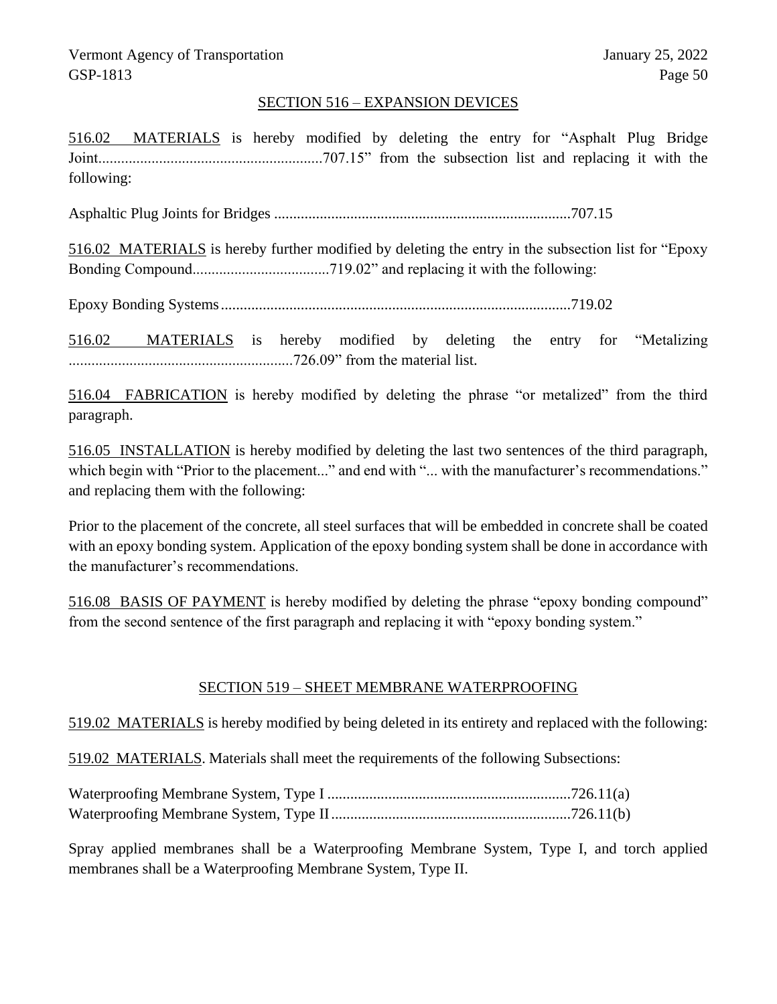## SECTION 516 – EXPANSION DEVICES

516.02 MATERIALS is hereby modified by deleting the entry for "Asphalt Plug Bridge Joint...........................................................707.15" from the subsection list and replacing it with the following:

Asphaltic Plug Joints for Bridges ..............................................................................707.15

516.02 MATERIALS is hereby further modified by deleting the entry in the subsection list for "Epoxy Bonding Compound....................................719.02" and replacing it with the following:

Epoxy Bonding Systems............................................................................................719.02

516.02 MATERIALS is hereby modified by deleting the entry for "Metalizing ...........................................................726.09" from the material list.

516.04 FABRICATION is hereby modified by deleting the phrase "or metalized" from the third paragraph.

516.05 INSTALLATION is hereby modified by deleting the last two sentences of the third paragraph, which begin with "Prior to the placement..." and end with "... with the manufacturer's recommendations." and replacing them with the following:

Prior to the placement of the concrete, all steel surfaces that will be embedded in concrete shall be coated with an epoxy bonding system. Application of the epoxy bonding system shall be done in accordance with the manufacturer's recommendations.

516.08 BASIS OF PAYMENT is hereby modified by deleting the phrase "epoxy bonding compound" from the second sentence of the first paragraph and replacing it with "epoxy bonding system."

## SECTION 519 – SHEET MEMBRANE WATERPROOFING

519.02 MATERIALS is hereby modified by being deleted in its entirety and replaced with the following:

519.02 MATERIALS. Materials shall meet the requirements of the following Subsections:

Spray applied membranes shall be a Waterproofing Membrane System, Type I, and torch applied membranes shall be a Waterproofing Membrane System, Type II.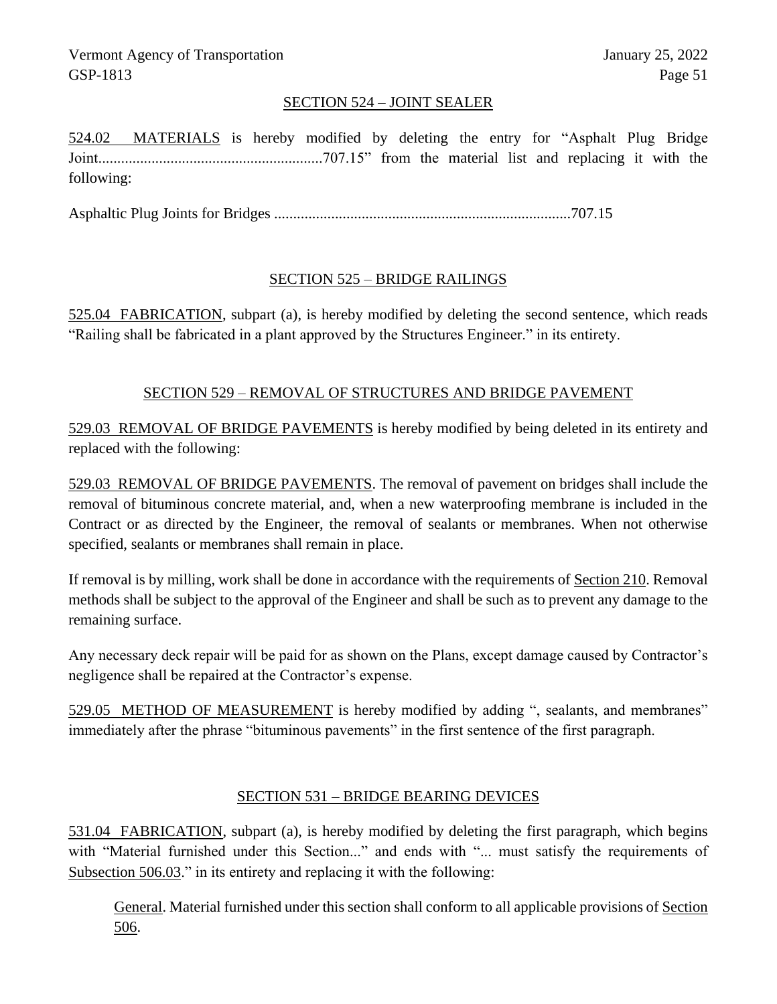# SECTION 524 – JOINT SEALER

524.02 MATERIALS is hereby modified by deleting the entry for "Asphalt Plug Bridge Joint...........................................................707.15" from the material list and replacing it with the following:

Asphaltic Plug Joints for Bridges ..............................................................................707.15

# SECTION 525 – BRIDGE RAILINGS

525.04 FABRICATION, subpart (a), is hereby modified by deleting the second sentence, which reads "Railing shall be fabricated in a plant approved by the Structures Engineer." in its entirety.

# SECTION 529 – REMOVAL OF STRUCTURES AND BRIDGE PAVEMENT

529.03 REMOVAL OF BRIDGE PAVEMENTS is hereby modified by being deleted in its entirety and replaced with the following:

529.03 REMOVAL OF BRIDGE PAVEMENTS. The removal of pavement on bridges shall include the removal of bituminous concrete material, and, when a new waterproofing membrane is included in the Contract or as directed by the Engineer, the removal of sealants or membranes. When not otherwise specified, sealants or membranes shall remain in place.

If removal is by milling, work shall be done in accordance with the requirements of Section 210. Removal methods shall be subject to the approval of the Engineer and shall be such as to prevent any damage to the remaining surface.

Any necessary deck repair will be paid for as shown on the Plans, except damage caused by Contractor's negligence shall be repaired at the Contractor's expense.

529.05 METHOD OF MEASUREMENT is hereby modified by adding ", sealants, and membranes" immediately after the phrase "bituminous pavements" in the first sentence of the first paragraph.

## SECTION 531 – BRIDGE BEARING DEVICES

531.04 FABRICATION, subpart (a), is hereby modified by deleting the first paragraph, which begins with "Material furnished under this Section..." and ends with "... must satisfy the requirements of Subsection 506.03." in its entirety and replacing it with the following:

General. Material furnished under this section shall conform to all applicable provisions of Section 506.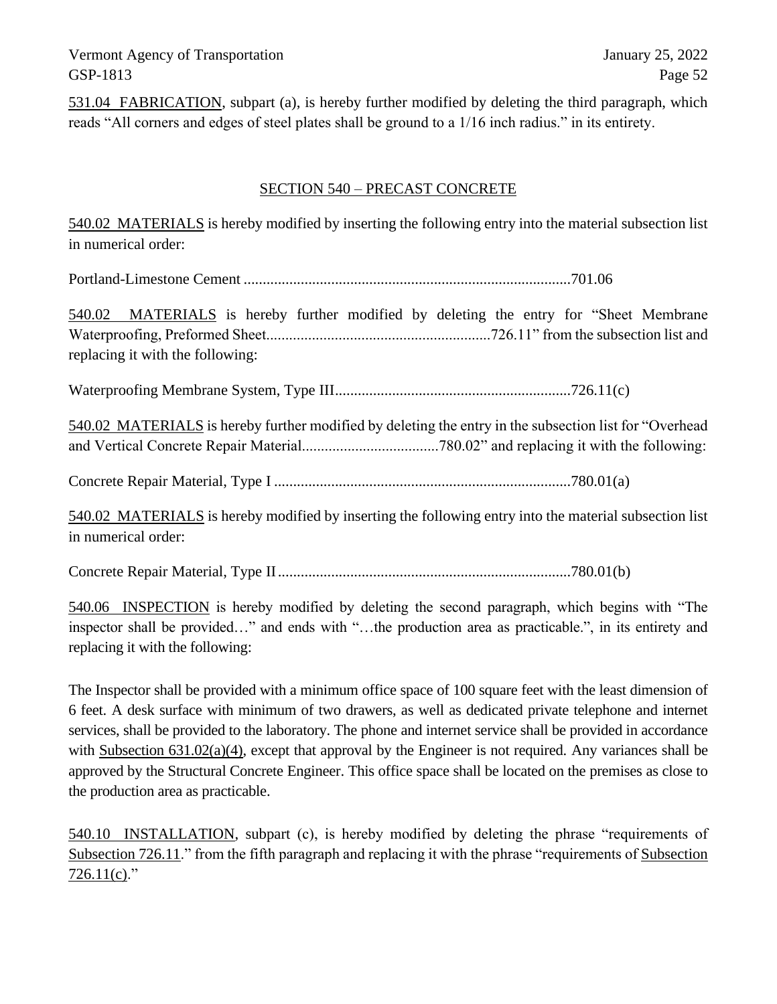531.04 FABRICATION, subpart (a), is hereby further modified by deleting the third paragraph, which reads "All corners and edges of steel plates shall be ground to a 1/16 inch radius." in its entirety.

## SECTION 540 – PRECAST CONCRETE

540.02 MATERIALS is hereby modified by inserting the following entry into the material subsection list in numerical order:

Portland-Limestone Cement ......................................................................................701.06

540.02 MATERIALS is hereby further modified by deleting the entry for "Sheet Membrane Waterproofing, Preformed Sheet...........................................................726.11" from the subsection list and replacing it with the following:

Waterproofing Membrane System, Type III..............................................................726.11(c)

540.02 MATERIALS is hereby further modified by deleting the entry in the subsection list for "Overhead and Vertical Concrete Repair Material....................................780.02" and replacing it with the following:

Concrete Repair Material, Type I ..............................................................................780.01(a)

540.02 MATERIALS is hereby modified by inserting the following entry into the material subsection list in numerical order:

Concrete Repair Material, Type II.............................................................................780.01(b)

540.06 INSPECTION is hereby modified by deleting the second paragraph, which begins with "The inspector shall be provided…" and ends with "…the production area as practicable.", in its entirety and replacing it with the following:

The Inspector shall be provided with a minimum office space of 100 square feet with the least dimension of 6 feet. A desk surface with minimum of two drawers, as well as dedicated private telephone and internet services, shall be provided to the laboratory. The phone and internet service shall be provided in accordance with Subsection 631.02(a)(4), except that approval by the Engineer is not required. Any variances shall be approved by the Structural Concrete Engineer. This office space shall be located on the premises as close to the production area as practicable.

540.10 INSTALLATION, subpart (c), is hereby modified by deleting the phrase "requirements of Subsection 726.11." from the fifth paragraph and replacing it with the phrase "requirements of Subsection  $726.11(c)$ ."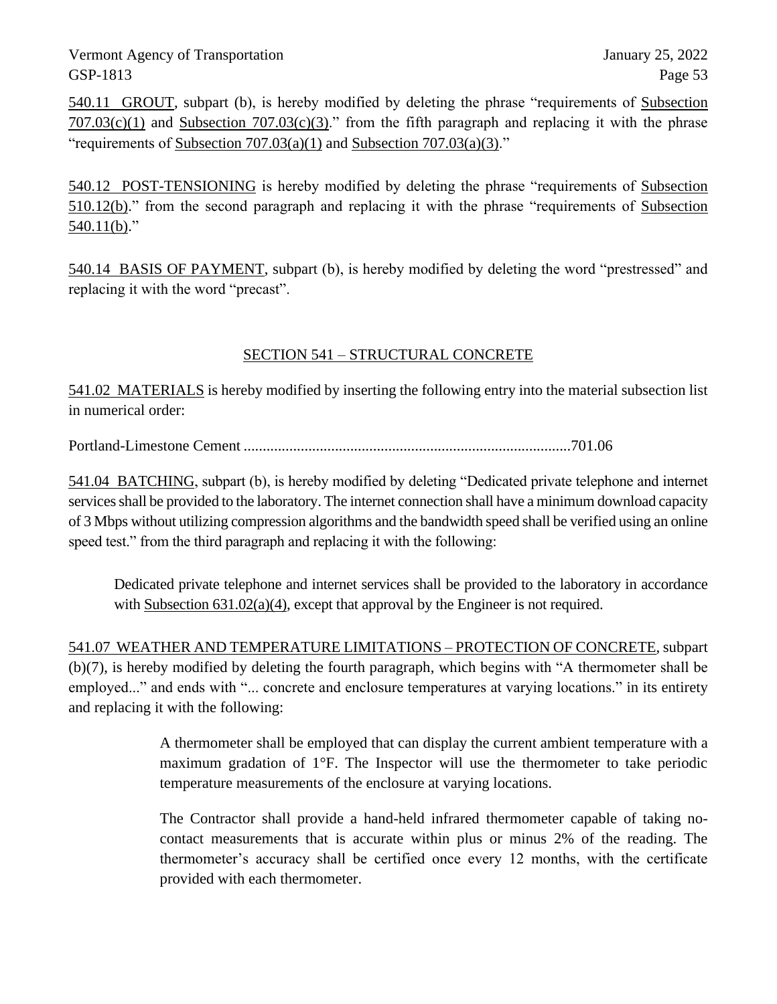540.11 GROUT, subpart (b), is hereby modified by deleting the phrase "requirements of Subsection  $707.03(c)(1)$  and Subsection  $707.03(c)(3)$ ." from the fifth paragraph and replacing it with the phrase "requirements of Subsection  $707.03(a)(1)$  and Subsection  $707.03(a)(3)$ ."

540.12 POST-TENSIONING is hereby modified by deleting the phrase "requirements of Subsection 510.12(b)." from the second paragraph and replacing it with the phrase "requirements of Subsection  $540.11(b)$ ."

540.14 BASIS OF PAYMENT, subpart (b), is hereby modified by deleting the word "prestressed" and replacing it with the word "precast".

# SECTION 541 – STRUCTURAL CONCRETE

541.02 MATERIALS is hereby modified by inserting the following entry into the material subsection list in numerical order:

Portland-Limestone Cement ......................................................................................701.06

541.04 BATCHING, subpart (b), is hereby modified by deleting "Dedicated private telephone and internet services shall be provided to the laboratory. The internet connection shall have a minimum download capacity of 3 Mbps without utilizing compression algorithms and the bandwidth speed shall be verified using an online speed test." from the third paragraph and replacing it with the following:

Dedicated private telephone and internet services shall be provided to the laboratory in accordance with Subsection  $631.02(a)(4)$ , except that approval by the Engineer is not required.

541.07 WEATHER AND TEMPERATURE LIMITATIONS – PROTECTION OF CONCRETE, subpart (b)(7), is hereby modified by deleting the fourth paragraph, which begins with "A thermometer shall be employed..." and ends with "... concrete and enclosure temperatures at varying locations." in its entirety and replacing it with the following:

> A thermometer shall be employed that can display the current ambient temperature with a maximum gradation of 1°F. The Inspector will use the thermometer to take periodic temperature measurements of the enclosure at varying locations.

> The Contractor shall provide a hand-held infrared thermometer capable of taking nocontact measurements that is accurate within plus or minus 2% of the reading. The thermometer's accuracy shall be certified once every 12 months, with the certificate provided with each thermometer.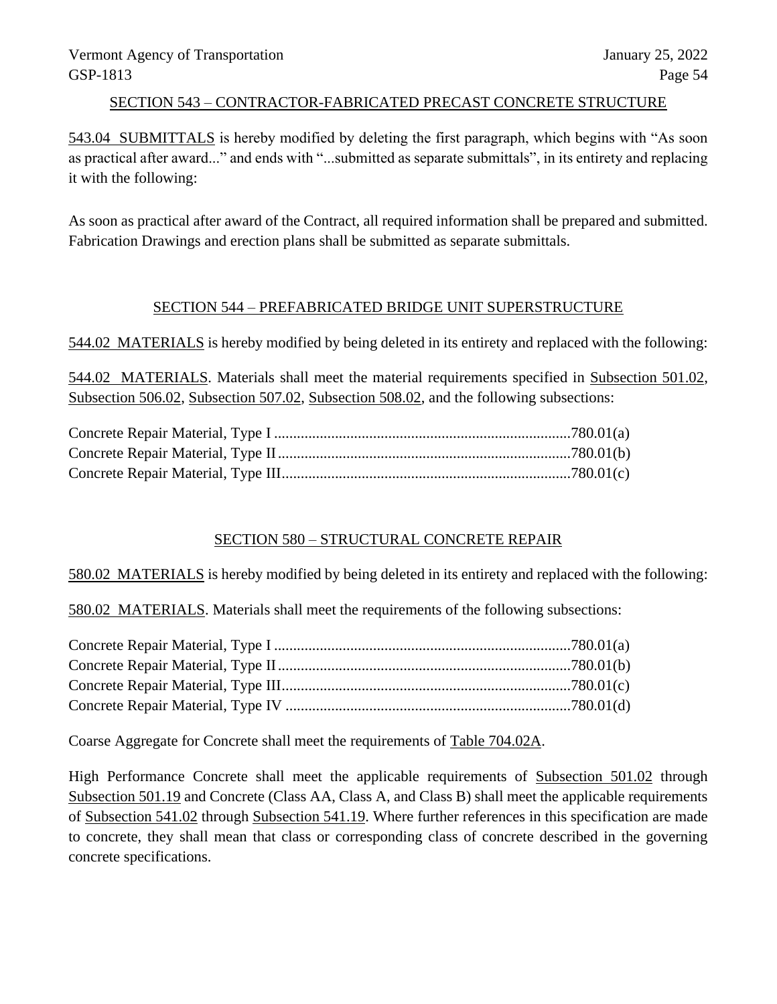## SECTION 543 – CONTRACTOR-FABRICATED PRECAST CONCRETE STRUCTURE

543.04 SUBMITTALS is hereby modified by deleting the first paragraph, which begins with "As soon as practical after award..." and ends with "...submitted as separate submittals", in its entirety and replacing it with the following:

As soon as practical after award of the Contract, all required information shall be prepared and submitted. Fabrication Drawings and erection plans shall be submitted as separate submittals.

# SECTION 544 – PREFABRICATED BRIDGE UNIT SUPERSTRUCTURE

544.02 MATERIALS is hereby modified by being deleted in its entirety and replaced with the following:

544.02 MATERIALS. Materials shall meet the material requirements specified in Subsection 501.02, Subsection 506.02, Subsection 507.02, Subsection 508.02, and the following subsections:

## SECTION 580 – STRUCTURAL CONCRETE REPAIR

580.02 MATERIALS is hereby modified by being deleted in its entirety and replaced with the following:

580.02 MATERIALS. Materials shall meet the requirements of the following subsections:

Coarse Aggregate for Concrete shall meet the requirements of Table 704.02A.

High Performance Concrete shall meet the applicable requirements of Subsection 501.02 through Subsection 501.19 and Concrete (Class AA, Class A, and Class B) shall meet the applicable requirements of Subsection 541.02 through Subsection 541.19. Where further references in this specification are made to concrete, they shall mean that class or corresponding class of concrete described in the governing concrete specifications.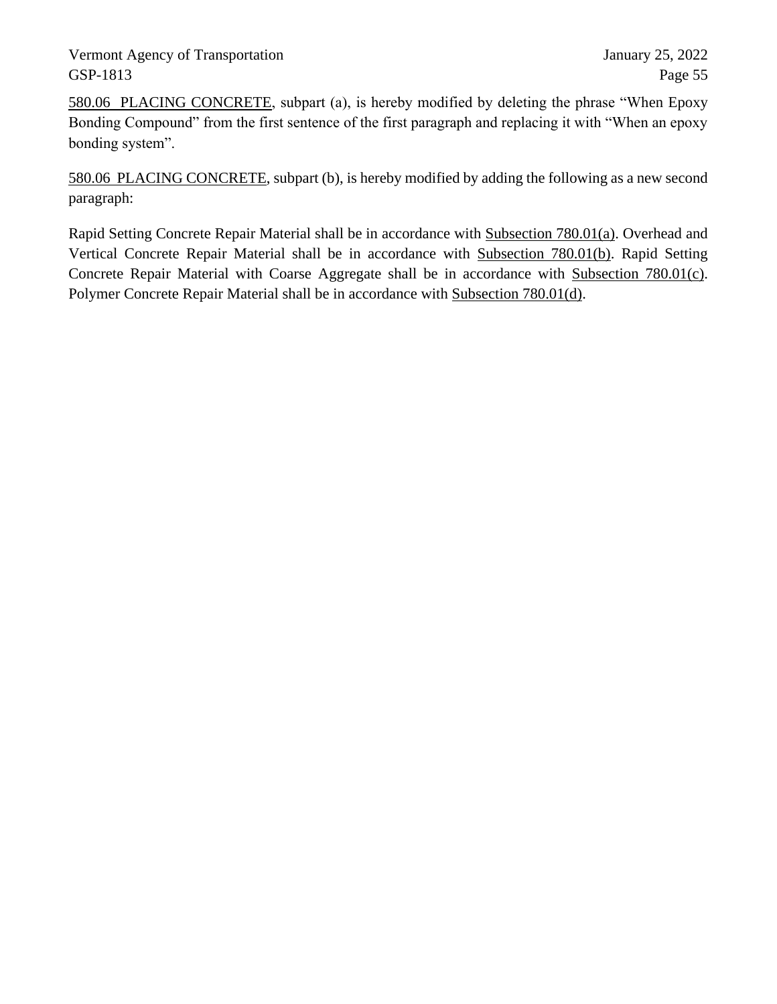580.06 PLACING CONCRETE, subpart (a), is hereby modified by deleting the phrase "When Epoxy Bonding Compound" from the first sentence of the first paragraph and replacing it with "When an epoxy bonding system".

580.06 PLACING CONCRETE, subpart (b), is hereby modified by adding the following as a new second paragraph:

Rapid Setting Concrete Repair Material shall be in accordance with Subsection 780.01(a). Overhead and Vertical Concrete Repair Material shall be in accordance with Subsection 780.01(b). Rapid Setting Concrete Repair Material with Coarse Aggregate shall be in accordance with Subsection 780.01(c). Polymer Concrete Repair Material shall be in accordance with Subsection 780.01(d).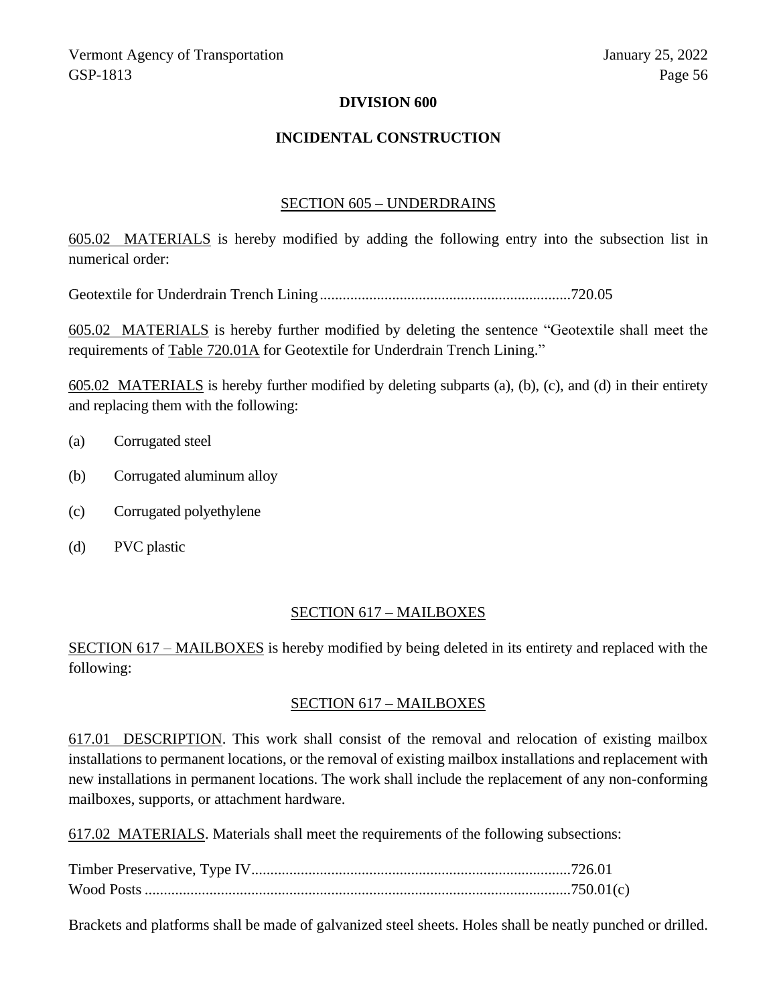## **DIVISION 600**

#### **INCIDENTAL CONSTRUCTION**

#### SECTION 605 – UNDERDRAINS

605.02 MATERIALS is hereby modified by adding the following entry into the subsection list in numerical order:

Geotextile for Underdrain Trench Lining..................................................................720.05

605.02 MATERIALS is hereby further modified by deleting the sentence "Geotextile shall meet the requirements of Table 720.01A for Geotextile for Underdrain Trench Lining."

605.02 MATERIALS is hereby further modified by deleting subparts (a), (b), (c), and (d) in their entirety and replacing them with the following:

- (a) Corrugated steel
- (b) Corrugated aluminum alloy
- (c) Corrugated polyethylene
- (d) PVC plastic

#### SECTION 617 – MAILBOXES

SECTION 617 – MAILBOXES is hereby modified by being deleted in its entirety and replaced with the following:

#### SECTION 617 – MAILBOXES

617.01 DESCRIPTION. This work shall consist of the removal and relocation of existing mailbox installations to permanent locations, or the removal of existing mailbox installations and replacement with new installations in permanent locations. The work shall include the replacement of any non-conforming mailboxes, supports, or attachment hardware.

617.02 MATERIALS. Materials shall meet the requirements of the following subsections:

Brackets and platforms shall be made of galvanized steel sheets. Holes shall be neatly punched or drilled.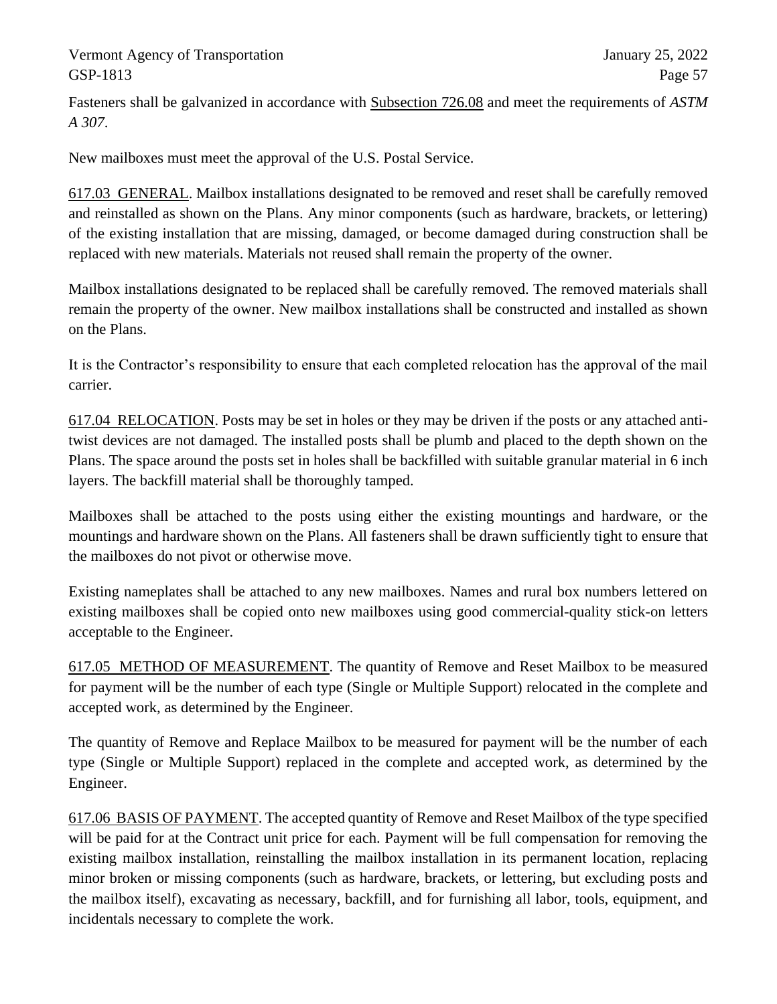Fasteners shall be galvanized in accordance with Subsection 726.08 and meet the requirements of *ASTM A 307*.

New mailboxes must meet the approval of the U.S. Postal Service.

617.03 GENERAL. Mailbox installations designated to be removed and reset shall be carefully removed and reinstalled as shown on the Plans. Any minor components (such as hardware, brackets, or lettering) of the existing installation that are missing, damaged, or become damaged during construction shall be replaced with new materials. Materials not reused shall remain the property of the owner.

Mailbox installations designated to be replaced shall be carefully removed. The removed materials shall remain the property of the owner. New mailbox installations shall be constructed and installed as shown on the Plans.

It is the Contractor's responsibility to ensure that each completed relocation has the approval of the mail carrier.

617.04 RELOCATION. Posts may be set in holes or they may be driven if the posts or any attached antitwist devices are not damaged. The installed posts shall be plumb and placed to the depth shown on the Plans. The space around the posts set in holes shall be backfilled with suitable granular material in 6 inch layers. The backfill material shall be thoroughly tamped.

Mailboxes shall be attached to the posts using either the existing mountings and hardware, or the mountings and hardware shown on the Plans. All fasteners shall be drawn sufficiently tight to ensure that the mailboxes do not pivot or otherwise move.

Existing nameplates shall be attached to any new mailboxes. Names and rural box numbers lettered on existing mailboxes shall be copied onto new mailboxes using good commercial-quality stick-on letters acceptable to the Engineer.

617.05 METHOD OF MEASUREMENT. The quantity of Remove and Reset Mailbox to be measured for payment will be the number of each type (Single or Multiple Support) relocated in the complete and accepted work, as determined by the Engineer.

The quantity of Remove and Replace Mailbox to be measured for payment will be the number of each type (Single or Multiple Support) replaced in the complete and accepted work, as determined by the Engineer.

617.06 BASIS OF PAYMENT. The accepted quantity of Remove and Reset Mailbox of the type specified will be paid for at the Contract unit price for each. Payment will be full compensation for removing the existing mailbox installation, reinstalling the mailbox installation in its permanent location, replacing minor broken or missing components (such as hardware, brackets, or lettering, but excluding posts and the mailbox itself), excavating as necessary, backfill, and for furnishing all labor, tools, equipment, and incidentals necessary to complete the work.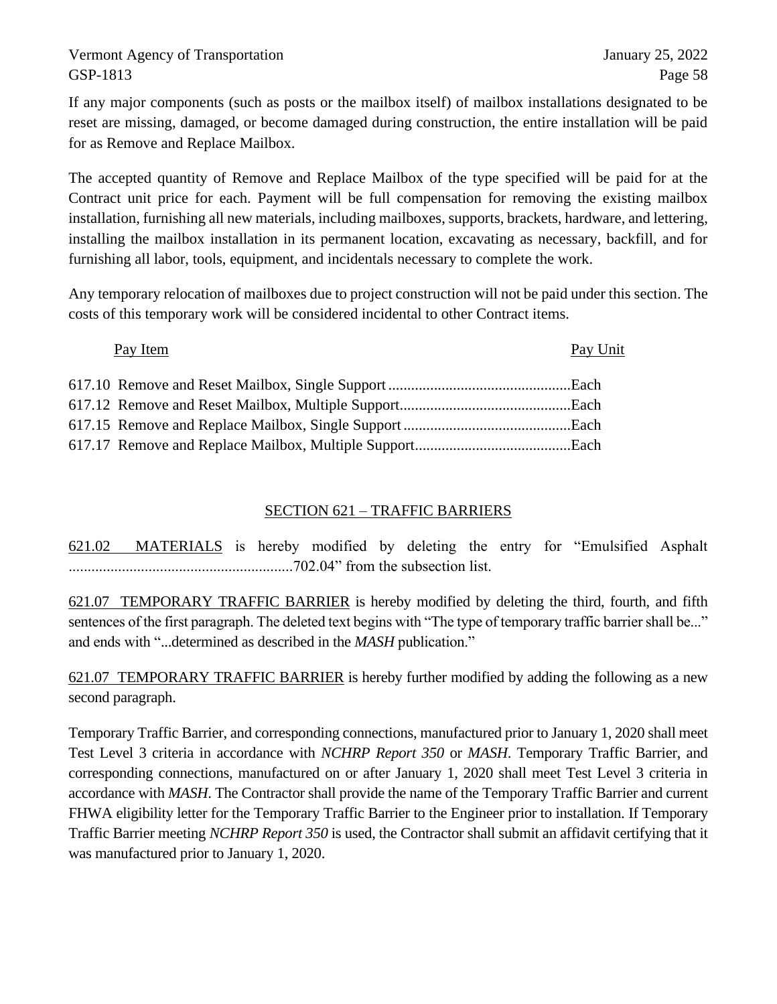If any major components (such as posts or the mailbox itself) of mailbox installations designated to be reset are missing, damaged, or become damaged during construction, the entire installation will be paid for as Remove and Replace Mailbox.

The accepted quantity of Remove and Replace Mailbox of the type specified will be paid for at the Contract unit price for each. Payment will be full compensation for removing the existing mailbox installation, furnishing all new materials, including mailboxes, supports, brackets, hardware, and lettering, installing the mailbox installation in its permanent location, excavating as necessary, backfill, and for furnishing all labor, tools, equipment, and incidentals necessary to complete the work.

Any temporary relocation of mailboxes due to project construction will not be paid under this section. The costs of this temporary work will be considered incidental to other Contract items.

Pay Item Pay Unit

# SECTION 621 – TRAFFIC BARRIERS

621.02 MATERIALS is hereby modified by deleting the entry for "Emulsified Asphalt ...........................................................702.04" from the subsection list.

621.07 TEMPORARY TRAFFIC BARRIER is hereby modified by deleting the third, fourth, and fifth sentences of the first paragraph. The deleted text begins with "The type of temporary traffic barrier shall be..." and ends with "...determined as described in the *MASH* publication."

621.07 TEMPORARY TRAFFIC BARRIER is hereby further modified by adding the following as a new second paragraph.

Temporary Traffic Barrier, and corresponding connections, manufactured prior to January 1, 2020 shall meet Test Level 3 criteria in accordance with *NCHRP Report 350* or *MASH*. Temporary Traffic Barrier, and corresponding connections, manufactured on or after January 1, 2020 shall meet Test Level 3 criteria in accordance with *MASH*. The Contractor shall provide the name of the Temporary Traffic Barrier and current FHWA eligibility letter for the Temporary Traffic Barrier to the Engineer prior to installation. If Temporary Traffic Barrier meeting *NCHRP Report 350* is used, the Contractor shall submit an affidavit certifying that it was manufactured prior to January 1, 2020.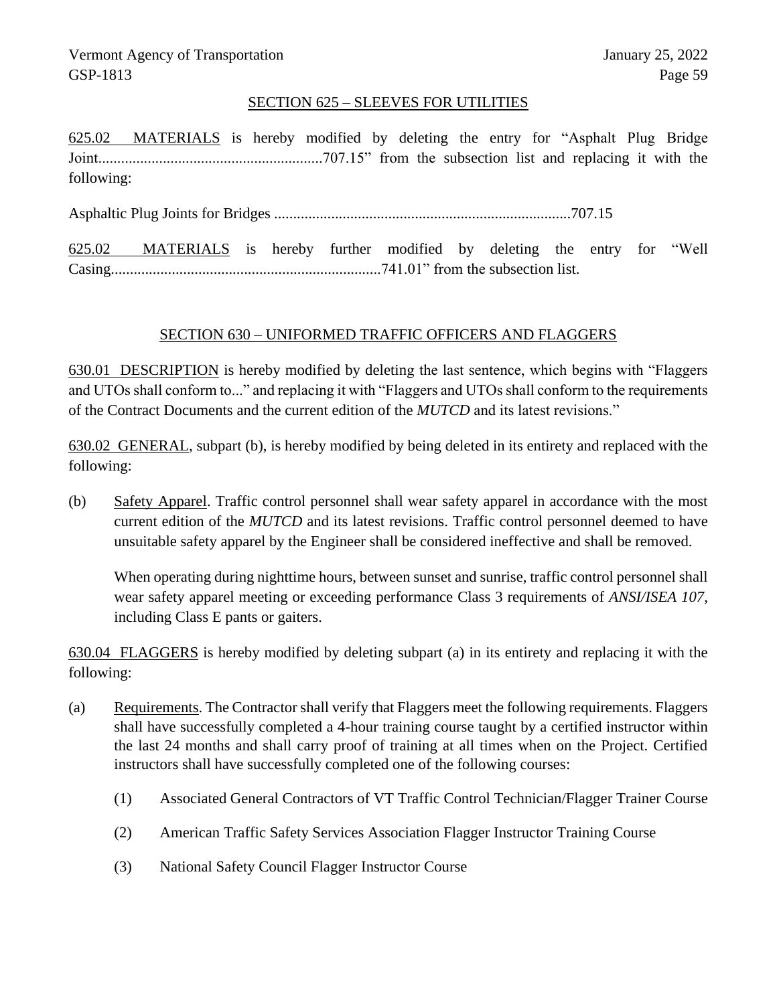### SECTION 625 – SLEEVES FOR UTILITIES

625.02 MATERIALS is hereby modified by deleting the entry for "Asphalt Plug Bridge Joint...........................................................707.15" from the subsection list and replacing it with the following:

Asphaltic Plug Joints for Bridges ..............................................................................707.15

625.02 MATERIALS is hereby further modified by deleting the entry for "Well Casing.......................................................................741.01" from the subsection list.

## SECTION 630 – UNIFORMED TRAFFIC OFFICERS AND FLAGGERS

630.01 DESCRIPTION is hereby modified by deleting the last sentence, which begins with "Flaggers and UTOs shall conform to..." and replacing it with "Flaggers and UTOs shall conform to the requirements of the Contract Documents and the current edition of the *MUTCD* and its latest revisions."

630.02 GENERAL, subpart (b), is hereby modified by being deleted in its entirety and replaced with the following:

(b) Safety Apparel. Traffic control personnel shall wear safety apparel in accordance with the most current edition of the *MUTCD* and its latest revisions. Traffic control personnel deemed to have unsuitable safety apparel by the Engineer shall be considered ineffective and shall be removed.

When operating during nighttime hours, between sunset and sunrise, traffic control personnel shall wear safety apparel meeting or exceeding performance Class 3 requirements of *ANSI/ISEA 107*, including Class E pants or gaiters.

630.04 FLAGGERS is hereby modified by deleting subpart (a) in its entirety and replacing it with the following:

- (a) Requirements. The Contractor shall verify that Flaggers meet the following requirements. Flaggers shall have successfully completed a 4-hour training course taught by a certified instructor within the last 24 months and shall carry proof of training at all times when on the Project. Certified instructors shall have successfully completed one of the following courses:
	- (1) Associated General Contractors of VT Traffic Control Technician/Flagger Trainer Course
	- (2) American Traffic Safety Services Association Flagger Instructor Training Course
	- (3) National Safety Council Flagger Instructor Course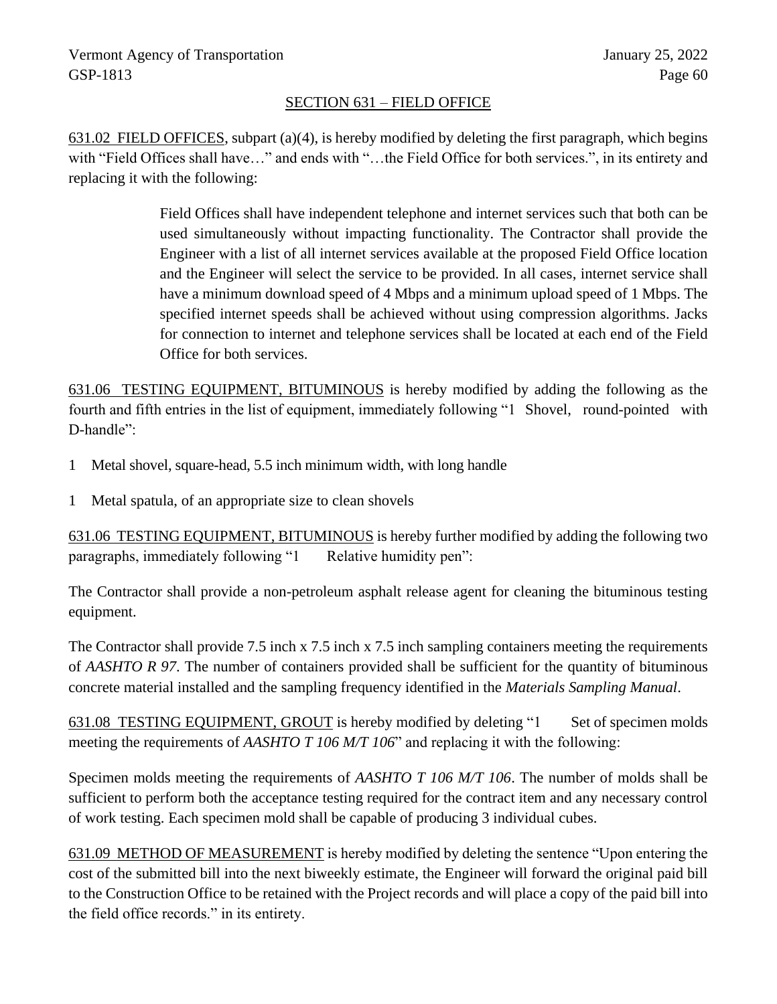# SECTION 631 – FIELD OFFICE

631.02 FIELD OFFICES, subpart (a)(4), is hereby modified by deleting the first paragraph, which begins with "Field Offices shall have…" and ends with "…the Field Office for both services.", in its entirety and replacing it with the following:

> Field Offices shall have independent telephone and internet services such that both can be used simultaneously without impacting functionality. The Contractor shall provide the Engineer with a list of all internet services available at the proposed Field Office location and the Engineer will select the service to be provided. In all cases, internet service shall have a minimum download speed of 4 Mbps and a minimum upload speed of 1 Mbps. The specified internet speeds shall be achieved without using compression algorithms. Jacks for connection to internet and telephone services shall be located at each end of the Field Office for both services.

631.06 TESTING EQUIPMENT, BITUMINOUS is hereby modified by adding the following as the fourth and fifth entries in the list of equipment, immediately following "1 Shovel, round-pointed with D-handle":

- 1 Metal shovel, square-head, 5.5 inch minimum width, with long handle
- 1 Metal spatula, of an appropriate size to clean shovels

631.06 TESTING EQUIPMENT, BITUMINOUS is hereby further modified by adding the following two paragraphs, immediately following "1 Relative humidity pen":

The Contractor shall provide a non-petroleum asphalt release agent for cleaning the bituminous testing equipment.

The Contractor shall provide 7.5 inch x 7.5 inch x 7.5 inch sampling containers meeting the requirements of *AASHTO R 97*. The number of containers provided shall be sufficient for the quantity of bituminous concrete material installed and the sampling frequency identified in the *Materials Sampling Manual*.

631.08 TESTING EQUIPMENT, GROUT is hereby modified by deleting "1 Set of specimen molds meeting the requirements of *AASHTO T 106 M/T 106*" and replacing it with the following:

Specimen molds meeting the requirements of *AASHTO T 106 M/T 106*. The number of molds shall be sufficient to perform both the acceptance testing required for the contract item and any necessary control of work testing. Each specimen mold shall be capable of producing 3 individual cubes.

631.09 METHOD OF MEASUREMENT is hereby modified by deleting the sentence "Upon entering the cost of the submitted bill into the next biweekly estimate, the Engineer will forward the original paid bill to the Construction Office to be retained with the Project records and will place a copy of the paid bill into the field office records." in its entirety.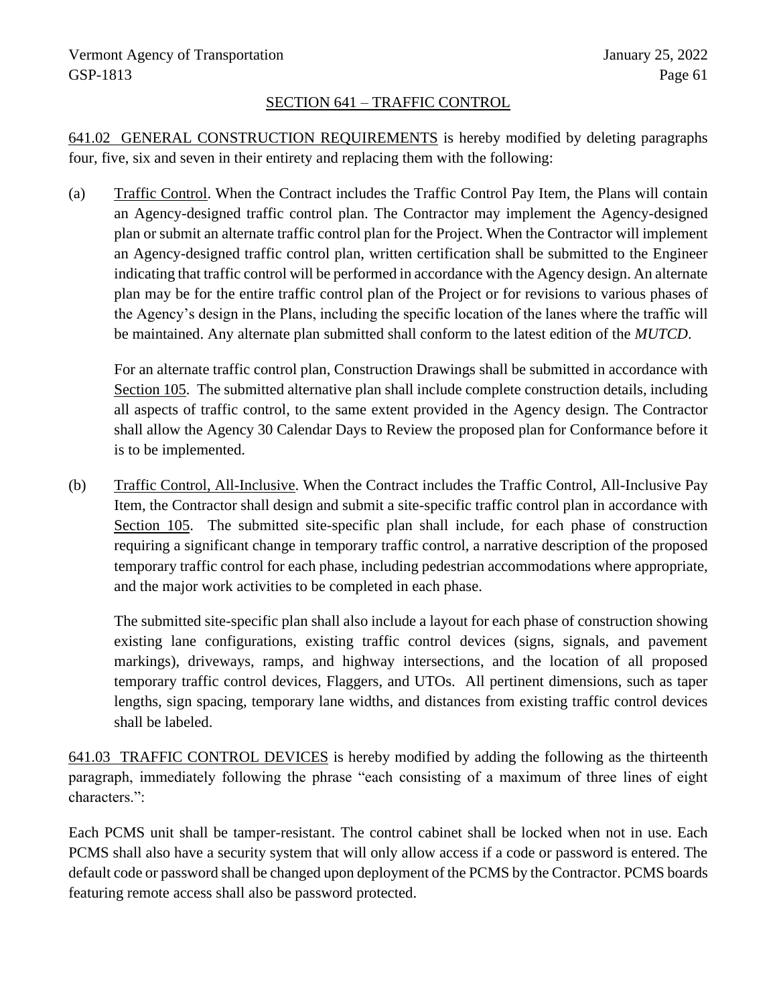# SECTION 641 – TRAFFIC CONTROL

641.02 GENERAL CONSTRUCTION REQUIREMENTS is hereby modified by deleting paragraphs four, five, six and seven in their entirety and replacing them with the following:

(a) Traffic Control. When the Contract includes the Traffic Control Pay Item, the Plans will contain an Agency-designed traffic control plan. The Contractor may implement the Agency-designed plan or submit an alternate traffic control plan for the Project. When the Contractor will implement an Agency-designed traffic control plan, written certification shall be submitted to the Engineer indicating that traffic control will be performed in accordance with the Agency design. An alternate plan may be for the entire traffic control plan of the Project or for revisions to various phases of the Agency's design in the Plans, including the specific location of the lanes where the traffic will be maintained. Any alternate plan submitted shall conform to the latest edition of the *MUTCD*.

For an alternate traffic control plan, Construction Drawings shall be submitted in accordance with Section 105. The submitted alternative plan shall include complete construction details, including all aspects of traffic control, to the same extent provided in the Agency design. The Contractor shall allow the Agency 30 Calendar Days to Review the proposed plan for Conformance before it is to be implemented.

(b) Traffic Control, All-Inclusive. When the Contract includes the Traffic Control, All-Inclusive Pay Item, the Contractor shall design and submit a site-specific traffic control plan in accordance with Section 105. The submitted site-specific plan shall include, for each phase of construction requiring a significant change in temporary traffic control, a narrative description of the proposed temporary traffic control for each phase, including pedestrian accommodations where appropriate, and the major work activities to be completed in each phase.

The submitted site-specific plan shall also include a layout for each phase of construction showing existing lane configurations, existing traffic control devices (signs, signals, and pavement markings), driveways, ramps, and highway intersections, and the location of all proposed temporary traffic control devices, Flaggers, and UTOs. All pertinent dimensions, such as taper lengths, sign spacing, temporary lane widths, and distances from existing traffic control devices shall be labeled.

641.03 TRAFFIC CONTROL DEVICES is hereby modified by adding the following as the thirteenth paragraph, immediately following the phrase "each consisting of a maximum of three lines of eight characters.":

Each PCMS unit shall be tamper-resistant. The control cabinet shall be locked when not in use. Each PCMS shall also have a security system that will only allow access if a code or password is entered. The default code or password shall be changed upon deployment of the PCMS by the Contractor. PCMS boards featuring remote access shall also be password protected.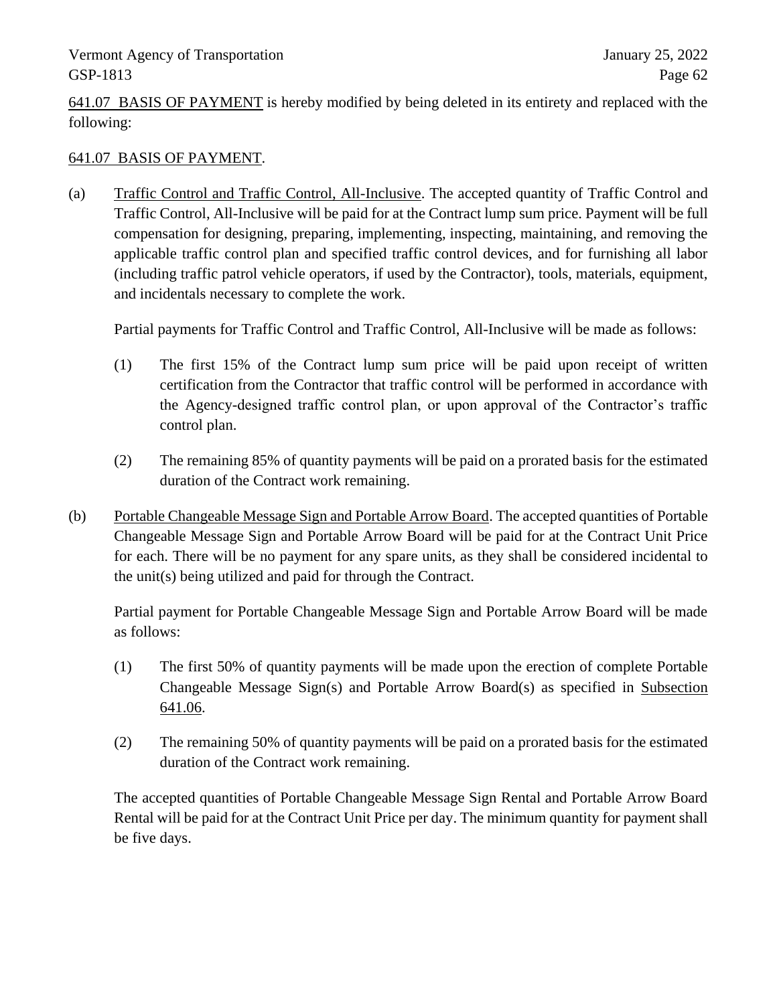641.07 BASIS OF PAYMENT is hereby modified by being deleted in its entirety and replaced with the following:

# 641.07 BASIS OF PAYMENT.

(a) Traffic Control and Traffic Control, All-Inclusive. The accepted quantity of Traffic Control and Traffic Control, All-Inclusive will be paid for at the Contract lump sum price. Payment will be full compensation for designing, preparing, implementing, inspecting, maintaining, and removing the applicable traffic control plan and specified traffic control devices, and for furnishing all labor (including traffic patrol vehicle operators, if used by the Contractor), tools, materials, equipment, and incidentals necessary to complete the work.

Partial payments for Traffic Control and Traffic Control, All-Inclusive will be made as follows:

- (1) The first 15% of the Contract lump sum price will be paid upon receipt of written certification from the Contractor that traffic control will be performed in accordance with the Agency-designed traffic control plan, or upon approval of the Contractor's traffic control plan.
- (2) The remaining 85% of quantity payments will be paid on a prorated basis for the estimated duration of the Contract work remaining.
- (b) Portable Changeable Message Sign and Portable Arrow Board. The accepted quantities of Portable Changeable Message Sign and Portable Arrow Board will be paid for at the Contract Unit Price for each. There will be no payment for any spare units, as they shall be considered incidental to the unit(s) being utilized and paid for through the Contract.

Partial payment for Portable Changeable Message Sign and Portable Arrow Board will be made as follows:

- (1) The first 50% of quantity payments will be made upon the erection of complete Portable Changeable Message Sign(s) and Portable Arrow Board(s) as specified in Subsection 641.06.
- (2) The remaining 50% of quantity payments will be paid on a prorated basis for the estimated duration of the Contract work remaining.

The accepted quantities of Portable Changeable Message Sign Rental and Portable Arrow Board Rental will be paid for at the Contract Unit Price per day. The minimum quantity for payment shall be five days.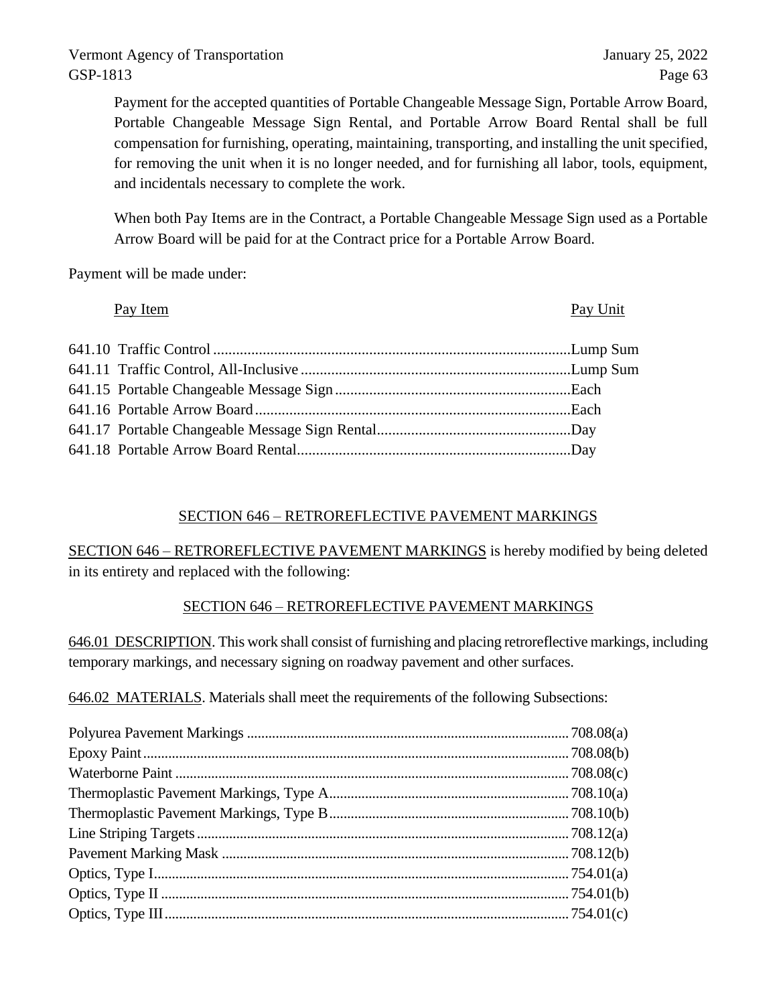Payment for the accepted quantities of Portable Changeable Message Sign, Portable Arrow Board, Portable Changeable Message Sign Rental, and Portable Arrow Board Rental shall be full compensation for furnishing, operating, maintaining, transporting, and installing the unit specified, for removing the unit when it is no longer needed, and for furnishing all labor, tools, equipment, and incidentals necessary to complete the work.

When both Pay Items are in the Contract, a Portable Changeable Message Sign used as a Portable Arrow Board will be paid for at the Contract price for a Portable Arrow Board.

Payment will be made under:

| Pay Item | Pay Unit |
|----------|----------|
|          |          |
|          |          |
|          |          |
|          |          |
|          |          |
|          |          |

# SECTION 646 – RETROREFLECTIVE PAVEMENT MARKINGS

SECTION 646 – RETROREFLECTIVE PAVEMENT MARKINGS is hereby modified by being deleted in its entirety and replaced with the following:

# SECTION 646 – RETROREFLECTIVE PAVEMENT MARKINGS

646.01 DESCRIPTION. This work shall consist of furnishing and placing retroreflective markings, including temporary markings, and necessary signing on roadway pavement and other surfaces.

646.02 MATERIALS. Materials shall meet the requirements of the following Subsections: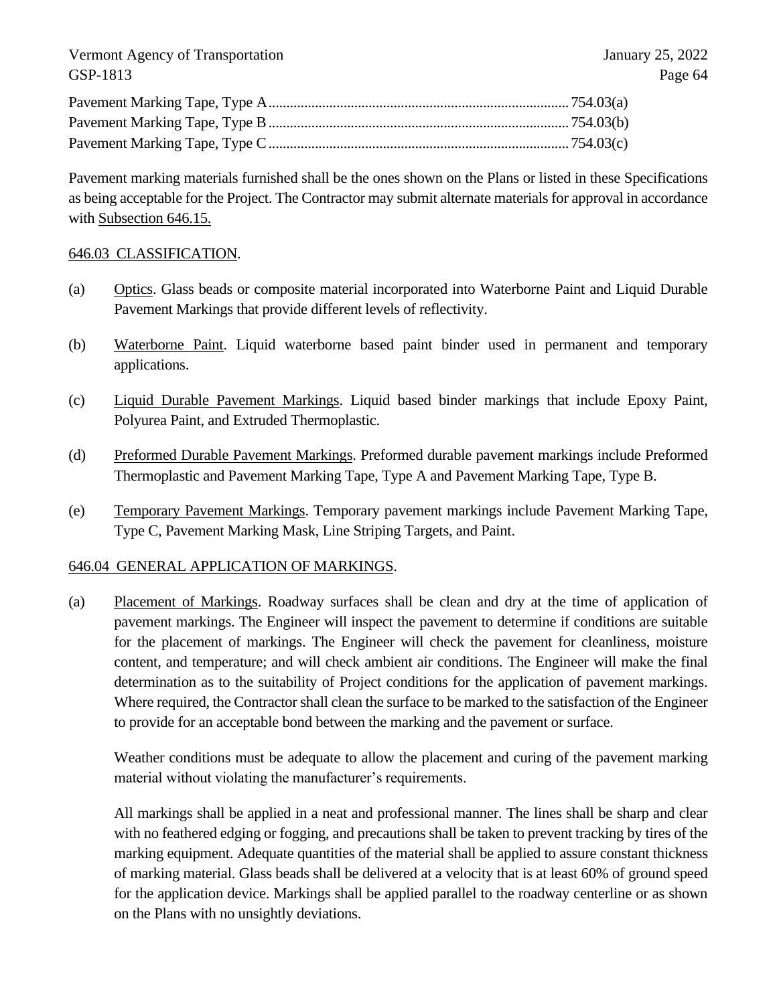Pavement marking materials furnished shall be the ones shown on the Plans or listed in these Specifications as being acceptable for the Project. The Contractor may submit alternate materials for approval in accordance with Subsection 646.15.

#### 646.03 CLASSIFICATION.

- (a) Optics. Glass beads or composite material incorporated into Waterborne Paint and Liquid Durable Pavement Markings that provide different levels of reflectivity.
- (b) Waterborne Paint. Liquid waterborne based paint binder used in permanent and temporary applications.
- (c) Liquid Durable Pavement Markings. Liquid based binder markings that include Epoxy Paint, Polyurea Paint, and Extruded Thermoplastic.
- (d) Preformed Durable Pavement Markings. Preformed durable pavement markings include Preformed Thermoplastic and Pavement Marking Tape, Type A and Pavement Marking Tape, Type B.
- (e) Temporary Pavement Markings. Temporary pavement markings include Pavement Marking Tape, Type C, Pavement Marking Mask, Line Striping Targets, and Paint.

## 646.04 GENERAL APPLICATION OF MARKINGS.

(a) Placement of Markings. Roadway surfaces shall be clean and dry at the time of application of pavement markings. The Engineer will inspect the pavement to determine if conditions are suitable for the placement of markings. The Engineer will check the pavement for cleanliness, moisture content, and temperature; and will check ambient air conditions. The Engineer will make the final determination as to the suitability of Project conditions for the application of pavement markings. Where required, the Contractor shall clean the surface to be marked to the satisfaction of the Engineer to provide for an acceptable bond between the marking and the pavement or surface.

Weather conditions must be adequate to allow the placement and curing of the pavement marking material without violating the manufacturer's requirements.

All markings shall be applied in a neat and professional manner. The lines shall be sharp and clear with no feathered edging or fogging, and precautions shall be taken to prevent tracking by tires of the marking equipment. Adequate quantities of the material shall be applied to assure constant thickness of marking material. Glass beads shall be delivered at a velocity that is at least 60% of ground speed for the application device. Markings shall be applied parallel to the roadway centerline or as shown on the Plans with no unsightly deviations.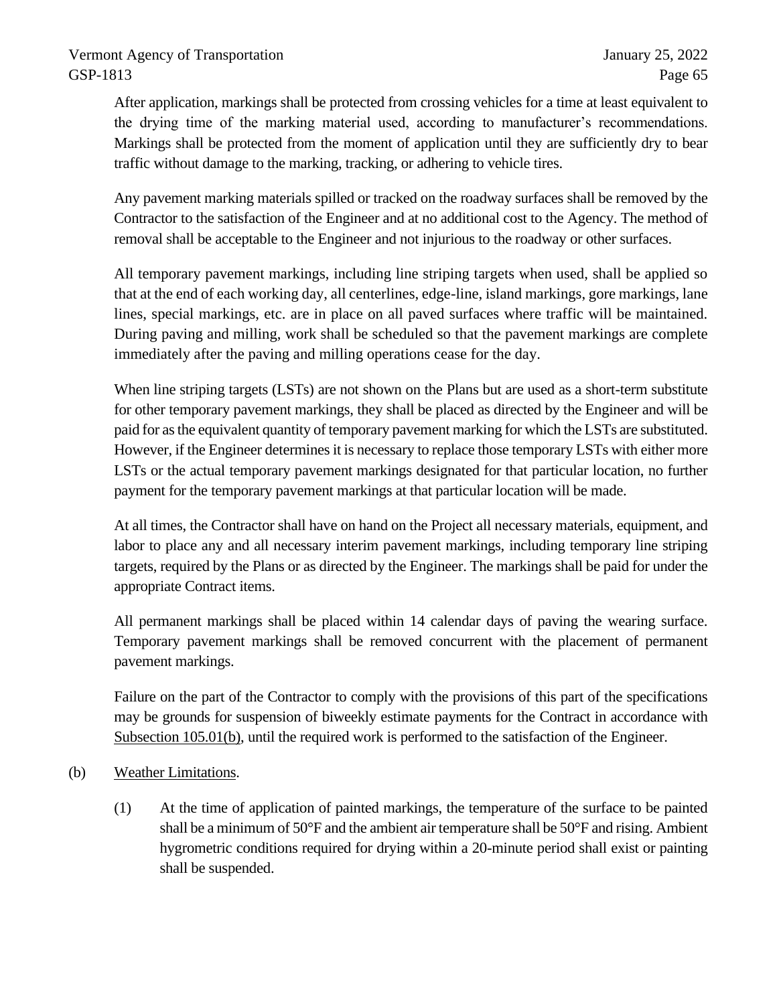After application, markings shall be protected from crossing vehicles for a time at least equivalent to the drying time of the marking material used, according to manufacturer's recommendations. Markings shall be protected from the moment of application until they are sufficiently dry to bear traffic without damage to the marking, tracking, or adhering to vehicle tires.

Any pavement marking materials spilled or tracked on the roadway surfaces shall be removed by the Contractor to the satisfaction of the Engineer and at no additional cost to the Agency. The method of removal shall be acceptable to the Engineer and not injurious to the roadway or other surfaces.

All temporary pavement markings, including line striping targets when used, shall be applied so that at the end of each working day, all centerlines, edge-line, island markings, gore markings, lane lines, special markings, etc. are in place on all paved surfaces where traffic will be maintained. During paving and milling, work shall be scheduled so that the pavement markings are complete immediately after the paving and milling operations cease for the day.

When line striping targets (LSTs) are not shown on the Plans but are used as a short-term substitute for other temporary pavement markings, they shall be placed as directed by the Engineer and will be paid for as the equivalent quantity of temporary pavement marking for which the LSTs are substituted. However, if the Engineer determines it is necessary to replace those temporary LSTs with either more LSTs or the actual temporary pavement markings designated for that particular location, no further payment for the temporary pavement markings at that particular location will be made.

At all times, the Contractor shall have on hand on the Project all necessary materials, equipment, and labor to place any and all necessary interim pavement markings, including temporary line striping targets, required by the Plans or as directed by the Engineer. The markings shall be paid for under the appropriate Contract items.

All permanent markings shall be placed within 14 calendar days of paving the wearing surface. Temporary pavement markings shall be removed concurrent with the placement of permanent pavement markings.

Failure on the part of the Contractor to comply with the provisions of this part of the specifications may be grounds for suspension of biweekly estimate payments for the Contract in accordance with Subsection 105.01(b), until the required work is performed to the satisfaction of the Engineer.

- (b) Weather Limitations.
	- (1) At the time of application of painted markings, the temperature of the surface to be painted shall be a minimum of 50°F and the ambient air temperature shall be 50°F and rising. Ambient hygrometric conditions required for drying within a 20-minute period shall exist or painting shall be suspended.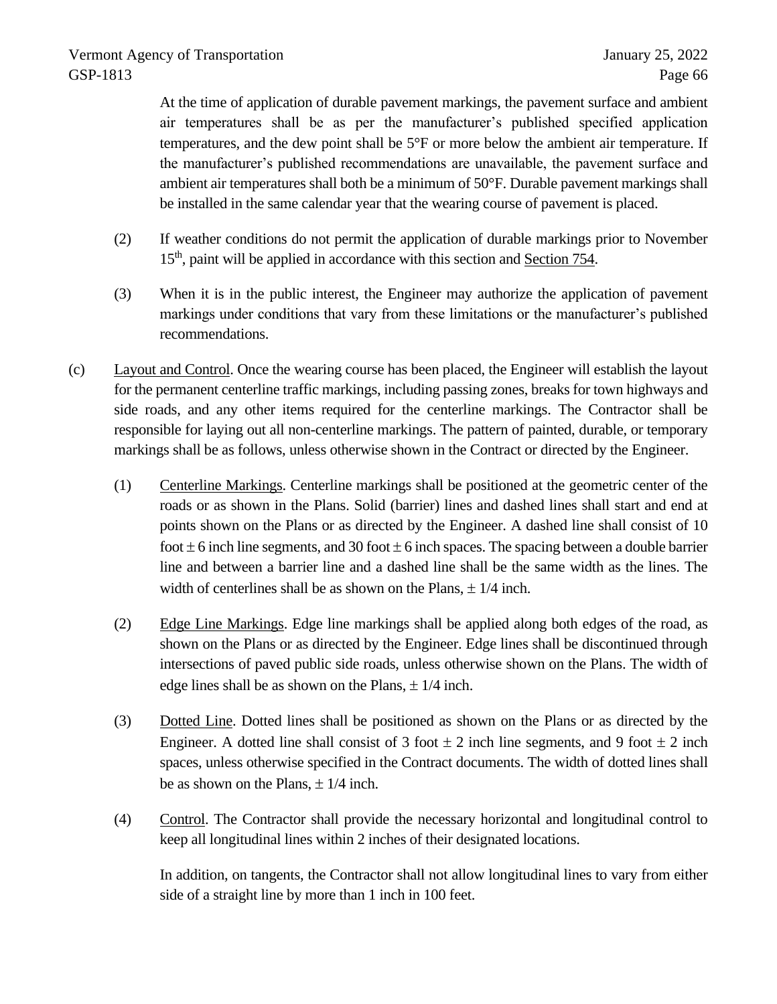At the time of application of durable pavement markings, the pavement surface and ambient air temperatures shall be as per the manufacturer's published specified application temperatures, and the dew point shall be 5°F or more below the ambient air temperature. If the manufacturer's published recommendations are unavailable, the pavement surface and ambient air temperatures shall both be a minimum of 50°F. Durable pavement markings shall be installed in the same calendar year that the wearing course of pavement is placed.

- (2) If weather conditions do not permit the application of durable markings prior to November 15<sup>th</sup>, paint will be applied in accordance with this section and Section 754.
- (3) When it is in the public interest, the Engineer may authorize the application of pavement markings under conditions that vary from these limitations or the manufacturer's published recommendations.
- (c) Layout and Control. Once the wearing course has been placed, the Engineer will establish the layout for the permanent centerline traffic markings, including passing zones, breaks for town highways and side roads, and any other items required for the centerline markings. The Contractor shall be responsible for laying out all non-centerline markings. The pattern of painted, durable, or temporary markings shall be as follows, unless otherwise shown in the Contract or directed by the Engineer.
	- (1) Centerline Markings. Centerline markings shall be positioned at the geometric center of the roads or as shown in the Plans. Solid (barrier) lines and dashed lines shall start and end at points shown on the Plans or as directed by the Engineer. A dashed line shall consist of 10 foot  $\pm$  6 inch line segments, and 30 foot  $\pm$  6 inch spaces. The spacing between a double barrier line and between a barrier line and a dashed line shall be the same width as the lines. The width of centerlines shall be as shown on the Plans,  $\pm$  1/4 inch.
	- (2) Edge Line Markings. Edge line markings shall be applied along both edges of the road, as shown on the Plans or as directed by the Engineer. Edge lines shall be discontinued through intersections of paved public side roads, unless otherwise shown on the Plans. The width of edge lines shall be as shown on the Plans,  $\pm$  1/4 inch.
	- (3) Dotted Line. Dotted lines shall be positioned as shown on the Plans or as directed by the Engineer. A dotted line shall consist of 3 foot  $\pm$  2 inch line segments, and 9 foot  $\pm$  2 inch spaces, unless otherwise specified in the Contract documents. The width of dotted lines shall be as shown on the Plans,  $\pm$  1/4 inch.
	- (4) Control. The Contractor shall provide the necessary horizontal and longitudinal control to keep all longitudinal lines within 2 inches of their designated locations.

In addition, on tangents, the Contractor shall not allow longitudinal lines to vary from either side of a straight line by more than 1 inch in 100 feet.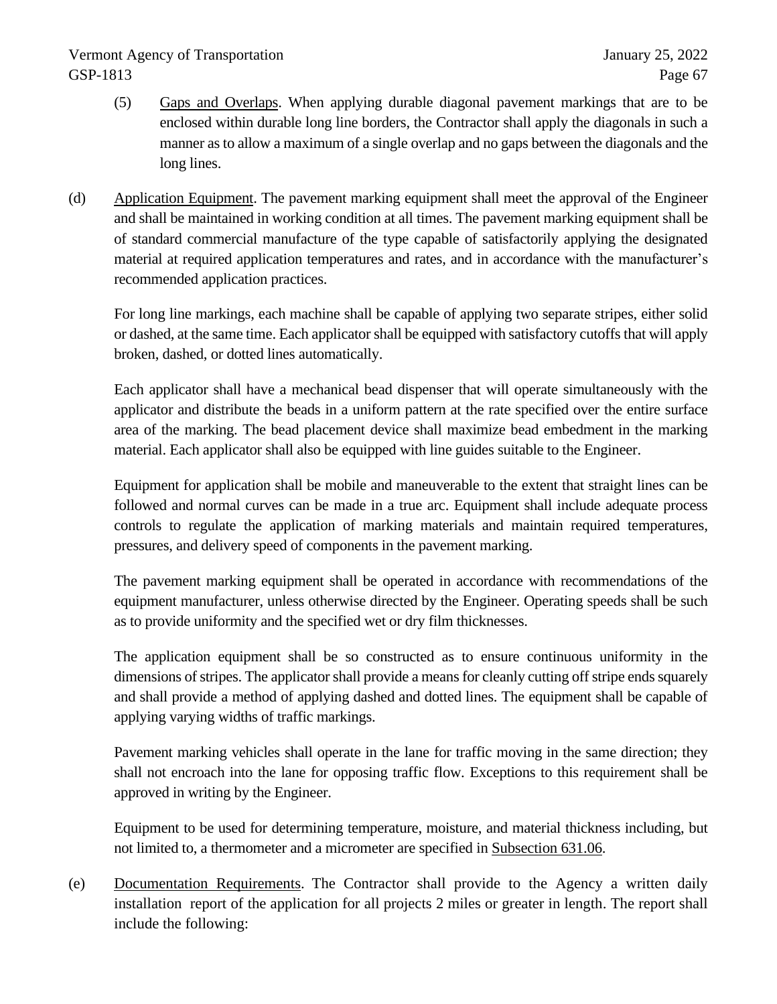- (5) Gaps and Overlaps. When applying durable diagonal pavement markings that are to be enclosed within durable long line borders, the Contractor shall apply the diagonals in such a manner as to allow a maximum of a single overlap and no gaps between the diagonals and the long lines.
- (d) Application Equipment. The pavement marking equipment shall meet the approval of the Engineer and shall be maintained in working condition at all times. The pavement marking equipment shall be of standard commercial manufacture of the type capable of satisfactorily applying the designated material at required application temperatures and rates, and in accordance with the manufacturer's recommended application practices.

For long line markings, each machine shall be capable of applying two separate stripes, either solid or dashed, at the same time. Each applicator shall be equipped with satisfactory cutoffs that will apply broken, dashed, or dotted lines automatically.

Each applicator shall have a mechanical bead dispenser that will operate simultaneously with the applicator and distribute the beads in a uniform pattern at the rate specified over the entire surface area of the marking. The bead placement device shall maximize bead embedment in the marking material. Each applicator shall also be equipped with line guides suitable to the Engineer.

Equipment for application shall be mobile and maneuverable to the extent that straight lines can be followed and normal curves can be made in a true arc. Equipment shall include adequate process controls to regulate the application of marking materials and maintain required temperatures, pressures, and delivery speed of components in the pavement marking.

The pavement marking equipment shall be operated in accordance with recommendations of the equipment manufacturer, unless otherwise directed by the Engineer. Operating speeds shall be such as to provide uniformity and the specified wet or dry film thicknesses.

The application equipment shall be so constructed as to ensure continuous uniformity in the dimensions of stripes. The applicator shall provide a means for cleanly cutting off stripe ends squarely and shall provide a method of applying dashed and dotted lines. The equipment shall be capable of applying varying widths of traffic markings.

Pavement marking vehicles shall operate in the lane for traffic moving in the same direction; they shall not encroach into the lane for opposing traffic flow. Exceptions to this requirement shall be approved in writing by the Engineer.

Equipment to be used for determining temperature, moisture, and material thickness including, but not limited to, a thermometer and a micrometer are specified in Subsection 631.06.

(e) Documentation Requirements. The Contractor shall provide to the Agency a written daily installation report of the application for all projects 2 miles or greater in length. The report shall include the following: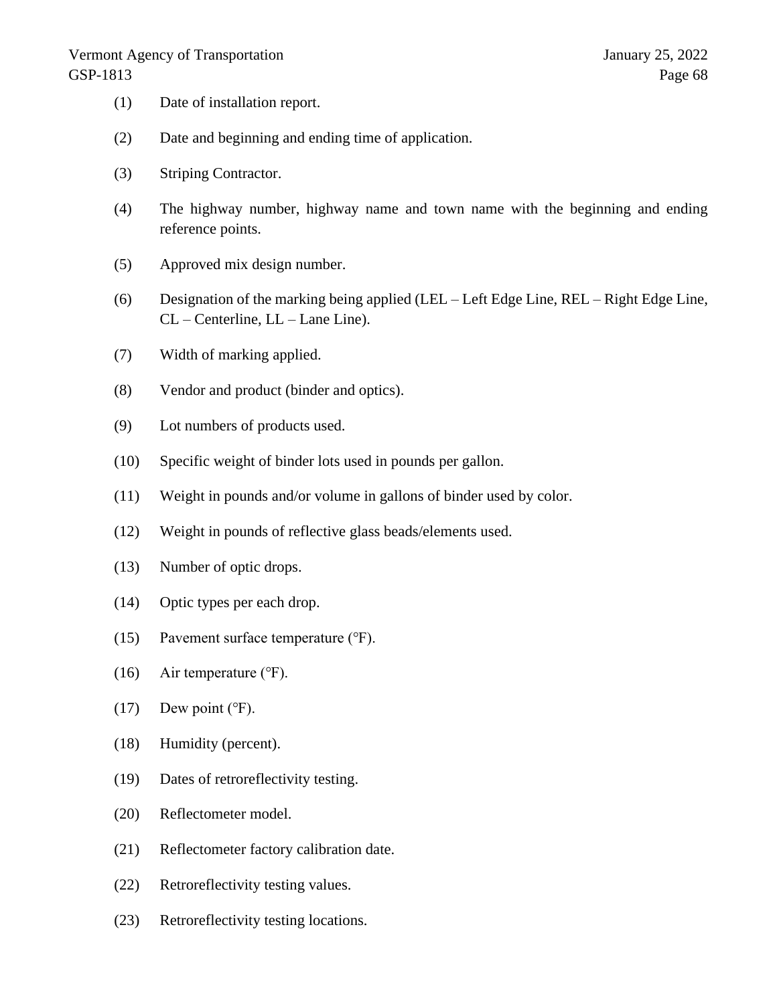- (1) Date of installation report.
- (2) Date and beginning and ending time of application.
- (3) Striping Contractor.
- (4) The highway number, highway name and town name with the beginning and ending reference points.
- (5) Approved mix design number.
- (6) Designation of the marking being applied (LEL Left Edge Line, REL Right Edge Line, CL – Centerline, LL – Lane Line).
- (7) Width of marking applied.
- (8) Vendor and product (binder and optics).
- (9) Lot numbers of products used.
- (10) Specific weight of binder lots used in pounds per gallon.
- (11) Weight in pounds and/or volume in gallons of binder used by color.
- (12) Weight in pounds of reflective glass beads/elements used.
- (13) Number of optic drops.
- (14) Optic types per each drop.
- (15) Pavement surface temperature (℉).
- (16) Air temperature  $(°F)$ .
- $(17)$  Dew point ( $\degree$ F).
- (18) Humidity (percent).
- (19) Dates of retroreflectivity testing.
- (20) Reflectometer model.
- (21) Reflectometer factory calibration date.
- (22) Retroreflectivity testing values.
- (23) Retroreflectivity testing locations.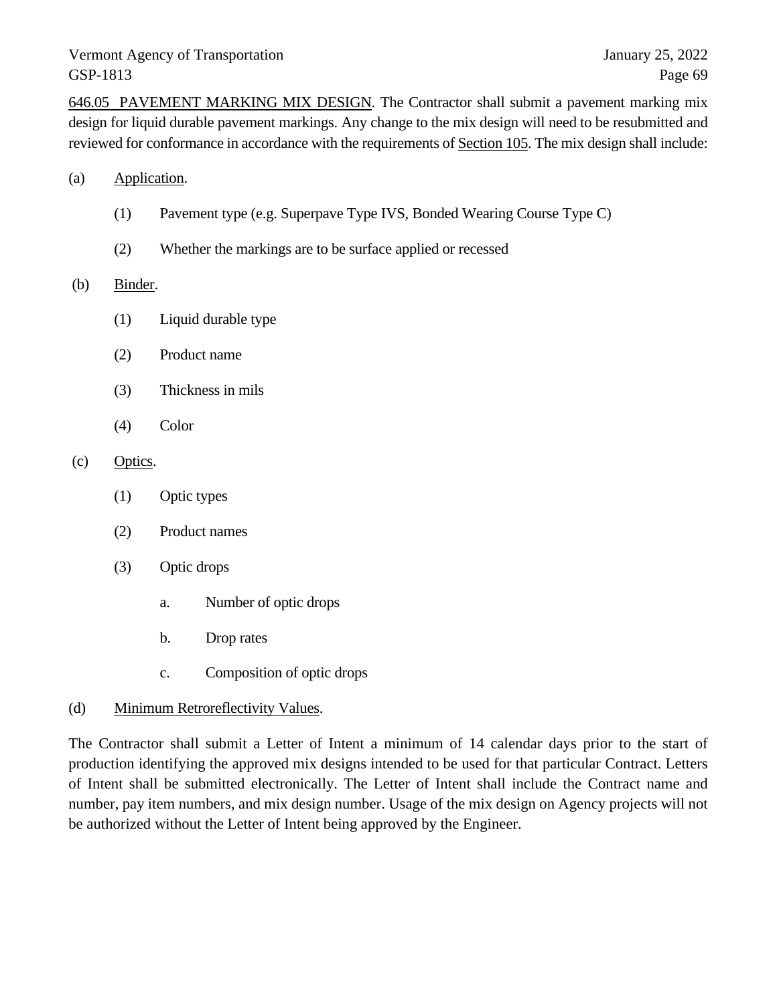646.05 PAVEMENT MARKING MIX DESIGN. The Contractor shall submit a pavement marking mix design for liquid durable pavement markings. Any change to the mix design will need to be resubmitted and reviewed for conformance in accordance with the requirements of Section 105. The mix design shall include:

- (a) Application.
	- (1) Pavement type (e.g. Superpave Type IVS, Bonded Wearing Course Type C)
	- (2) Whether the markings are to be surface applied or recessed

#### (b) Binder.

- (1) Liquid durable type
- (2) Product name
- (3) Thickness in mils
- (4) Color

### (c) Optics.

- (1) Optic types
- (2) Product names
- (3) Optic drops
	- a. Number of optic drops
	- b. Drop rates
	- c. Composition of optic drops

## (d) Minimum Retroreflectivity Values.

The Contractor shall submit a Letter of Intent a minimum of 14 calendar days prior to the start of production identifying the approved mix designs intended to be used for that particular Contract. Letters of Intent shall be submitted electronically. The Letter of Intent shall include the Contract name and number, pay item numbers, and mix design number. Usage of the mix design on Agency projects will not be authorized without the Letter of Intent being approved by the Engineer.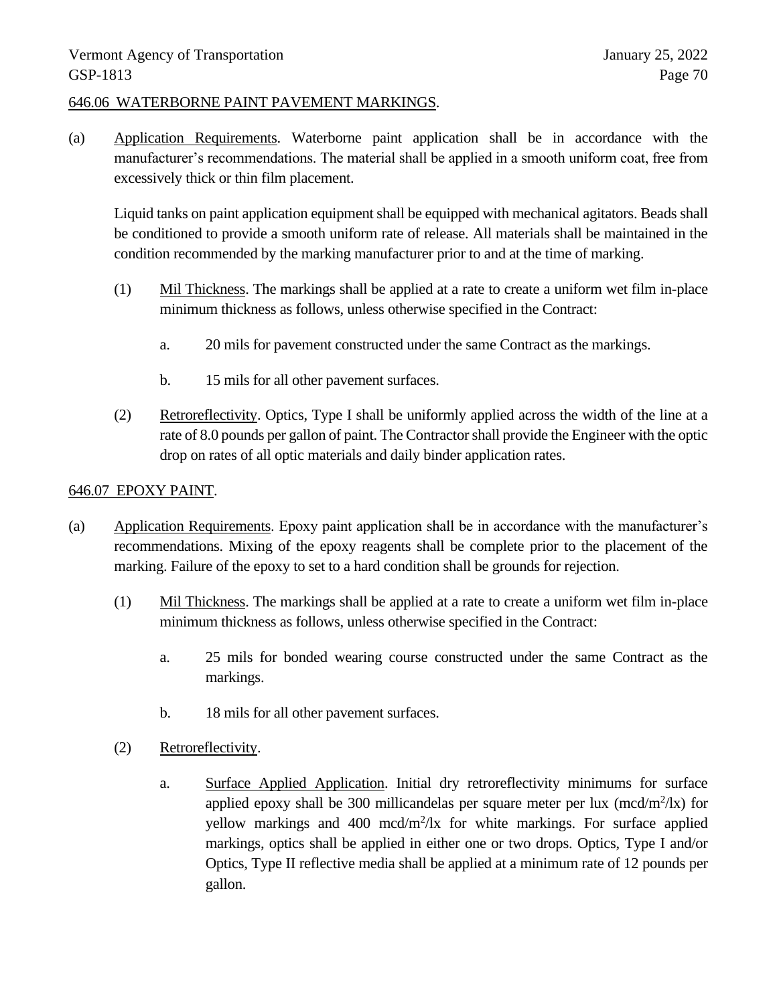### 646.06 WATERBORNE PAINT PAVEMENT MARKINGS.

(a) Application Requirements. Waterborne paint application shall be in accordance with the manufacturer's recommendations. The material shall be applied in a smooth uniform coat, free from excessively thick or thin film placement.

Liquid tanks on paint application equipment shall be equipped with mechanical agitators. Beads shall be conditioned to provide a smooth uniform rate of release. All materials shall be maintained in the condition recommended by the marking manufacturer prior to and at the time of marking.

- (1) Mil Thickness. The markings shall be applied at a rate to create a uniform wet film in-place minimum thickness as follows, unless otherwise specified in the Contract:
	- a. 20 mils for pavement constructed under the same Contract as the markings.
	- b. 15 mils for all other pavement surfaces.
- (2) Retroreflectivity. Optics, Type I shall be uniformly applied across the width of the line at a rate of 8.0 pounds per gallon of paint. The Contractor shall provide the Engineer with the optic drop on rates of all optic materials and daily binder application rates.

## 646.07 EPOXY PAINT.

- (a) Application Requirements. Epoxy paint application shall be in accordance with the manufacturer's recommendations. Mixing of the epoxy reagents shall be complete prior to the placement of the marking. Failure of the epoxy to set to a hard condition shall be grounds for rejection.
	- (1) Mil Thickness. The markings shall be applied at a rate to create a uniform wet film in-place minimum thickness as follows, unless otherwise specified in the Contract:
		- a. 25 mils for bonded wearing course constructed under the same Contract as the markings.
		- b. 18 mils for all other pavement surfaces.
	- (2) Retroreflectivity.
		- a. Surface Applied Application. Initial dry retroreflectivity minimums for surface applied epoxy shall be 300 millicandelas per square meter per lux  $(mcd/m^2/lx)$  for yellow markings and 400 mcd/m<sup>2</sup>/lx for white markings. For surface applied markings, optics shall be applied in either one or two drops. Optics, Type I and/or Optics, Type II reflective media shall be applied at a minimum rate of 12 pounds per gallon.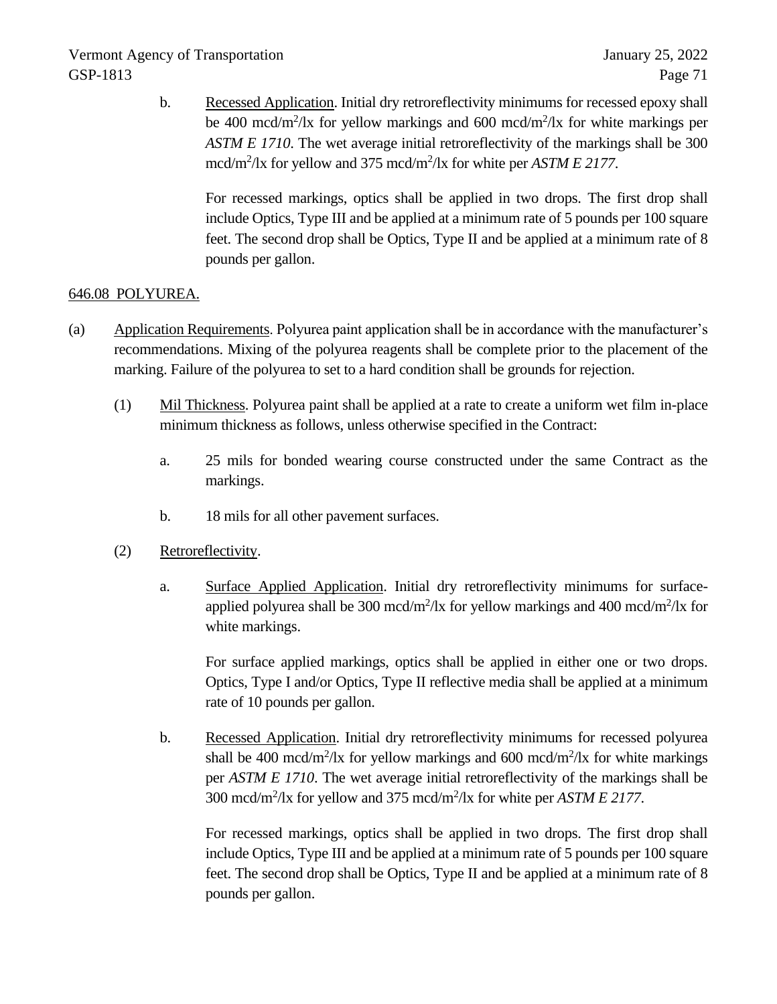b. Recessed Application. Initial dry retroreflectivity minimums for recessed epoxy shall be 400 mcd/m<sup>2</sup>/lx for yellow markings and 600 mcd/m<sup>2</sup>/lx for white markings per *ASTM E 1710*. The wet average initial retroreflectivity of the markings shall be 300 mcd/m<sup>2</sup>/lx for yellow and 375 mcd/m<sup>2</sup>/lx for white per *ASTM E 2177*.

For recessed markings, optics shall be applied in two drops. The first drop shall include Optics, Type III and be applied at a minimum rate of 5 pounds per 100 square feet. The second drop shall be Optics, Type II and be applied at a minimum rate of 8 pounds per gallon.

# 646.08 POLYUREA.

- (a) Application Requirements. Polyurea paint application shall be in accordance with the manufacturer's recommendations. Mixing of the polyurea reagents shall be complete prior to the placement of the marking. Failure of the polyurea to set to a hard condition shall be grounds for rejection.
	- (1) Mil Thickness. Polyurea paint shall be applied at a rate to create a uniform wet film in-place minimum thickness as follows, unless otherwise specified in the Contract:
		- a. 25 mils for bonded wearing course constructed under the same Contract as the markings.
		- b. 18 mils for all other pavement surfaces.
	- (2) Retroreflectivity.
		- a. Surface Applied Application. Initial dry retroreflectivity minimums for surfaceapplied polyurea shall be 300 mcd/m<sup>2</sup>/lx for yellow markings and 400 mcd/m<sup>2</sup>/lx for white markings.

For surface applied markings, optics shall be applied in either one or two drops. Optics, Type I and/or Optics, Type II reflective media shall be applied at a minimum rate of 10 pounds per gallon.

b. Recessed Application. Initial dry retroreflectivity minimums for recessed polyurea shall be 400 mcd/m<sup>2</sup>/lx for yellow markings and 600 mcd/m<sup>2</sup>/lx for white markings per *ASTM E 1710*. The wet average initial retroreflectivity of the markings shall be 300 mcd/m<sup>2</sup> /lx for yellow and 375 mcd/m<sup>2</sup> /lx for white per *ASTM E 2177*.

For recessed markings, optics shall be applied in two drops. The first drop shall include Optics, Type III and be applied at a minimum rate of 5 pounds per 100 square feet. The second drop shall be Optics, Type II and be applied at a minimum rate of 8 pounds per gallon.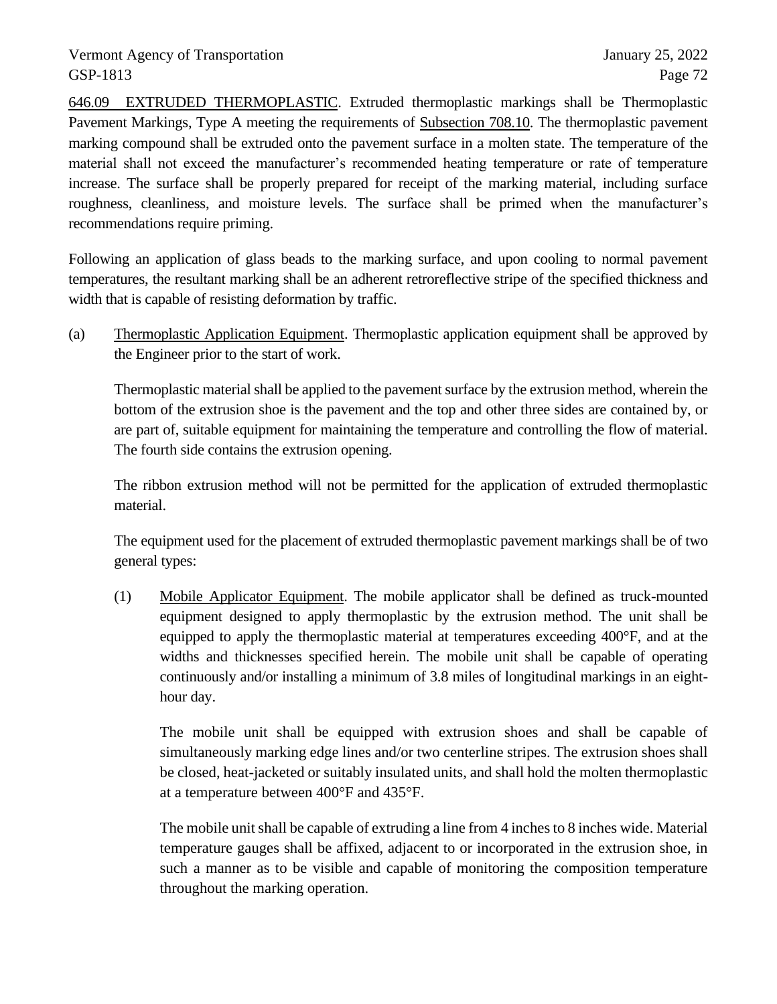646.09 EXTRUDED THERMOPLASTIC. Extruded thermoplastic markings shall be Thermoplastic Pavement Markings, Type A meeting the requirements of Subsection 708.10. The thermoplastic pavement marking compound shall be extruded onto the pavement surface in a molten state. The temperature of the material shall not exceed the manufacturer's recommended heating temperature or rate of temperature increase. The surface shall be properly prepared for receipt of the marking material, including surface roughness, cleanliness, and moisture levels. The surface shall be primed when the manufacturer's recommendations require priming.

Following an application of glass beads to the marking surface, and upon cooling to normal pavement temperatures, the resultant marking shall be an adherent retroreflective stripe of the specified thickness and width that is capable of resisting deformation by traffic.

(a) Thermoplastic Application Equipment. Thermoplastic application equipment shall be approved by the Engineer prior to the start of work.

Thermoplastic material shall be applied to the pavement surface by the extrusion method, wherein the bottom of the extrusion shoe is the pavement and the top and other three sides are contained by, or are part of, suitable equipment for maintaining the temperature and controlling the flow of material. The fourth side contains the extrusion opening.

The ribbon extrusion method will not be permitted for the application of extruded thermoplastic material.

The equipment used for the placement of extruded thermoplastic pavement markings shall be of two general types:

(1) Mobile Applicator Equipment. The mobile applicator shall be defined as truck-mounted equipment designed to apply thermoplastic by the extrusion method. The unit shall be equipped to apply the thermoplastic material at temperatures exceeding 400°F, and at the widths and thicknesses specified herein. The mobile unit shall be capable of operating continuously and/or installing a minimum of 3.8 miles of longitudinal markings in an eighthour day.

The mobile unit shall be equipped with extrusion shoes and shall be capable of simultaneously marking edge lines and/or two centerline stripes. The extrusion shoes shall be closed, heat-jacketed or suitably insulated units, and shall hold the molten thermoplastic at a temperature between 400°F and 435°F.

The mobile unit shall be capable of extruding a line from 4 inches to 8 inches wide. Material temperature gauges shall be affixed, adjacent to or incorporated in the extrusion shoe, in such a manner as to be visible and capable of monitoring the composition temperature throughout the marking operation.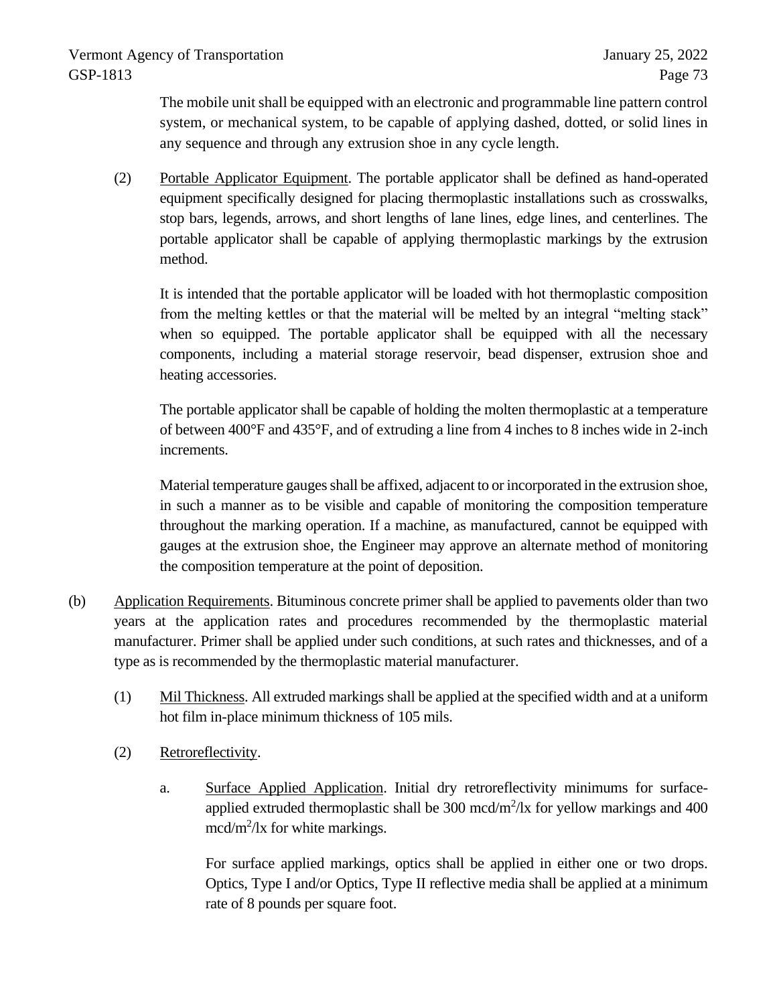The mobile unit shall be equipped with an electronic and programmable line pattern control system, or mechanical system, to be capable of applying dashed, dotted, or solid lines in any sequence and through any extrusion shoe in any cycle length.

(2) Portable Applicator Equipment. The portable applicator shall be defined as hand-operated equipment specifically designed for placing thermoplastic installations such as crosswalks, stop bars, legends, arrows, and short lengths of lane lines, edge lines, and centerlines. The portable applicator shall be capable of applying thermoplastic markings by the extrusion method.

It is intended that the portable applicator will be loaded with hot thermoplastic composition from the melting kettles or that the material will be melted by an integral "melting stack" when so equipped. The portable applicator shall be equipped with all the necessary components, including a material storage reservoir, bead dispenser, extrusion shoe and heating accessories.

The portable applicator shall be capable of holding the molten thermoplastic at a temperature of between 400°F and 435°F, and of extruding a line from 4 inches to 8 inches wide in 2-inch increments.

Material temperature gauges shall be affixed, adjacent to or incorporated in the extrusion shoe, in such a manner as to be visible and capable of monitoring the composition temperature throughout the marking operation. If a machine, as manufactured, cannot be equipped with gauges at the extrusion shoe, the Engineer may approve an alternate method of monitoring the composition temperature at the point of deposition.

- (b) Application Requirements. Bituminous concrete primer shall be applied to pavements older than two years at the application rates and procedures recommended by the thermoplastic material manufacturer. Primer shall be applied under such conditions, at such rates and thicknesses, and of a type as is recommended by the thermoplastic material manufacturer.
	- (1) Mil Thickness. All extruded markings shall be applied at the specified width and at a uniform hot film in-place minimum thickness of 105 mils.
	- (2) Retroreflectivity.
		- a. Surface Applied Application. Initial dry retroreflectivity minimums for surfaceapplied extruded thermoplastic shall be  $300 \text{ mod/m}^2/\text{lx}$  for yellow markings and  $400$ mcd/m<sup>2</sup>/lx for white markings.

For surface applied markings, optics shall be applied in either one or two drops. Optics, Type I and/or Optics, Type II reflective media shall be applied at a minimum rate of 8 pounds per square foot.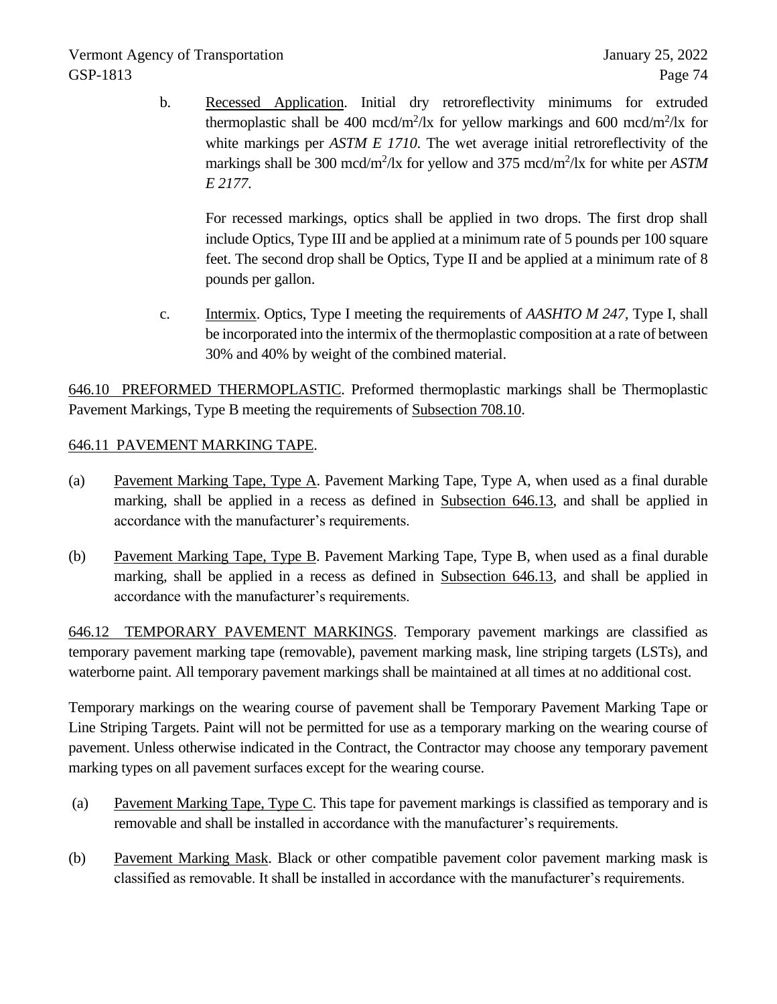b. Recessed Application. Initial dry retroreflectivity minimums for extruded thermoplastic shall be 400 mcd/m<sup>2</sup>/lx for yellow markings and 600 mcd/m<sup>2</sup>/lx for white markings per *ASTM E 1710*. The wet average initial retroreflectivity of the markings shall be 300 mcd/m<sup>2</sup>/lx for yellow and 375 mcd/m<sup>2</sup>/lx for white per *ASTM E 2177*.

For recessed markings, optics shall be applied in two drops. The first drop shall include Optics, Type III and be applied at a minimum rate of 5 pounds per 100 square feet. The second drop shall be Optics, Type II and be applied at a minimum rate of 8 pounds per gallon.

c. Intermix. Optics, Type I meeting the requirements of *AASHTO M 247,* Type I, shall be incorporated into the intermix of the thermoplastic composition at a rate of between 30% and 40% by weight of the combined material.

646.10 PREFORMED THERMOPLASTIC. Preformed thermoplastic markings shall be Thermoplastic Pavement Markings, Type B meeting the requirements of Subsection 708.10.

# 646.11 PAVEMENT MARKING TAPE.

- (a) Pavement Marking Tape, Type A. Pavement Marking Tape, Type A, when used as a final durable marking, shall be applied in a recess as defined in Subsection 646.13, and shall be applied in accordance with the manufacturer's requirements.
- (b) Pavement Marking Tape, Type B. Pavement Marking Tape, Type B, when used as a final durable marking, shall be applied in a recess as defined in Subsection 646.13, and shall be applied in accordance with the manufacturer's requirements.

646.12 TEMPORARY PAVEMENT MARKINGS. Temporary pavement markings are classified as temporary pavement marking tape (removable), pavement marking mask, line striping targets (LSTs), and waterborne paint. All temporary pavement markings shall be maintained at all times at no additional cost.

Temporary markings on the wearing course of pavement shall be Temporary Pavement Marking Tape or Line Striping Targets. Paint will not be permitted for use as a temporary marking on the wearing course of pavement. Unless otherwise indicated in the Contract, the Contractor may choose any temporary pavement marking types on all pavement surfaces except for the wearing course.

- (a) Pavement Marking Tape, Type C. This tape for pavement markings is classified as temporary and is removable and shall be installed in accordance with the manufacturer's requirements.
- (b) Pavement Marking Mask. Black or other compatible pavement color pavement marking mask is classified as removable. It shall be installed in accordance with the manufacturer's requirements.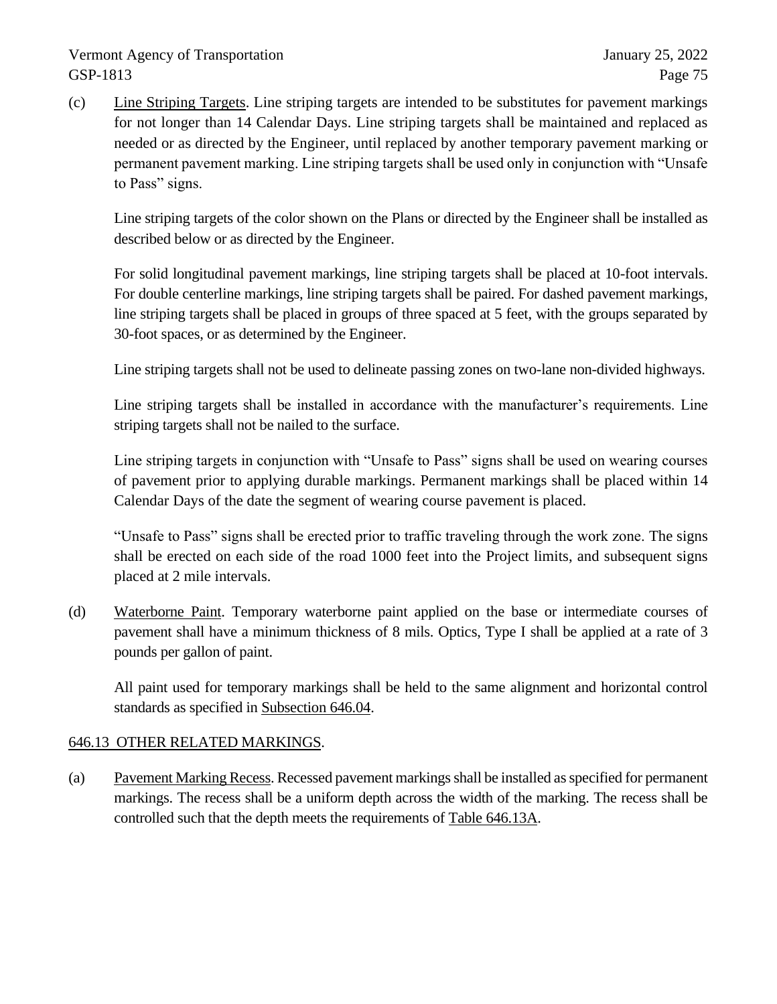(c) Line Striping Targets. Line striping targets are intended to be substitutes for pavement markings for not longer than 14 Calendar Days. Line striping targets shall be maintained and replaced as needed or as directed by the Engineer, until replaced by another temporary pavement marking or permanent pavement marking. Line striping targets shall be used only in conjunction with "Unsafe to Pass" signs.

Line striping targets of the color shown on the Plans or directed by the Engineer shall be installed as described below or as directed by the Engineer.

For solid longitudinal pavement markings, line striping targets shall be placed at 10-foot intervals. For double centerline markings, line striping targets shall be paired. For dashed pavement markings, line striping targets shall be placed in groups of three spaced at 5 feet, with the groups separated by 30-foot spaces, or as determined by the Engineer.

Line striping targets shall not be used to delineate passing zones on two-lane non-divided highways.

Line striping targets shall be installed in accordance with the manufacturer's requirements. Line striping targets shall not be nailed to the surface.

Line striping targets in conjunction with "Unsafe to Pass" signs shall be used on wearing courses of pavement prior to applying durable markings. Permanent markings shall be placed within 14 Calendar Days of the date the segment of wearing course pavement is placed.

"Unsafe to Pass" signs shall be erected prior to traffic traveling through the work zone. The signs shall be erected on each side of the road 1000 feet into the Project limits, and subsequent signs placed at 2 mile intervals.

(d) Waterborne Paint. Temporary waterborne paint applied on the base or intermediate courses of pavement shall have a minimum thickness of 8 mils. Optics, Type I shall be applied at a rate of 3 pounds per gallon of paint.

All paint used for temporary markings shall be held to the same alignment and horizontal control standards as specified in Subsection 646.04.

# 646.13 OTHER RELATED MARKINGS.

(a) Pavement Marking Recess. Recessed pavement markings shall be installed as specified for permanent markings. The recess shall be a uniform depth across the width of the marking. The recess shall be controlled such that the depth meets the requirements of Table 646.13A.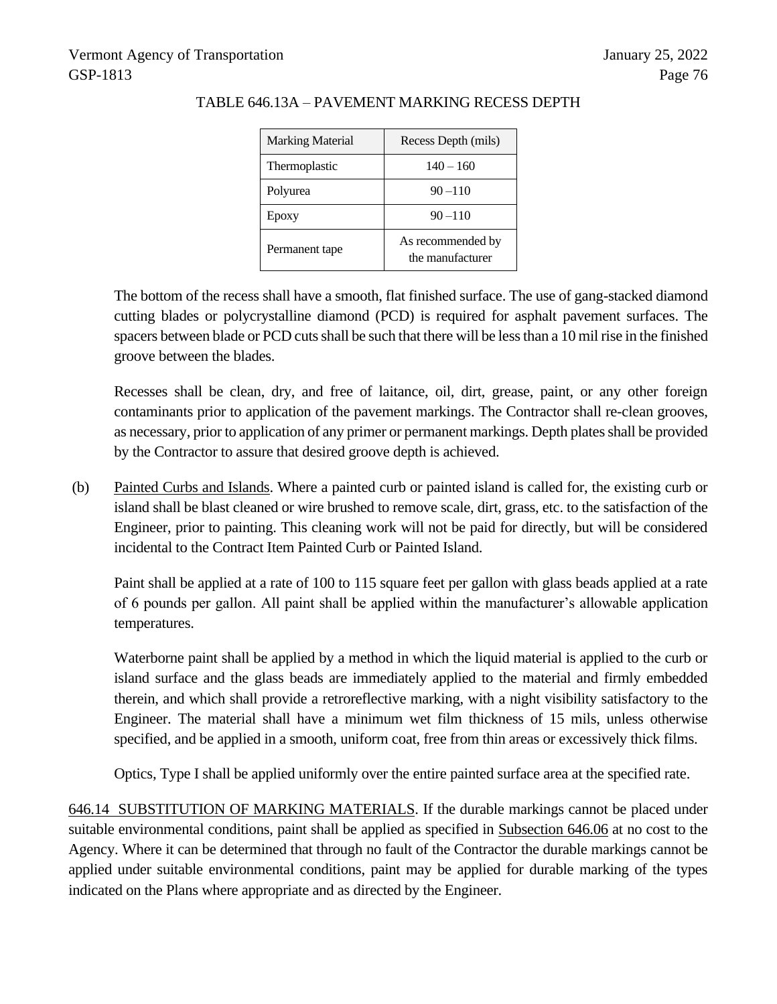| <b>Marking Material</b> | Recess Depth (mils)                   |
|-------------------------|---------------------------------------|
| Thermoplastic           | $140 - 160$                           |
| Polyurea                | $90 - 110$                            |
| Epoxy                   | $90 - 110$                            |
| Permanent tape          | As recommended by<br>the manufacturer |

#### TABLE 646.13A – PAVEMENT MARKING RECESS DEPTH

The bottom of the recess shall have a smooth, flat finished surface. The use of gang-stacked diamond cutting blades or polycrystalline diamond (PCD) is required for asphalt pavement surfaces. The spacers between blade or PCD cuts shall be such that there will be less than a 10 mil rise in the finished groove between the blades.

Recesses shall be clean, dry, and free of laitance, oil, dirt, grease, paint, or any other foreign contaminants prior to application of the pavement markings. The Contractor shall re-clean grooves, as necessary, prior to application of any primer or permanent markings. Depth plates shall be provided by the Contractor to assure that desired groove depth is achieved.

(b) Painted Curbs and Islands. Where a painted curb or painted island is called for, the existing curb or island shall be blast cleaned or wire brushed to remove scale, dirt, grass, etc. to the satisfaction of the Engineer, prior to painting. This cleaning work will not be paid for directly, but will be considered incidental to the Contract Item Painted Curb or Painted Island.

Paint shall be applied at a rate of 100 to 115 square feet per gallon with glass beads applied at a rate of 6 pounds per gallon. All paint shall be applied within the manufacturer's allowable application temperatures.

Waterborne paint shall be applied by a method in which the liquid material is applied to the curb or island surface and the glass beads are immediately applied to the material and firmly embedded therein, and which shall provide a retroreflective marking, with a night visibility satisfactory to the Engineer. The material shall have a minimum wet film thickness of 15 mils, unless otherwise specified, and be applied in a smooth, uniform coat, free from thin areas or excessively thick films.

Optics, Type I shall be applied uniformly over the entire painted surface area at the specified rate.

646.14 SUBSTITUTION OF MARKING MATERIALS. If the durable markings cannot be placed under suitable environmental conditions, paint shall be applied as specified in Subsection 646.06 at no cost to the Agency. Where it can be determined that through no fault of the Contractor the durable markings cannot be applied under suitable environmental conditions, paint may be applied for durable marking of the types indicated on the Plans where appropriate and as directed by the Engineer.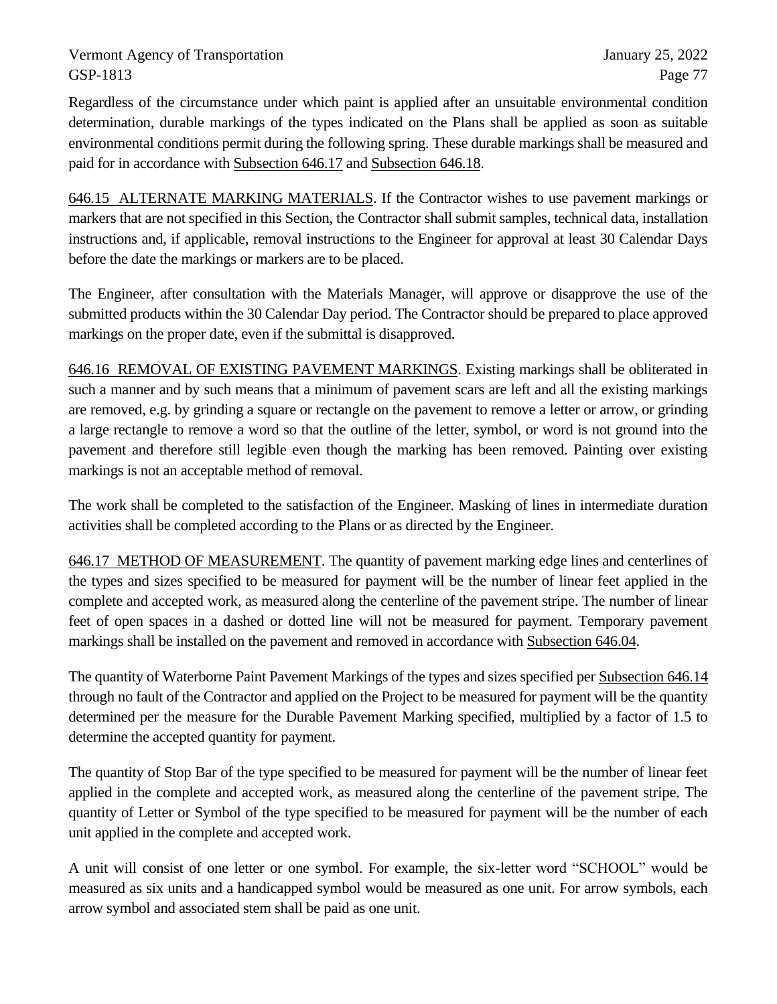Regardless of the circumstance under which paint is applied after an unsuitable environmental condition determination, durable markings of the types indicated on the Plans shall be applied as soon as suitable environmental conditions permit during the following spring. These durable markings shall be measured and paid for in accordance with Subsection 646.17 and Subsection 646.18.

646.15 ALTERNATE MARKING MATERIALS. If the Contractor wishes to use pavement markings or markers that are not specified in this Section, the Contractor shall submit samples, technical data, installation instructions and, if applicable, removal instructions to the Engineer for approval at least 30 Calendar Days before the date the markings or markers are to be placed.

The Engineer, after consultation with the Materials Manager, will approve or disapprove the use of the submitted products within the 30 Calendar Day period. The Contractor should be prepared to place approved markings on the proper date, even if the submittal is disapproved.

646.16 REMOVAL OF EXISTING PAVEMENT MARKINGS. Existing markings shall be obliterated in such a manner and by such means that a minimum of pavement scars are left and all the existing markings are removed, e.g. by grinding a square or rectangle on the pavement to remove a letter or arrow, or grinding a large rectangle to remove a word so that the outline of the letter, symbol, or word is not ground into the pavement and therefore still legible even though the marking has been removed. Painting over existing markings is not an acceptable method of removal.

The work shall be completed to the satisfaction of the Engineer. Masking of lines in intermediate duration activities shall be completed according to the Plans or as directed by the Engineer.

646.17 METHOD OF MEASUREMENT. The quantity of pavement marking edge lines and centerlines of the types and sizes specified to be measured for payment will be the number of linear feet applied in the complete and accepted work, as measured along the centerline of the pavement stripe. The number of linear feet of open spaces in a dashed or dotted line will not be measured for payment. Temporary pavement markings shall be installed on the pavement and removed in accordance with Subsection 646.04.

The quantity of Waterborne Paint Pavement Markings of the types and sizes specified per Subsection 646.14 through no fault of the Contractor and applied on the Project to be measured for payment will be the quantity determined per the measure for the Durable Pavement Marking specified, multiplied by a factor of 1.5 to determine the accepted quantity for payment.

The quantity of Stop Bar of the type specified to be measured for payment will be the number of linear feet applied in the complete and accepted work, as measured along the centerline of the pavement stripe. The quantity of Letter or Symbol of the type specified to be measured for payment will be the number of each unit applied in the complete and accepted work.

A unit will consist of one letter or one symbol. For example, the six-letter word "SCHOOL" would be measured as six units and a handicapped symbol would be measured as one unit. For arrow symbols, each arrow symbol and associated stem shall be paid as one unit.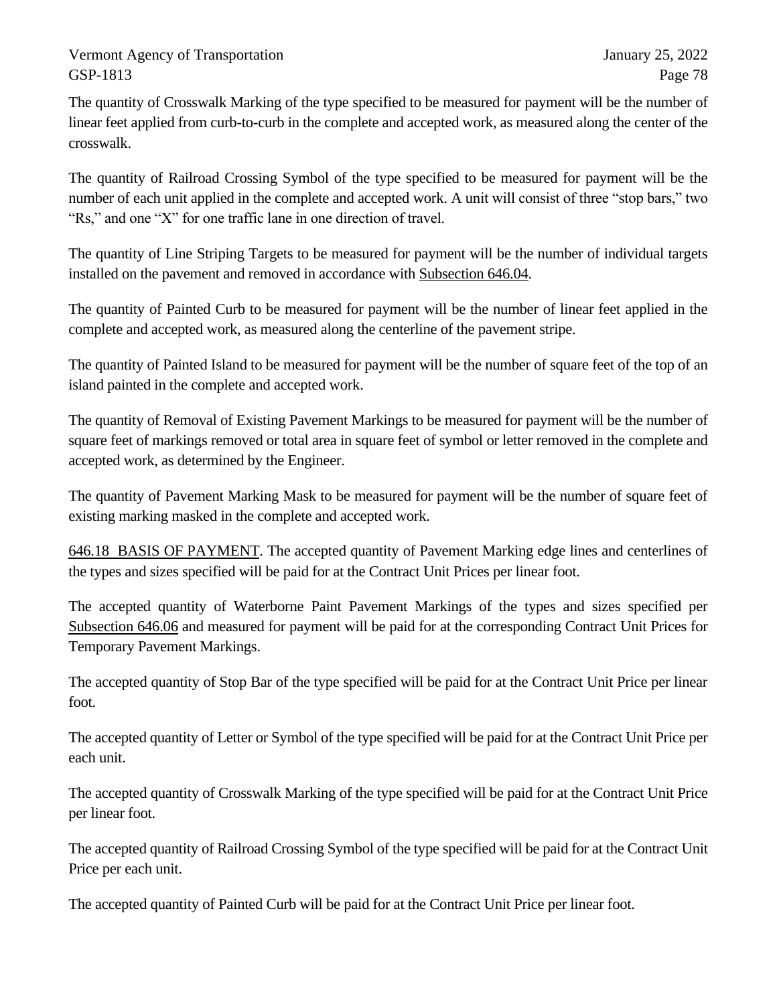The quantity of Crosswalk Marking of the type specified to be measured for payment will be the number of linear feet applied from curb-to-curb in the complete and accepted work, as measured along the center of the crosswalk.

The quantity of Railroad Crossing Symbol of the type specified to be measured for payment will be the number of each unit applied in the complete and accepted work. A unit will consist of three "stop bars," two "Rs," and one "X" for one traffic lane in one direction of travel.

The quantity of Line Striping Targets to be measured for payment will be the number of individual targets installed on the pavement and removed in accordance with Subsection 646.04.

The quantity of Painted Curb to be measured for payment will be the number of linear feet applied in the complete and accepted work, as measured along the centerline of the pavement stripe.

The quantity of Painted Island to be measured for payment will be the number of square feet of the top of an island painted in the complete and accepted work.

The quantity of Removal of Existing Pavement Markings to be measured for payment will be the number of square feet of markings removed or total area in square feet of symbol or letter removed in the complete and accepted work, as determined by the Engineer.

The quantity of Pavement Marking Mask to be measured for payment will be the number of square feet of existing marking masked in the complete and accepted work.

646.18 BASIS OF PAYMENT. The accepted quantity of Pavement Marking edge lines and centerlines of the types and sizes specified will be paid for at the Contract Unit Prices per linear foot.

The accepted quantity of Waterborne Paint Pavement Markings of the types and sizes specified per Subsection 646.06 and measured for payment will be paid for at the corresponding Contract Unit Prices for Temporary Pavement Markings.

The accepted quantity of Stop Bar of the type specified will be paid for at the Contract Unit Price per linear foot.

The accepted quantity of Letter or Symbol of the type specified will be paid for at the Contract Unit Price per each unit.

The accepted quantity of Crosswalk Marking of the type specified will be paid for at the Contract Unit Price per linear foot.

The accepted quantity of Railroad Crossing Symbol of the type specified will be paid for at the Contract Unit Price per each unit.

The accepted quantity of Painted Curb will be paid for at the Contract Unit Price per linear foot.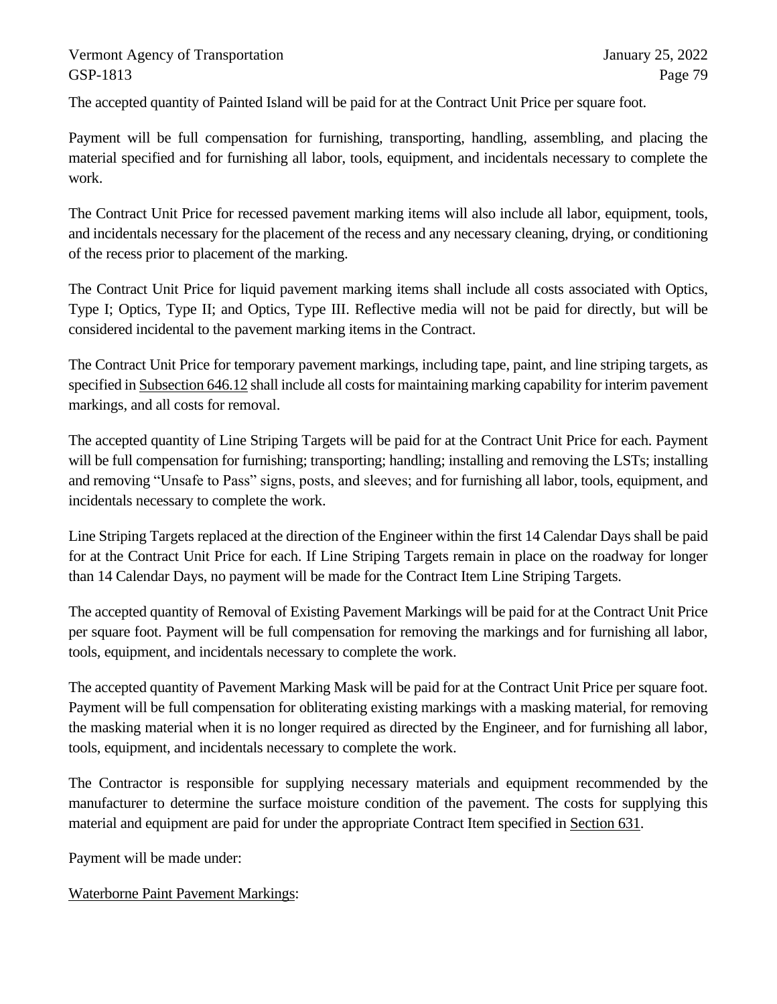The accepted quantity of Painted Island will be paid for at the Contract Unit Price per square foot.

Payment will be full compensation for furnishing, transporting, handling, assembling, and placing the material specified and for furnishing all labor, tools, equipment, and incidentals necessary to complete the work.

The Contract Unit Price for recessed pavement marking items will also include all labor, equipment, tools, and incidentals necessary for the placement of the recess and any necessary cleaning, drying, or conditioning of the recess prior to placement of the marking.

The Contract Unit Price for liquid pavement marking items shall include all costs associated with Optics, Type I; Optics, Type II; and Optics, Type III. Reflective media will not be paid for directly, but will be considered incidental to the pavement marking items in the Contract.

The Contract Unit Price for temporary pavement markings, including tape, paint, and line striping targets, as specified in Subsection 646.12 shall include all costs for maintaining marking capability for interim pavement markings, and all costs for removal.

The accepted quantity of Line Striping Targets will be paid for at the Contract Unit Price for each. Payment will be full compensation for furnishing; transporting; handling; installing and removing the LSTs; installing and removing "Unsafe to Pass" signs, posts, and sleeves; and for furnishing all labor, tools, equipment, and incidentals necessary to complete the work.

Line Striping Targets replaced at the direction of the Engineer within the first 14 Calendar Days shall be paid for at the Contract Unit Price for each. If Line Striping Targets remain in place on the roadway for longer than 14 Calendar Days, no payment will be made for the Contract Item Line Striping Targets.

The accepted quantity of Removal of Existing Pavement Markings will be paid for at the Contract Unit Price per square foot. Payment will be full compensation for removing the markings and for furnishing all labor, tools, equipment, and incidentals necessary to complete the work.

The accepted quantity of Pavement Marking Mask will be paid for at the Contract Unit Price per square foot. Payment will be full compensation for obliterating existing markings with a masking material, for removing the masking material when it is no longer required as directed by the Engineer, and for furnishing all labor, tools, equipment, and incidentals necessary to complete the work.

The Contractor is responsible for supplying necessary materials and equipment recommended by the manufacturer to determine the surface moisture condition of the pavement. The costs for supplying this material and equipment are paid for under the appropriate Contract Item specified in Section 631.

Payment will be made under:

Waterborne Paint Pavement Markings: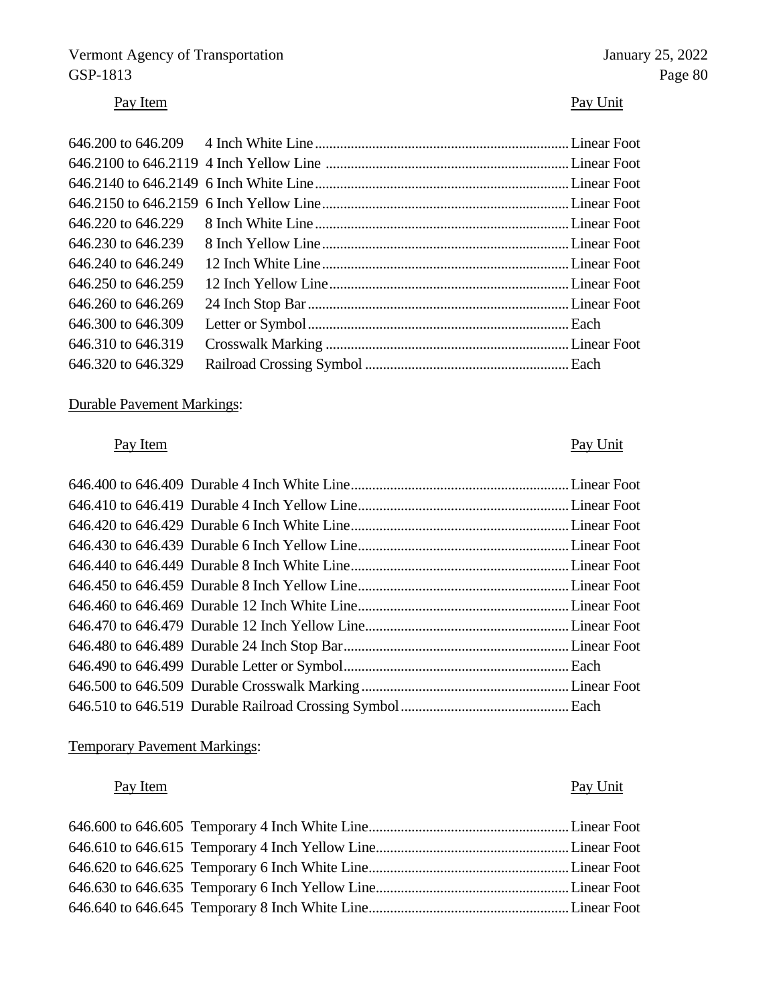# Vermont Agency of Transportation January 25, 2022<br>
GSP-1813 Page 80 GSP-1813 Page 80

# Pay Item Pay Unit

| 646,220 to 646,229 |  |
|--------------------|--|
| 646,230 to 646,239 |  |
| 646,240 to 646,249 |  |
| 646,250 to 646,259 |  |
| 646,260 to 646,269 |  |
| 646.300 to 646.309 |  |
| 646.310 to 646.319 |  |
| 646.320 to 646.329 |  |

# Durable Pavement Markings:

# Pay Item Pay Unit

# Temporary Pavement Markings:

# Pay Item Pay Unit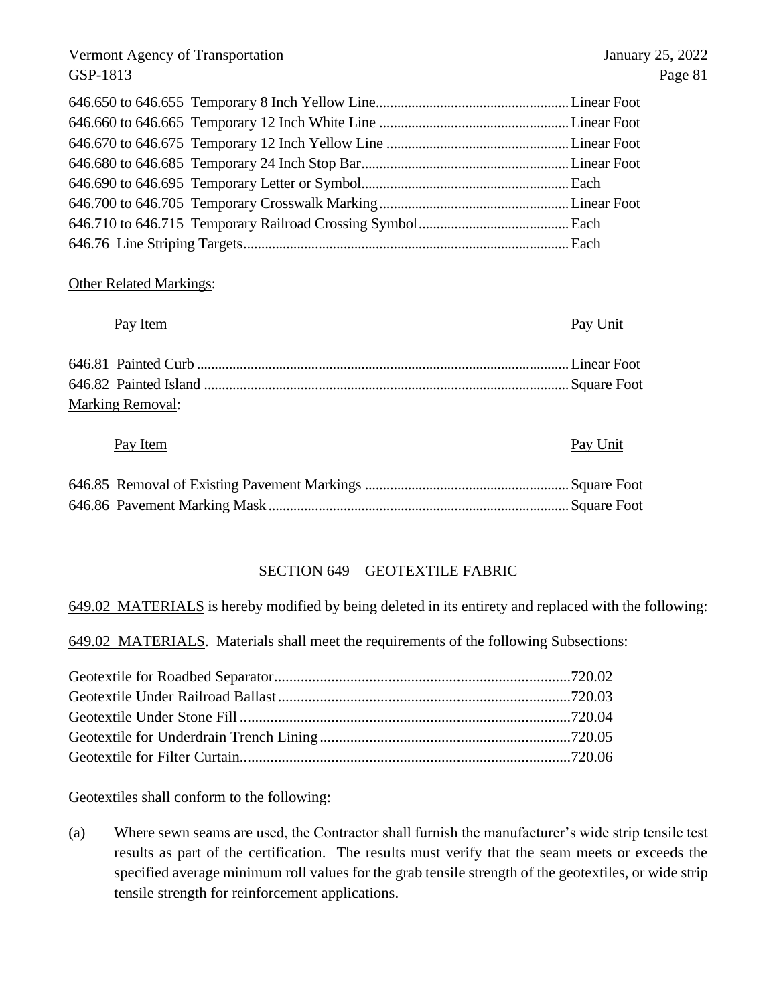#### Other Related Markings:

#### Pay Item Pay Unit

| <b>Marking Removal:</b> |  |
|-------------------------|--|

#### Pay Item Pay Unit

#### SECTION 649 – GEOTEXTILE FABRIC

649.02 MATERIALS is hereby modified by being deleted in its entirety and replaced with the following:

649.02 MATERIALS. Materials shall meet the requirements of the following Subsections:

Geotextiles shall conform to the following:

(a) Where sewn seams are used, the Contractor shall furnish the manufacturer's wide strip tensile test results as part of the certification. The results must verify that the seam meets or exceeds the specified average minimum roll values for the grab tensile strength of the geotextiles, or wide strip tensile strength for reinforcement applications.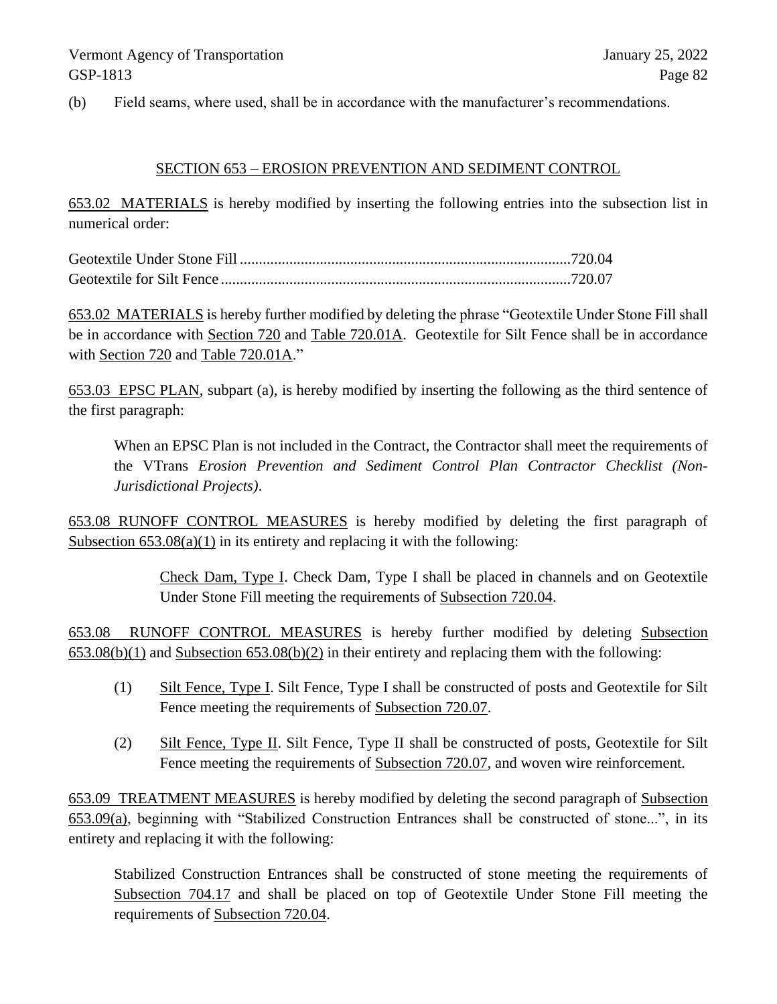(b) Field seams, where used, shall be in accordance with the manufacturer's recommendations.

#### SECTION 653 – EROSION PREVENTION AND SEDIMENT CONTROL

653.02 MATERIALS is hereby modified by inserting the following entries into the subsection list in numerical order:

653.02 MATERIALS is hereby further modified by deleting the phrase "Geotextile Under Stone Fill shall be in accordance with Section 720 and Table 720.01A. Geotextile for Silt Fence shall be in accordance with Section 720 and Table 720.01A."

653.03 EPSC PLAN, subpart (a), is hereby modified by inserting the following as the third sentence of the first paragraph:

When an EPSC Plan is not included in the Contract, the Contractor shall meet the requirements of the VTrans *Erosion Prevention and Sediment Control Plan Contractor Checklist (Non-Jurisdictional Projects)*.

653.08 RUNOFF CONTROL MEASURES is hereby modified by deleting the first paragraph of Subsection  $653.08(a)(1)$  in its entirety and replacing it with the following:

> Check Dam, Type I. Check Dam, Type I shall be placed in channels and on Geotextile Under Stone Fill meeting the requirements of Subsection 720.04.

653.08 RUNOFF CONTROL MEASURES is hereby further modified by deleting Subsection 653.08(b)(1) and Subsection 653.08(b)(2) in their entirety and replacing them with the following:

- (1) Silt Fence, Type I. Silt Fence, Type I shall be constructed of posts and Geotextile for Silt Fence meeting the requirements of Subsection 720.07.
- (2) Silt Fence, Type II. Silt Fence, Type II shall be constructed of posts, Geotextile for Silt Fence meeting the requirements of Subsection 720.07, and woven wire reinforcement.

653.09 TREATMENT MEASURES is hereby modified by deleting the second paragraph of Subsection 653.09(a), beginning with "Stabilized Construction Entrances shall be constructed of stone...", in its entirety and replacing it with the following:

Stabilized Construction Entrances shall be constructed of stone meeting the requirements of Subsection 704.17 and shall be placed on top of Geotextile Under Stone Fill meeting the requirements of Subsection 720.04.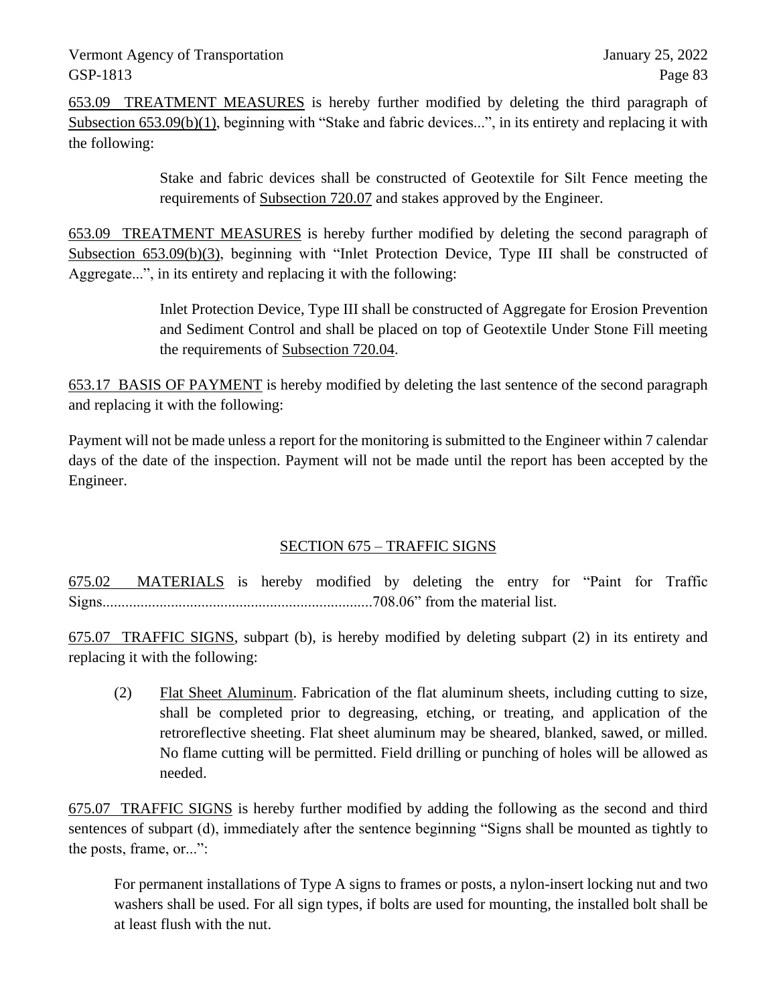653.09 TREATMENT MEASURES is hereby further modified by deleting the third paragraph of Subsection 653.09(b)(1), beginning with "Stake and fabric devices...", in its entirety and replacing it with the following:

> Stake and fabric devices shall be constructed of Geotextile for Silt Fence meeting the requirements of Subsection 720.07 and stakes approved by the Engineer.

653.09 TREATMENT MEASURES is hereby further modified by deleting the second paragraph of Subsection 653.09(b)(3), beginning with "Inlet Protection Device, Type III shall be constructed of Aggregate...", in its entirety and replacing it with the following:

> Inlet Protection Device, Type III shall be constructed of Aggregate for Erosion Prevention and Sediment Control and shall be placed on top of Geotextile Under Stone Fill meeting the requirements of Subsection 720.04.

653.17 BASIS OF PAYMENT is hereby modified by deleting the last sentence of the second paragraph and replacing it with the following:

Payment will not be made unless a report for the monitoring is submitted to the Engineer within 7 calendar days of the date of the inspection. Payment will not be made until the report has been accepted by the Engineer.

### SECTION 675 – TRAFFIC SIGNS

675.02 MATERIALS is hereby modified by deleting the entry for "Paint for Traffic Signs.......................................................................708.06" from the material list.

675.07 TRAFFIC SIGNS, subpart (b), is hereby modified by deleting subpart (2) in its entirety and replacing it with the following:

(2) Flat Sheet Aluminum. Fabrication of the flat aluminum sheets, including cutting to size, shall be completed prior to degreasing, etching, or treating, and application of the retroreflective sheeting. Flat sheet aluminum may be sheared, blanked, sawed, or milled. No flame cutting will be permitted. Field drilling or punching of holes will be allowed as needed.

675.07 TRAFFIC SIGNS is hereby further modified by adding the following as the second and third sentences of subpart (d), immediately after the sentence beginning "Signs shall be mounted as tightly to the posts, frame, or...":

For permanent installations of Type A signs to frames or posts, a nylon-insert locking nut and two washers shall be used. For all sign types, if bolts are used for mounting, the installed bolt shall be at least flush with the nut.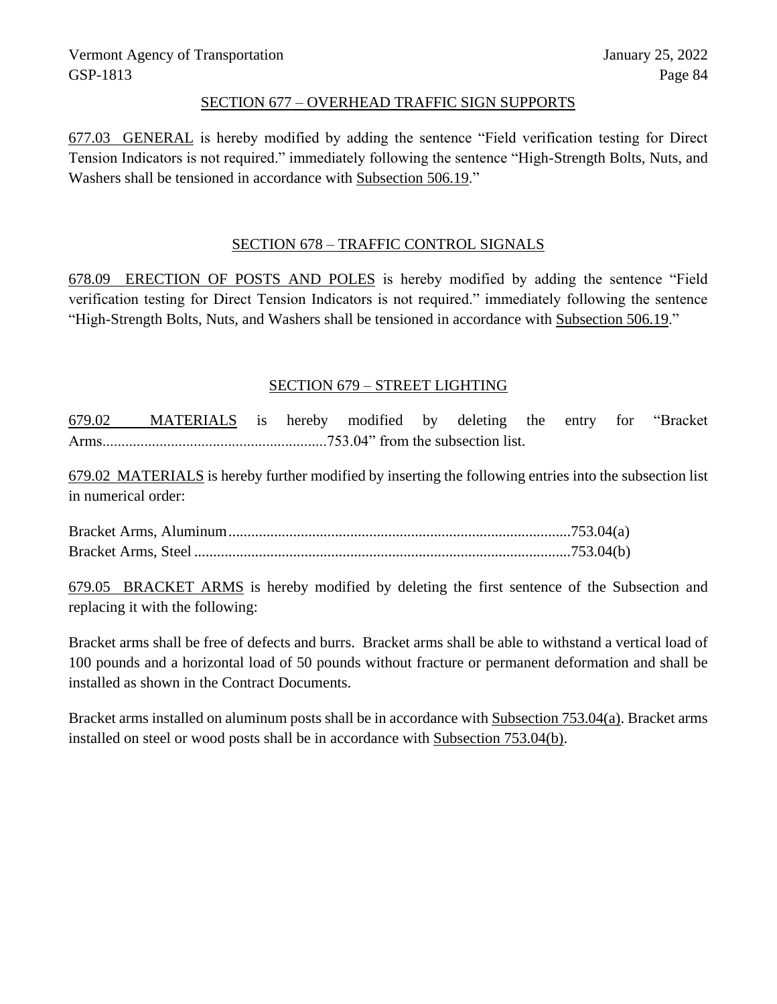#### SECTION 677 – OVERHEAD TRAFFIC SIGN SUPPORTS

677.03 GENERAL is hereby modified by adding the sentence "Field verification testing for Direct Tension Indicators is not required." immediately following the sentence "High-Strength Bolts, Nuts, and Washers shall be tensioned in accordance with Subsection 506.19."

#### SECTION 678 – TRAFFIC CONTROL SIGNALS

678.09 ERECTION OF POSTS AND POLES is hereby modified by adding the sentence "Field verification testing for Direct Tension Indicators is not required." immediately following the sentence "High-Strength Bolts, Nuts, and Washers shall be tensioned in accordance with Subsection 506.19."

#### SECTION 679 – STREET LIGHTING

679.02 MATERIALS is hereby modified by deleting the entry for "Bracket Arms...........................................................753.04" from the subsection list.

679.02 MATERIALS is hereby further modified by inserting the following entries into the subsection list in numerical order:

Bracket Arms, Aluminum..........................................................................................753.04(a) Bracket Arms, Steel ...................................................................................................753.04(b)

679.05 BRACKET ARMS is hereby modified by deleting the first sentence of the Subsection and replacing it with the following:

Bracket arms shall be free of defects and burrs. Bracket arms shall be able to withstand a vertical load of 100 pounds and a horizontal load of 50 pounds without fracture or permanent deformation and shall be installed as shown in the Contract Documents.

Bracket arms installed on aluminum posts shall be in accordance with Subsection 753.04(a). Bracket arms installed on steel or wood posts shall be in accordance with Subsection 753.04(b).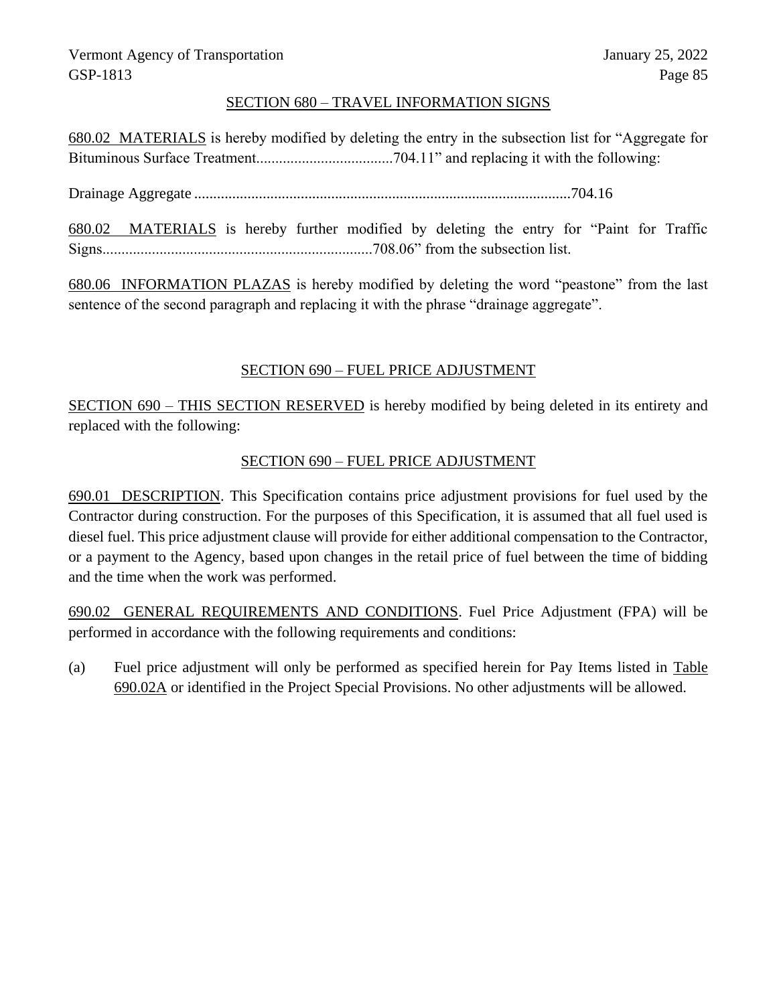#### SECTION 680 – TRAVEL INFORMATION SIGNS

680.02 MATERIALS is hereby modified by deleting the entry in the subsection list for "Aggregate for Bituminous Surface Treatment....................................704.11" and replacing it with the following:

Drainage Aggregate ...................................................................................................704.16

680.02 MATERIALS is hereby further modified by deleting the entry for "Paint for Traffic Signs.......................................................................708.06" from the subsection list.

680.06 INFORMATION PLAZAS is hereby modified by deleting the word "peastone" from the last sentence of the second paragraph and replacing it with the phrase "drainage aggregate".

### SECTION 690 – FUEL PRICE ADJUSTMENT

SECTION 690 – THIS SECTION RESERVED is hereby modified by being deleted in its entirety and replaced with the following:

#### SECTION 690 – FUEL PRICE ADJUSTMENT

690.01 DESCRIPTION. This Specification contains price adjustment provisions for fuel used by the Contractor during construction. For the purposes of this Specification, it is assumed that all fuel used is diesel fuel. This price adjustment clause will provide for either additional compensation to the Contractor, or a payment to the Agency, based upon changes in the retail price of fuel between the time of bidding and the time when the work was performed.

690.02 GENERAL REQUIREMENTS AND CONDITIONS. Fuel Price Adjustment (FPA) will be performed in accordance with the following requirements and conditions:

(a) Fuel price adjustment will only be performed as specified herein for Pay Items listed in Table 690.02A or identified in the Project Special Provisions. No other adjustments will be allowed.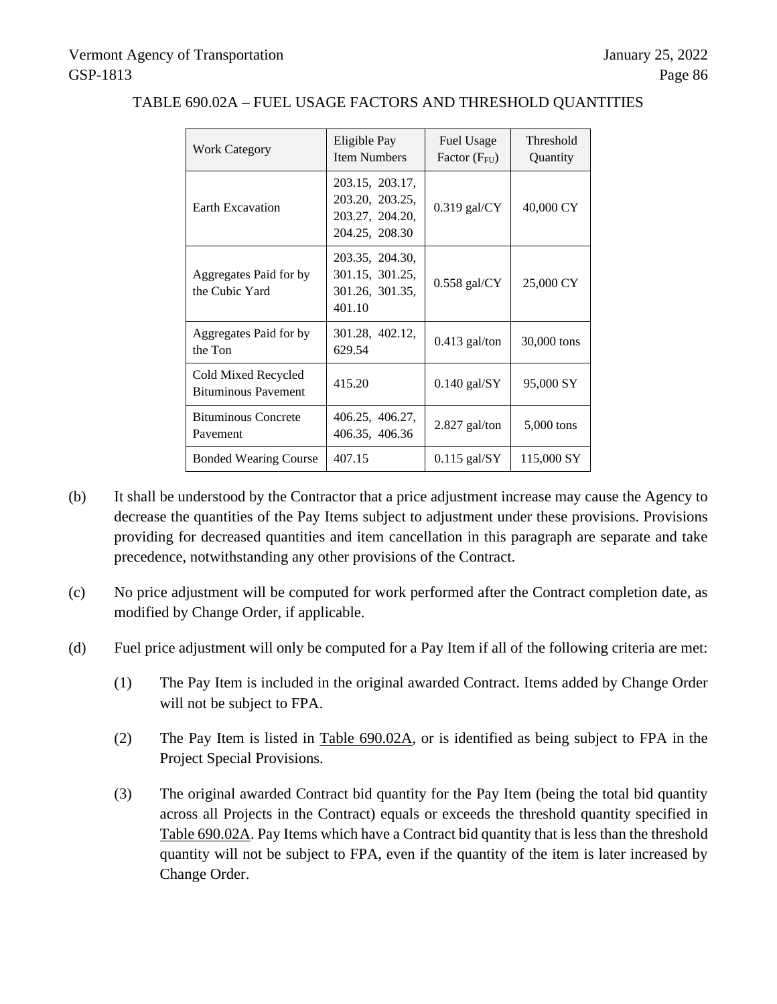| <b>Work Category</b>                              | Eligible Pay<br><b>Item Numbers</b>                                     | Fuel Usage<br>Factor $(F_{FU})$ | Threshold<br>Quantity |
|---------------------------------------------------|-------------------------------------------------------------------------|---------------------------------|-----------------------|
| <b>Earth Excavation</b>                           | 203.15, 203.17,<br>203.20, 203.25,<br>203.27, 204.20,<br>204.25, 208.30 | $0.319$ gal/CY                  | 40,000 CY             |
| Aggregates Paid for by<br>the Cubic Yard          | 203.35, 204.30,<br>301.15, 301.25,<br>301.26, 301.35,<br>401.10         | $0.558$ gal/CY                  | 25,000 CY             |
| Aggregates Paid for by<br>the Ton                 | 301.28, 402.12,<br>629.54                                               | $0.413$ gal/ton                 | 30,000 tons           |
| Cold Mixed Recycled<br><b>Bituminous Pavement</b> | 415.20                                                                  | $0.140$ gal/SY                  | 95,000 SY             |
| <b>Bituminous Concrete</b><br>Pavement            | 406.25, 406.27,<br>406.35, 406.36                                       | 2.827 gal/ton                   | $5,000$ tons          |
| <b>Bonded Wearing Course</b>                      | 407.15                                                                  | $0.115$ gal/SY                  | 115,000 SY            |

### TABLE 690.02A – FUEL USAGE FACTORS AND THRESHOLD QUANTITIES

- (b) It shall be understood by the Contractor that a price adjustment increase may cause the Agency to decrease the quantities of the Pay Items subject to adjustment under these provisions. Provisions providing for decreased quantities and item cancellation in this paragraph are separate and take precedence, notwithstanding any other provisions of the Contract.
- (c) No price adjustment will be computed for work performed after the Contract completion date, as modified by Change Order, if applicable.
- (d) Fuel price adjustment will only be computed for a Pay Item if all of the following criteria are met:
	- (1) The Pay Item is included in the original awarded Contract. Items added by Change Order will not be subject to FPA.
	- (2) The Pay Item is listed in Table 690.02A, or is identified as being subject to FPA in the Project Special Provisions.
	- (3) The original awarded Contract bid quantity for the Pay Item (being the total bid quantity across all Projects in the Contract) equals or exceeds the threshold quantity specified in Table 690.02A. Pay Items which have a Contract bid quantity that is less than the threshold quantity will not be subject to FPA, even if the quantity of the item is later increased by Change Order.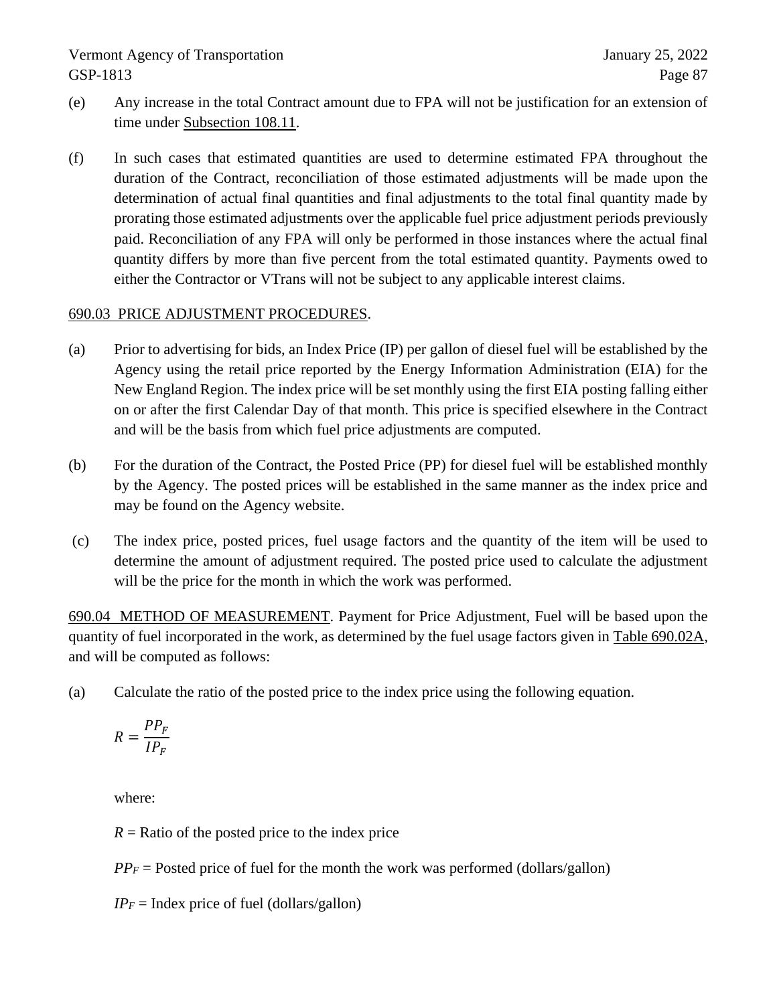- (e) Any increase in the total Contract amount due to FPA will not be justification for an extension of time under Subsection 108.11.
- (f) In such cases that estimated quantities are used to determine estimated FPA throughout the duration of the Contract, reconciliation of those estimated adjustments will be made upon the determination of actual final quantities and final adjustments to the total final quantity made by prorating those estimated adjustments over the applicable fuel price adjustment periods previously paid. Reconciliation of any FPA will only be performed in those instances where the actual final quantity differs by more than five percent from the total estimated quantity. Payments owed to either the Contractor or VTrans will not be subject to any applicable interest claims.

#### 690.03 PRICE ADJUSTMENT PROCEDURES.

- (a) Prior to advertising for bids, an Index Price (IP) per gallon of diesel fuel will be established by the Agency using the retail price reported by the Energy Information Administration (EIA) for the New England Region. The index price will be set monthly using the first EIA posting falling either on or after the first Calendar Day of that month. This price is specified elsewhere in the Contract and will be the basis from which fuel price adjustments are computed.
- (b) For the duration of the Contract, the Posted Price (PP) for diesel fuel will be established monthly by the Agency. The posted prices will be established in the same manner as the index price and may be found on the Agency website.
- (c) The index price, posted prices, fuel usage factors and the quantity of the item will be used to determine the amount of adjustment required. The posted price used to calculate the adjustment will be the price for the month in which the work was performed.

690.04 METHOD OF MEASUREMENT. Payment for Price Adjustment, Fuel will be based upon the quantity of fuel incorporated in the work, as determined by the fuel usage factors given in Table 690.02A, and will be computed as follows:

(a) Calculate the ratio of the posted price to the index price using the following equation.

$$
R = \frac{PP_F}{IP_F}
$$

where:

 $R =$ Ratio of the posted price to the index price

 $PP_F$  = Posted price of fuel for the month the work was performed (dollars/gallon)

 $IP_F$  = Index price of fuel (dollars/gallon)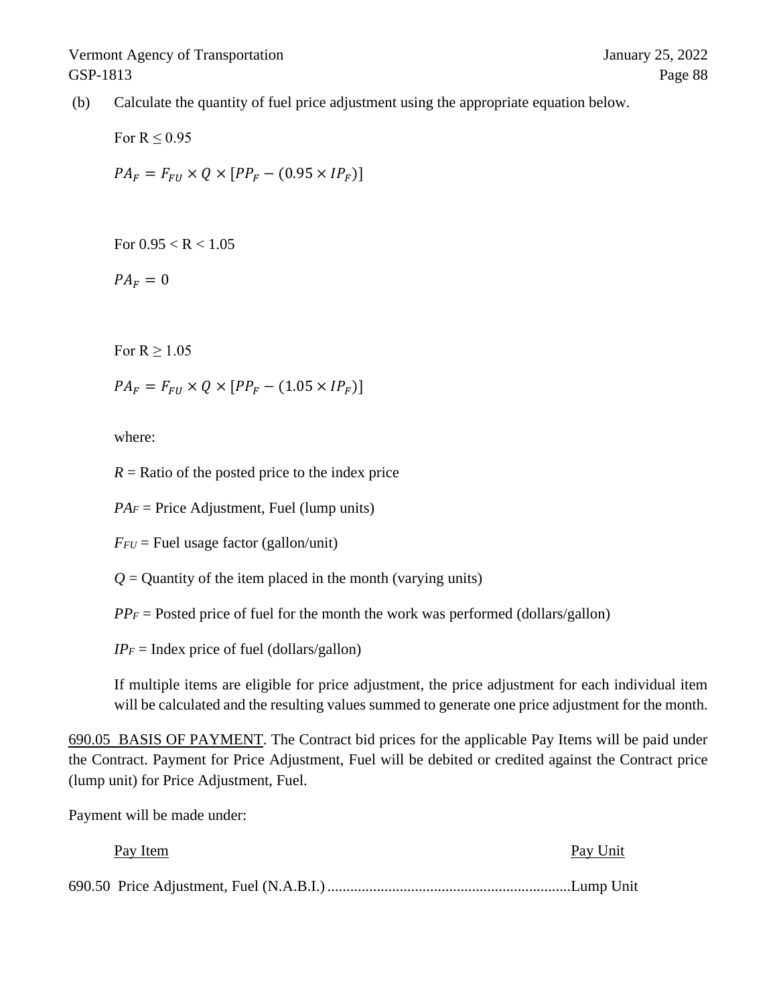(b) Calculate the quantity of fuel price adjustment using the appropriate equation below.

For  $R \leq 0.95$  $PA_F = F_{FI} \times Q \times [PP_F - (0.95 \times IP_F)]$ 

For  $0.95 < R < 1.05$ 

 $PA_F = 0$ 

For  $R > 1.05$ 

 $PA_F = F_{FI} \times Q \times [PP_F - (1.05 \times IP_F)]$ 

where:

 $R =$ Ratio of the posted price to the index price

 $PA<sub>F</sub>$  = Price Adjustment, Fuel (lump units)

 $F_{FU}$  = Fuel usage factor (gallon/unit)

 $Q =$  Quantity of the item placed in the month (varying units)

 $PP_F$  = Posted price of fuel for the month the work was performed (dollars/gallon)

 $IP_F$  = Index price of fuel (dollars/gallon)

If multiple items are eligible for price adjustment, the price adjustment for each individual item will be calculated and the resulting values summed to generate one price adjustment for the month.

690.05 BASIS OF PAYMENT. The Contract bid prices for the applicable Pay Items will be paid under the Contract. Payment for Price Adjustment, Fuel will be debited or credited against the Contract price (lump unit) for Price Adjustment, Fuel.

Payment will be made under:

| Pay Item | Pay Unit |
|----------|----------|
|          |          |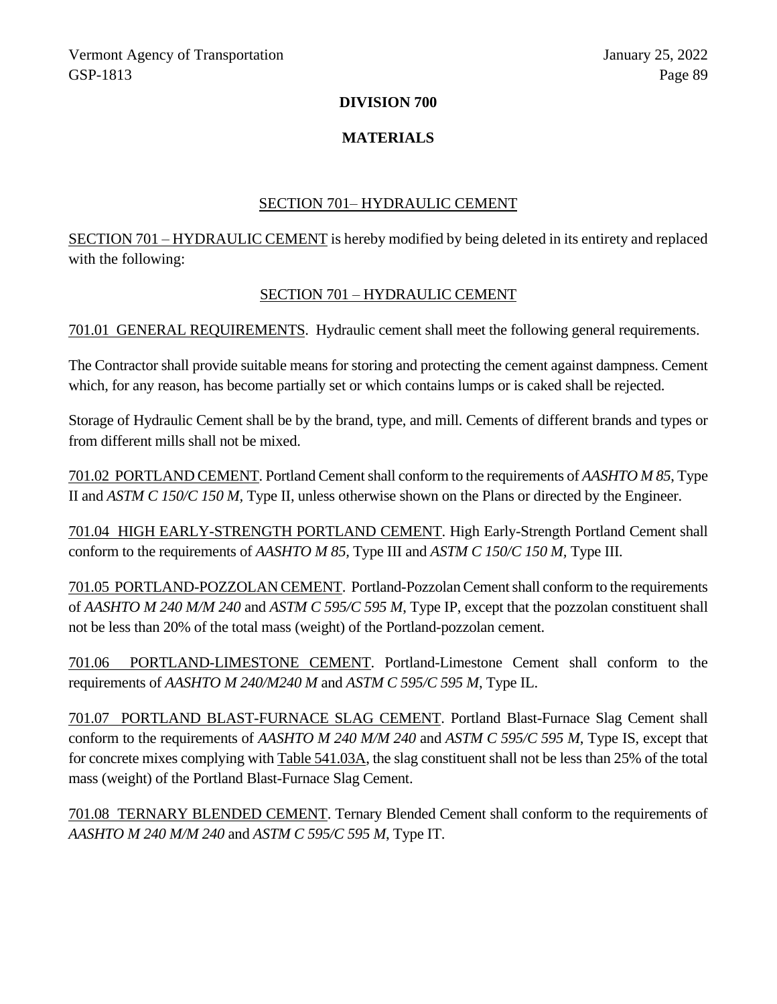#### **DIVISION 700**

#### **MATERIALS**

#### SECTION 701– HYDRAULIC CEMENT

SECTION 701 – HYDRAULIC CEMENT is hereby modified by being deleted in its entirety and replaced with the following:

#### SECTION 701 – HYDRAULIC CEMENT

701.01 GENERAL REQUIREMENTS. Hydraulic cement shall meet the following general requirements.

The Contractor shall provide suitable means for storing and protecting the cement against dampness. Cement which, for any reason, has become partially set or which contains lumps or is caked shall be rejected.

Storage of Hydraulic Cement shall be by the brand, type, and mill. Cements of different brands and types or from different mills shall not be mixed.

701.02 PORTLAND CEMENT. Portland Cement shall conform to the requirements of *AASHTO M 85*, Type II and *ASTM C 150/C 150 M,* Type II, unless otherwise shown on the Plans or directed by the Engineer.

701.04 HIGH EARLY-STRENGTH PORTLAND CEMENT. High Early-Strength Portland Cement shall conform to the requirements of *AASHTO M 85,* Type III and *ASTM C 150/C 150 M,* Type III*.*

701.05 PORTLAND-POZZOLAN CEMENT. Portland-Pozzolan Cement shall conform to the requirements of *AASHTO M 240 M/M 240* and *ASTM C 595/C 595 M*, Type IP, except that the pozzolan constituent shall not be less than 20% of the total mass (weight) of the Portland-pozzolan cement.

701.06 PORTLAND-LIMESTONE CEMENT. Portland-Limestone Cement shall conform to the requirements of *AASHTO M 240/M240 M* and *ASTM C 595/C 595 M*, Type IL.

701.07 PORTLAND BLAST-FURNACE SLAG CEMENT. Portland Blast-Furnace Slag Cement shall conform to the requirements of *AASHTO M 240 M/M 240* and *ASTM C 595/C 595 M*, Type IS, except that for concrete mixes complying with Table 541.03A, the slag constituent shall not be less than 25% of the total mass (weight) of the Portland Blast-Furnace Slag Cement.

701.08 TERNARY BLENDED CEMENT. Ternary Blended Cement shall conform to the requirements of *AASHTO M 240 M/M 240* and *ASTM C 595/C 595 M*, Type IT.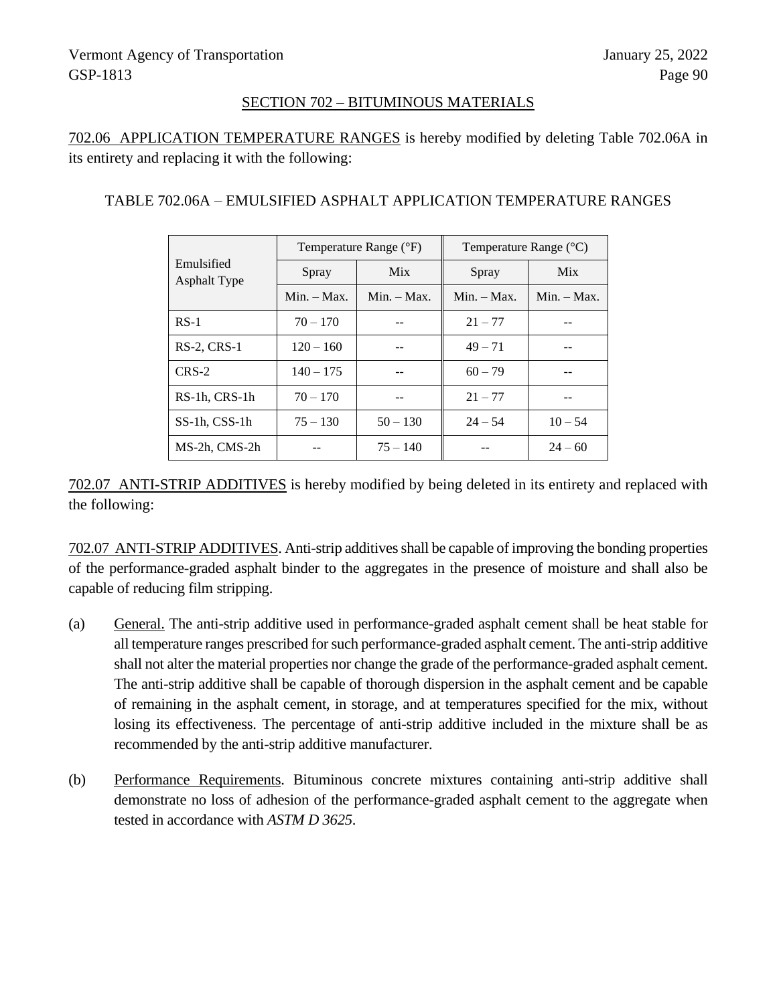#### SECTION 702 – BITUMINOUS MATERIALS

702.06 APPLICATION TEMPERATURE RANGES is hereby modified by deleting Table 702.06A in its entirety and replacing it with the following:

#### TABLE 702.06A – EMULSIFIED ASPHALT APPLICATION TEMPERATURE RANGES

|                                   | Temperature Range (°F) |               | Temperature Range $({}^{\circ}C)$ |               |
|-----------------------------------|------------------------|---------------|-----------------------------------|---------------|
| Emulsified<br><b>Asphalt Type</b> | Spray                  | <b>Mix</b>    | Spray                             | <b>Mix</b>    |
|                                   | $Min. - Max.$          | $Min. - Max.$ | $Min. - Max.$                     | $Min. - Max.$ |
| $RS-1$                            | $70 - 170$             |               | $21 - 77$                         |               |
| $RS-2$ , $CRS-1$                  | $120 - 160$            |               | $49 - 71$                         |               |
| $CRS-2$                           | $140 - 175$            |               | $60 - 79$                         |               |
| RS-1h, CRS-1h                     | $70 - 170$             |               | $21 - 77$                         |               |
| SS-1h, CSS-1h                     | $75 - 130$             | $50 - 130$    | $24 - 54$                         | $10 - 54$     |
| MS-2h, CMS-2h                     |                        | $75 - 140$    |                                   | $24 - 60$     |

702.07 ANTI-STRIP ADDITIVES is hereby modified by being deleted in its entirety and replaced with the following:

702.07 ANTI-STRIP ADDITIVES. Anti-strip additives shall be capable of improving the bonding properties of the performance-graded asphalt binder to the aggregates in the presence of moisture and shall also be capable of reducing film stripping.

- (a) General. The anti-strip additive used in performance-graded asphalt cement shall be heat stable for all temperature ranges prescribed for such performance-graded asphalt cement. The anti-strip additive shall not alter the material properties nor change the grade of the performance-graded asphalt cement. The anti-strip additive shall be capable of thorough dispersion in the asphalt cement and be capable of remaining in the asphalt cement, in storage, and at temperatures specified for the mix, without losing its effectiveness. The percentage of anti-strip additive included in the mixture shall be as recommended by the anti-strip additive manufacturer.
- (b) Performance Requirements. Bituminous concrete mixtures containing anti-strip additive shall demonstrate no loss of adhesion of the performance-graded asphalt cement to the aggregate when tested in accordance with *ASTM D 3625*.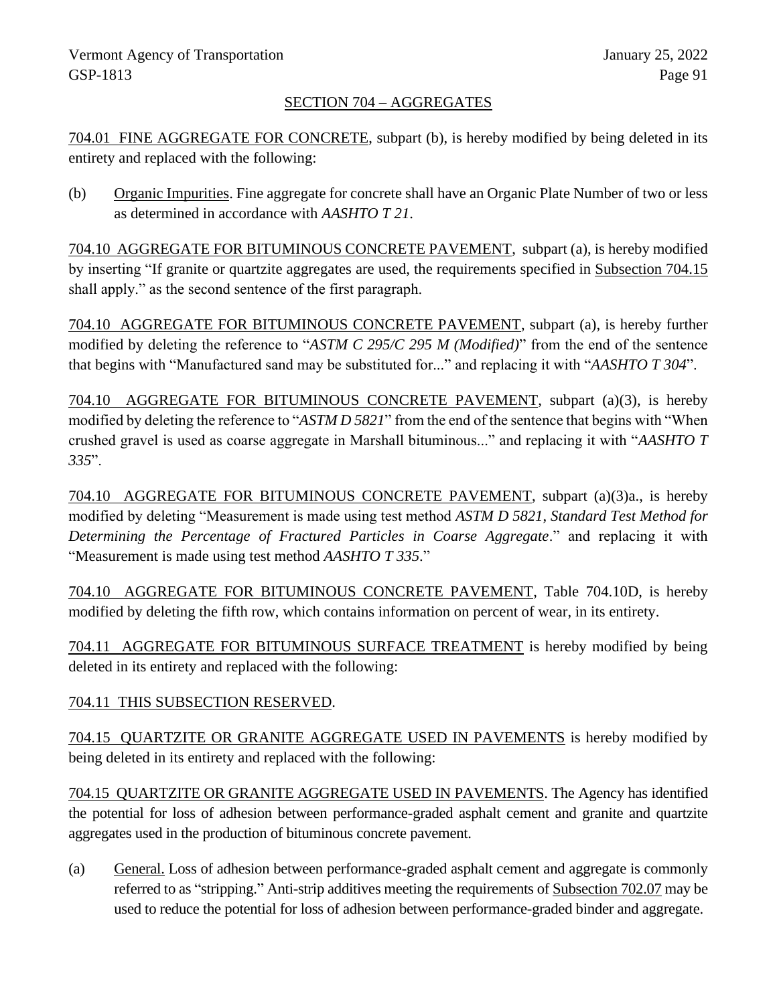### SECTION 704 – AGGREGATES

704.01 FINE AGGREGATE FOR CONCRETE, subpart (b), is hereby modified by being deleted in its entirety and replaced with the following:

(b) Organic Impurities. Fine aggregate for concrete shall have an Organic Plate Number of two or less as determined in accordance with *AASHTO T 21*.

704.10 AGGREGATE FOR BITUMINOUS CONCRETE PAVEMENT, subpart (a), is hereby modified by inserting "If granite or quartzite aggregates are used, the requirements specified in Subsection 704.15 shall apply." as the second sentence of the first paragraph.

704.10 AGGREGATE FOR BITUMINOUS CONCRETE PAVEMENT, subpart (a), is hereby further modified by deleting the reference to "*ASTM C 295/C 295 M (Modified)*" from the end of the sentence that begins with "Manufactured sand may be substituted for..." and replacing it with "*AASHTO T 304*".

704.10 AGGREGATE FOR BITUMINOUS CONCRETE PAVEMENT, subpart (a)(3), is hereby modified by deleting the reference to "*ASTM D 5821*" from the end of the sentence that begins with "When crushed gravel is used as coarse aggregate in Marshall bituminous..." and replacing it with "*AASHTO T 335*".

704.10 AGGREGATE FOR BITUMINOUS CONCRETE PAVEMENT, subpart (a)(3)a., is hereby modified by deleting "Measurement is made using test method *ASTM D 5821*, *Standard Test Method for Determining the Percentage of Fractured Particles in Coarse Aggregate*." and replacing it with "Measurement is made using test method *AASHTO T 335*."

704.10 AGGREGATE FOR BITUMINOUS CONCRETE PAVEMENT, Table 704.10D, is hereby modified by deleting the fifth row, which contains information on percent of wear, in its entirety.

704.11 AGGREGATE FOR BITUMINOUS SURFACE TREATMENT is hereby modified by being deleted in its entirety and replaced with the following:

### 704.11 THIS SUBSECTION RESERVED.

704.15 QUARTZITE OR GRANITE AGGREGATE USED IN PAVEMENTS is hereby modified by being deleted in its entirety and replaced with the following:

704.15 QUARTZITE OR GRANITE AGGREGATE USED IN PAVEMENTS. The Agency has identified the potential for loss of adhesion between performance-graded asphalt cement and granite and quartzite aggregates used in the production of bituminous concrete pavement.

(a) General. Loss of adhesion between performance-graded asphalt cement and aggregate is commonly referred to as "stripping." Anti-strip additives meeting the requirements of Subsection 702.07 may be used to reduce the potential for loss of adhesion between performance-graded binder and aggregate.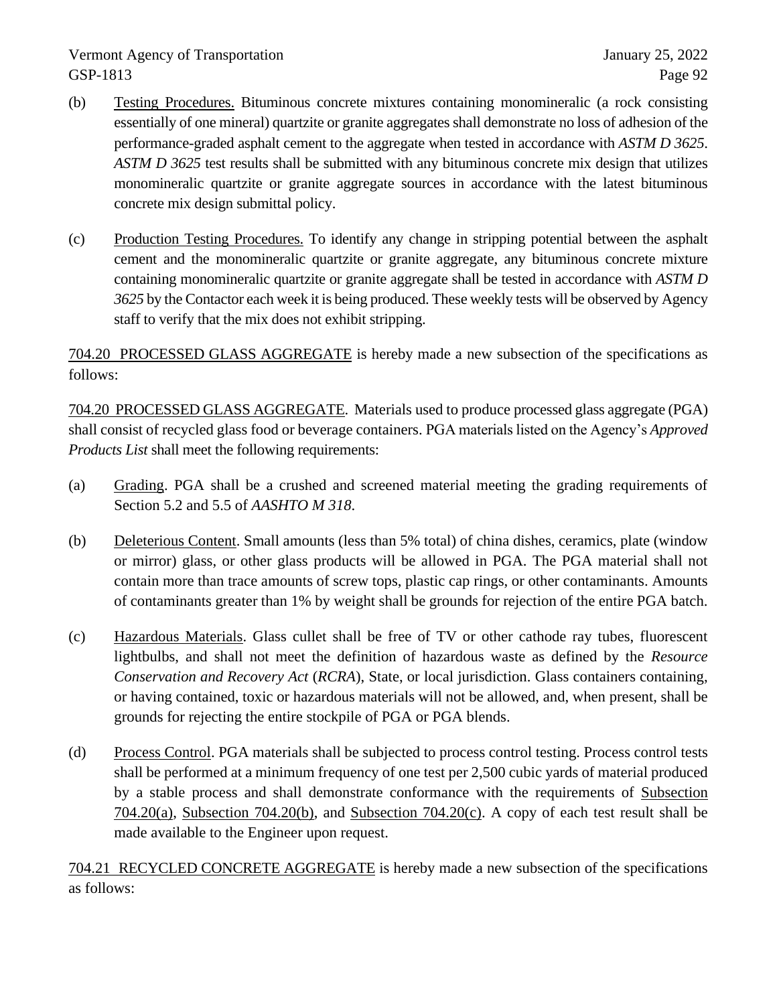- (b) Testing Procedures. Bituminous concrete mixtures containing monomineralic (a rock consisting essentially of one mineral) quartzite or granite aggregates shall demonstrate no loss of adhesion of the performance-graded asphalt cement to the aggregate when tested in accordance with *ASTM D 3625*. *ASTM D 3625* test results shall be submitted with any bituminous concrete mix design that utilizes monomineralic quartzite or granite aggregate sources in accordance with the latest bituminous concrete mix design submittal policy.
- (c) Production Testing Procedures. To identify any change in stripping potential between the asphalt cement and the monomineralic quartzite or granite aggregate, any bituminous concrete mixture containing monomineralic quartzite or granite aggregate shall be tested in accordance with *ASTM D 3625* by the Contactor each week it is being produced. These weekly tests will be observed by Agency staff to verify that the mix does not exhibit stripping.

704.20 PROCESSED GLASS AGGREGATE is hereby made a new subsection of the specifications as follows:

704.20 PROCESSED GLASS AGGREGATE. Materials used to produce processed glass aggregate (PGA) shall consist of recycled glass food or beverage containers. PGA materials listed on the Agency's *Approved Products List* shall meet the following requirements:

- (a) Grading. PGA shall be a crushed and screened material meeting the grading requirements of Section 5.2 and 5.5 of *AASHTO M 318*.
- (b) Deleterious Content. Small amounts (less than 5% total) of china dishes, ceramics, plate (window or mirror) glass, or other glass products will be allowed in PGA. The PGA material shall not contain more than trace amounts of screw tops, plastic cap rings, or other contaminants. Amounts of contaminants greater than 1% by weight shall be grounds for rejection of the entire PGA batch.
- (c) Hazardous Materials. Glass cullet shall be free of TV or other cathode ray tubes, fluorescent lightbulbs, and shall not meet the definition of hazardous waste as defined by the *Resource Conservation and Recovery Act* (*RCRA*), State, or local jurisdiction. Glass containers containing, or having contained, toxic or hazardous materials will not be allowed, and, when present, shall be grounds for rejecting the entire stockpile of PGA or PGA blends.
- (d) Process Control. PGA materials shall be subjected to process control testing. Process control tests shall be performed at a minimum frequency of one test per 2,500 cubic yards of material produced by a stable process and shall demonstrate conformance with the requirements of Subsection 704.20(a), Subsection 704.20(b), and Subsection 704.20(c). A copy of each test result shall be made available to the Engineer upon request.

704.21 RECYCLED CONCRETE AGGREGATE is hereby made a new subsection of the specifications as follows: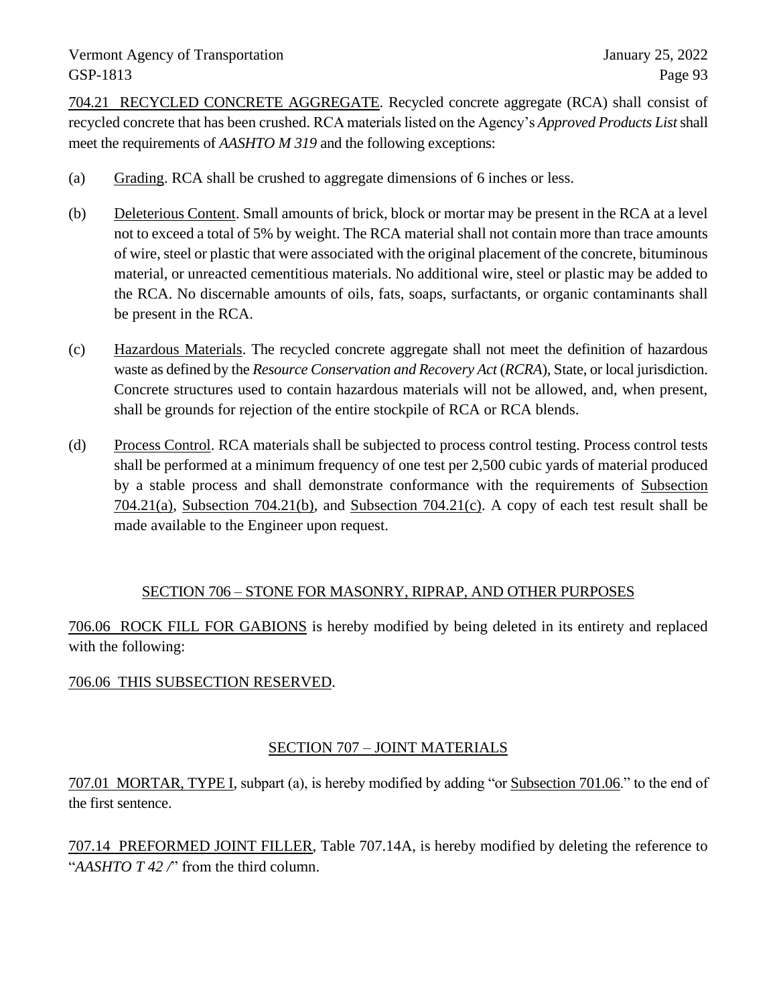704.21 RECYCLED CONCRETE AGGREGATE. Recycled concrete aggregate (RCA) shall consist of recycled concrete that has been crushed. RCA materials listed on the Agency's *Approved Products List*shall meet the requirements of *AASHTO M 319* and the following exceptions:

- (a) Grading. RCA shall be crushed to aggregate dimensions of 6 inches or less.
- (b) Deleterious Content. Small amounts of brick, block or mortar may be present in the RCA at a level not to exceed a total of 5% by weight. The RCA material shall not contain more than trace amounts of wire, steel or plastic that were associated with the original placement of the concrete, bituminous material, or unreacted cementitious materials. No additional wire, steel or plastic may be added to the RCA. No discernable amounts of oils, fats, soaps, surfactants, or organic contaminants shall be present in the RCA.
- (c) Hazardous Materials. The recycled concrete aggregate shall not meet the definition of hazardous waste as defined by the *Resource Conservation and Recovery Act* (*RCRA*), State, or local jurisdiction. Concrete structures used to contain hazardous materials will not be allowed, and, when present, shall be grounds for rejection of the entire stockpile of RCA or RCA blends.
- (d) Process Control. RCA materials shall be subjected to process control testing. Process control tests shall be performed at a minimum frequency of one test per 2,500 cubic yards of material produced by a stable process and shall demonstrate conformance with the requirements of Subsection 704.21(a), Subsection 704.21(b), and Subsection 704.21(c). A copy of each test result shall be made available to the Engineer upon request.

### SECTION 706 – STONE FOR MASONRY, RIPRAP, AND OTHER PURPOSES

706.06 ROCK FILL FOR GABIONS is hereby modified by being deleted in its entirety and replaced with the following:

### 706.06 THIS SUBSECTION RESERVED.

### SECTION 707 – JOINT MATERIALS

707.01 MORTAR, TYPE I, subpart (a), is hereby modified by adding "or Subsection 701.06." to the end of the first sentence.

707.14 PREFORMED JOINT FILLER, Table 707.14A, is hereby modified by deleting the reference to "*AASHTO T 42 /*" from the third column.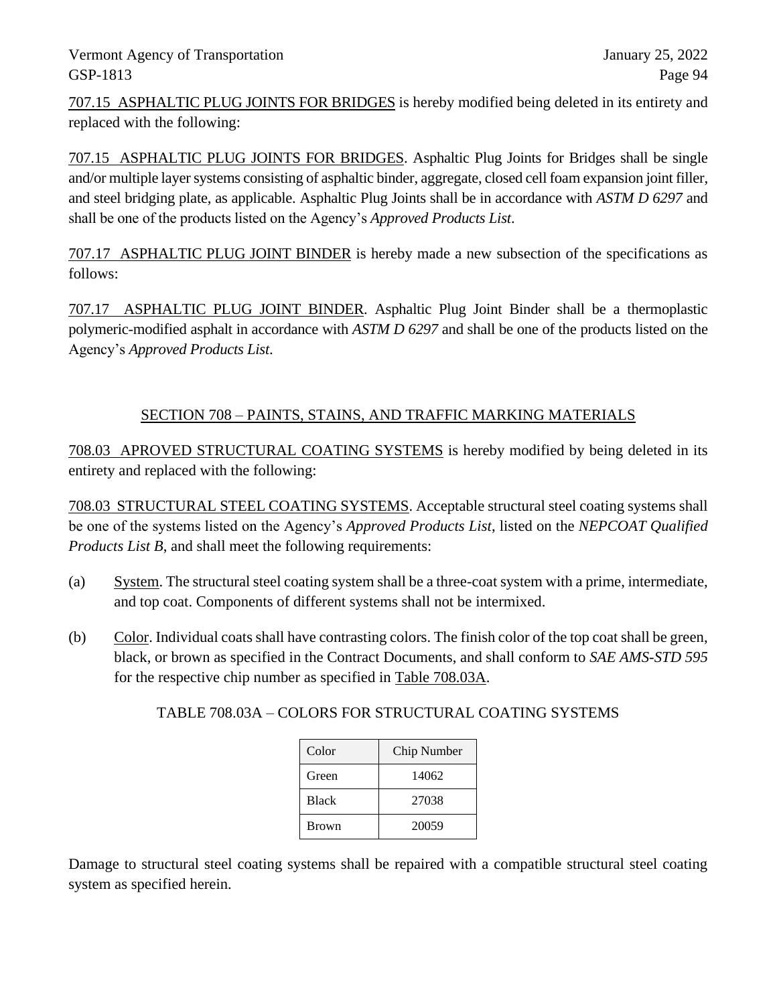707.15 ASPHALTIC PLUG JOINTS FOR BRIDGES is hereby modified being deleted in its entirety and replaced with the following:

707.15 ASPHALTIC PLUG JOINTS FOR BRIDGES. Asphaltic Plug Joints for Bridges shall be single and/or multiple layer systems consisting of asphaltic binder, aggregate, closed cell foam expansion joint filler, and steel bridging plate, as applicable. Asphaltic Plug Joints shall be in accordance with *ASTM D 6297* and shall be one of the products listed on the Agency's *Approved Products List*.

707.17 ASPHALTIC PLUG JOINT BINDER is hereby made a new subsection of the specifications as follows:

707.17 ASPHALTIC PLUG JOINT BINDER. Asphaltic Plug Joint Binder shall be a thermoplastic polymeric-modified asphalt in accordance with *ASTM D 6297* and shall be one of the products listed on the Agency's *Approved Products List*.

# SECTION 708 – PAINTS, STAINS, AND TRAFFIC MARKING MATERIALS

708.03 APROVED STRUCTURAL COATING SYSTEMS is hereby modified by being deleted in its entirety and replaced with the following:

708.03 STRUCTURAL STEEL COATING SYSTEMS. Acceptable structural steel coating systems shall be one of the systems listed on the Agency's *Approved Products List*, listed on the *NEPCOAT Qualified Products List B*, and shall meet the following requirements:

- (a) System. The structural steel coating system shall be a three-coat system with a prime, intermediate, and top coat. Components of different systems shall not be intermixed.
- (b) Color. Individual coats shall have contrasting colors. The finish color of the top coat shall be green, black, or brown as specified in the Contract Documents, and shall conform to *SAE AMS-STD 595* for the respective chip number as specified in Table 708.03A.

| Color        | Chip Number |
|--------------|-------------|
| Green        | 14062       |
| <b>Black</b> | 27038       |
| <b>Brown</b> | 20059       |

TABLE 708.03A – COLORS FOR STRUCTURAL COATING SYSTEMS

Damage to structural steel coating systems shall be repaired with a compatible structural steel coating system as specified herein.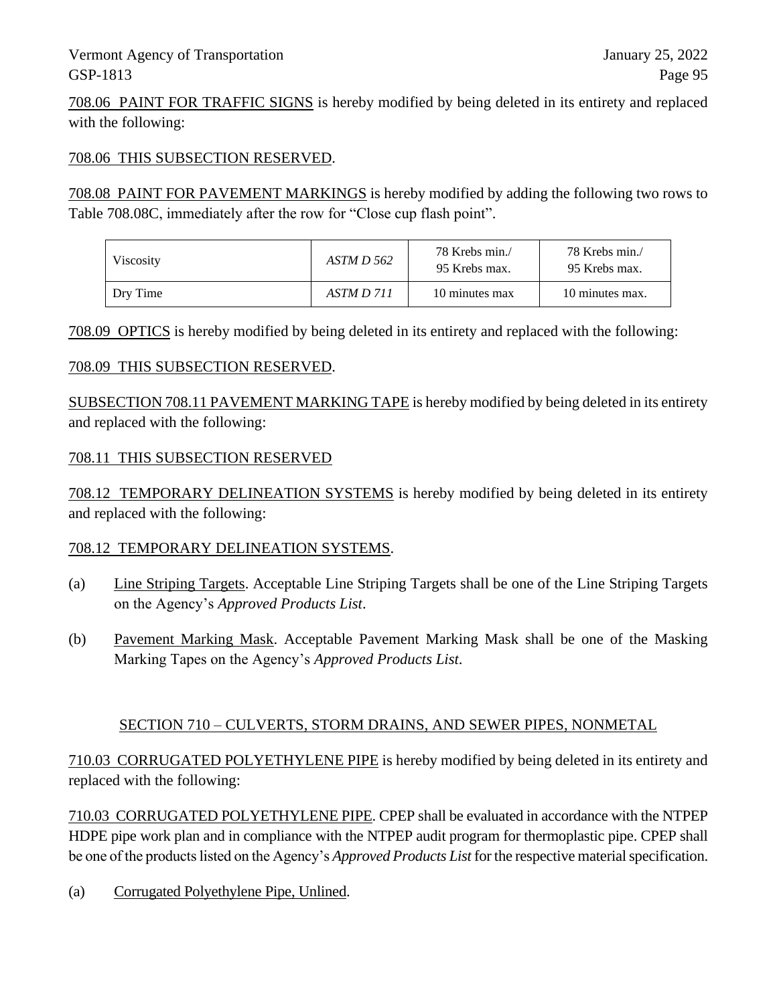708.06 PAINT FOR TRAFFIC SIGNS is hereby modified by being deleted in its entirety and replaced with the following:

#### 708.06 THIS SUBSECTION RESERVED.

708.08 PAINT FOR PAVEMENT MARKINGS is hereby modified by adding the following two rows to Table 708.08C, immediately after the row for "Close cup flash point".

| Viscosity | ASTM D 562 | 78 Krebs min./<br>95 Krebs max. | 78 Krebs min./<br>95 Krebs max. |
|-----------|------------|---------------------------------|---------------------------------|
| Dry Time  | ASTM D 711 | 10 minutes max                  | 10 minutes max.                 |

708.09 OPTICS is hereby modified by being deleted in its entirety and replaced with the following:

#### 708.09 THIS SUBSECTION RESERVED.

SUBSECTION 708.11 PAVEMENT MARKING TAPE is hereby modified by being deleted in its entirety and replaced with the following:

#### 708.11 THIS SUBSECTION RESERVED

708.12 TEMPORARY DELINEATION SYSTEMS is hereby modified by being deleted in its entirety and replaced with the following:

#### 708.12 TEMPORARY DELINEATION SYSTEMS.

- (a) Line Striping Targets. Acceptable Line Striping Targets shall be one of the Line Striping Targets on the Agency's *Approved Products List*.
- (b) Pavement Marking Mask. Acceptable Pavement Marking Mask shall be one of the Masking Marking Tapes on the Agency's *Approved Products List*.

#### SECTION 710 – CULVERTS, STORM DRAINS, AND SEWER PIPES, NONMETAL

710.03 CORRUGATED POLYETHYLENE PIPE is hereby modified by being deleted in its entirety and replaced with the following:

710.03 CORRUGATED POLYETHYLENE PIPE. CPEP shall be evaluated in accordance with the NTPEP HDPE pipe work plan and in compliance with the NTPEP audit program for thermoplastic pipe. CPEP shall be one of the products listed on the Agency's *Approved Products List* for the respective material specification.

(a) Corrugated Polyethylene Pipe, Unlined.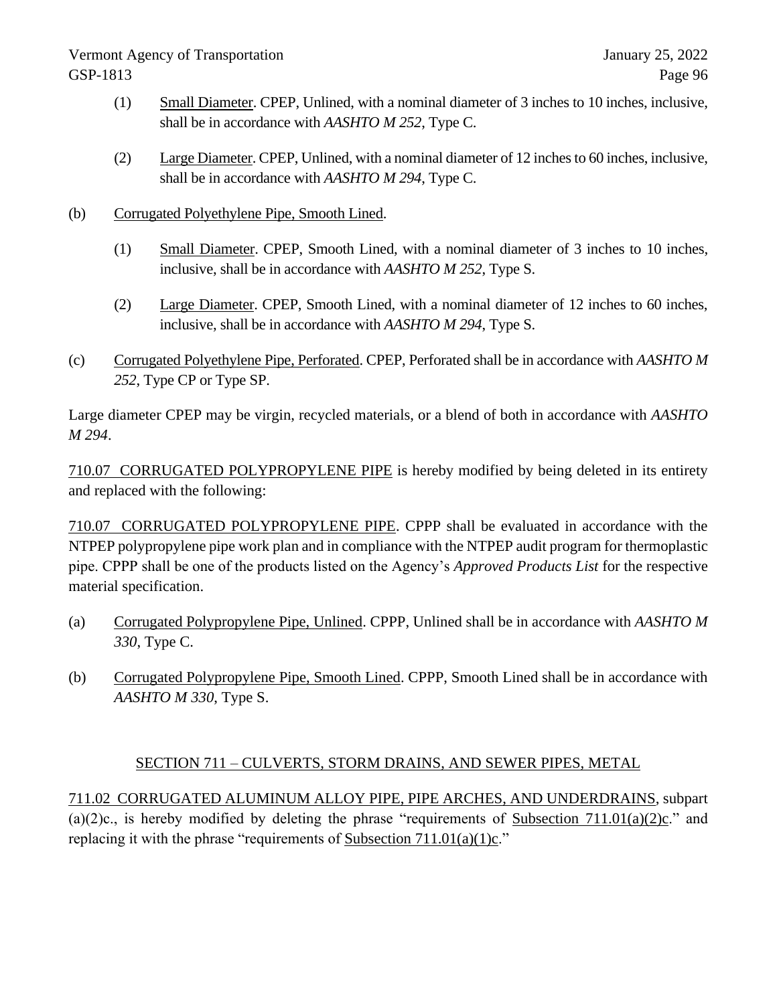- (1) Small Diameter. CPEP, Unlined, with a nominal diameter of 3 inches to 10 inches, inclusive, shall be in accordance with *AASHTO M 252*, Type C.
- (2) Large Diameter. CPEP, Unlined, with a nominal diameter of 12 inches to 60 inches, inclusive, shall be in accordance with *AASHTO M 294*, Type C.
- (b) Corrugated Polyethylene Pipe, Smooth Lined.
	- (1) Small Diameter. CPEP, Smooth Lined, with a nominal diameter of 3 inches to 10 inches, inclusive, shall be in accordance with *AASHTO M 252*, Type S.
	- (2) Large Diameter. CPEP, Smooth Lined, with a nominal diameter of 12 inches to 60 inches, inclusive, shall be in accordance with *AASHTO M 294*, Type S.
- (c) Corrugated Polyethylene Pipe, Perforated. CPEP, Perforated shall be in accordance with *AASHTO M 252*, Type CP or Type SP.

Large diameter CPEP may be virgin, recycled materials, or a blend of both in accordance with *AASHTO M 294*.

710.07 CORRUGATED POLYPROPYLENE PIPE is hereby modified by being deleted in its entirety and replaced with the following:

710.07 CORRUGATED POLYPROPYLENE PIPE. CPPP shall be evaluated in accordance with the NTPEP polypropylene pipe work plan and in compliance with the NTPEP audit program for thermoplastic pipe. CPPP shall be one of the products listed on the Agency's *Approved Products List* for the respective material specification.

- (a) Corrugated Polypropylene Pipe, Unlined. CPPP, Unlined shall be in accordance with *AASHTO M 330*, Type C.
- (b) Corrugated Polypropylene Pipe, Smooth Lined. CPPP, Smooth Lined shall be in accordance with *AASHTO M 330*, Type S.

# SECTION 711 – CULVERTS, STORM DRAINS, AND SEWER PIPES, METAL

711.02 CORRUGATED ALUMINUM ALLOY PIPE, PIPE ARCHES, AND UNDERDRAINS, subpart (a)(2)c., is hereby modified by deleting the phrase "requirements of Subsection 711.01(a)(2)c." and replacing it with the phrase "requirements of Subsection  $711.01(a)(1)c$ ."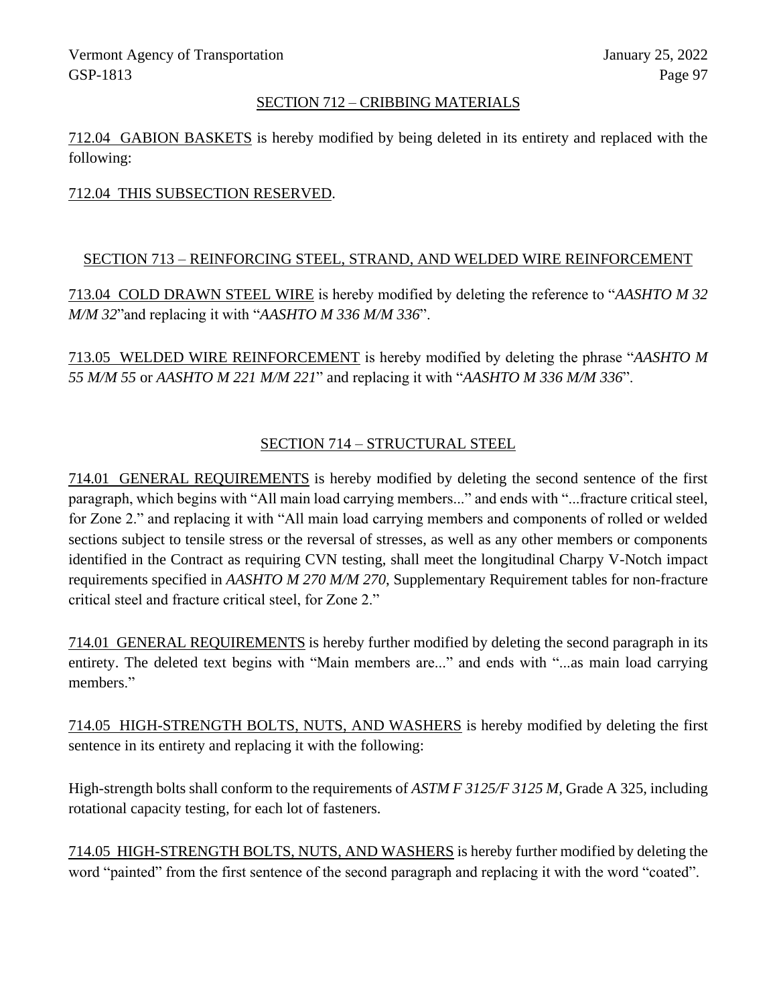#### SECTION 712 – CRIBBING MATERIALS

712.04 GABION BASKETS is hereby modified by being deleted in its entirety and replaced with the following:

#### 712.04 THIS SUBSECTION RESERVED.

#### SECTION 713 – REINFORCING STEEL, STRAND, AND WELDED WIRE REINFORCEMENT

713.04 COLD DRAWN STEEL WIRE is hereby modified by deleting the reference to "*AASHTO M 32 M/M 32*"and replacing it with "*AASHTO M 336 M/M 336*".

713.05 WELDED WIRE REINFORCEMENT is hereby modified by deleting the phrase "*AASHTO M 55 M/M 55* or *AASHTO M 221 M/M 221*" and replacing it with "*AASHTO M 336 M/M 336*".

# SECTION 714 – STRUCTURAL STEEL

714.01 GENERAL REQUIREMENTS is hereby modified by deleting the second sentence of the first paragraph, which begins with "All main load carrying members..." and ends with "...fracture critical steel, for Zone 2." and replacing it with "All main load carrying members and components of rolled or welded sections subject to tensile stress or the reversal of stresses, as well as any other members or components identified in the Contract as requiring CVN testing, shall meet the longitudinal Charpy V-Notch impact requirements specified in *AASHTO M 270 M/M 270*, Supplementary Requirement tables for non-fracture critical steel and fracture critical steel, for Zone 2."

714.01 GENERAL REQUIREMENTS is hereby further modified by deleting the second paragraph in its entirety. The deleted text begins with "Main members are..." and ends with "...as main load carrying members."

714.05 HIGH-STRENGTH BOLTS, NUTS, AND WASHERS is hereby modified by deleting the first sentence in its entirety and replacing it with the following:

High-strength bolts shall conform to the requirements of *ASTM F 3125/F 3125 M,* Grade A 325, including rotational capacity testing, for each lot of fasteners.

714.05 HIGH-STRENGTH BOLTS, NUTS, AND WASHERS is hereby further modified by deleting the word "painted" from the first sentence of the second paragraph and replacing it with the word "coated".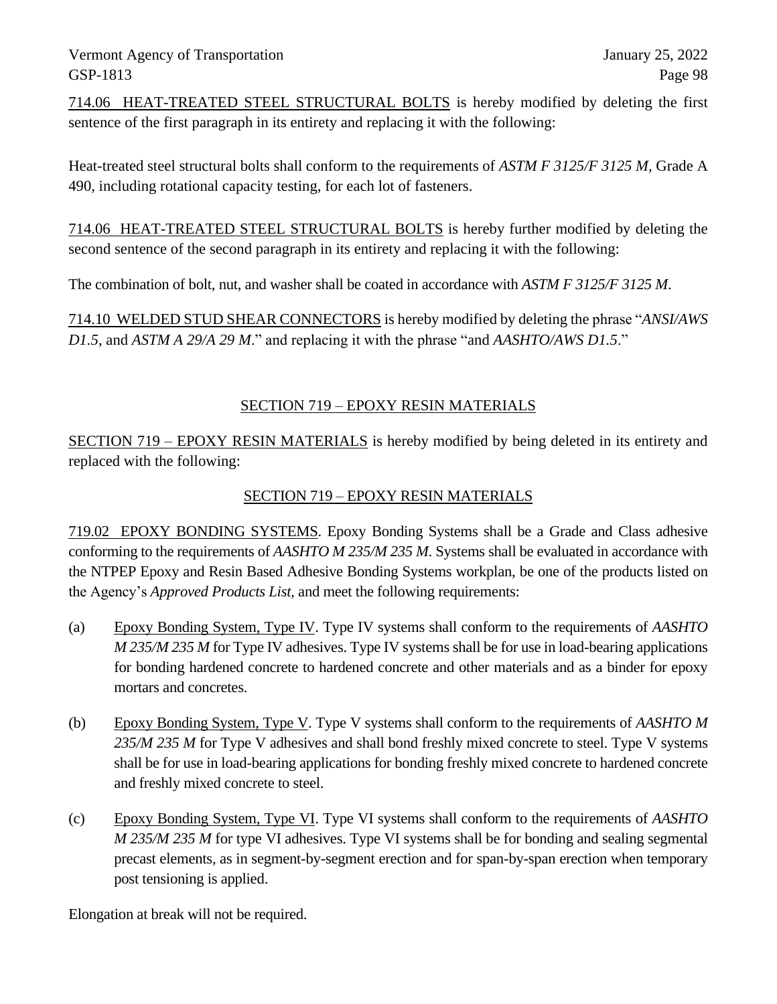714.06 HEAT-TREATED STEEL STRUCTURAL BOLTS is hereby modified by deleting the first sentence of the first paragraph in its entirety and replacing it with the following:

Heat-treated steel structural bolts shall conform to the requirements of *ASTM F 3125/F 3125 M,* Grade A 490, including rotational capacity testing, for each lot of fasteners.

714.06 HEAT-TREATED STEEL STRUCTURAL BOLTS is hereby further modified by deleting the second sentence of the second paragraph in its entirety and replacing it with the following:

The combination of bolt, nut, and washer shall be coated in accordance with *ASTM F 3125/F 3125 M*.

714.10 WELDED STUD SHEAR CONNECTORS is hereby modified by deleting the phrase "*ANSI/AWS D1.5*, and *ASTM A 29/A 29 M*." and replacing it with the phrase "and *AASHTO/AWS D1.5*."

# SECTION 719 – EPOXY RESIN MATERIALS

SECTION 719 – EPOXY RESIN MATERIALS is hereby modified by being deleted in its entirety and replaced with the following:

# SECTION 719 – EPOXY RESIN MATERIALS

719.02 EPOXY BONDING SYSTEMS. Epoxy Bonding Systems shall be a Grade and Class adhesive conforming to the requirements of *AASHTO M 235/M 235 M*. Systems shall be evaluated in accordance with the NTPEP Epoxy and Resin Based Adhesive Bonding Systems workplan, be one of the products listed on the Agency's *Approved Products List,* and meet the following requirements:

- (a) Epoxy Bonding System, Type IV. Type IV systems shall conform to the requirements of *AASHTO M 235/M 235 M* for Type IV adhesives. Type IV systems shall be for use in load-bearing applications for bonding hardened concrete to hardened concrete and other materials and as a binder for epoxy mortars and concretes.
- (b) Epoxy Bonding System, Type V. Type V systems shall conform to the requirements of *AASHTO M 235/M 235 M* for Type V adhesives and shall bond freshly mixed concrete to steel. Type V systems shall be for use in load-bearing applications for bonding freshly mixed concrete to hardened concrete and freshly mixed concrete to steel.
- (c) Epoxy Bonding System, Type VI. Type VI systems shall conform to the requirements of *AASHTO M 235/M 235 M* for type VI adhesives. Type VI systems shall be for bonding and sealing segmental precast elements, as in segment-by-segment erection and for span-by-span erection when temporary post tensioning is applied.

Elongation at break will not be required.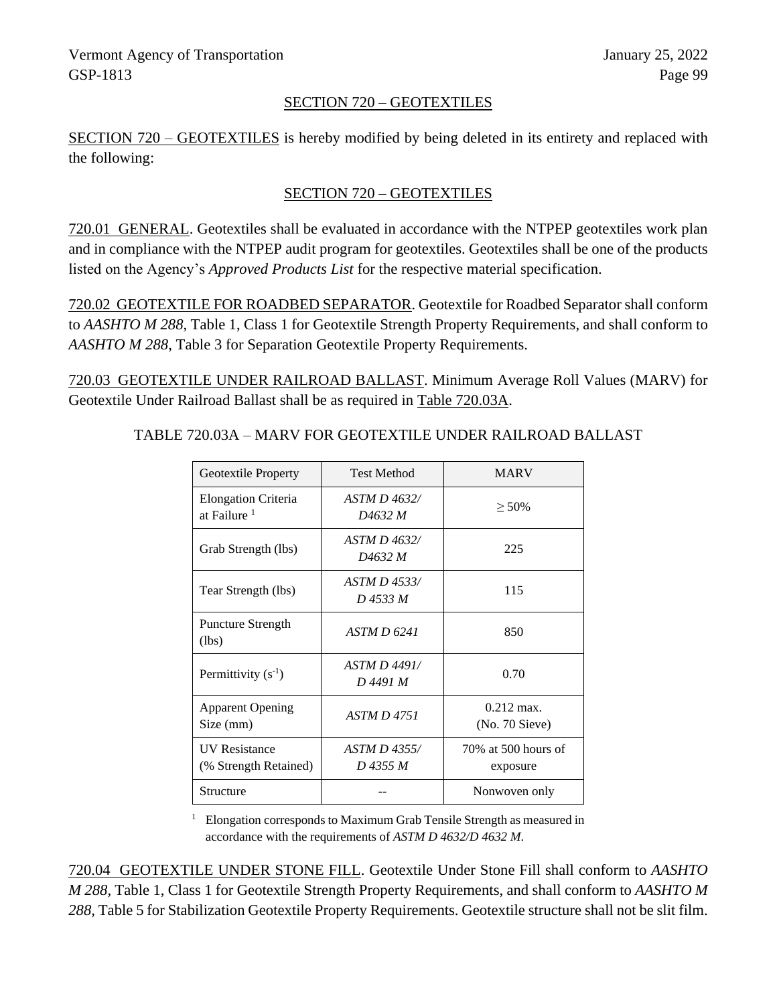#### SECTION 720 – GEOTEXTILES

SECTION 720 – GEOTEXTILES is hereby modified by being deleted in its entirety and replaced with the following:

### SECTION 720 – GEOTEXTILES

720.01 GENERAL. Geotextiles shall be evaluated in accordance with the NTPEP geotextiles work plan and in compliance with the NTPEP audit program for geotextiles. Geotextiles shall be one of the products listed on the Agency's *Approved Products List* for the respective material specification.

720.02 GEOTEXTILE FOR ROADBED SEPARATOR. Geotextile for Roadbed Separator shall conform to *AASHTO M 288*, Table 1, Class 1 for Geotextile Strength Property Requirements, and shall conform to *AASHTO M 288*, Table 3 for Separation Geotextile Property Requirements.

720.03 GEOTEXTILE UNDER RAILROAD BALLAST. Minimum Average Roll Values (MARV) for Geotextile Under Railroad Ballast shall be as required in Table 720.03A.

| Geotextile Property                                   | <b>Test Method</b>              | <b>MARV</b>                             |
|-------------------------------------------------------|---------------------------------|-----------------------------------------|
| <b>Elongation Criteria</b><br>at Failure <sup>1</sup> | ASTM D 4632/<br>D4632 M         | $> 50\%$                                |
| Grab Strength (lbs)                                   | ASTM D 4632/<br>D4632 M         | 225                                     |
| Tear Strength (lbs)                                   | ASTM D 4533/<br>D 4533 M        | 115                                     |
| <b>Puncture Strength</b><br>(lbs)                     | ASTM D 6241                     | 850                                     |
| Permittivity $(s^{-1})$                               | ASTM D 4491/<br>D 4491 M        | 0.70                                    |
| <b>Apparent Opening</b><br>Size (mm)                  | <b>ASTM D 4751</b>              | $0.212 \text{ max}$ .<br>(No. 70 Sieve) |
| <b>IIV Resistance</b><br>(% Strength Retained)        | <i>ASTM D 4355/</i><br>D 4355 M | 70% at 500 hours of<br>exposure         |
| Structure                                             |                                 | Nonwoven only                           |

TABLE 720.03A – MARV FOR GEOTEXTILE UNDER RAILROAD BALLAST

<sup>1</sup> Elongation corresponds to Maximum Grab Tensile Strength as measured in accordance with the requirements of *ASTM D 4632/D 4632 M*.

720.04 GEOTEXTILE UNDER STONE FILL. Geotextile Under Stone Fill shall conform to *AASHTO M 288,* Table 1, Class 1 for Geotextile Strength Property Requirements, and shall conform to *AASHTO M 288,* Table 5 for Stabilization Geotextile Property Requirements. Geotextile structure shall not be slit film.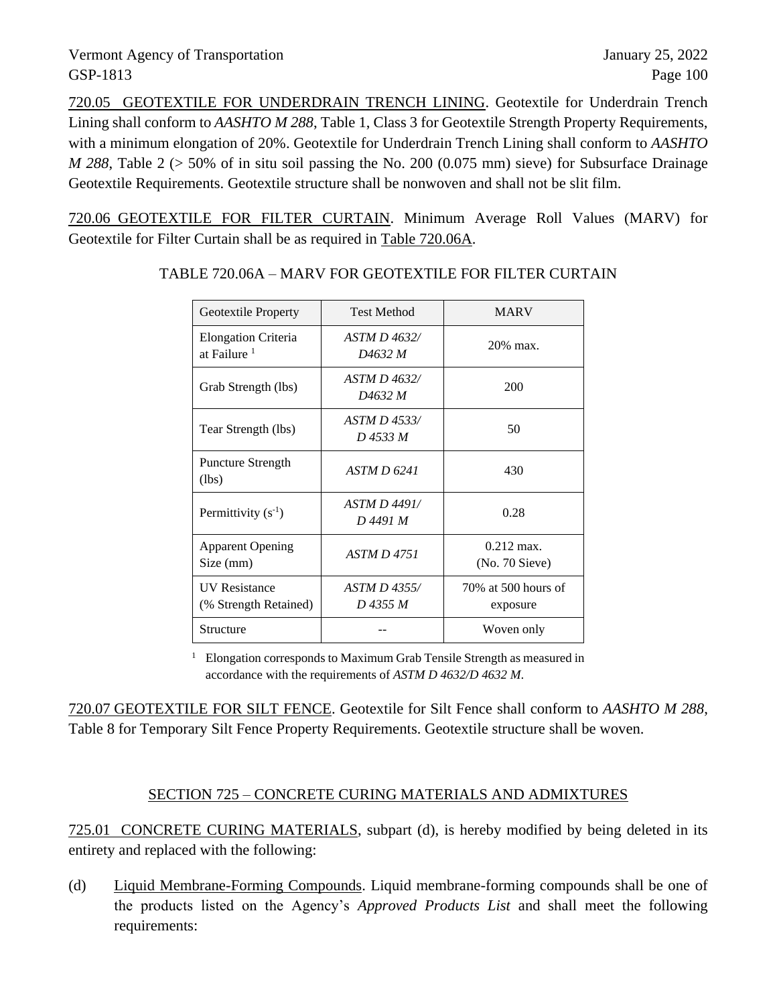720.05 GEOTEXTILE FOR UNDERDRAIN TRENCH LINING. Geotextile for Underdrain Trench Lining shall conform to *AASHTO M 288*, Table 1, Class 3 for Geotextile Strength Property Requirements, with a minimum elongation of 20%. Geotextile for Underdrain Trench Lining shall conform to *AASHTO M 288*, Table 2 (> 50% of in situ soil passing the No. 200 (0.075 mm) sieve) for Subsurface Drainage Geotextile Requirements. Geotextile structure shall be nonwoven and shall not be slit film.

720.06 GEOTEXTILE FOR FILTER CURTAIN. Minimum Average Roll Values (MARV) for Geotextile for Filter Curtain shall be as required in Table 720.06A.

| Geotextile Property                                   | <b>Test Method</b>              | <b>MARV</b>                     |
|-------------------------------------------------------|---------------------------------|---------------------------------|
| <b>Elongation Criteria</b><br>at Failure <sup>1</sup> | ASTM D 4632/<br>D4632 M         | 20% max.                        |
| Grab Strength (lbs)                                   | <i>ASTM D 4632/</i><br>D4632 M  | 200                             |
| Tear Strength (lbs)                                   | ASTM D 4533/<br>D 4533 M        | 50                              |
| Puncture Strength<br>(lbs)                            | ASTM D 6241                     | 430                             |
| Permittivity $(s^{-1})$                               | <b>ASTM D 4491/</b><br>D 4491 M | 0.28                            |
| <b>Apparent Opening</b><br>Size (mm)                  | <i>ASTM D 4751</i>              | $0.212$ max.<br>(No. 70 Sieve)  |
| <b>UV</b> Resistance<br>(% Strength Retained)         | ASTM D 4355/<br>D 4355 M        | 70% at 500 hours of<br>exposure |
| Structure                                             |                                 | Woven only                      |

TABLE 720.06A – MARV FOR GEOTEXTILE FOR FILTER CURTAIN

<sup>1</sup> Elongation corresponds to Maximum Grab Tensile Strength as measured in accordance with the requirements of *ASTM D 4632/D 4632 M*.

720.07 GEOTEXTILE FOR SILT FENCE. Geotextile for Silt Fence shall conform to *AASHTO M 288*, Table 8 for Temporary Silt Fence Property Requirements. Geotextile structure shall be woven.

### SECTION 725 – CONCRETE CURING MATERIALS AND ADMIXTURES

725.01 CONCRETE CURING MATERIALS, subpart (d), is hereby modified by being deleted in its entirety and replaced with the following:

(d) Liquid Membrane-Forming Compounds. Liquid membrane-forming compounds shall be one of the products listed on the Agency's *Approved Products List* and shall meet the following requirements: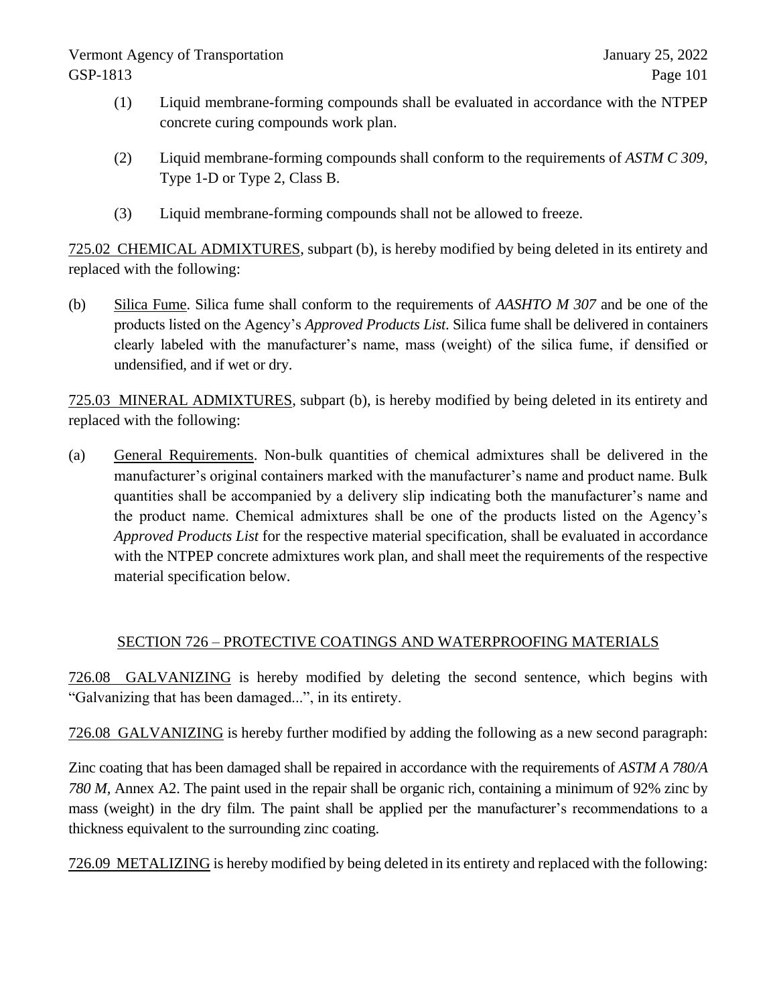- (1) Liquid membrane-forming compounds shall be evaluated in accordance with the NTPEP concrete curing compounds work plan.
- (2) Liquid membrane-forming compounds shall conform to the requirements of *ASTM C 309*, Type 1-D or Type 2, Class B.
- (3) Liquid membrane-forming compounds shall not be allowed to freeze.

725.02 CHEMICAL ADMIXTURES, subpart (b), is hereby modified by being deleted in its entirety and replaced with the following:

(b) Silica Fume. Silica fume shall conform to the requirements of *AASHTO M 307* and be one of the products listed on the Agency's *Approved Products List*. Silica fume shall be delivered in containers clearly labeled with the manufacturer's name, mass (weight) of the silica fume, if densified or undensified, and if wet or dry.

725.03 MINERAL ADMIXTURES, subpart (b), is hereby modified by being deleted in its entirety and replaced with the following:

(a) General Requirements. Non-bulk quantities of chemical admixtures shall be delivered in the manufacturer's original containers marked with the manufacturer's name and product name. Bulk quantities shall be accompanied by a delivery slip indicating both the manufacturer's name and the product name. Chemical admixtures shall be one of the products listed on the Agency's *Approved Products List* for the respective material specification, shall be evaluated in accordance with the NTPEP concrete admixtures work plan, and shall meet the requirements of the respective material specification below.

### SECTION 726 – PROTECTIVE COATINGS AND WATERPROOFING MATERIALS

726.08 GALVANIZING is hereby modified by deleting the second sentence, which begins with "Galvanizing that has been damaged...", in its entirety.

726.08 GALVANIZING is hereby further modified by adding the following as a new second paragraph:

Zinc coating that has been damaged shall be repaired in accordance with the requirements of *ASTM A 780/A 780 M,* Annex A2. The paint used in the repair shall be organic rich, containing a minimum of 92% zinc by mass (weight) in the dry film. The paint shall be applied per the manufacturer's recommendations to a thickness equivalent to the surrounding zinc coating.

726.09 METALIZING is hereby modified by being deleted in its entirety and replaced with the following: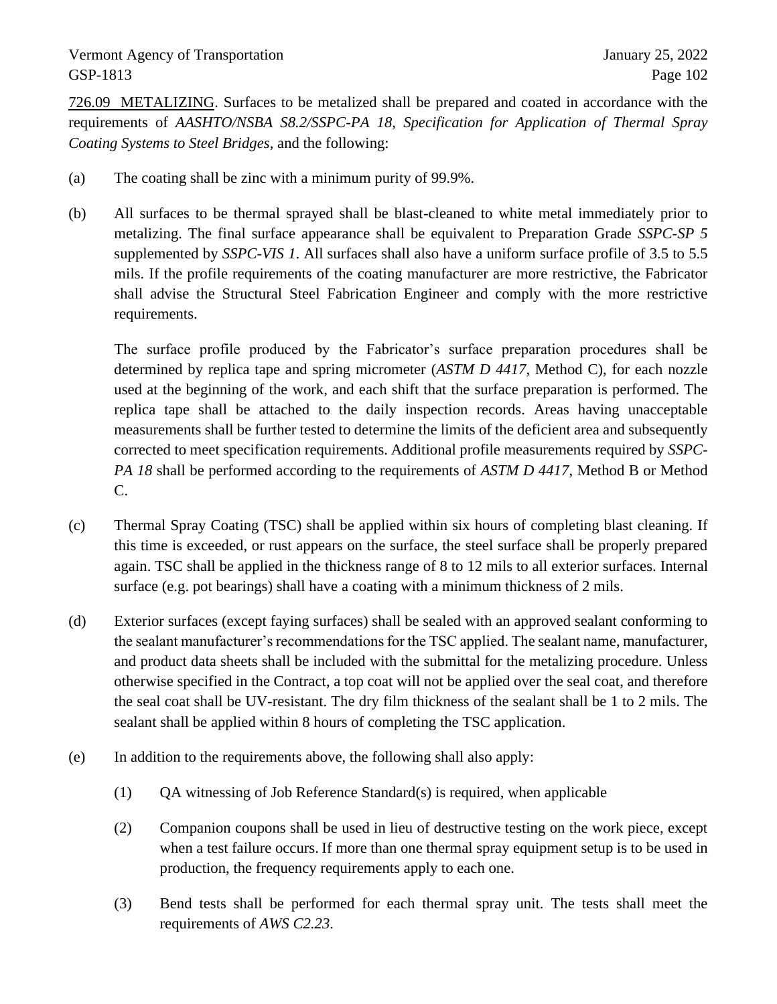726.09 METALIZING. Surfaces to be metalized shall be prepared and coated in accordance with the requirements of *AASHTO/NSBA S8.2/SSPC-PA 18, Specification for Application of Thermal Spray Coating Systems to Steel Bridges*, and the following:

- (a) The coating shall be zinc with a minimum purity of 99.9%.
- (b) All surfaces to be thermal sprayed shall be blast-cleaned to white metal immediately prior to metalizing. The final surface appearance shall be equivalent to Preparation Grade *SSPC-SP 5* supplemented by *SSPC-VIS 1*. All surfaces shall also have a uniform surface profile of 3.5 to 5.5 mils. If the profile requirements of the coating manufacturer are more restrictive, the Fabricator shall advise the Structural Steel Fabrication Engineer and comply with the more restrictive requirements.

The surface profile produced by the Fabricator's surface preparation procedures shall be determined by replica tape and spring micrometer (*ASTM D 4417*, Method C), for each nozzle used at the beginning of the work, and each shift that the surface preparation is performed. The replica tape shall be attached to the daily inspection records. Areas having unacceptable measurements shall be further tested to determine the limits of the deficient area and subsequently corrected to meet specification requirements. Additional profile measurements required by *SSPC-PA 18* shall be performed according to the requirements of *ASTM D 4417*, Method B or Method C.

- (c) Thermal Spray Coating (TSC) shall be applied within six hours of completing blast cleaning. If this time is exceeded, or rust appears on the surface, the steel surface shall be properly prepared again. TSC shall be applied in the thickness range of 8 to 12 mils to all exterior surfaces. Internal surface (e.g. pot bearings) shall have a coating with a minimum thickness of 2 mils.
- (d) Exterior surfaces (except faying surfaces) shall be sealed with an approved sealant conforming to the sealant manufacturer's recommendations for the TSC applied. The sealant name, manufacturer, and product data sheets shall be included with the submittal for the metalizing procedure. Unless otherwise specified in the Contract, a top coat will not be applied over the seal coat, and therefore the seal coat shall be UV-resistant. The dry film thickness of the sealant shall be 1 to 2 mils. The sealant shall be applied within 8 hours of completing the TSC application.
- (e) In addition to the requirements above, the following shall also apply:
	- (1) QA witnessing of Job Reference Standard(s) is required, when applicable
	- (2) Companion coupons shall be used in lieu of destructive testing on the work piece, except when a test failure occurs. If more than one thermal spray equipment setup is to be used in production, the frequency requirements apply to each one.
	- (3) Bend tests shall be performed for each thermal spray unit. The tests shall meet the requirements of *AWS C2.23*.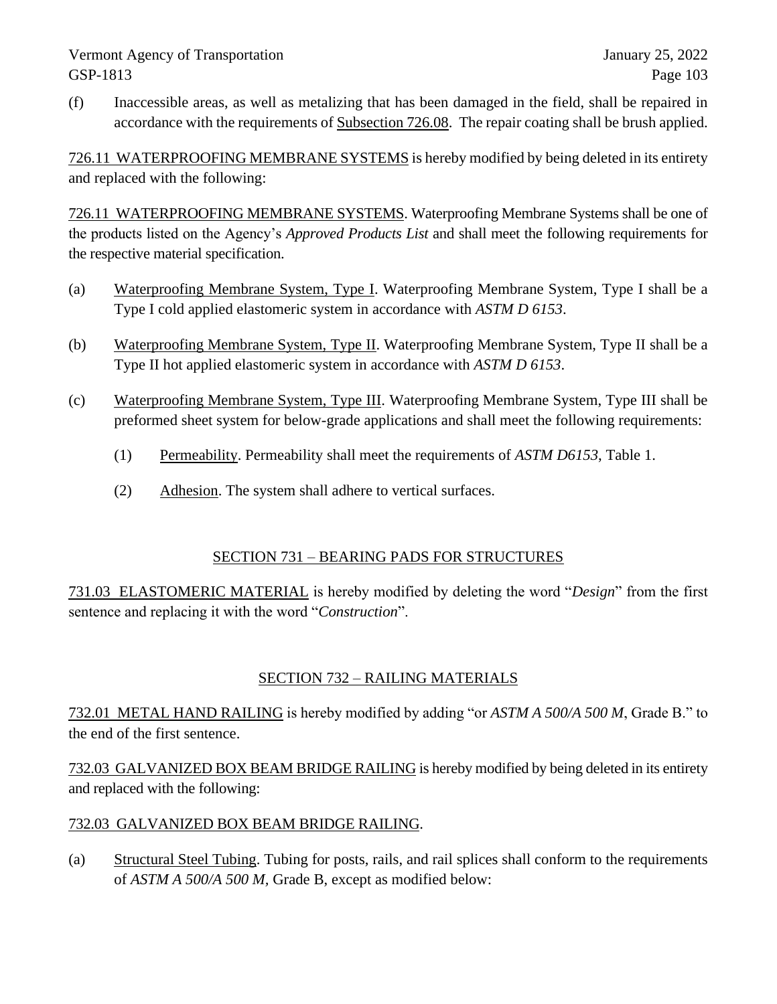(f) Inaccessible areas, as well as metalizing that has been damaged in the field, shall be repaired in accordance with the requirements of Subsection 726.08. The repair coating shall be brush applied.

726.11 WATERPROOFING MEMBRANE SYSTEMS is hereby modified by being deleted in its entirety and replaced with the following:

726.11 WATERPROOFING MEMBRANE SYSTEMS. Waterproofing Membrane Systems shall be one of the products listed on the Agency's *Approved Products List* and shall meet the following requirements for the respective material specification.

- (a) Waterproofing Membrane System, Type I. Waterproofing Membrane System, Type I shall be a Type I cold applied elastomeric system in accordance with *ASTM D 6153*.
- (b) Waterproofing Membrane System, Type II. Waterproofing Membrane System, Type II shall be a Type II hot applied elastomeric system in accordance with *ASTM D 6153*.
- (c) Waterproofing Membrane System, Type III. Waterproofing Membrane System, Type III shall be preformed sheet system for below-grade applications and shall meet the following requirements:
	- (1) Permeability. Permeability shall meet the requirements of *ASTM D6153*, Table 1.
	- (2) Adhesion. The system shall adhere to vertical surfaces.

### SECTION 731 – BEARING PADS FOR STRUCTURES

731.03 ELASTOMERIC MATERIAL is hereby modified by deleting the word "*Design*" from the first sentence and replacing it with the word "*Construction*".

# SECTION 732 – RAILING MATERIALS

732.01 METAL HAND RAILING is hereby modified by adding "or *ASTM A 500/A 500 M*, Grade B." to the end of the first sentence.

732.03 GALVANIZED BOX BEAM BRIDGE RAILING is hereby modified by being deleted in its entirety and replaced with the following:

### 732.03 GALVANIZED BOX BEAM BRIDGE RAILING.

(a) Structural Steel Tubing. Tubing for posts, rails, and rail splices shall conform to the requirements of *ASTM A 500/A 500 M,* Grade B, except as modified below: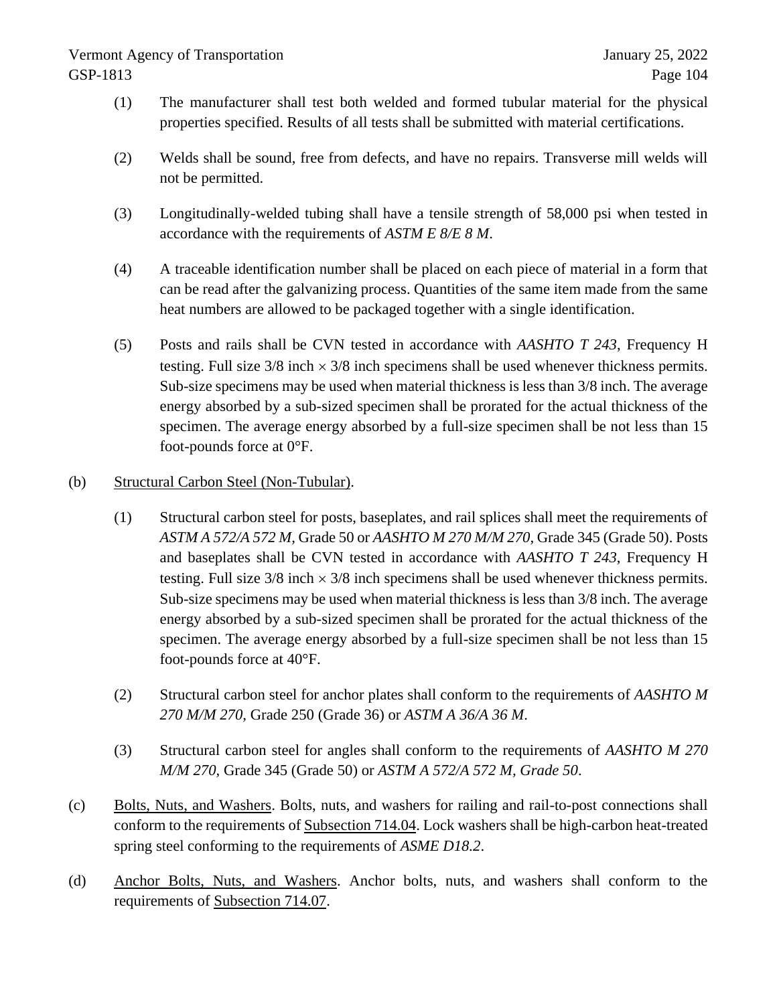- (1) The manufacturer shall test both welded and formed tubular material for the physical properties specified. Results of all tests shall be submitted with material certifications.
- (2) Welds shall be sound, free from defects, and have no repairs. Transverse mill welds will not be permitted.
- (3) Longitudinally-welded tubing shall have a tensile strength of 58,000 psi when tested in accordance with the requirements of *ASTM E 8/E 8 M*.
- (4) A traceable identification number shall be placed on each piece of material in a form that can be read after the galvanizing process. Quantities of the same item made from the same heat numbers are allowed to be packaged together with a single identification.
- (5) Posts and rails shall be CVN tested in accordance with *AASHTO T 243*, Frequency H testing. Full size  $3/8$  inch  $\times$   $3/8$  inch specimens shall be used whenever thickness permits. Sub-size specimens may be used when material thickness is less than 3/8 inch. The average energy absorbed by a sub-sized specimen shall be prorated for the actual thickness of the specimen. The average energy absorbed by a full-size specimen shall be not less than 15 foot-pounds force at 0°F.

### (b) Structural Carbon Steel (Non-Tubular).

- (1) Structural carbon steel for posts, baseplates, and rail splices shall meet the requirements of *ASTM A 572/A 572 M,* Grade 50 or *AASHTO M 270 M/M 270,* Grade 345 (Grade 50). Posts and baseplates shall be CVN tested in accordance with *AASHTO T 243*, Frequency H testing. Full size  $3/8$  inch  $\times$   $3/8$  inch specimens shall be used whenever thickness permits. Sub-size specimens may be used when material thickness is less than 3/8 inch. The average energy absorbed by a sub-sized specimen shall be prorated for the actual thickness of the specimen. The average energy absorbed by a full-size specimen shall be not less than 15 foot-pounds force at 40°F.
- (2) Structural carbon steel for anchor plates shall conform to the requirements of *AASHTO M 270 M/M 270,* Grade 250 (Grade 36) or *ASTM A 36/A 36 M*.
- (3) Structural carbon steel for angles shall conform to the requirements of *AASHTO M 270 M/M 270,* Grade 345 (Grade 50) or *ASTM A 572/A 572 M, Grade 50*.
- (c) Bolts, Nuts, and Washers. Bolts, nuts, and washers for railing and rail-to-post connections shall conform to the requirements of Subsection 714.04. Lock washers shall be high-carbon heat-treated spring steel conforming to the requirements of *ASME D18.2*.
- (d) Anchor Bolts, Nuts, and Washers. Anchor bolts, nuts, and washers shall conform to the requirements of Subsection 714.07.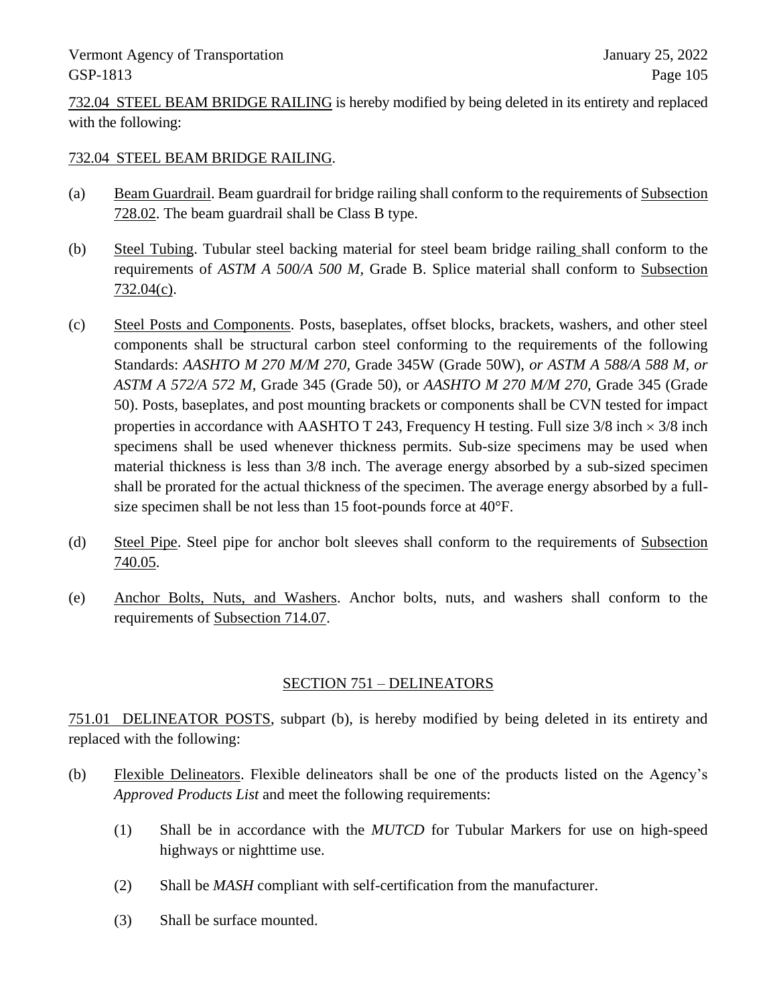732.04 STEEL BEAM BRIDGE RAILING is hereby modified by being deleted in its entirety and replaced with the following:

#### 732.04 STEEL BEAM BRIDGE RAILING.

- (a) Beam Guardrail. Beam guardrail for bridge railing shall conform to the requirements of Subsection 728.02. The beam guardrail shall be Class B type.
- (b) Steel Tubing. Tubular steel backing material for steel beam bridge railing shall conform to the requirements of *ASTM A 500/A 500 M,* Grade B. Splice material shall conform to Subsection 732.04(c).
- (c) Steel Posts and Components. Posts, baseplates, offset blocks, brackets, washers, and other steel components shall be structural carbon steel conforming to the requirements of the following Standards: *AASHTO M 270 M/M 270,* Grade 345W (Grade 50W), *or ASTM A 588/A 588 M, or ASTM A 572/A 572 M,* Grade 345 (Grade 50), or *AASHTO M 270 M/M 270,* Grade 345 (Grade 50). Posts, baseplates, and post mounting brackets or components shall be CVN tested for impact properties in accordance with AASHTO T 243, Frequency H testing. Full size  $3/8$  inch  $\times$   $3/8$  inch specimens shall be used whenever thickness permits. Sub-size specimens may be used when material thickness is less than 3/8 inch. The average energy absorbed by a sub-sized specimen shall be prorated for the actual thickness of the specimen. The average energy absorbed by a fullsize specimen shall be not less than 15 foot-pounds force at 40°F.
- (d) Steel Pipe. Steel pipe for anchor bolt sleeves shall conform to the requirements of Subsection 740.05.
- (e) Anchor Bolts, Nuts, and Washers. Anchor bolts, nuts, and washers shall conform to the requirements of Subsection 714.07.

### SECTION 751 – DELINEATORS

751.01 DELINEATOR POSTS, subpart (b), is hereby modified by being deleted in its entirety and replaced with the following:

- (b) Flexible Delineators. Flexible delineators shall be one of the products listed on the Agency's *Approved Products List* and meet the following requirements:
	- (1) Shall be in accordance with the *MUTCD* for Tubular Markers for use on high-speed highways or nighttime use.
	- (2) Shall be *MASH* compliant with self-certification from the manufacturer.
	- (3) Shall be surface mounted.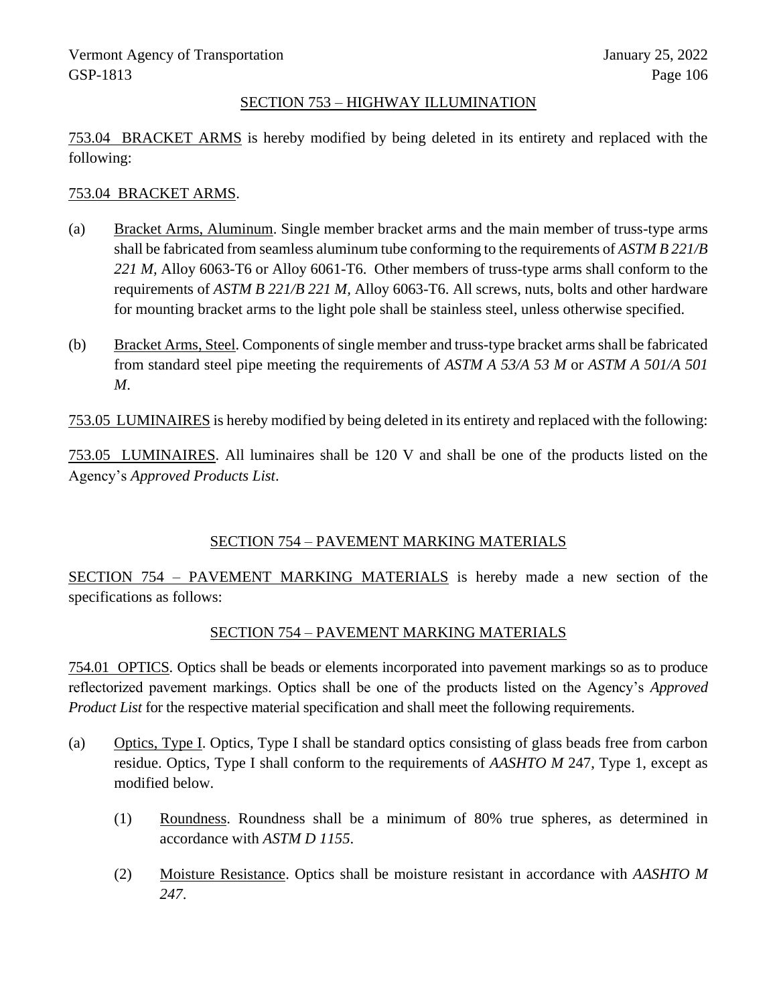#### SECTION 753 – HIGHWAY ILLUMINATION

753.04 BRACKET ARMS is hereby modified by being deleted in its entirety and replaced with the following:

#### 753.04 BRACKET ARMS.

- (a) Bracket Arms, Aluminum. Single member bracket arms and the main member of truss-type arms shall be fabricated from seamless aluminum tube conforming to the requirements of *ASTM B 221/B 221 M,* Alloy 6063-T6 or Alloy 6061-T6. Other members of truss-type arms shall conform to the requirements of *ASTM B 221/B 221 M,* Alloy 6063-T6. All screws, nuts, bolts and other hardware for mounting bracket arms to the light pole shall be stainless steel, unless otherwise specified.
- (b) Bracket Arms, Steel. Components of single member and truss-type bracket arms shall be fabricated from standard steel pipe meeting the requirements of *ASTM A 53/A 53 M* or *ASTM A 501/A 501 M*.

753.05 LUMINAIRES is hereby modified by being deleted in its entirety and replaced with the following:

753.05 LUMINAIRES. All luminaires shall be 120 V and shall be one of the products listed on the Agency's *Approved Products List*.

### SECTION 754 – PAVEMENT MARKING MATERIALS

SECTION 754 – PAVEMENT MARKING MATERIALS is hereby made a new section of the specifications as follows:

#### SECTION 754 – PAVEMENT MARKING MATERIALS

754.01 OPTICS. Optics shall be beads or elements incorporated into pavement markings so as to produce reflectorized pavement markings. Optics shall be one of the products listed on the Agency's *Approved Product List* for the respective material specification and shall meet the following requirements.

- (a) Optics, Type I. Optics, Type I shall be standard optics consisting of glass beads free from carbon residue. Optics, Type I shall conform to the requirements of *AASHTO M* 247, Type 1, except as modified below.
	- (1) Roundness. Roundness shall be a minimum of 80% true spheres, as determined in accordance with *ASTM D 1155*.
	- (2) Moisture Resistance. Optics shall be moisture resistant in accordance with *AASHTO M 247*.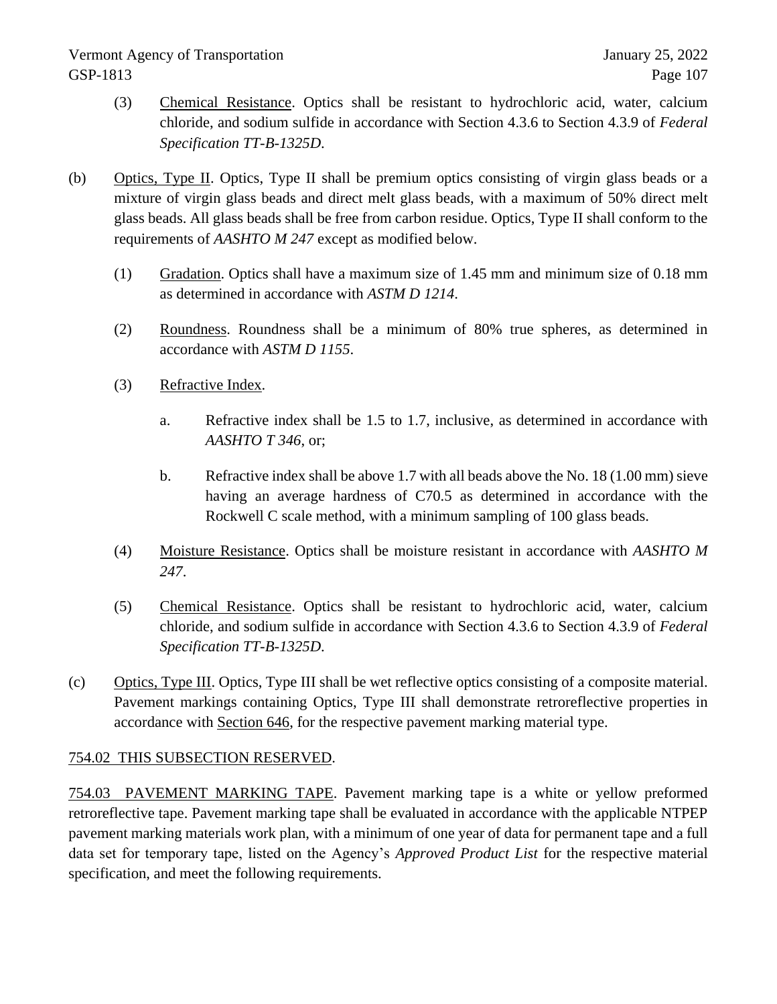- (3) Chemical Resistance. Optics shall be resistant to hydrochloric acid, water, calcium chloride, and sodium sulfide in accordance with Section 4.3.6 to Section 4.3.9 of *Federal Specification TT-B-1325D*.
- (b) Optics, Type II. Optics, Type II shall be premium optics consisting of virgin glass beads or a mixture of virgin glass beads and direct melt glass beads, with a maximum of 50% direct melt glass beads. All glass beads shall be free from carbon residue. Optics, Type II shall conform to the requirements of *AASHTO M 247* except as modified below.
	- (1) Gradation. Optics shall have a maximum size of 1.45 mm and minimum size of 0.18 mm as determined in accordance with *ASTM D 1214*.
	- (2) Roundness. Roundness shall be a minimum of 80% true spheres, as determined in accordance with *ASTM D 1155*.
	- (3) Refractive Index.
		- a. Refractive index shall be 1.5 to 1.7, inclusive, as determined in accordance with *AASHTO T 346*, or;
		- b. Refractive index shall be above 1.7 with all beads above the No. 18 (1.00 mm) sieve having an average hardness of C70.5 as determined in accordance with the Rockwell C scale method, with a minimum sampling of 100 glass beads.
	- (4) Moisture Resistance. Optics shall be moisture resistant in accordance with *AASHTO M 247*.
	- (5) Chemical Resistance. Optics shall be resistant to hydrochloric acid, water, calcium chloride, and sodium sulfide in accordance with Section 4.3.6 to Section 4.3.9 of *Federal Specification TT-B-1325D*.
- (c) Optics, Type III. Optics, Type III shall be wet reflective optics consisting of a composite material. Pavement markings containing Optics, Type III shall demonstrate retroreflective properties in accordance with Section 646, for the respective pavement marking material type.

### 754.02 THIS SUBSECTION RESERVED.

754.03 PAVEMENT MARKING TAPE. Pavement marking tape is a white or yellow preformed retroreflective tape. Pavement marking tape shall be evaluated in accordance with the applicable NTPEP pavement marking materials work plan, with a minimum of one year of data for permanent tape and a full data set for temporary tape, listed on the Agency's *Approved Product List* for the respective material specification, and meet the following requirements.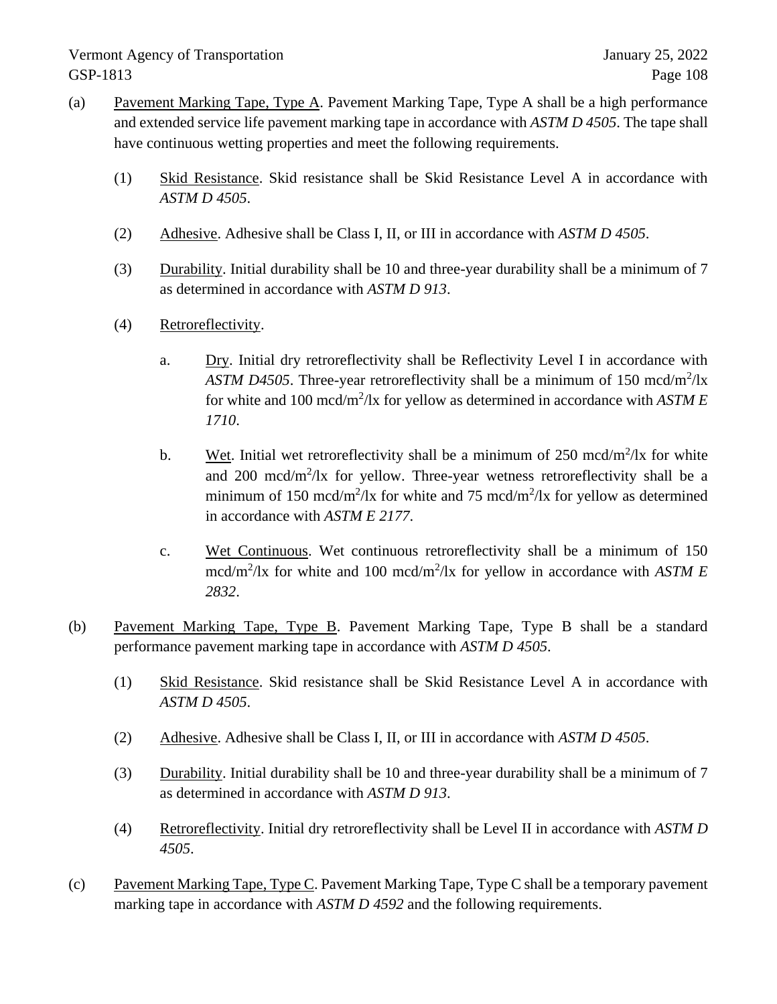- (a) Pavement Marking Tape, Type A. Pavement Marking Tape, Type A shall be a high performance and extended service life pavement marking tape in accordance with *ASTM D 4505*. The tape shall have continuous wetting properties and meet the following requirements.
	- (1) Skid Resistance. Skid resistance shall be Skid Resistance Level A in accordance with *ASTM D 4505*.
	- (2) Adhesive. Adhesive shall be Class I, II, or III in accordance with *ASTM D 4505*.
	- (3) Durability. Initial durability shall be 10 and three-year durability shall be a minimum of 7 as determined in accordance with *ASTM D 913*.
	- (4) Retroreflectivity.
		- a. Dry. Initial dry retroreflectivity shall be Reflectivity Level I in accordance with ASTM D4505. Three-year retroreflectivity shall be a minimum of 150 mcd/m<sup>2</sup>/lx for white and 100 mcd/m<sup>2</sup>/lx for yellow as determined in accordance with *ASTM E 1710*.
		- b. Wet. Initial wet retroreflectivity shall be a minimum of 250 mcd/m<sup>2</sup>/lx for white and 200 mcd/m<sup>2</sup>/lx for yellow. Three-year wetness retroreflectivity shall be a minimum of 150 mcd/m<sup>2</sup>/lx for white and 75 mcd/m<sup>2</sup>/lx for yellow as determined in accordance with *ASTM E 2177*.
		- c. Wet Continuous. Wet continuous retroreflectivity shall be a minimum of 150 mcd/m<sup>2</sup>/lx for white and 100 mcd/m<sup>2</sup>/lx for yellow in accordance with *ASTM E 2832*.
- (b) Pavement Marking Tape, Type B. Pavement Marking Tape, Type B shall be a standard performance pavement marking tape in accordance with *ASTM D 4505*.
	- (1) Skid Resistance. Skid resistance shall be Skid Resistance Level A in accordance with *ASTM D 4505*.
	- (2) Adhesive. Adhesive shall be Class I, II, or III in accordance with *ASTM D 4505*.
	- (3) Durability. Initial durability shall be 10 and three-year durability shall be a minimum of 7 as determined in accordance with *ASTM D 913*.
	- (4) Retroreflectivity. Initial dry retroreflectivity shall be Level II in accordance with *ASTM D 4505*.
- (c) Pavement Marking Tape, Type C. Pavement Marking Tape, Type C shall be a temporary pavement marking tape in accordance with *ASTM D 4592* and the following requirements.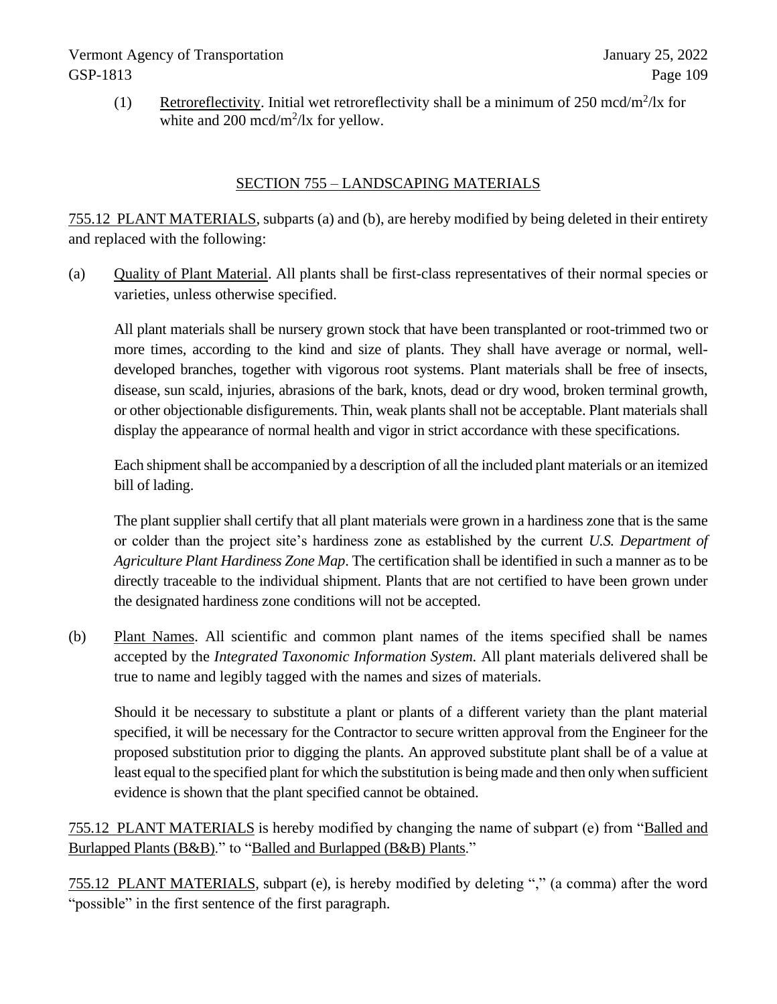# Vermont Agency of Transportation January 25, 2022 GSP-1813 Page 109

(1) Retroreflectivity. Initial wet retroreflectivity shall be a minimum of  $250 \text{ med/m}^2/\text{lx}$  for white and 200 mcd/m<sup>2</sup>/lx for yellow.

## SECTION 755 – LANDSCAPING MATERIALS

755.12 PLANT MATERIALS, subparts (a) and (b), are hereby modified by being deleted in their entirety and replaced with the following:

(a) Quality of Plant Material. All plants shall be first-class representatives of their normal species or varieties, unless otherwise specified.

All plant materials shall be nursery grown stock that have been transplanted or root-trimmed two or more times, according to the kind and size of plants. They shall have average or normal, welldeveloped branches, together with vigorous root systems. Plant materials shall be free of insects, disease, sun scald, injuries, abrasions of the bark, knots, dead or dry wood, broken terminal growth, or other objectionable disfigurements. Thin, weak plants shall not be acceptable. Plant materials shall display the appearance of normal health and vigor in strict accordance with these specifications.

Each shipment shall be accompanied by a description of all the included plant materials or an itemized bill of lading.

The plant supplier shall certify that all plant materials were grown in a hardiness zone that is the same or colder than the project site's hardiness zone as established by the current *U.S. Department of Agriculture Plant Hardiness Zone Map*. The certification shall be identified in such a manner as to be directly traceable to the individual shipment. Plants that are not certified to have been grown under the designated hardiness zone conditions will not be accepted.

(b) Plant Names. All scientific and common plant names of the items specified shall be names accepted by the *Integrated Taxonomic Information System.* All plant materials delivered shall be true to name and legibly tagged with the names and sizes of materials.

Should it be necessary to substitute a plant or plants of a different variety than the plant material specified, it will be necessary for the Contractor to secure written approval from the Engineer for the proposed substitution prior to digging the plants. An approved substitute plant shall be of a value at least equal to the specified plant for which the substitution is being made and then only when sufficient evidence is shown that the plant specified cannot be obtained.

755.12 PLANT MATERIALS is hereby modified by changing the name of subpart (e) from "Balled and Burlapped Plants (B&B)." to "Balled and Burlapped (B&B) Plants."

755.12 PLANT MATERIALS, subpart (e), is hereby modified by deleting "," (a comma) after the word "possible" in the first sentence of the first paragraph.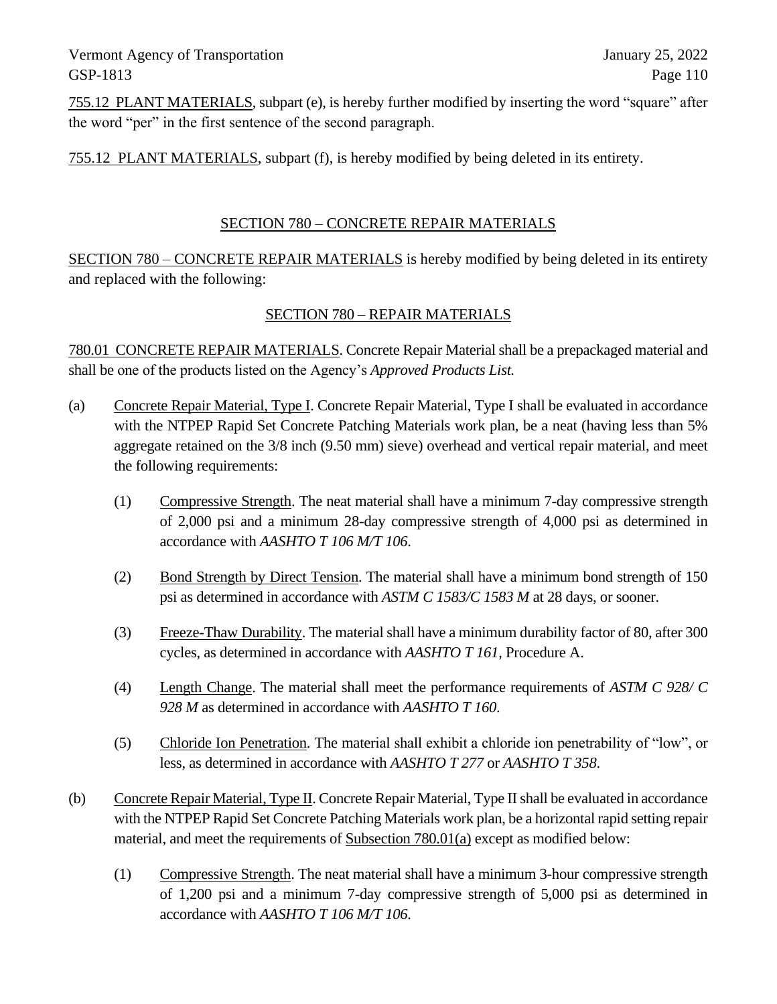Vermont Agency of Transportation January 25, 2022 GSP-1813 Page 110

755.12 PLANT MATERIALS, subpart (e), is hereby further modified by inserting the word "square" after the word "per" in the first sentence of the second paragraph.

755.12 PLANT MATERIALS, subpart (f), is hereby modified by being deleted in its entirety.

### SECTION 780 – CONCRETE REPAIR MATERIALS

SECTION 780 – CONCRETE REPAIR MATERIALS is hereby modified by being deleted in its entirety and replaced with the following:

## SECTION 780 – REPAIR MATERIALS

780.01 CONCRETE REPAIR MATERIALS. Concrete Repair Material shall be a prepackaged material and shall be one of the products listed on the Agency's *Approved Products List.*

- (a) Concrete Repair Material, Type I. Concrete Repair Material, Type I shall be evaluated in accordance with the NTPEP Rapid Set Concrete Patching Materials work plan, be a neat (having less than 5% aggregate retained on the 3/8 inch (9.50 mm) sieve) overhead and vertical repair material, and meet the following requirements:
	- (1) Compressive Strength. The neat material shall have a minimum 7-day compressive strength of 2,000 psi and a minimum 28-day compressive strength of 4,000 psi as determined in accordance with *AASHTO T 106 M/T 106*.
	- (2) Bond Strength by Direct Tension. The material shall have a minimum bond strength of 150 psi as determined in accordance with *ASTM C 1583/C 1583 M* at 28 days, or sooner.
	- (3) Freeze-Thaw Durability. The material shall have a minimum durability factor of 80, after 300 cycles, as determined in accordance with *AASHTO T 161*, Procedure A.
	- (4) Length Change. The material shall meet the performance requirements of *ASTM C 928/ C 928 M* as determined in accordance with *AASHTO T 160*.
	- (5) Chloride Ion Penetration. The material shall exhibit a chloride ion penetrability of "low", or less, as determined in accordance with *AASHTO T 277* or *AASHTO T 358*.
- (b) Concrete Repair Material, Type II. Concrete Repair Material, Type II shall be evaluated in accordance with the NTPEP Rapid Set Concrete Patching Materials work plan, be a horizontal rapid setting repair material, and meet the requirements of Subsection 780.01(a) except as modified below:
	- (1) Compressive Strength. The neat material shall have a minimum 3-hour compressive strength of 1,200 psi and a minimum 7-day compressive strength of 5,000 psi as determined in accordance with *AASHTO T 106 M/T 106*.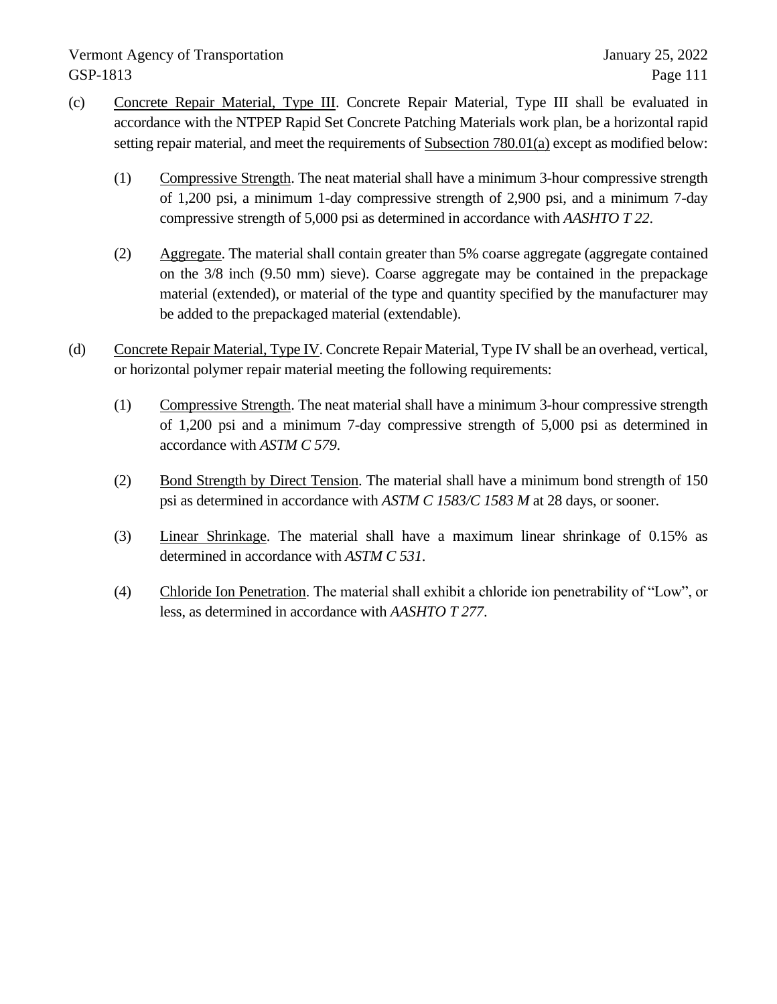# Vermont Agency of Transportation January 25, 2022 GSP-1813 Page 111

- (c) Concrete Repair Material, Type III. Concrete Repair Material, Type III shall be evaluated in accordance with the NTPEP Rapid Set Concrete Patching Materials work plan, be a horizontal rapid setting repair material, and meet the requirements of Subsection 780.01(a) except as modified below:
	- (1) Compressive Strength. The neat material shall have a minimum 3-hour compressive strength of 1,200 psi, a minimum 1-day compressive strength of 2,900 psi, and a minimum 7-day compressive strength of 5,000 psi as determined in accordance with *AASHTO T 22*.
	- (2) Aggregate. The material shall contain greater than 5% coarse aggregate (aggregate contained on the 3/8 inch (9.50 mm) sieve). Coarse aggregate may be contained in the prepackage material (extended), or material of the type and quantity specified by the manufacturer may be added to the prepackaged material (extendable).
- (d) Concrete Repair Material, Type IV. Concrete Repair Material, Type IV shall be an overhead, vertical, or horizontal polymer repair material meeting the following requirements:
	- (1) Compressive Strength. The neat material shall have a minimum 3-hour compressive strength of 1,200 psi and a minimum 7-day compressive strength of 5,000 psi as determined in accordance with *ASTM C 579*.
	- (2) Bond Strength by Direct Tension. The material shall have a minimum bond strength of 150 psi as determined in accordance with *ASTM C 1583/C 1583 M* at 28 days, or sooner.
	- (3) Linear Shrinkage. The material shall have a maximum linear shrinkage of 0.15% as determined in accordance with *ASTM C 531*.
	- (4) Chloride Ion Penetration. The material shall exhibit a chloride ion penetrability of "Low", or less, as determined in accordance with *AASHTO T 277*.